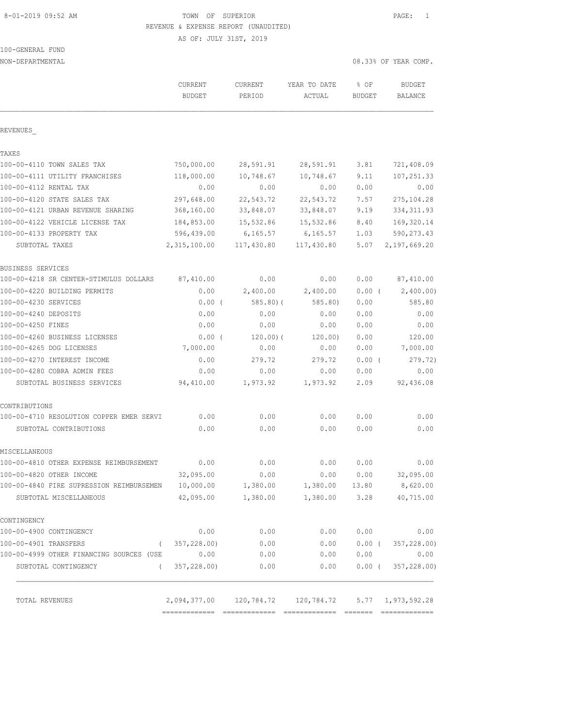# 8-01-2019 09:52 AM **TOWN OF SUPERIOR PAGE:** 1 REVENUE & EXPENSE REPORT (UNAUDITED)

AS OF: JULY 31ST, 2019

| 100-GENERAL FUND |  |
|------------------|--|
|                  |  |

| NON-DEPARTMENTAL                                   |                                                      |                   |                        |                       | 08.33% OF YEAR COMP.            |
|----------------------------------------------------|------------------------------------------------------|-------------------|------------------------|-----------------------|---------------------------------|
|                                                    | CURRENT<br><b>BUDGET</b>                             | CURRENT<br>PERIOD | YEAR TO DATE<br>ACTUAL | % OF<br><b>BUDGET</b> | <b>BUDGET</b><br><b>BALANCE</b> |
| REVENUES                                           |                                                      |                   |                        |                       |                                 |
| TAXES                                              |                                                      |                   |                        |                       |                                 |
| 100-00-4110 TOWN SALES TAX                         | 750,000.00                                           | 28,591.91         | 28,591.91              | 3.81                  | 721,408.09                      |
| 100-00-4111 UTILITY FRANCHISES                     | 118,000.00                                           | 10,748.67         | 10,748.67              | 9.11                  | 107, 251.33                     |
| 100-00-4112 RENTAL TAX                             | 0.00                                                 | 0.00              | 0.00                   | 0.00                  | 0.00                            |
| 100-00-4120 STATE SALES TAX                        | 297,648.00                                           | 22,543.72         | 22,543.72              | 7.57                  | 275, 104.28                     |
| 100-00-4121 URBAN REVENUE SHARING                  | 368,160.00                                           | 33,848.07         | 33,848.07              | 9.19                  | 334, 311.93                     |
| 100-00-4122 VEHICLE LICENSE TAX                    | 184,853.00                                           | 15,532.86         | 15,532.86              | 8.40                  | 169,320.14                      |
| 100-00-4133 PROPERTY TAX                           | 596,439.00                                           | 6,165.57          | 6, 165.57              | 1.03                  | 590, 273.43                     |
| SUBTOTAL TAXES                                     | 2,315,100.00                                         | 117,430.80        | 117,430.80             | 5.07                  | 2,197,669.20                    |
| BUSINESS SERVICES                                  |                                                      |                   |                        |                       |                                 |
| 100-00-4218 SR CENTER-STIMULUS DOLLARS             | 87,410.00                                            | 0.00              | 0.00                   | 0.00                  | 87,410.00                       |
| 100-00-4220 BUILDING PERMITS                       | 0.00                                                 | 2,400.00          | 2,400.00               | 0.00(                 | 2,400.00)                       |
| 100-00-4230 SERVICES                               | $0.00$ (                                             | 585.80(           | 585.80                 | 0.00                  | 585.80                          |
| 100-00-4240 DEPOSITS                               | 0.00                                                 | 0.00              | 0.00                   | 0.00                  | 0.00                            |
| 100-00-4250 FINES                                  | 0.00                                                 | 0.00              | 0.00                   | 0.00                  | 0.00                            |
| 100-00-4260 BUSINESS LICENSES                      | $0.00$ (                                             | 120.00(           | 120.00)                | 0.00                  | 120.00                          |
| 100-00-4265 DOG LICENSES                           | 7,000.00                                             | 0.00              | 0.00                   | 0.00                  | 7,000.00                        |
| 100-00-4270 INTEREST INCOME                        | 0.00                                                 | 279.72            | 279.72                 | $0.00$ (              | 279.72)                         |
| 100-00-4280 COBRA ADMIN FEES                       | 0.00                                                 | 0.00              | 0.00                   | 0.00                  | 0.00                            |
| SUBTOTAL BUSINESS SERVICES                         | 94,410.00                                            | 1,973.92          | 1,973.92               | 2.09                  | 92,436.08                       |
| CONTRIBUTIONS                                      |                                                      |                   |                        |                       |                                 |
| 100-00-4710 RESOLUTION COPPER EMER SERVI           | 0.00                                                 | 0.00              | 0.00                   | 0.00                  | 0.00                            |
| SUBTOTAL CONTRIBUTIONS                             | 0.00                                                 | 0.00              | 0.00                   | 0.00                  | 0.00                            |
| MISCELLANEOUS                                      |                                                      |                   |                        |                       |                                 |
| 100-00-4810 OTHER EXPENSE REIMBURSEMENT            | 0.00                                                 | 0.00              | 0.00                   | 0.00                  | 0.00                            |
| 100-00-4820 OTHER INCOME                           | 32,095.00                                            | 0.00              | 0.00                   | 0.00                  | 32,095.00                       |
| 100-00-4840 FIRE SUPRESSION REIMBURSEMEN 10,000.00 |                                                      | 1,380.00          | 1,380.00 13.80         |                       | 8,620.00                        |
| SUBTOTAL MISCELLANEOUS                             | 42,095.00                                            | 1,380.00          | 1,380.00               | 3.28                  | 40,715.00                       |
| CONTINGENCY                                        |                                                      |                   |                        |                       |                                 |
| 100-00-4900 CONTINGENCY                            | 0.00                                                 | 0.00              | 0.00                   | 0.00                  | 0.00                            |
| 100-00-4901 TRANSFERS<br>$\sqrt{2}$                | 357,228.00)                                          | 0.00              | 0.00                   | $0.00$ (              | 357,228.00)                     |
| 100-00-4999 OTHER FINANCING SOURCES (USE           | 0.00                                                 | 0.00              | 0.00                   | 0.00                  | 0.00                            |
| SUBTOTAL CONTINGENCY<br>$\left($                   | 357,228.00)                                          | 0.00              | 0.00                   | 0.00(                 | 357,228.00)                     |
| TOTAL REVENUES                                     | 2,094,377.00 120,784.72 120,784.72 5.77 1,973,592.28 |                   |                        |                       |                                 |
|                                                    |                                                      |                   |                        |                       |                                 |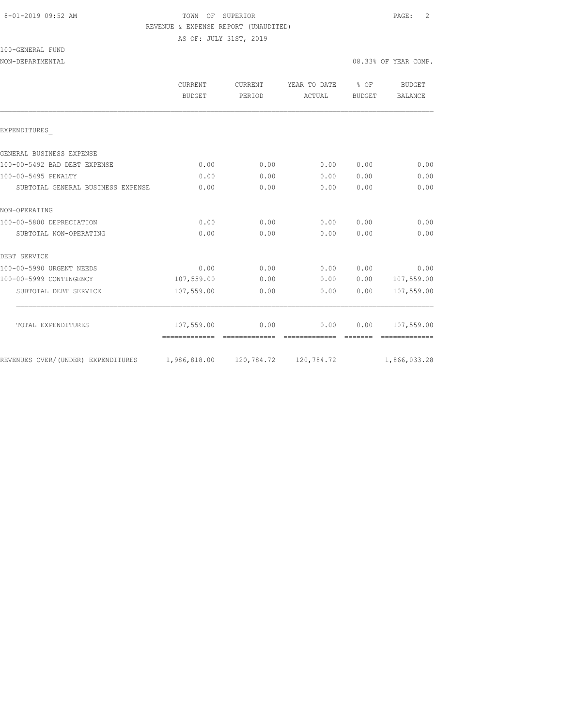100-GENERAL FUND

# 8-01-2019 09:52 AM TOWN OF SUPERIOR PAGE: 2 REVENUE & EXPENSE REPORT (UNAUDITED)

AS OF: JULY 31ST, 2019

NON-DEPARTMENTAL 08.33% OF YEAR COMP.

|                                    | CURRENT       | CURRENT | YEAR TO DATE | $8$ OF        | BUDGET         |
|------------------------------------|---------------|---------|--------------|---------------|----------------|
|                                    | <b>BUDGET</b> | PERIOD  | ACTUAL       | <b>BUDGET</b> | <b>BALANCE</b> |
| EXPENDITURES                       |               |         |              |               |                |
| GENERAL BUSINESS EXPENSE           |               |         |              |               |                |
| 100-00-5492 BAD DEBT EXPENSE       | 0.00          | 0.00    | 0.00         | 0.00          | 0.00           |
| 100-00-5495 PENALTY                | 0.00          | 0.00    | 0.00         | 0.00          | 0.00           |
| SUBTOTAL GENERAL BUSINESS EXPENSE  | 0.00          | 0.00    | 0.00         | 0.00          | 0.00           |
| NON-OPERATING                      |               |         |              |               |                |
| 100-00-5800 DEPRECIATION           | 0.00          | 0.00    | 0.00         | 0.00          | 0.00           |
| SUBTOTAL NON-OPERATING             | 0.00          | 0.00    | 0.00         | 0.00          | 0.00           |
| DEBT SERVICE                       |               |         |              |               |                |
| 100-00-5990 URGENT NEEDS           | 0.00          | 0.00    | 0.00         | 0.00          | 0.00           |
| 100-00-5999 CONTINGENCY            | 107,559.00    | 0.00    | 0.00         | 0.00          | 107,559.00     |
| SUBTOTAL DEBT SERVICE              | 107,559.00    | 0.00    | 0.00         | 0.00          | 107,559.00     |
| TOTAL EXPENDITURES                 | 107,559.00    | 0.00    | 0.00         | 0.00          | 107,559.00     |
|                                    |               |         |              |               |                |
| REVENUES OVER/(UNDER) EXPENDITURES |               |         |              |               | 1,866,033.28   |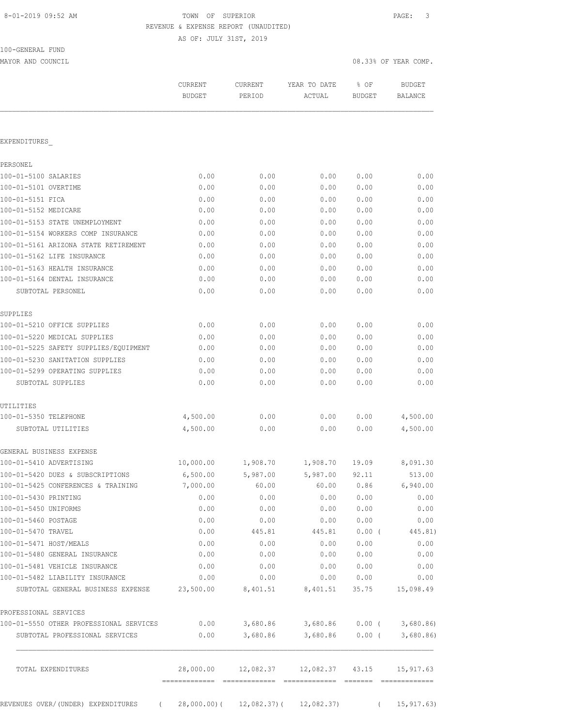# TOWN OF SUPERIOR **Example 2019** PAGE: 3 REVENUE & EXPENSE REPORT (UNAUDITED)

AS OF: JULY 31ST, 2019

| 100-GENERAL FUND |  |
|------------------|--|
|                  |  |

MAYOR AND COUNCIL COUNCIL COMP. THE COMPLETE STATE OF STATE OF STATE OF STATE OF STATE OF STATE OF STATE OF STATE OF STATE OF STATE OF STATE OF STATE OF STATE OF STATE OF STATE OF STATE OF STATE OF STATE OF STATE OF STATE

|                                                                                                  | CURRENT<br><b>BUDGET</b> | CURRENT<br>PERIOD                            | YEAR TO DATE<br>ACTUAL                    | % OF<br><b>BUDGET</b> | <b>BUDGET</b><br>BALANCE |
|--------------------------------------------------------------------------------------------------|--------------------------|----------------------------------------------|-------------------------------------------|-----------------------|--------------------------|
|                                                                                                  |                          |                                              |                                           |                       |                          |
| EXPENDITURES                                                                                     |                          |                                              |                                           |                       |                          |
| PERSONEL                                                                                         |                          |                                              |                                           |                       |                          |
| 100-01-5100 SALARIES                                                                             | 0.00                     | 0.00                                         | 0.00                                      | 0.00                  | 0.00                     |
| 100-01-5101 OVERTIME                                                                             | 0.00                     | 0.00                                         | 0.00                                      | 0.00                  | 0.00                     |
| 100-01-5151 FICA                                                                                 | 0.00                     | 0.00                                         | 0.00                                      | 0.00                  | 0.00                     |
| 100-01-5152 MEDICARE                                                                             | 0.00                     | 0.00                                         | 0.00                                      | 0.00                  | 0.00                     |
| 100-01-5153 STATE UNEMPLOYMENT                                                                   | 0.00                     | 0.00                                         | 0.00                                      | 0.00                  | 0.00                     |
| 100-01-5154 WORKERS COMP INSURANCE                                                               | 0.00                     | 0.00                                         | 0.00                                      | 0.00                  | 0.00                     |
| 100-01-5161 ARIZONA STATE RETIREMENT                                                             | 0.00                     | 0.00                                         | 0.00                                      | 0.00                  | 0.00                     |
| 100-01-5162 LIFE INSURANCE                                                                       | 0.00                     | 0.00                                         | 0.00                                      | 0.00                  | 0.00                     |
| 100-01-5163 HEALTH INSURANCE                                                                     | 0.00                     | 0.00                                         | 0.00                                      | 0.00                  | 0.00                     |
| 100-01-5164 DENTAL INSURANCE                                                                     | 0.00                     | 0.00                                         | 0.00                                      | 0.00                  | 0.00                     |
| SUBTOTAL PERSONEL                                                                                | 0.00                     | 0.00                                         | 0.00                                      | 0.00                  | 0.00                     |
|                                                                                                  |                          |                                              |                                           |                       |                          |
| SUPPLIES                                                                                         |                          |                                              |                                           |                       |                          |
| 100-01-5210 OFFICE SUPPLIES                                                                      | 0.00                     | 0.00                                         | 0.00                                      | 0.00                  | 0.00                     |
| 100-01-5220 MEDICAL SUPPLIES                                                                     | 0.00                     | 0.00                                         | 0.00                                      | 0.00                  | 0.00                     |
| 100-01-5225 SAFETY SUPPLIES/EQUIPMENT                                                            | 0.00                     | 0.00                                         | 0.00                                      | 0.00                  | 0.00                     |
| 100-01-5230 SANITATION SUPPLIES                                                                  | 0.00                     | 0.00                                         | 0.00                                      | 0.00                  | 0.00                     |
| 100-01-5299 OPERATING SUPPLIES                                                                   | 0.00                     | 0.00                                         | 0.00                                      | 0.00                  | 0.00                     |
| SUBTOTAL SUPPLIES                                                                                | 0.00                     | 0.00                                         | 0.00                                      | 0.00                  | 0.00                     |
| UTILITIES                                                                                        |                          |                                              |                                           |                       |                          |
| 100-01-5350 TELEPHONE                                                                            | 4,500.00                 | 0.00                                         | 0.00                                      | 0.00                  | 4,500.00                 |
| SUBTOTAL UTILITIES                                                                               | 4,500.00                 | 0.00                                         | 0.00                                      | 0.00                  | 4,500.00                 |
| GENERAL BUSINESS EXPENSE                                                                         |                          |                                              |                                           |                       |                          |
| 100-01-5410 ADVERTISING                                                                          | 10,000.00                | 1,908.70                                     | 1,908.70                                  | 19.09                 | 8,091.30                 |
| 100-01-5420 DUES & SUBSCRIPTIONS                                                                 | 6,500.00                 | 5,987.00                                     | 5,987.00                                  | 92.11                 | 513.00                   |
| 100-01-5425 CONFERENCES & TRAINING                                                               | 7,000.00                 | 60.00                                        | 60.00                                     | 0.86                  | 6,940.00                 |
|                                                                                                  |                          |                                              |                                           |                       |                          |
| 100-01-5430 PRINTING<br>100-01-5450 UNIFORMS                                                     | 0.00<br>0.00             | 0.00<br>0.00                                 | 0.00<br>0.00                              | 0.00<br>0.00          | 0.00<br>0.00             |
| 100-01-5460 POSTAGE                                                                              |                          |                                              |                                           |                       |                          |
|                                                                                                  | 0.00                     | 0.00<br>445.81                               | 0.00                                      | 0.00                  | 0.00                     |
| 100-01-5470 TRAVEL                                                                               | 0.00                     |                                              | 445.81                                    |                       | $0.00$ ( $445.81$ )      |
| 100-01-5471 HOST/MEALS                                                                           | 0.00                     | 0.00                                         | 0.00                                      | 0.00                  | 0.00                     |
| 100-01-5480 GENERAL INSURANCE                                                                    | 0.00                     | 0.00                                         | 0.00                                      | 0.00                  | 0.00                     |
| 100-01-5481 VEHICLE INSURANCE                                                                    | 0.00                     | 0.00                                         | 0.00                                      | 0.00                  | 0.00                     |
| 100-01-5482 LIABILITY INSURANCE<br>SUBTOTAL GENERAL BUSINESS EXPENSE 23,500.00 8,401.51 8,401.51 | 0.00                     | 0.00                                         | 0.00                                      | 0.00                  | 0.00                     |
|                                                                                                  |                          |                                              |                                           |                       | 35.75 15,098.49          |
| PROFESSIONAL SERVICES                                                                            |                          |                                              |                                           |                       |                          |
| 100-01-5550 OTHER PROFESSIONAL SERVICES                                                          |                          |                                              | $0.00$ 3,680.86 3,680.86 0.00 ( 3,680.86) |                       |                          |
| SUBTOTAL PROFESSIONAL SERVICES                                                                   | 0.00                     |                                              | 3,680.86 3,680.86 0.00 (                  |                       | 3,680.86                 |
| TOTAL EXPENDITURES                                                                               |                          | 28,000.00    12,082.37    12,082.37    43.15 |                                           |                       | 15,917.63                |

REVENUES OVER/(UNDER) EXPENDITURES ( 28,000.00)( 12,082.37)( 12,082.37) ( 15,917.63)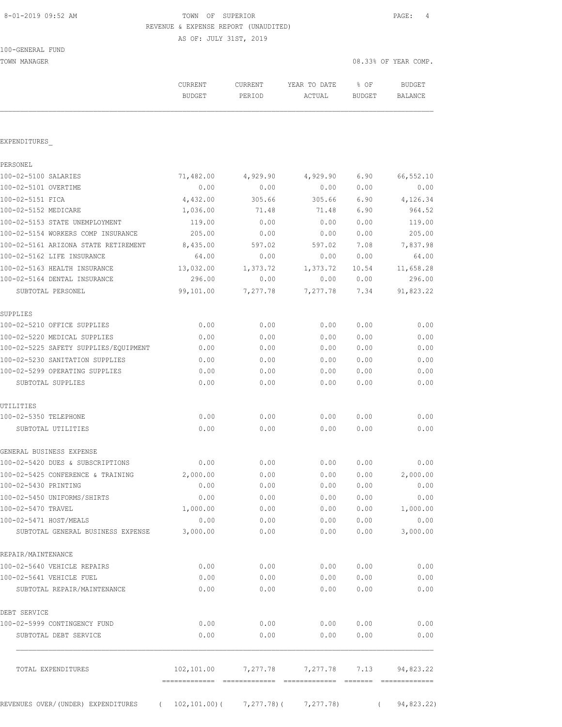# 8-01-2019 09:52 AM TOWN OF SUPERIOR PAGE: 4 REVENUE & EXPENSE REPORT (UNAUDITED)

AS OF: JULY 31ST, 2019

| 100-GENERAL FUND |
|------------------|
|------------------|

TOWN MANAGER 2008 OF YEAR COMP.

|                                                                       | CURRENT<br><b>BUDGET</b> | CURRENT<br>PERIOD   | YEAR TO DATE<br>ACTUAL | % OF<br><b>BUDGET</b> | <b>BUDGET</b><br><b>BALANCE</b> |
|-----------------------------------------------------------------------|--------------------------|---------------------|------------------------|-----------------------|---------------------------------|
| EXPENDITURES                                                          |                          |                     |                        |                       |                                 |
| PERSONEL                                                              |                          |                     |                        |                       |                                 |
| 100-02-5100 SALARIES                                                  | 71,482.00                |                     | 4,929.90               | 6.90                  | 66,552.10                       |
| 100-02-5101 OVERTIME                                                  | 0.00                     | 4,929.90<br>0.00    | 0.00                   | 0.00                  | 0.00                            |
| 100-02-5151 FICA                                                      |                          | 305.66              |                        |                       |                                 |
| 100-02-5152 MEDICARE                                                  | 4,432.00<br>1,036.00     | 71.48               | 305.66<br>71.48        | 6.90<br>6.90          | 4,126.34<br>964.52              |
| 100-02-5153 STATE UNEMPLOYMENT                                        | 119.00                   | 0.00                | 0.00                   | 0.00                  | 119.00                          |
| 100-02-5154 WORKERS COMP INSURANCE                                    | 205.00                   | 0.00                | 0.00                   | 0.00                  | 205.00                          |
| 100-02-5161 ARIZONA STATE RETIREMENT                                  |                          | 597.02              | 597.02                 | 7.08                  |                                 |
| 100-02-5162 LIFE INSURANCE                                            | 8,435.00<br>64.00        | 0.00                | 0.00                   | 0.00                  | 7,837.98<br>64.00               |
| 100-02-5163 HEALTH INSURANCE                                          | 13,032.00                |                     |                        | 10.54                 |                                 |
| 100-02-5164 DENTAL INSURANCE                                          | 296.00                   | 1,373.72<br>0.00    | 1,373.72<br>0.00       | 0.00                  | 11,658.28<br>296.00             |
|                                                                       |                          |                     |                        | 7.34                  |                                 |
| SUBTOTAL PERSONEL                                                     | 99,101.00                | 7,277.78            | 7,277.78               |                       | 91,823.22                       |
| SUPPLIES                                                              |                          |                     |                        |                       |                                 |
| 100-02-5210 OFFICE SUPPLIES                                           | 0.00                     | 0.00                | 0.00                   | 0.00                  | 0.00                            |
| 100-02-5220 MEDICAL SUPPLIES                                          | 0.00                     | 0.00                | 0.00                   | 0.00                  | 0.00                            |
| 100-02-5225 SAFETY SUPPLIES/EQUIPMENT                                 | 0.00                     | 0.00                | 0.00                   | 0.00                  | 0.00                            |
| 100-02-5230 SANITATION SUPPLIES                                       | 0.00                     | 0.00                | 0.00                   | 0.00                  | 0.00                            |
| 100-02-5299 OPERATING SUPPLIES                                        | 0.00                     | 0.00                | 0.00                   | 0.00                  | 0.00                            |
| SUBTOTAL SUPPLIES                                                     | 0.00                     | 0.00                | 0.00                   | 0.00                  | 0.00                            |
| UTILITIES                                                             |                          |                     |                        |                       |                                 |
| 100-02-5350 TELEPHONE                                                 | 0.00                     | 0.00                | 0.00                   | 0.00                  | 0.00                            |
| SUBTOTAL UTILITIES                                                    | 0.00                     | 0.00                | 0.00                   | 0.00                  | 0.00                            |
| GENERAL BUSINESS EXPENSE                                              |                          |                     |                        |                       |                                 |
| 100-02-5420 DUES & SUBSCRIPTIONS                                      | 0.00                     | 0.00                | 0.00                   | 0.00                  | 0.00                            |
| 100-02-5425 CONFERENCE & TRAINING                                     | 2,000.00                 | 0.00                | 0.00                   | 0.00                  | 2,000.00                        |
| 100-02-5430 PRINTING                                                  | 0.00                     | 0.00                | 0.00                   | 0.00                  | 0.00                            |
| 100-02-5450 UNIFORMS/SHIRTS                                           | 0.00                     | 0.00                | 0.00                   | 0.00                  | 0.00                            |
| 100-02-5470 TRAVEL                                                    | 1,000.00                 | 0.00                | 0.00                   | 0.00                  | 1,000.00                        |
| 100-02-5471 HOST/MEALS                                                | 0.00                     | 0.00                | 0.00                   | 0.00                  | 0.00                            |
| SUBTOTAL GENERAL BUSINESS EXPENSE                                     | 3,000.00                 | 0.00                | 0.00                   | 0.00                  | 3,000.00                        |
| REPAIR/MAINTENANCE                                                    |                          |                     |                        |                       |                                 |
| 100-02-5640 VEHICLE REPAIRS                                           | 0.00                     | 0.00                | 0.00                   | 0.00                  | 0.00                            |
| 100-02-5641 VEHICLE FUEL                                              | 0.00                     | 0.00                | 0.00                   | 0.00                  | 0.00                            |
| SUBTOTAL REPAIR/MAINTENANCE                                           | 0.00                     | 0.00                | 0.00                   | 0.00                  | 0.00                            |
| DEBT SERVICE                                                          |                          |                     |                        |                       |                                 |
| 100-02-5999 CONTINGENCY FUND                                          | 0.00                     | 0.00                |                        | 0.00 0.00             | 0.00                            |
| SUBTOTAL DEBT SERVICE                                                 | 0.00                     | 0.00                | 0.00                   | 0.00                  | 0.00                            |
| TOTAL EXPENDITURES                                                    |                          | 102,101.00 7,277.78 | 7,277.78               | 7.13                  | 94,823.22                       |
|                                                                       |                          |                     |                        |                       |                                 |
| REVENUES OVER/(UNDER) EXPENDITURES (102,101.00) (7,277.78) (7,277.78) |                          |                     |                        | $\sqrt{2}$            | 94,823.22)                      |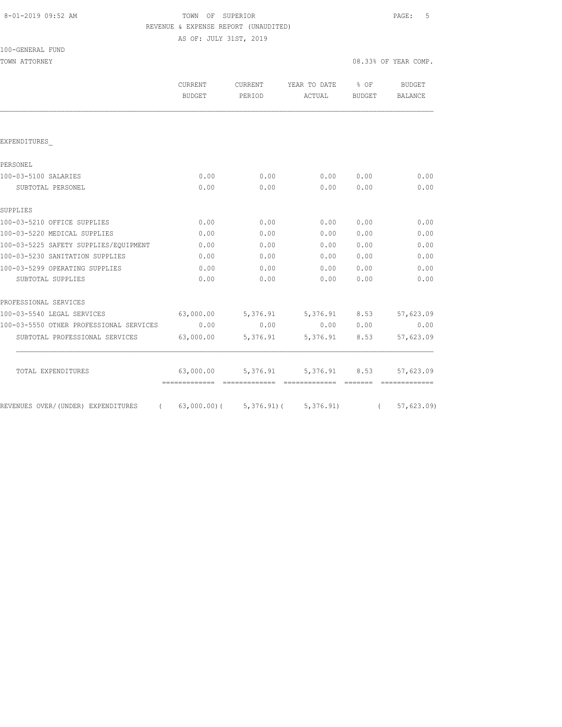| 8-01-2019 09:52 AM |  |  |
|--------------------|--|--|
|                    |  |  |

# FOWN OF SUPERIOR **Example 2019** PAGE: 5 REVENUE & EXPENSE REPORT (UNAUDITED)

AS OF: JULY 31ST, 2019

| TOWN ATTORNEY                           |                                  |          |                                     |        | 08.33% OF YEAR COMP. |
|-----------------------------------------|----------------------------------|----------|-------------------------------------|--------|----------------------|
|                                         | CURRENT<br><b>BUDGET</b>         | PERIOD   | CURRENT YEAR TO DATE % OF<br>ACTUAL | BUDGET | BUDGET<br>BALANCE    |
|                                         |                                  |          |                                     |        |                      |
| EXPENDITURES                            |                                  |          |                                     |        |                      |
| PERSONEL                                |                                  |          |                                     |        |                      |
| 100-03-5100 SALARIES                    | 0.00                             | 0.00     | 0.00                                | 0.00   | 0.00                 |
| SUBTOTAL PERSONEL                       | 0.00                             | 0.00     | 0.00                                | 0.00   | 0.00                 |
| SUPPLIES                                |                                  |          |                                     |        |                      |
| 100-03-5210 OFFICE SUPPLIES             | 0.00                             | 0.00     | 0.00                                | 0.00   | 0.00                 |
| 100-03-5220 MEDICAL SUPPLIES            | 0.00                             | 0.00     | 0.00                                | 0.00   | 0.00                 |
| 100-03-5225 SAFETY SUPPLIES/EQUIPMENT   | 0.00                             | 0.00     | 0.00                                | 0.00   | 0.00                 |
| 100-03-5230 SANITATION SUPPLIES         | 0.00                             | 0.00     | 0.00                                | 0.00   | 0.00                 |
| 100-03-5299 OPERATING SUPPLIES          | 0.00                             | 0.00     | 0.00                                | 0.00   | 0.00                 |
| SUBTOTAL SUPPLIES                       | 0.00                             | 0.00     | 0.00                                | 0.00   | 0.00                 |
| PROFESSIONAL SERVICES                   |                                  |          |                                     |        |                      |
| 100-03-5540 LEGAL SERVICES              | 63,000.00 5,376.91 5,376.91 8.53 |          |                                     |        | 57,623.09            |
| 100-03-5550 OTHER PROFESSIONAL SERVICES | 0.00                             | 0.00     | 0.00 0.00                           |        | 0.00                 |
| SUBTOTAL PROFESSIONAL SERVICES          | 63,000.00                        | 5,376.91 | 5,376.91 8.53                       |        | 57,623.09            |
| TOTAL EXPENDITURES                      | 63,000.00                        | 5,376.91 | 5,376.91 8.53                       |        | 57,623.09            |
| REVENUES OVER/(UNDER) EXPENDITURES      | 63,000.00) (5,376.91) (5,376.91) |          |                                     |        | 57,623.09)           |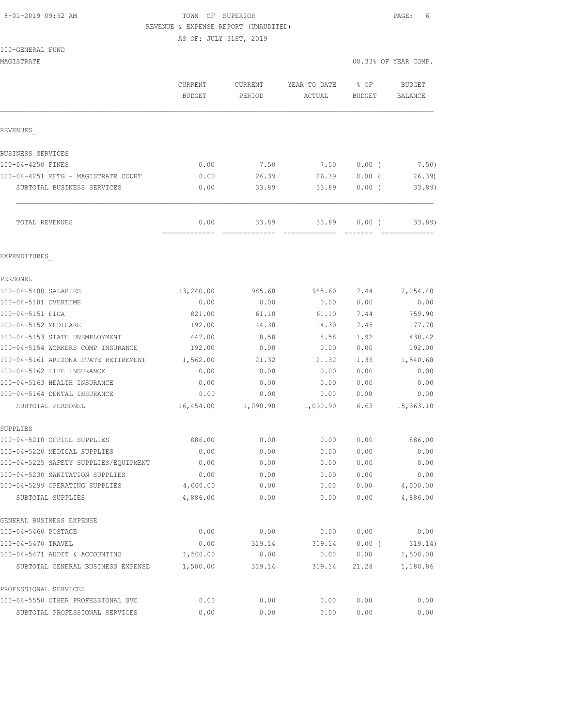# 8-01-2019 09:52 AM **TOWN OF SUPERIOR PAGE:** 6 REVENUE & EXPENSE REPORT (UNAUDITED)

AS OF: JULY 31ST, 2019

| MAGISTRATE                            |                                 |                          |                        | 08.33% OF YEAR COMP.  |                                 |
|---------------------------------------|---------------------------------|--------------------------|------------------------|-----------------------|---------------------------------|
|                                       | <b>CURRENT</b><br><b>BUDGET</b> | <b>CURRENT</b><br>PERIOD | YEAR TO DATE<br>ACTUAL | % OF<br><b>BUDGET</b> | <b>BUDGET</b><br><b>BALANCE</b> |
| REVENUES                              |                                 |                          |                        |                       |                                 |
| BUSINESS SERVICES                     |                                 |                          |                        |                       |                                 |
| 100-04-4250 FINES                     | 0.00                            | 7.50                     | 7.50                   | $0.00$ (              | 7.50)                           |
| 100-04-4251 MFTG - MAGISTRATE COURT   | 0.00                            | 26.39                    | 26.39                  | 0.00(                 | 26.39                           |
| SUBTOTAL BUSINESS SERVICES            | 0.00                            | 33.89                    | 33.89                  | 0.00(                 | 33.89                           |
| TOTAL REVENUES                        | 0.00<br>=============           | 33.89<br>=============   | 33.89<br>============= | $0.00$ (              | 33.89                           |
| EXPENDITURES                          |                                 |                          |                        |                       |                                 |
| PERSONEL                              |                                 |                          |                        |                       |                                 |
| 100-04-5100 SALARIES                  | 13,240.00                       | 985.60                   | 985.60                 | 7.44                  | 12,254.40                       |
| 100-04-5101 OVERTIME                  | 0.00                            | 0.00                     | 0.00                   | 0.00                  | 0.00                            |
| 100-04-5151 FICA                      | 821.00                          | 61.10                    | 61.10                  | 7.44                  | 759.90                          |
| 100-04-5152 MEDICARE                  | 192.00                          | 14.30                    | 14.30                  | 7.45                  | 177.70                          |
| 100-04-5153 STATE UNEMPLOYMENT        | 447.00                          | 8.58                     | 8.58                   | 1.92                  | 438.42                          |
| 100-04-5154 WORKERS COMP INSURANCE    | 192.00                          | 0.00                     | 0.00                   | 0.00                  | 192.00                          |
| 100-04-5161 ARIZONA STATE RETIREMENT  | 1,562.00                        | 21.32                    | 21.32                  | 1.36                  | 1,540.68                        |
| 100-04-5162 LIFE INSURANCE            | 0.00                            | 0.00                     | 0.00                   | 0.00                  | 0.00                            |
| 100-04-5163 HEALTH INSURANCE          | 0.00                            | 0.00                     | 0.00                   | 0.00                  | 0.00                            |
| 100-04-5164 DENTAL INSURANCE          | 0.00                            | 0.00                     | 0.00                   | 0.00                  | 0.00                            |
| SUBTOTAL PERSONEL                     | 16,454.00                       | 1,090.90                 | 1,090.90               | 6.63                  | 15,363.10                       |
| SUPPLIES                              |                                 |                          |                        |                       |                                 |
| 100-04-5210 OFFICE SUPPLIES           | 886.00                          | 0.00                     | 0.00                   | 0.00                  | 886.00                          |
| 100-04-5220 MEDICAL SUPPLIES          | 0.00                            | 0.00                     | 0.00                   | 0.00                  | 0.00                            |
| 100-04-5225 SAFETY SUPPLIES/EQUIPMENT | 0.00                            | 0.00                     | 0.00                   | 0.00                  | 0.00                            |
| 100-04-5230 SANITATION SUPPLIES       | 0.00                            | 0.00                     | 0.00                   | 0.00                  | 0.00                            |
| 100-04-5299 OPERATING SUPPLIES        | 4,000.00                        | 0.00                     | 0.00                   | 0.00                  | 4,000.00                        |
| SUBTOTAL SUPPLIES                     | 4,886.00                        | 0.00                     | 0.00                   | 0.00                  | 4,886.00                        |
| GENERAL BUSINESS EXPENSE              |                                 |                          |                        |                       |                                 |
| 100-04-5460 POSTAGE                   | 0.00                            | 0.00                     | 0.00                   | 0.00                  | 0.00                            |
| 100-04-5470 TRAVEL                    | 0.00                            | 319.14                   | 319.14                 | $0.00$ (              | 319.14)                         |
| 100-04-5471 AUDIT & ACCOUNTING        | 1,500.00                        | 0.00                     | 0.00                   | 0.00                  | 1,500.00                        |
| SUBTOTAL GENERAL BUSINESS EXPENSE     | 1,500.00                        | 319.14                   | 319.14                 | 21.28                 | 1,180.86                        |
| PROFESSIONAL SERVICES                 |                                 |                          |                        |                       |                                 |
| 100-04-5550 OTHER PROFESSIONAL SVC    | 0.00                            | 0.00                     | 0.00                   | 0.00                  | 0.00                            |

SUBTOTAL PROFESSIONAL SERVICES 0.00 0.00 0.00 0.00 0.00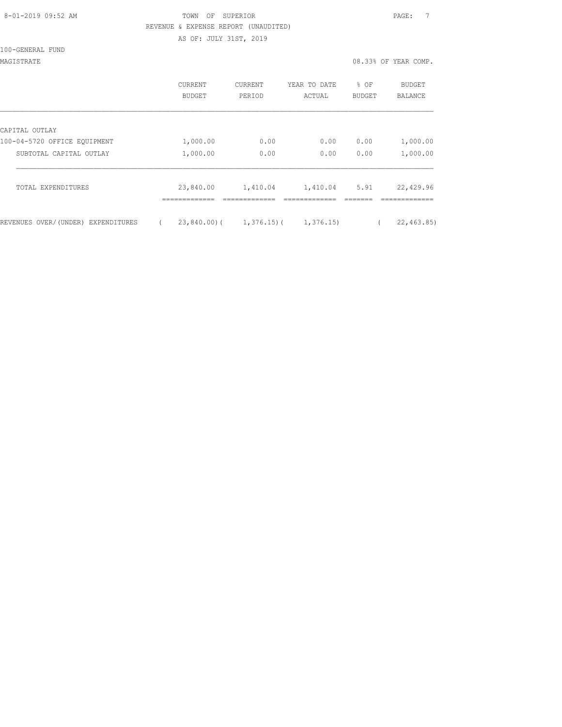# 8-01-2019 09:52 AM TOWN OF SUPERIOR PAGE: 7 REVENUE & EXPENSE REPORT (UNAUDITED) AS OF: JULY 31ST, 2019

100-GENERAL FUND

|                                    | CURRENT<br>BUDGET | <b>CURRENT</b><br>PERIOD  | YEAR TO DATE<br>ACTUAL | % OF<br><b>BUDGET</b> | <b>BUDGET</b><br><b>BALANCE</b> |
|------------------------------------|-------------------|---------------------------|------------------------|-----------------------|---------------------------------|
| CAPITAL OUTLAY                     |                   |                           |                        |                       |                                 |
| 100-04-5720 OFFICE EQUIPMENT       | 1,000.00          | 0.00                      | 0.00                   | 0.00                  | 1,000.00                        |
| SUBTOTAL CAPITAL OUTLAY            | 1,000.00          | 0.00                      | 0.00                   | 0.00                  | 1,000.00                        |
| TOTAL EXPENDITURES                 | 23,840.00         | 1,410.04                  | 1,410.04               | 5.91                  | 22,429.96                       |
| REVENUES OVER/(UNDER) EXPENDITURES |                   | $23,840.00$ ( 1,376.15) ( | 1,376.15               |                       | 22, 463.85                      |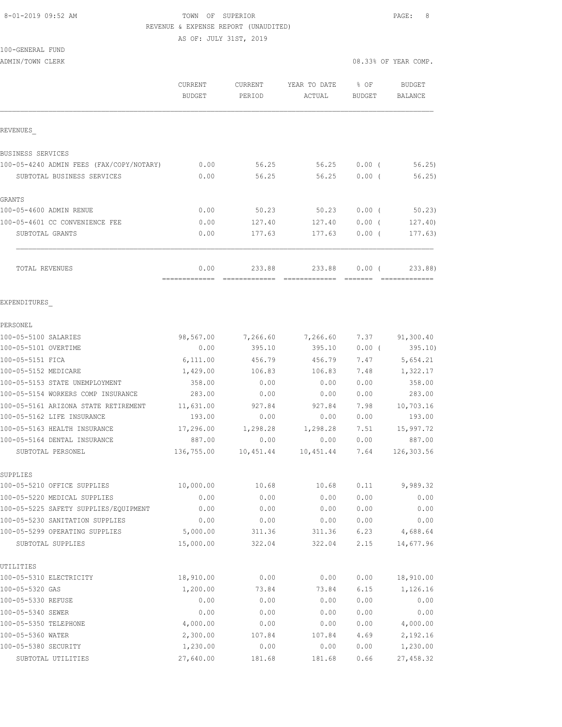# 8-01-2019 09:52 AM TOWN OF SUPERIOR PAGE: 8 REVENUE & EXPENSE REPORT (UNAUDITED) AS OF: JULY 31ST, 2019

100-GENERAL FUND

ADMIN/TOWN CLERK 08.33% OF YEAR COMP.

|                                                                   | CURRENT<br><b>BUDGET</b> | <b>CURRENT</b><br>PERIOD | YEAR TO DATE<br>ACTUAL           | % OF<br>BUDGET | <b>BUDGET</b><br><b>BALANCE</b> |
|-------------------------------------------------------------------|--------------------------|--------------------------|----------------------------------|----------------|---------------------------------|
| REVENUES                                                          |                          |                          |                                  |                |                                 |
| BUSINESS SERVICES                                                 |                          |                          |                                  |                |                                 |
| 100-05-4240 ADMIN FEES (FAX/COPY/NOTARY)                          | 0.00                     | 56.25                    | 56.25                            | $0.00$ (       | 56.25                           |
| SUBTOTAL BUSINESS SERVICES                                        | 0.00                     | 56.25                    | 56.25                            | $0.00$ (       | 56.25)                          |
| GRANTS                                                            |                          |                          |                                  |                |                                 |
| 100-05-4600 ADMIN RENUE                                           | 0.00                     | 50.23                    | 50.23                            | 0.00(          | 50.23                           |
| 100-05-4601 CC CONVENIENCE FEE                                    | 0.00                     | 127.40                   | 127.40                           | $0.00$ (       | 127.40                          |
| SUBTOTAL GRANTS                                                   | 0.00                     | 177.63                   | 177.63                           | 0.00(          | 177.63)                         |
| TOTAL REVENUES                                                    | 0.00<br>=============    | 233.88<br>---------      | 233.88<br>====================== | 0.00(          | 233.88)                         |
| EXPENDITURES                                                      |                          |                          |                                  |                |                                 |
| PERSONEL                                                          |                          |                          |                                  |                |                                 |
| 100-05-5100 SALARIES                                              | 98,567.00                | 7,266.60                 | 7,266.60                         | 7.37           | 91,300.40                       |
| 100-05-5101 OVERTIME                                              | 0.00                     | 395.10                   | 395.10                           | 0.00(          | 395.10)                         |
| 100-05-5151 FICA                                                  | 6,111.00                 | 456.79                   | 456.79                           | 7.47           | 5,654.21                        |
| 100-05-5152 MEDICARE                                              | 1,429.00                 | 106.83                   | 106.83                           | 7.48           | 1,322.17                        |
| 100-05-5153 STATE UNEMPLOYMENT                                    | 358.00                   | 0.00                     | 0.00                             | 0.00           | 358.00                          |
| 100-05-5154 WORKERS COMP INSURANCE                                | 283.00                   | 0.00                     | 0.00                             | 0.00           | 283.00                          |
| 100-05-5161 ARIZONA STATE RETIREMENT                              | 11,631.00                | 927.84                   | 927.84                           | 7.98           | 10,703.16                       |
| 100-05-5162 LIFE INSURANCE                                        | 193.00                   | 0.00                     | 0.00                             | 0.00           | 193.00                          |
| 100-05-5163 HEALTH INSURANCE                                      | 17,296.00                | 1,298.28                 | 1,298.28                         | 7.51           | 15,997.72                       |
| 100-05-5164 DENTAL INSURANCE                                      | 887.00                   | 0.00                     | 0.00                             | 0.00           | 887.00                          |
| SUBTOTAL PERSONEL                                                 | 136,755.00               | 10,451.44                | 10,451.44                        | 7.64           | 126,303.56                      |
| SUPPLIES                                                          |                          |                          |                                  |                |                                 |
| 100-05-5210 OFFICE SUPPLIES                                       | 10,000.00                | 10.68                    | 10.68                            | 0.11           | 9,989.32                        |
| 100-05-5220 MEDICAL SUPPLIES                                      | 0.00                     | 0.00                     | 0.00                             | 0.00           | 0.00                            |
| 100-05-5225 SAFETY SUPPLIES/EQUIPMENT                             | 0.00                     | 0.00                     | 0.00                             | 0.00           | 0.00                            |
| 100-05-5230 SANITATION SUPPLIES<br>100-05-5299 OPERATING SUPPLIES | 0.00                     | 0.00                     | 0.00                             | 0.00           | 0.00                            |
| SUBTOTAL SUPPLIES                                                 | 5,000.00<br>15,000.00    | 311.36<br>322.04         | 311.36<br>322.04                 | 6.23<br>2.15   | 4,688.64<br>14,677.96           |
| UTILITIES                                                         |                          |                          |                                  |                |                                 |
| 100-05-5310 ELECTRICITY                                           | 18,910.00                | 0.00                     | 0.00                             | 0.00           | 18,910.00                       |
| 100-05-5320 GAS                                                   | 1,200.00                 | 73.84                    | 73.84                            | 6.15           | 1,126.16                        |
| 100-05-5330 REFUSE                                                | 0.00                     | 0.00                     | 0.00                             | 0.00           | 0.00                            |
| 100-05-5340 SEWER                                                 | 0.00                     | 0.00                     | 0.00                             | 0.00           | 0.00                            |
| 100-05-5350 TELEPHONE                                             | 4,000.00                 | 0.00                     | 0.00                             | 0.00           | 4,000.00                        |
| 100-05-5360 WATER                                                 | 2,300.00                 | 107.84                   | 107.84                           | 4.69           | 2,192.16                        |
| 100-05-5380 SECURITY                                              | 1,230.00                 | 0.00                     | 0.00                             | 0.00           | 1,230.00                        |
| SUBTOTAL UTILITIES                                                | 27,640.00                | 181.68                   | 181.68                           | 0.66           | 27,458.32                       |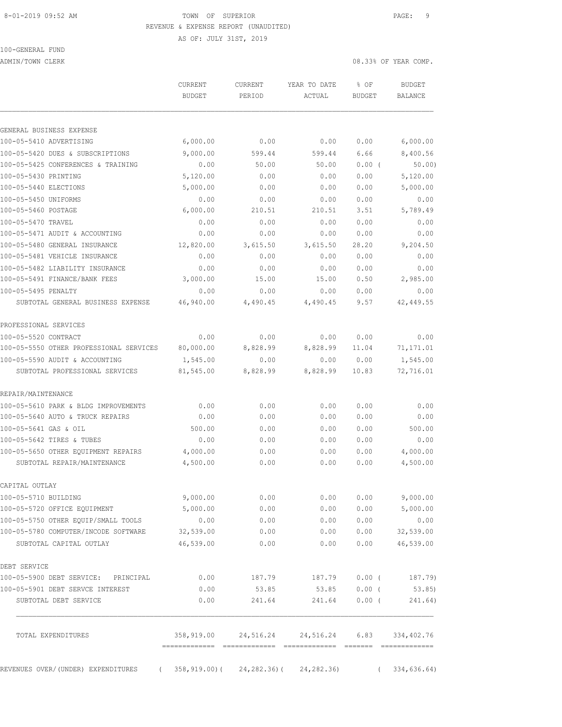#### 8-01-2019 09:52 AM TOWN OF SUPERIOR PAGE: 9 REVENUE & EXPENSE REPORT (UNAUDITED)

AS OF: JULY 31ST, 2019

100-GENERAL FUND

ADMIN/TOWN CLERK 2008 OF YEAR COMP.

|                                                  | CURRENT<br><b>BUDGET</b>     | CURRENT<br>PERIOD | YEAR TO DATE<br>ACTUAL                             | % OF<br><b>BUDGET</b> | <b>BUDGET</b><br><b>BALANCE</b> |
|--------------------------------------------------|------------------------------|-------------------|----------------------------------------------------|-----------------------|---------------------------------|
| GENERAL BUSINESS EXPENSE                         |                              |                   |                                                    |                       |                                 |
| 100-05-5410 ADVERTISING                          | 6,000.00                     | 0.00              | 0.00                                               | 0.00                  | 6,000.00                        |
| 100-05-5420 DUES & SUBSCRIPTIONS                 | 9,000.00                     | 599.44            | 599.44                                             | 6.66                  | 8,400.56                        |
| 100-05-5425 CONFERENCES & TRAINING               | 0.00                         | 50.00             | 50.00                                              | 0.00(                 | 50.00                           |
| 100-05-5430 PRINTING                             | 5,120.00                     | 0.00              | 0.00                                               | 0.00                  | 5,120.00                        |
| 100-05-5440 ELECTIONS                            | 5,000.00                     | 0.00              | 0.00                                               | 0.00                  | 5,000.00                        |
| 100-05-5450 UNIFORMS                             | 0.00                         | 0.00              | 0.00                                               | 0.00                  | 0.00                            |
| 100-05-5460 POSTAGE                              | 6,000.00                     | 210.51            | 210.51                                             | 3.51                  | 5,789.49                        |
| 100-05-5470 TRAVEL                               | 0.00                         | 0.00              | 0.00                                               | 0.00                  | 0.00                            |
| 100-05-5471 AUDIT & ACCOUNTING                   | 0.00                         | 0.00              | 0.00                                               | 0.00                  | 0.00                            |
| 100-05-5480 GENERAL INSURANCE                    | 12,820.00                    | 3,615.50          | 3,615.50                                           | 28.20                 | 9,204.50                        |
| 100-05-5481 VEHICLE INSURANCE                    | 0.00                         | 0.00              | 0.00                                               | 0.00                  | 0.00                            |
| 100-05-5482 LIABILITY INSURANCE                  | 0.00                         | 0.00              | 0.00                                               | 0.00                  | 0.00                            |
| 100-05-5491 FINANCE/BANK FEES                    | 3,000.00                     | 15.00             | 15.00                                              | 0.50                  | 2,985.00                        |
| 100-05-5495 PENALTY                              | 0.00                         | 0.00              | 0.00                                               | 0.00                  | 0.00                            |
| SUBTOTAL GENERAL BUSINESS EXPENSE                | 46,940.00                    | 4,490.45          | 4,490.45                                           | 9.57                  | 42, 449.55                      |
| PROFESSIONAL SERVICES                            |                              |                   |                                                    |                       |                                 |
| 100-05-5520 CONTRACT                             | 0.00                         | 0.00              | 0.00                                               | 0.00                  | 0.00                            |
| 100-05-5550 OTHER PROFESSIONAL SERVICES          | 80,000.00                    | 8,828.99          | 8,828.99                                           | 11.04                 | 71,171.01                       |
| 100-05-5590 AUDIT & ACCOUNTING                   | 1,545.00                     | 0.00              | 0.00                                               | 0.00                  | 1,545.00                        |
| SUBTOTAL PROFESSIONAL SERVICES                   | 81,545.00                    | 8,828.99          | 8,828.99                                           | 10.83                 | 72,716.01                       |
| REPAIR/MAINTENANCE                               |                              |                   |                                                    |                       |                                 |
| 100-05-5610 PARK & BLDG IMPROVEMENTS             | 0.00                         | 0.00              | 0.00                                               | 0.00                  | 0.00                            |
| 100-05-5640 AUTO & TRUCK REPAIRS                 | 0.00                         | 0.00              | 0.00                                               | 0.00                  | 0.00                            |
| 100-05-5641 GAS & OIL                            | 500.00                       | 0.00              | 0.00                                               | 0.00                  | 500.00                          |
| 100-05-5642 TIRES & TUBES                        | 0.00                         | 0.00              | 0.00                                               | 0.00                  | 0.00                            |
| 100-05-5650 OTHER EQUIPMENT REPAIRS              | 4,000.00                     | 0.00              | 0.00                                               | 0.00                  | 4,000.00                        |
| SUBTOTAL REPAIR/MAINTENANCE                      | 4,500.00                     | 0.00              | 0.00                                               | 0.00                  | 4,500.00                        |
| CAPITAL OUTLAY                                   |                              |                   |                                                    |                       |                                 |
| 100-05-5710 BUILDING                             | 9,000.00                     | 0.00              | 0.00                                               | 0.00                  | 9,000.00                        |
| 100-05-5720 OFFICE EQUIPMENT                     | 5,000.00                     | 0.00              | 0.00                                               | 0.00                  | 5,000.00                        |
| 100-05-5750 OTHER EQUIP/SMALL TOOLS              | 0.00                         | 0.00              | 0.00                                               | 0.00                  | 0.00                            |
| 100-05-5780 COMPUTER/INCODE SOFTWARE             | 32,539.00                    | 0.00              | 0.00                                               | 0.00                  | 32,539.00                       |
| SUBTOTAL CAPITAL OUTLAY                          | 46,539.00                    | 0.00              | 0.00                                               | 0.00                  | 46,539.00                       |
| DEBT SERVICE                                     |                              |                   |                                                    |                       |                                 |
| 100-05-5900 DEBT SERVICE: PRINCIPAL              | 0.00                         | 187.79            | 187.79                                             | $0.00$ (              | 187.79)                         |
| 100-05-5901 DEBT SERVCE INTEREST                 | 0.00                         | 53.85             | 53.85                                              | $0.00$ (              | 53.85)                          |
| SUBTOTAL DEBT SERVICE                            | 0.00                         | 241.64            | 241.64                                             | $0.00$ (              | 241.64)                         |
| TOTAL EXPENDITURES                               | ============================ |                   | 358,919.00  24,516.24  24,516.24  6.83  334,402.76 |                       | --------------                  |
| REVENUES OVER/(UNDER) EXPENDITURES<br>$\sqrt{2}$ |                              |                   | $358, 919.00$ ( $24, 282.36$ ( $24, 282.36$ )      | $\sqrt{2}$            | 334,636.64)                     |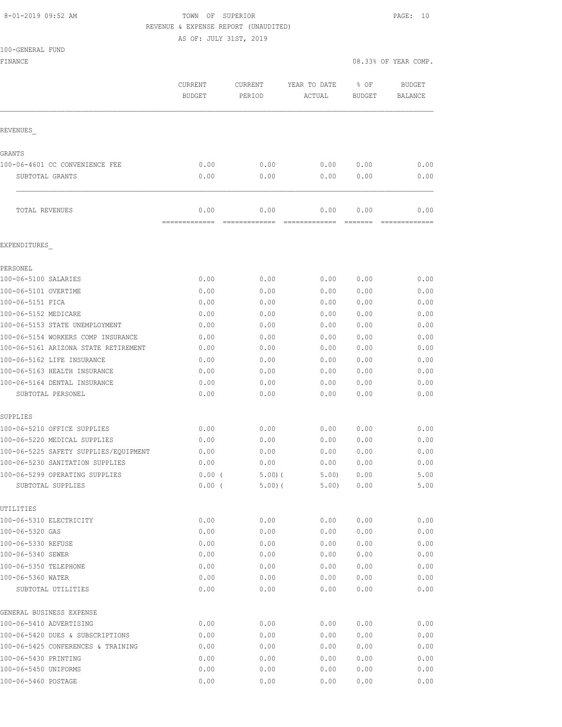## 8-01-2019 09:52 AM **TOWN OF SUPERIOR PAGE: 10** REVENUE & EXPENSE REPORT (UNAUDITED)

AS OF: JULY 31ST, 2019

| 100-GENERAL FUND |  |
|------------------|--|

| TAALQEMEUNT LAMA<br>FINANCE                         |                          |                       |                        | 08.33% OF YEAR COMP.    |                          |
|-----------------------------------------------------|--------------------------|-----------------------|------------------------|-------------------------|--------------------------|
|                                                     | CURRENT<br><b>BUDGET</b> | CURRENT<br>PERIOD     | YEAR TO DATE<br>ACTUAL | % OF<br>BUDGET          | <b>BUDGET</b><br>BALANCE |
| REVENUES                                            |                          |                       |                        |                         |                          |
| GRANTS                                              |                          |                       |                        |                         |                          |
| 100-06-4601 CC CONVENIENCE FEE                      | 0.00                     | 0.00                  | 0.00                   | 0.00                    | 0.00                     |
| SUBTOTAL GRANTS                                     | 0.00                     | 0.00                  | 0.00                   | 0.00                    | 0.00                     |
| TOTAL REVENUES                                      | 0.00<br>-------------    | 0.00<br>============= | 0.00<br>-------------  | 0.00<br>$=$ = = = = = = | 0.00<br>=============    |
| EXPENDITURES                                        |                          |                       |                        |                         |                          |
| PERSONEL                                            |                          |                       |                        |                         |                          |
| 100-06-5100 SALARIES                                | 0.00                     | 0.00                  | 0.00                   | 0.00                    | 0.00                     |
| 100-06-5101 OVERTIME                                | 0.00                     | 0.00                  | 0.00                   | 0.00                    | 0.00                     |
| 100-06-5151 FICA                                    | 0.00                     | 0.00                  | 0.00                   | 0.00                    | 0.00                     |
| 100-06-5152 MEDICARE                                | 0.00                     | 0.00                  | 0.00                   | 0.00                    | 0.00                     |
| 100-06-5153 STATE UNEMPLOYMENT                      | 0.00                     | 0.00                  | 0.00                   | 0.00                    | 0.00                     |
| 100-06-5154 WORKERS COMP INSURANCE                  | 0.00                     | 0.00                  | 0.00                   | 0.00                    | 0.00                     |
| 100-06-5161 ARIZONA STATE RETIREMENT                | 0.00                     | 0.00                  | 0.00                   | 0.00                    | 0.00                     |
| 100-06-5162 LIFE INSURANCE                          | 0.00                     | 0.00                  | 0.00                   | 0.00                    | 0.00                     |
| 100-06-5163 HEALTH INSURANCE                        | 0.00                     | 0.00                  | 0.00                   | 0.00                    | 0.00                     |
| 100-06-5164 DENTAL INSURANCE                        | 0.00                     | 0.00                  | 0.00                   | 0.00                    | 0.00                     |
| SUBTOTAL PERSONEL                                   | 0.00                     | 0.00                  | 0.00                   | 0.00                    | 0.00                     |
| SUPPLIES                                            |                          |                       |                        |                         |                          |
| 100-06-5210 OFFICE SUPPLIES                         | 0.00                     | 0.00                  | 0.00                   | 0.00                    | 0.00                     |
| 100-06-5220 MEDICAL SUPPLIES                        | 0.00                     | 0.00                  | 0.00                   | 0.00                    | 0.00                     |
| 100-06-5225 SAFETY SUPPLIES/EQUIPMENT               | 0.00                     | 0.00                  | 0.00                   | 0.00                    | 0.00                     |
| 100-06-5230 SANITATION SUPPLIES                     | 0.00                     | 0.00                  | 0.00                   | 0.00                    | 0.00                     |
| 100-06-5299 OPERATING SUPPLIES<br>SUBTOTAL SUPPLIES | $0.00$ (<br>$0.00$ (     | 5.00(<br>5.00(        | 5.00)<br>5.00)         | 0.00<br>0.00            | 5.00<br>5.00             |
| UTILITIES                                           |                          |                       |                        |                         |                          |
| 100-06-5310 ELECTRICITY                             | 0.00                     | 0.00                  | 0.00                   | 0.00                    | 0.00                     |
| 100-06-5320 GAS                                     | 0.00                     | 0.00                  | 0.00                   | 0.00                    | 0.00                     |
| 100-06-5330 REFUSE                                  | 0.00                     | 0.00                  | 0.00                   | 0.00                    | 0.00                     |
| 100-06-5340 SEWER                                   | 0.00                     | 0.00                  | 0.00                   | 0.00                    | 0.00                     |
| 100-06-5350 TELEPHONE                               | 0.00                     | 0.00                  | 0.00                   | 0.00                    | 0.00                     |
| 100-06-5360 WATER                                   | 0.00                     | 0.00                  | 0.00                   | 0.00                    | 0.00                     |
| SUBTOTAL UTILITIES                                  | 0.00                     | 0.00                  | 0.00                   | 0.00                    | 0.00                     |
| GENERAL BUSINESS EXPENSE                            |                          |                       |                        |                         |                          |
| 100-06-5410 ADVERTISING                             | 0.00                     | 0.00                  | 0.00                   | 0.00                    | 0.00                     |
| 100-06-5420 DUES & SUBSCRIPTIONS                    | 0.00                     | 0.00                  | 0.00                   | 0.00                    | 0.00                     |
| 100-06-5425 CONFERENCES & TRAINING                  | 0.00                     | 0.00                  | 0.00                   | 0.00                    | 0.00                     |
| 100-06-5430 PRINTING<br>100-06-5450 UNIFORMS        | 0.00<br>0.00             | 0.00<br>0.00          | 0.00<br>0.00           | 0.00<br>0.00            | 0.00<br>0.00             |
|                                                     |                          |                       |                        |                         |                          |
| 100-06-5460 POSTAGE                                 | 0.00                     | 0.00                  | 0.00                   | 0.00                    | 0.00                     |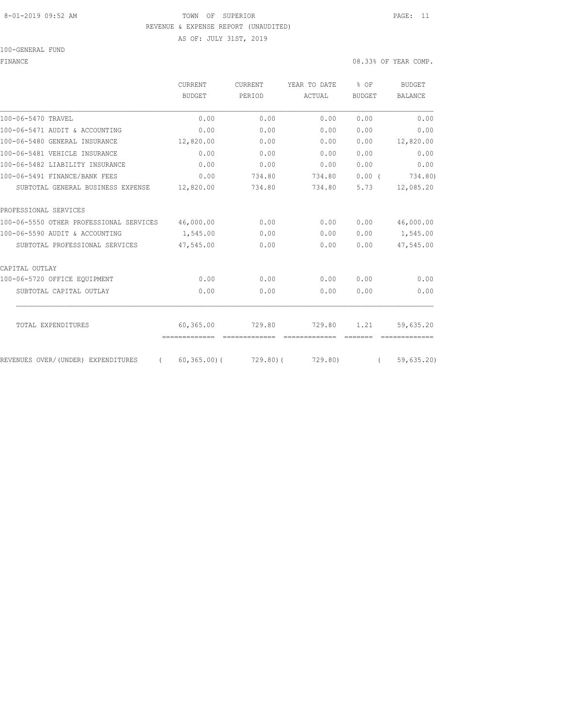### 8-01-2019 09:52 AM TOWN OF SUPERIOR PAGE: 11 REVENUE & EXPENSE REPORT (UNAUDITED)

AS OF: JULY 31ST, 2019

100-GENERAL FUND

|                                                | CURRENT                    | <b>CURRENT</b> | YEAR TO DATE            | % OF          | <b>BUDGET</b>  |
|------------------------------------------------|----------------------------|----------------|-------------------------|---------------|----------------|
|                                                | <b>BUDGET</b>              | PERIOD         | ACTUAL                  | <b>BUDGET</b> | <b>BALANCE</b> |
| 100-06-5470 TRAVEL                             | 0.00                       | 0.00           | 0.00                    | 0.00          | 0.00           |
| 100-06-5471 AUDIT & ACCOUNTING                 | 0.00                       | 0.00           | 0.00                    | 0.00          | 0.00           |
| 100-06-5480 GENERAL INSURANCE                  | 12,820.00                  | 0.00           | 0.00                    | 0.00          | 12,820.00      |
| 100-06-5481 VEHICLE INSURANCE                  | 0.00                       | 0.00           | 0.00                    | 0.00          | 0.00           |
| 100-06-5482 LIABILITY INSURANCE                | 0.00                       | 0.00           | 0.00                    | 0.00          | 0.00           |
| 100-06-5491 FINANCE/BANK FEES                  | 0.00                       | 734.80         | 734.80                  | 0.00(         | 734.80)        |
| SUBTOTAL GENERAL BUSINESS EXPENSE              | 12,820.00                  | 734.80         | 734.80                  | 5.73          | 12,085.20      |
| PROFESSIONAL SERVICES                          |                            |                |                         |               |                |
| 100-06-5550 OTHER PROFESSIONAL SERVICES        | 46,000.00                  | 0.00           | 0.00                    | 0.00          | 46,000.00      |
| 100-06-5590 AUDIT & ACCOUNTING                 | 1,545.00                   | 0.00           | 0.00                    | 0.00          | 1,545.00       |
| SUBTOTAL PROFESSIONAL SERVICES                 | 47,545.00                  | 0.00           | 0.00                    | 0.00          | 47,545.00      |
| CAPITAL OUTLAY                                 |                            |                |                         |               |                |
| 100-06-5720 OFFICE EOUIPMENT                   | 0.00                       | 0.00           | 0.00                    | 0.00          | 0.00           |
| SUBTOTAL CAPITAL OUTLAY                        | 0.00                       | 0.00           | 0.00                    | 0.00          | 0.00           |
|                                                |                            |                |                         |               |                |
| TOTAL EXPENDITURES                             | 60,365.00<br>------------- | 729.80         | 729.80<br>============= | 1.21          | 59,635.20      |
| REVENUES OVER/(UNDER) EXPENDITURES<br>$\left($ | $60, 365, 00)$ (           | 729.80(        | 729.80)                 | $\left($      | 59,635.20      |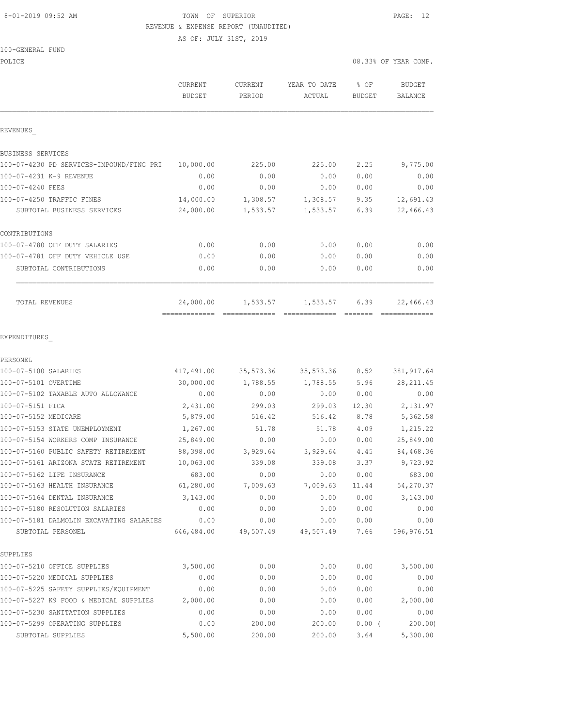## 8-01-2019 09:52 AM TOWN OF SUPERIOR PAGE: 12 REVENUE & EXPENSE REPORT (UNAUDITED)

AS OF: JULY 31ST, 2019

| POLICE                                                        |                          |                   |                        | 08.33% OF YEAR COMP.  |                          |  |
|---------------------------------------------------------------|--------------------------|-------------------|------------------------|-----------------------|--------------------------|--|
|                                                               | CURRENT<br><b>BUDGET</b> | CURRENT<br>PERIOD | YEAR TO DATE<br>ACTUAL | % OF<br><b>BUDGET</b> | <b>BUDGET</b><br>BALANCE |  |
| REVENUES                                                      |                          |                   |                        |                       |                          |  |
| BUSINESS SERVICES                                             |                          |                   |                        |                       |                          |  |
| 100-07-4230 PD SERVICES-IMPOUND/FING PRI                      | 10,000.00                | 225.00            | 225.00                 | 2.25                  | 9,775.00                 |  |
| 100-07-4231 K-9 REVENUE                                       | 0.00                     | 0.00              | 0.00                   | 0.00                  | 0.00                     |  |
| 100-07-4240 FEES                                              | 0.00                     | 0.00              | 0.00                   | 0.00                  | 0.00                     |  |
| 100-07-4250 TRAFFIC FINES                                     | 14,000.00                | 1,308.57          | 1,308.57               | 9.35                  | 12,691.43                |  |
| SUBTOTAL BUSINESS SERVICES                                    | 24,000.00                | 1,533.57          | 1,533.57               | 6.39                  | 22,466.43                |  |
| CONTRIBUTIONS                                                 |                          |                   |                        |                       |                          |  |
| 100-07-4780 OFF DUTY SALARIES                                 | 0.00                     | 0.00              | 0.00                   | 0.00                  | 0.00                     |  |
| 100-07-4781 OFF DUTY VEHICLE USE                              | 0.00                     | 0.00              | 0.00                   | 0.00                  | 0.00                     |  |
| SUBTOTAL CONTRIBUTIONS                                        | 0.00                     | 0.00              | 0.00                   | 0.00                  | 0.00                     |  |
| TOTAL REVENUES                                                | 24,000.00                | 1,533.57          | 1,533.57               | 6.39                  | 22,466.43                |  |
| EXPENDITURES                                                  |                          |                   |                        |                       |                          |  |
| PERSONEL                                                      |                          |                   |                        |                       |                          |  |
| 100-07-5100 SALARIES                                          | 417,491.00               | 35,573.36         | 35,573.36              | 8.52                  | 381, 917.64              |  |
| 100-07-5101 OVERTIME                                          | 30,000.00                | 1,788.55          | 1,788.55               | 5.96                  | 28, 211.45               |  |
| 100-07-5102 TAXABLE AUTO ALLOWANCE                            | 0.00                     | 0.00              | 0.00                   | 0.00                  | 0.00                     |  |
| 100-07-5151 FICA                                              | 2,431.00                 | 299.03            | 299.03                 | 12.30                 | 2,131.97                 |  |
| 100-07-5152 MEDICARE                                          | 5,879.00                 | 516.42            | 516.42                 | 8.78                  | 5,362.58                 |  |
| 100-07-5153 STATE UNEMPLOYMENT                                | 1,267.00                 | 51.78             | 51.78                  | 4.09                  | 1,215.22                 |  |
| 100-07-5154 WORKERS COMP INSURANCE                            | 25,849.00                | 0.00              | 0.00                   | 0.00                  | 25,849.00                |  |
| 100-07-5160 PUBLIC SAFETY RETIREMENT                          | 88,398.00                | 3,929.64          | 3,929.64               | 4.45                  | 84,468.36                |  |
| 100-07-5161 ARIZONA STATE RETIREMENT                          | 10,063.00                | 339.08            | 339.08                 | 3.37                  | 9,723.92                 |  |
| 100-07-5162 LIFE INSURANCE                                    | 683.00                   | 0.00              | 0.00                   | 0.00                  | 683.00                   |  |
| 100-07-5163 HEALTH INSURANCE                                  | 61,280.00                | 7,009.63          | 7,009.63               | 11.44                 | 54,270.37                |  |
| 100-07-5164 DENTAL INSURANCE                                  | 3,143.00                 | 0.00              | 0.00                   | 0.00                  | 3,143.00                 |  |
| 100-07-5180 RESOLUTION SALARIES                               | 0.00                     | 0.00              | 0.00                   | 0.00                  | 0.00                     |  |
| 100-07-5181 DALMOLIN EXCAVATING SALARIES<br>SUBTOTAL PERSONEL | 0.00<br>646,484.00       | 0.00<br>49,507.49 | 0.00<br>49,507.49      | 0.00<br>7.66          | 0.00<br>596,976.51       |  |
| SUPPLIES                                                      |                          |                   |                        |                       |                          |  |
| 100-07-5210 OFFICE SUPPLIES                                   | 3,500.00                 | 0.00              | 0.00                   | 0.00                  | 3,500.00                 |  |
| 100-07-5220 MEDICAL SUPPLIES                                  | 0.00                     | 0.00              | 0.00                   | 0.00                  | 0.00                     |  |
| 100-07-5225 SAFETY SUPPLIES/EOUIPMENT                         | 0.00                     | 0.00              | 0.00                   | 0.00                  | 0.00                     |  |
| 100-07-5227 K9 FOOD & MEDICAL SUPPLIES                        | 2,000.00                 | 0.00              | 0.00                   | 0.00                  | 2,000.00                 |  |
| 100-07-5230 SANITATION SUPPLIES                               | 0.00                     | 0.00              | 0.00                   | 0.00                  | 0.00                     |  |
| 100-07-5299 OPERATING SUPPLIES                                | 0.00                     | 200.00            | 200.00                 | $0.00$ (              | 200.00                   |  |
| SUBTOTAL SUPPLIES                                             | 5,500.00                 | 200.00            | 200.00                 | 3.64                  | 5,300.00                 |  |
|                                                               |                          |                   |                        |                       |                          |  |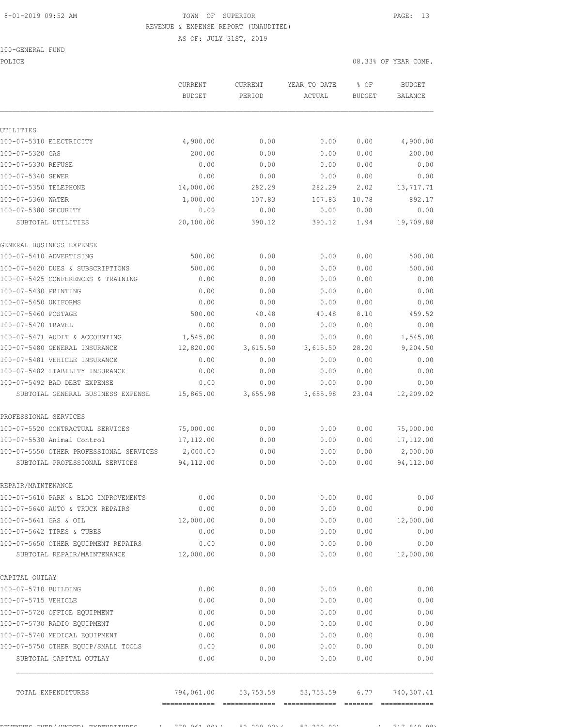# 8-01-2019 09:52 AM TOWN OF SUPERIOR PAGE: 13 REVENUE & EXPENSE REPORT (UNAUDITED)

AS OF: JULY 31ST, 2019

## 100-GENERAL FUND

POLICE 08.33% OF YEAR COMP. CURRENT CURRENT YEAR TO DATE % OF BUDGET

| UTILITIES<br>4,900.00<br>100-07-5310 ELECTRICITY<br>4,900.00<br>0.00<br>0.00<br>0.00<br>100-07-5320 GAS<br>200.00<br>0.00<br>0.00<br>0.00<br>0.00<br>0.00<br>0.00<br>0.00<br>0.00<br>100-07-5340 SEWER<br>0.00<br>0.00<br>0.00<br>0.00<br>0.00<br>100-07-5350 TELEPHONE<br>14,000.00<br>282.29<br>282.29<br>2.02<br>13,717.71<br>892.17<br>100-07-5360 WATER<br>1,000.00<br>107.83<br>107.83<br>10.78<br>100-07-5380 SECURITY<br>0.00<br>0.00<br>0.00<br>0.00<br>0.00<br>20,100.00<br>390.12<br>19,709.88<br>SUBTOTAL UTILITIES<br>390.12<br>1.94<br>GENERAL BUSINESS EXPENSE<br>500.00<br>0.00<br>0.00<br>0.00<br>500.00<br>100-07-5410 ADVERTISING<br>0.00<br>500.00<br>500.00<br>0.00<br>0.00<br>0.00<br>0.00<br>0.00<br>0.00<br>0.00<br>0.00<br>0.00<br>0.00<br>0.00<br>0.00<br>0.00<br>0.00<br>0.00<br>0.00<br>0.00<br>100-07-5460 POSTAGE<br>500.00<br>8.10<br>40.48<br>40.48<br>0.00<br>100-07-5470 TRAVEL<br>0.00<br>0.00<br>0.00<br>0.00<br>1,545.00<br>100-07-5471 AUDIT & ACCOUNTING<br>1,545.00<br>0.00<br>0.00<br>0.00<br>9,204.50<br>100-07-5480 GENERAL INSURANCE<br>12,820.00<br>3,615.50<br>28.20<br>3,615.50<br>0.00<br>100-07-5481 VEHICLE INSURANCE<br>0.00<br>0.00<br>0.00<br>0.00<br>100-07-5482 LIABILITY INSURANCE<br>0.00<br>0.00<br>0.00<br>0.00<br>0.00<br>100-07-5492 BAD DEBT EXPENSE<br>0.00<br>0.00<br>0.00<br>0.00<br>0.00<br>15,865.00<br>3,655.98<br>3,655.98<br>12,209.02<br>SUBTOTAL GENERAL BUSINESS EXPENSE<br>23.04<br>PROFESSIONAL SERVICES<br>100-07-5520 CONTRACTUAL SERVICES<br>75,000.00<br>0.00<br>0.00<br>0.00<br>75,000.00<br>100-07-5530 Animal Control<br>17,112.00<br>0.00<br>17, 112.00<br>0.00<br>0.00<br>100-07-5550 OTHER PROFESSIONAL SERVICES<br>2,000.00<br>0.00<br>0.00<br>0.00<br>94,112.00<br>0.00<br>94,112.00<br>SUBTOTAL PROFESSIONAL SERVICES<br>0.00<br>0.00<br>REPAIR/MAINTENANCE<br>100-07-5610 PARK & BLDG IMPROVEMENTS<br>0.00<br>0.00<br>0.00<br>0.00<br>100-07-5640 AUTO & TRUCK REPAIRS<br>0.00<br>0.00<br>0.00<br>0.00<br>100-07-5641 GAS & OIL<br>12,000.00<br>0.00<br>0.00<br>0.00<br>100-07-5642 TIRES & TUBES<br>0.00<br>0.00<br>0.00<br>0.00<br>100-07-5650 OTHER EQUIPMENT REPAIRS<br>0.00<br>0.00<br>0.00<br>0.00<br>0.00<br>SUBTOTAL REPAIR/MAINTENANCE<br>12,000.00<br>0.00<br>0.00<br>0.00<br>CAPITAL OUTLAY<br>100-07-5710 BUILDING<br>0.00<br>0.00<br>0.00<br>0.00<br>0.00<br>0.00<br>100-07-5715 VEHICLE<br>0.00<br>0.00<br>0.00<br>0.00<br>0.00<br>100-07-5720 OFFICE EQUIPMENT<br>0.00<br>0.00<br>0.00<br>100-07-5730 RADIO EQUIPMENT<br>0.00<br>0.00<br>0.00<br>0.00<br>0.00<br>100-07-5740 MEDICAL EQUIPMENT<br>0.00<br>0.00<br>0.00<br>0.00<br>0.00<br>100-07-5750 OTHER EQUIP/SMALL TOOLS<br>0.00<br>0.00<br>0.00<br>0.00<br>0.00<br>0.00<br>0.00<br>0.00<br>0.00<br>SUBTOTAL CAPITAL OUTLAY<br>TOTAL EXPENDITURES<br>794,061.00<br>53,753.59<br>53,753.59<br>6.77<br>$=$ = = = = = = |                                    | <b>CURREIVI</b><br><b>BUDGET</b> | <b>CURREIVI</b><br>PERIOD | IDAR IV DAID<br>ACTUAL | 6 U.P<br><b>BUDGET</b> | DANGE T<br><b>BALANCE</b> |
|-----------------------------------------------------------------------------------------------------------------------------------------------------------------------------------------------------------------------------------------------------------------------------------------------------------------------------------------------------------------------------------------------------------------------------------------------------------------------------------------------------------------------------------------------------------------------------------------------------------------------------------------------------------------------------------------------------------------------------------------------------------------------------------------------------------------------------------------------------------------------------------------------------------------------------------------------------------------------------------------------------------------------------------------------------------------------------------------------------------------------------------------------------------------------------------------------------------------------------------------------------------------------------------------------------------------------------------------------------------------------------------------------------------------------------------------------------------------------------------------------------------------------------------------------------------------------------------------------------------------------------------------------------------------------------------------------------------------------------------------------------------------------------------------------------------------------------------------------------------------------------------------------------------------------------------------------------------------------------------------------------------------------------------------------------------------------------------------------------------------------------------------------------------------------------------------------------------------------------------------------------------------------------------------------------------------------------------------------------------------------------------------------------------------------------------------------------------------------------------------------------------------------------------------------------------------------------------------------------------------------------------------------------------------------------------------------------------------------------------------------------------------------------------------------------------------------------------------------------------------------------------|------------------------------------|----------------------------------|---------------------------|------------------------|------------------------|---------------------------|
|                                                                                                                                                                                                                                                                                                                                                                                                                                                                                                                                                                                                                                                                                                                                                                                                                                                                                                                                                                                                                                                                                                                                                                                                                                                                                                                                                                                                                                                                                                                                                                                                                                                                                                                                                                                                                                                                                                                                                                                                                                                                                                                                                                                                                                                                                                                                                                                                                                                                                                                                                                                                                                                                                                                                                                                                                                                                                   |                                    |                                  |                           |                        |                        |                           |
|                                                                                                                                                                                                                                                                                                                                                                                                                                                                                                                                                                                                                                                                                                                                                                                                                                                                                                                                                                                                                                                                                                                                                                                                                                                                                                                                                                                                                                                                                                                                                                                                                                                                                                                                                                                                                                                                                                                                                                                                                                                                                                                                                                                                                                                                                                                                                                                                                                                                                                                                                                                                                                                                                                                                                                                                                                                                                   |                                    |                                  |                           |                        |                        |                           |
|                                                                                                                                                                                                                                                                                                                                                                                                                                                                                                                                                                                                                                                                                                                                                                                                                                                                                                                                                                                                                                                                                                                                                                                                                                                                                                                                                                                                                                                                                                                                                                                                                                                                                                                                                                                                                                                                                                                                                                                                                                                                                                                                                                                                                                                                                                                                                                                                                                                                                                                                                                                                                                                                                                                                                                                                                                                                                   |                                    |                                  |                           |                        |                        |                           |
|                                                                                                                                                                                                                                                                                                                                                                                                                                                                                                                                                                                                                                                                                                                                                                                                                                                                                                                                                                                                                                                                                                                                                                                                                                                                                                                                                                                                                                                                                                                                                                                                                                                                                                                                                                                                                                                                                                                                                                                                                                                                                                                                                                                                                                                                                                                                                                                                                                                                                                                                                                                                                                                                                                                                                                                                                                                                                   |                                    |                                  |                           |                        |                        | 200.00                    |
|                                                                                                                                                                                                                                                                                                                                                                                                                                                                                                                                                                                                                                                                                                                                                                                                                                                                                                                                                                                                                                                                                                                                                                                                                                                                                                                                                                                                                                                                                                                                                                                                                                                                                                                                                                                                                                                                                                                                                                                                                                                                                                                                                                                                                                                                                                                                                                                                                                                                                                                                                                                                                                                                                                                                                                                                                                                                                   | 100-07-5330 REFUSE                 |                                  |                           |                        |                        |                           |
|                                                                                                                                                                                                                                                                                                                                                                                                                                                                                                                                                                                                                                                                                                                                                                                                                                                                                                                                                                                                                                                                                                                                                                                                                                                                                                                                                                                                                                                                                                                                                                                                                                                                                                                                                                                                                                                                                                                                                                                                                                                                                                                                                                                                                                                                                                                                                                                                                                                                                                                                                                                                                                                                                                                                                                                                                                                                                   |                                    |                                  |                           |                        |                        |                           |
|                                                                                                                                                                                                                                                                                                                                                                                                                                                                                                                                                                                                                                                                                                                                                                                                                                                                                                                                                                                                                                                                                                                                                                                                                                                                                                                                                                                                                                                                                                                                                                                                                                                                                                                                                                                                                                                                                                                                                                                                                                                                                                                                                                                                                                                                                                                                                                                                                                                                                                                                                                                                                                                                                                                                                                                                                                                                                   |                                    |                                  |                           |                        |                        |                           |
|                                                                                                                                                                                                                                                                                                                                                                                                                                                                                                                                                                                                                                                                                                                                                                                                                                                                                                                                                                                                                                                                                                                                                                                                                                                                                                                                                                                                                                                                                                                                                                                                                                                                                                                                                                                                                                                                                                                                                                                                                                                                                                                                                                                                                                                                                                                                                                                                                                                                                                                                                                                                                                                                                                                                                                                                                                                                                   |                                    |                                  |                           |                        |                        |                           |
|                                                                                                                                                                                                                                                                                                                                                                                                                                                                                                                                                                                                                                                                                                                                                                                                                                                                                                                                                                                                                                                                                                                                                                                                                                                                                                                                                                                                                                                                                                                                                                                                                                                                                                                                                                                                                                                                                                                                                                                                                                                                                                                                                                                                                                                                                                                                                                                                                                                                                                                                                                                                                                                                                                                                                                                                                                                                                   |                                    |                                  |                           |                        |                        |                           |
|                                                                                                                                                                                                                                                                                                                                                                                                                                                                                                                                                                                                                                                                                                                                                                                                                                                                                                                                                                                                                                                                                                                                                                                                                                                                                                                                                                                                                                                                                                                                                                                                                                                                                                                                                                                                                                                                                                                                                                                                                                                                                                                                                                                                                                                                                                                                                                                                                                                                                                                                                                                                                                                                                                                                                                                                                                                                                   |                                    |                                  |                           |                        |                        |                           |
|                                                                                                                                                                                                                                                                                                                                                                                                                                                                                                                                                                                                                                                                                                                                                                                                                                                                                                                                                                                                                                                                                                                                                                                                                                                                                                                                                                                                                                                                                                                                                                                                                                                                                                                                                                                                                                                                                                                                                                                                                                                                                                                                                                                                                                                                                                                                                                                                                                                                                                                                                                                                                                                                                                                                                                                                                                                                                   |                                    |                                  |                           |                        |                        |                           |
|                                                                                                                                                                                                                                                                                                                                                                                                                                                                                                                                                                                                                                                                                                                                                                                                                                                                                                                                                                                                                                                                                                                                                                                                                                                                                                                                                                                                                                                                                                                                                                                                                                                                                                                                                                                                                                                                                                                                                                                                                                                                                                                                                                                                                                                                                                                                                                                                                                                                                                                                                                                                                                                                                                                                                                                                                                                                                   |                                    |                                  |                           |                        |                        |                           |
|                                                                                                                                                                                                                                                                                                                                                                                                                                                                                                                                                                                                                                                                                                                                                                                                                                                                                                                                                                                                                                                                                                                                                                                                                                                                                                                                                                                                                                                                                                                                                                                                                                                                                                                                                                                                                                                                                                                                                                                                                                                                                                                                                                                                                                                                                                                                                                                                                                                                                                                                                                                                                                                                                                                                                                                                                                                                                   | 100-07-5420 DUES & SUBSCRIPTIONS   |                                  |                           |                        |                        |                           |
|                                                                                                                                                                                                                                                                                                                                                                                                                                                                                                                                                                                                                                                                                                                                                                                                                                                                                                                                                                                                                                                                                                                                                                                                                                                                                                                                                                                                                                                                                                                                                                                                                                                                                                                                                                                                                                                                                                                                                                                                                                                                                                                                                                                                                                                                                                                                                                                                                                                                                                                                                                                                                                                                                                                                                                                                                                                                                   | 100-07-5425 CONFERENCES & TRAINING |                                  |                           |                        |                        |                           |
|                                                                                                                                                                                                                                                                                                                                                                                                                                                                                                                                                                                                                                                                                                                                                                                                                                                                                                                                                                                                                                                                                                                                                                                                                                                                                                                                                                                                                                                                                                                                                                                                                                                                                                                                                                                                                                                                                                                                                                                                                                                                                                                                                                                                                                                                                                                                                                                                                                                                                                                                                                                                                                                                                                                                                                                                                                                                                   | 100-07-5430 PRINTING               |                                  |                           |                        |                        |                           |
|                                                                                                                                                                                                                                                                                                                                                                                                                                                                                                                                                                                                                                                                                                                                                                                                                                                                                                                                                                                                                                                                                                                                                                                                                                                                                                                                                                                                                                                                                                                                                                                                                                                                                                                                                                                                                                                                                                                                                                                                                                                                                                                                                                                                                                                                                                                                                                                                                                                                                                                                                                                                                                                                                                                                                                                                                                                                                   | 100-07-5450 UNIFORMS               |                                  |                           |                        |                        |                           |
|                                                                                                                                                                                                                                                                                                                                                                                                                                                                                                                                                                                                                                                                                                                                                                                                                                                                                                                                                                                                                                                                                                                                                                                                                                                                                                                                                                                                                                                                                                                                                                                                                                                                                                                                                                                                                                                                                                                                                                                                                                                                                                                                                                                                                                                                                                                                                                                                                                                                                                                                                                                                                                                                                                                                                                                                                                                                                   |                                    |                                  |                           |                        |                        | 459.52                    |
|                                                                                                                                                                                                                                                                                                                                                                                                                                                                                                                                                                                                                                                                                                                                                                                                                                                                                                                                                                                                                                                                                                                                                                                                                                                                                                                                                                                                                                                                                                                                                                                                                                                                                                                                                                                                                                                                                                                                                                                                                                                                                                                                                                                                                                                                                                                                                                                                                                                                                                                                                                                                                                                                                                                                                                                                                                                                                   |                                    |                                  |                           |                        |                        |                           |
|                                                                                                                                                                                                                                                                                                                                                                                                                                                                                                                                                                                                                                                                                                                                                                                                                                                                                                                                                                                                                                                                                                                                                                                                                                                                                                                                                                                                                                                                                                                                                                                                                                                                                                                                                                                                                                                                                                                                                                                                                                                                                                                                                                                                                                                                                                                                                                                                                                                                                                                                                                                                                                                                                                                                                                                                                                                                                   |                                    |                                  |                           |                        |                        |                           |
|                                                                                                                                                                                                                                                                                                                                                                                                                                                                                                                                                                                                                                                                                                                                                                                                                                                                                                                                                                                                                                                                                                                                                                                                                                                                                                                                                                                                                                                                                                                                                                                                                                                                                                                                                                                                                                                                                                                                                                                                                                                                                                                                                                                                                                                                                                                                                                                                                                                                                                                                                                                                                                                                                                                                                                                                                                                                                   |                                    |                                  |                           |                        |                        |                           |
|                                                                                                                                                                                                                                                                                                                                                                                                                                                                                                                                                                                                                                                                                                                                                                                                                                                                                                                                                                                                                                                                                                                                                                                                                                                                                                                                                                                                                                                                                                                                                                                                                                                                                                                                                                                                                                                                                                                                                                                                                                                                                                                                                                                                                                                                                                                                                                                                                                                                                                                                                                                                                                                                                                                                                                                                                                                                                   |                                    |                                  |                           |                        |                        |                           |
|                                                                                                                                                                                                                                                                                                                                                                                                                                                                                                                                                                                                                                                                                                                                                                                                                                                                                                                                                                                                                                                                                                                                                                                                                                                                                                                                                                                                                                                                                                                                                                                                                                                                                                                                                                                                                                                                                                                                                                                                                                                                                                                                                                                                                                                                                                                                                                                                                                                                                                                                                                                                                                                                                                                                                                                                                                                                                   |                                    |                                  |                           |                        |                        |                           |
|                                                                                                                                                                                                                                                                                                                                                                                                                                                                                                                                                                                                                                                                                                                                                                                                                                                                                                                                                                                                                                                                                                                                                                                                                                                                                                                                                                                                                                                                                                                                                                                                                                                                                                                                                                                                                                                                                                                                                                                                                                                                                                                                                                                                                                                                                                                                                                                                                                                                                                                                                                                                                                                                                                                                                                                                                                                                                   |                                    |                                  |                           |                        |                        |                           |
|                                                                                                                                                                                                                                                                                                                                                                                                                                                                                                                                                                                                                                                                                                                                                                                                                                                                                                                                                                                                                                                                                                                                                                                                                                                                                                                                                                                                                                                                                                                                                                                                                                                                                                                                                                                                                                                                                                                                                                                                                                                                                                                                                                                                                                                                                                                                                                                                                                                                                                                                                                                                                                                                                                                                                                                                                                                                                   |                                    |                                  |                           |                        |                        |                           |
|                                                                                                                                                                                                                                                                                                                                                                                                                                                                                                                                                                                                                                                                                                                                                                                                                                                                                                                                                                                                                                                                                                                                                                                                                                                                                                                                                                                                                                                                                                                                                                                                                                                                                                                                                                                                                                                                                                                                                                                                                                                                                                                                                                                                                                                                                                                                                                                                                                                                                                                                                                                                                                                                                                                                                                                                                                                                                   |                                    |                                  |                           |                        |                        |                           |
|                                                                                                                                                                                                                                                                                                                                                                                                                                                                                                                                                                                                                                                                                                                                                                                                                                                                                                                                                                                                                                                                                                                                                                                                                                                                                                                                                                                                                                                                                                                                                                                                                                                                                                                                                                                                                                                                                                                                                                                                                                                                                                                                                                                                                                                                                                                                                                                                                                                                                                                                                                                                                                                                                                                                                                                                                                                                                   |                                    |                                  |                           |                        |                        |                           |
|                                                                                                                                                                                                                                                                                                                                                                                                                                                                                                                                                                                                                                                                                                                                                                                                                                                                                                                                                                                                                                                                                                                                                                                                                                                                                                                                                                                                                                                                                                                                                                                                                                                                                                                                                                                                                                                                                                                                                                                                                                                                                                                                                                                                                                                                                                                                                                                                                                                                                                                                                                                                                                                                                                                                                                                                                                                                                   |                                    |                                  |                           |                        |                        |                           |
|                                                                                                                                                                                                                                                                                                                                                                                                                                                                                                                                                                                                                                                                                                                                                                                                                                                                                                                                                                                                                                                                                                                                                                                                                                                                                                                                                                                                                                                                                                                                                                                                                                                                                                                                                                                                                                                                                                                                                                                                                                                                                                                                                                                                                                                                                                                                                                                                                                                                                                                                                                                                                                                                                                                                                                                                                                                                                   |                                    |                                  |                           |                        |                        | 2,000.00                  |
|                                                                                                                                                                                                                                                                                                                                                                                                                                                                                                                                                                                                                                                                                                                                                                                                                                                                                                                                                                                                                                                                                                                                                                                                                                                                                                                                                                                                                                                                                                                                                                                                                                                                                                                                                                                                                                                                                                                                                                                                                                                                                                                                                                                                                                                                                                                                                                                                                                                                                                                                                                                                                                                                                                                                                                                                                                                                                   |                                    |                                  |                           |                        |                        |                           |
|                                                                                                                                                                                                                                                                                                                                                                                                                                                                                                                                                                                                                                                                                                                                                                                                                                                                                                                                                                                                                                                                                                                                                                                                                                                                                                                                                                                                                                                                                                                                                                                                                                                                                                                                                                                                                                                                                                                                                                                                                                                                                                                                                                                                                                                                                                                                                                                                                                                                                                                                                                                                                                                                                                                                                                                                                                                                                   |                                    |                                  |                           |                        |                        |                           |
|                                                                                                                                                                                                                                                                                                                                                                                                                                                                                                                                                                                                                                                                                                                                                                                                                                                                                                                                                                                                                                                                                                                                                                                                                                                                                                                                                                                                                                                                                                                                                                                                                                                                                                                                                                                                                                                                                                                                                                                                                                                                                                                                                                                                                                                                                                                                                                                                                                                                                                                                                                                                                                                                                                                                                                                                                                                                                   |                                    |                                  |                           |                        |                        | 0.00                      |
|                                                                                                                                                                                                                                                                                                                                                                                                                                                                                                                                                                                                                                                                                                                                                                                                                                                                                                                                                                                                                                                                                                                                                                                                                                                                                                                                                                                                                                                                                                                                                                                                                                                                                                                                                                                                                                                                                                                                                                                                                                                                                                                                                                                                                                                                                                                                                                                                                                                                                                                                                                                                                                                                                                                                                                                                                                                                                   |                                    |                                  |                           |                        |                        | 0.00                      |
|                                                                                                                                                                                                                                                                                                                                                                                                                                                                                                                                                                                                                                                                                                                                                                                                                                                                                                                                                                                                                                                                                                                                                                                                                                                                                                                                                                                                                                                                                                                                                                                                                                                                                                                                                                                                                                                                                                                                                                                                                                                                                                                                                                                                                                                                                                                                                                                                                                                                                                                                                                                                                                                                                                                                                                                                                                                                                   |                                    |                                  |                           |                        |                        | 12,000.00                 |
|                                                                                                                                                                                                                                                                                                                                                                                                                                                                                                                                                                                                                                                                                                                                                                                                                                                                                                                                                                                                                                                                                                                                                                                                                                                                                                                                                                                                                                                                                                                                                                                                                                                                                                                                                                                                                                                                                                                                                                                                                                                                                                                                                                                                                                                                                                                                                                                                                                                                                                                                                                                                                                                                                                                                                                                                                                                                                   |                                    |                                  |                           |                        |                        | 0.00                      |
|                                                                                                                                                                                                                                                                                                                                                                                                                                                                                                                                                                                                                                                                                                                                                                                                                                                                                                                                                                                                                                                                                                                                                                                                                                                                                                                                                                                                                                                                                                                                                                                                                                                                                                                                                                                                                                                                                                                                                                                                                                                                                                                                                                                                                                                                                                                                                                                                                                                                                                                                                                                                                                                                                                                                                                                                                                                                                   |                                    |                                  |                           |                        |                        |                           |
|                                                                                                                                                                                                                                                                                                                                                                                                                                                                                                                                                                                                                                                                                                                                                                                                                                                                                                                                                                                                                                                                                                                                                                                                                                                                                                                                                                                                                                                                                                                                                                                                                                                                                                                                                                                                                                                                                                                                                                                                                                                                                                                                                                                                                                                                                                                                                                                                                                                                                                                                                                                                                                                                                                                                                                                                                                                                                   |                                    |                                  |                           |                        |                        | 12,000.00                 |
|                                                                                                                                                                                                                                                                                                                                                                                                                                                                                                                                                                                                                                                                                                                                                                                                                                                                                                                                                                                                                                                                                                                                                                                                                                                                                                                                                                                                                                                                                                                                                                                                                                                                                                                                                                                                                                                                                                                                                                                                                                                                                                                                                                                                                                                                                                                                                                                                                                                                                                                                                                                                                                                                                                                                                                                                                                                                                   |                                    |                                  |                           |                        |                        |                           |
|                                                                                                                                                                                                                                                                                                                                                                                                                                                                                                                                                                                                                                                                                                                                                                                                                                                                                                                                                                                                                                                                                                                                                                                                                                                                                                                                                                                                                                                                                                                                                                                                                                                                                                                                                                                                                                                                                                                                                                                                                                                                                                                                                                                                                                                                                                                                                                                                                                                                                                                                                                                                                                                                                                                                                                                                                                                                                   |                                    |                                  |                           |                        |                        |                           |
|                                                                                                                                                                                                                                                                                                                                                                                                                                                                                                                                                                                                                                                                                                                                                                                                                                                                                                                                                                                                                                                                                                                                                                                                                                                                                                                                                                                                                                                                                                                                                                                                                                                                                                                                                                                                                                                                                                                                                                                                                                                                                                                                                                                                                                                                                                                                                                                                                                                                                                                                                                                                                                                                                                                                                                                                                                                                                   |                                    |                                  |                           |                        |                        | 0.00                      |
|                                                                                                                                                                                                                                                                                                                                                                                                                                                                                                                                                                                                                                                                                                                                                                                                                                                                                                                                                                                                                                                                                                                                                                                                                                                                                                                                                                                                                                                                                                                                                                                                                                                                                                                                                                                                                                                                                                                                                                                                                                                                                                                                                                                                                                                                                                                                                                                                                                                                                                                                                                                                                                                                                                                                                                                                                                                                                   |                                    |                                  |                           |                        |                        |                           |
|                                                                                                                                                                                                                                                                                                                                                                                                                                                                                                                                                                                                                                                                                                                                                                                                                                                                                                                                                                                                                                                                                                                                                                                                                                                                                                                                                                                                                                                                                                                                                                                                                                                                                                                                                                                                                                                                                                                                                                                                                                                                                                                                                                                                                                                                                                                                                                                                                                                                                                                                                                                                                                                                                                                                                                                                                                                                                   |                                    |                                  |                           |                        |                        |                           |
|                                                                                                                                                                                                                                                                                                                                                                                                                                                                                                                                                                                                                                                                                                                                                                                                                                                                                                                                                                                                                                                                                                                                                                                                                                                                                                                                                                                                                                                                                                                                                                                                                                                                                                                                                                                                                                                                                                                                                                                                                                                                                                                                                                                                                                                                                                                                                                                                                                                                                                                                                                                                                                                                                                                                                                                                                                                                                   |                                    |                                  |                           |                        |                        |                           |
|                                                                                                                                                                                                                                                                                                                                                                                                                                                                                                                                                                                                                                                                                                                                                                                                                                                                                                                                                                                                                                                                                                                                                                                                                                                                                                                                                                                                                                                                                                                                                                                                                                                                                                                                                                                                                                                                                                                                                                                                                                                                                                                                                                                                                                                                                                                                                                                                                                                                                                                                                                                                                                                                                                                                                                                                                                                                                   |                                    |                                  |                           |                        |                        |                           |
|                                                                                                                                                                                                                                                                                                                                                                                                                                                                                                                                                                                                                                                                                                                                                                                                                                                                                                                                                                                                                                                                                                                                                                                                                                                                                                                                                                                                                                                                                                                                                                                                                                                                                                                                                                                                                                                                                                                                                                                                                                                                                                                                                                                                                                                                                                                                                                                                                                                                                                                                                                                                                                                                                                                                                                                                                                                                                   |                                    |                                  |                           |                        |                        | 0.00                      |
|                                                                                                                                                                                                                                                                                                                                                                                                                                                                                                                                                                                                                                                                                                                                                                                                                                                                                                                                                                                                                                                                                                                                                                                                                                                                                                                                                                                                                                                                                                                                                                                                                                                                                                                                                                                                                                                                                                                                                                                                                                                                                                                                                                                                                                                                                                                                                                                                                                                                                                                                                                                                                                                                                                                                                                                                                                                                                   |                                    |                                  |                           |                        |                        | 740,307.41                |
|                                                                                                                                                                                                                                                                                                                                                                                                                                                                                                                                                                                                                                                                                                                                                                                                                                                                                                                                                                                                                                                                                                                                                                                                                                                                                                                                                                                                                                                                                                                                                                                                                                                                                                                                                                                                                                                                                                                                                                                                                                                                                                                                                                                                                                                                                                                                                                                                                                                                                                                                                                                                                                                                                                                                                                                                                                                                                   |                                    |                                  |                           |                        |                        |                           |

REVENUES OVER/(UNDER) EXPENDITURES ( 770,061.00)( 52,220.02)( 52,220.02) ( 717,840.98)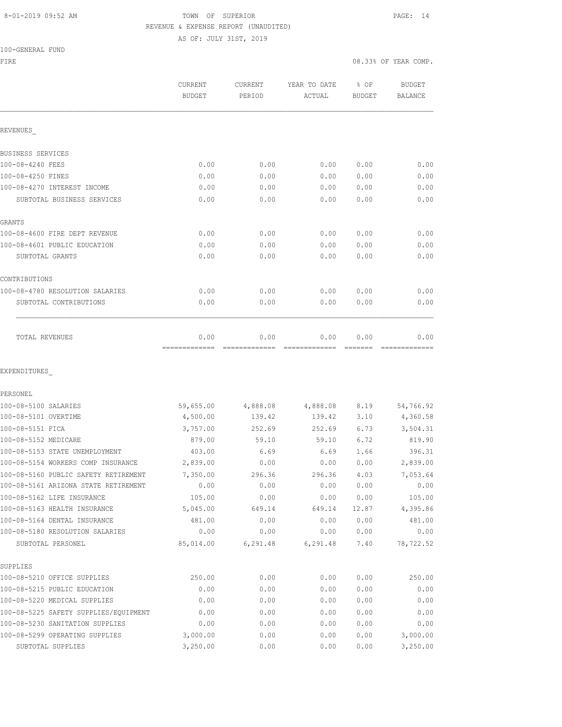# 8-01-2019 09:52 AM **TOWN** OF SUPERIOR **PAGE:** 14 REVENUE & EXPENSE REPORT (UNAUDITED)

AS OF: JULY 31ST, 2019

FIRE  $0.33\%$  OF YEAR COMP.

|                                                     | CURRENT<br><b>BUDGET</b> | CURRENT<br>PERIOD | YEAR TO DATE<br>ACTUAL | % OF<br><b>BUDGET</b> | BUDGET<br>BALANCE    |
|-----------------------------------------------------|--------------------------|-------------------|------------------------|-----------------------|----------------------|
| REVENUES                                            |                          |                   |                        |                       |                      |
| BUSINESS SERVICES                                   |                          |                   |                        |                       |                      |
| 100-08-4240 FEES                                    | 0.00                     | 0.00              | 0.00                   | 0.00                  | 0.00                 |
| 100-08-4250 FINES                                   | 0.00                     | 0.00              | 0.00                   | 0.00                  | 0.00                 |
| 100-08-4270 INTEREST INCOME                         | 0.00                     | 0.00              | 0.00                   | 0.00                  | 0.00                 |
| SUBTOTAL BUSINESS SERVICES                          | 0.00                     | 0.00              | 0.00                   | 0.00                  | 0.00                 |
| GRANTS                                              |                          |                   |                        |                       |                      |
| 100-08-4600 FIRE DEPT REVENUE                       | 0.00                     | 0.00              | 0.00                   | 0.00                  | 0.00                 |
| 100-08-4601 PUBLIC EDUCATION                        | 0.00                     | 0.00              | 0.00                   | 0.00                  | 0.00                 |
| SUBTOTAL GRANTS                                     | 0.00                     | 0.00              | 0.00                   | 0.00                  | 0.00                 |
| CONTRIBUTIONS                                       |                          |                   |                        |                       |                      |
| 100-08-4780 RESOLUTION SALARIES                     | 0.00                     | 0.00              | 0.00                   | 0.00                  | 0.00                 |
| SUBTOTAL CONTRIBUTIONS                              | 0.00                     | 0.00              | 0.00                   | 0.00                  | 0.00                 |
| TOTAL REVENUES                                      | 0.00                     | 0.00              | 0.00                   | 0.00                  | 0.00                 |
| EXPENDITURES<br>PERSONEL                            |                          |                   |                        |                       |                      |
| 100-08-5100 SALARIES                                | 59,655.00                | 4,888.08          | 4,888.08               | 8.19                  | 54,766.92            |
| 100-08-5101 OVERTIME                                | 4,500.00                 | 139.42            | 139.42                 | 3.10                  | 4,360.58             |
| 100-08-5151 FICA                                    | 3,757.00                 | 252.69            | 252.69                 | 6.73                  | 3,504.31             |
| 100-08-5152 MEDICARE                                | 879.00                   | 59.10             | 59.10                  | 6.72                  | 819.90               |
| 100-08-5153 STATE UNEMPLOYMENT                      | 403.00                   | 6.69              | 6.69                   | 1.66                  | 396.31               |
| 100-08-5154 WORKERS COMP INSURANCE                  | 2,839.00                 | 0.00              | 0.00                   | 0.00                  | 2,839.00             |
| 100-08-5160 PUBLIC SAFETY RETIREMENT                | 7,350.00                 | 296.36            | 296.36                 | 4.03                  | 7,053.64             |
| 100-08-5161 ARIZONA STATE RETIREMENT                | 0.00                     | 0.00              | 0.00                   | 0.00                  | 0.00                 |
| 100-08-5162 LIFE INSURANCE                          | 105.00                   | 0.00              | 0.00                   | 0.00                  | 105.00               |
| 100-08-5163 HEALTH INSURANCE                        | 5,045.00                 | 649.14            | 649.14                 | 12.87                 | 4,395.86             |
| 100-08-5164 DENTAL INSURANCE                        | 481.00                   | 0.00              | 0.00                   | 0.00                  | 481.00               |
| 100-08-5180 RESOLUTION SALARIES                     | 0.00                     | 0.00              | 0.00                   | 0.00                  | 0.00                 |
| SUBTOTAL PERSONEL                                   | 85,014.00                | 6,291.48          | 6, 291.48              | 7.40                  | 78,722.52            |
| SUPPLIES                                            |                          |                   |                        |                       |                      |
| 100-08-5210 OFFICE SUPPLIES                         | 250.00                   | 0.00              | 0.00                   | 0.00                  | 250.00               |
| 100-08-5215 PUBLIC EDUCATION                        | 0.00                     | 0.00              | 0.00                   | 0.00                  | 0.00                 |
| 100-08-5220 MEDICAL SUPPLIES                        | 0.00                     | 0.00              | 0.00                   | 0.00                  | 0.00                 |
| 100-08-5225 SAFETY SUPPLIES/EQUIPMENT               | 0.00                     | 0.00              | 0.00                   | 0.00                  | 0.00                 |
| 100-08-5230 SANITATION SUPPLIES                     | 0.00                     | 0.00              | 0.00                   | 0.00                  | 0.00                 |
| 100-08-5299 OPERATING SUPPLIES<br>SUBTOTAL SUPPLIES | 3,000.00<br>3,250.00     | 0.00<br>0.00      | 0.00<br>0.00           | 0.00<br>0.00          | 3,000.00<br>3,250.00 |
|                                                     |                          |                   |                        |                       |                      |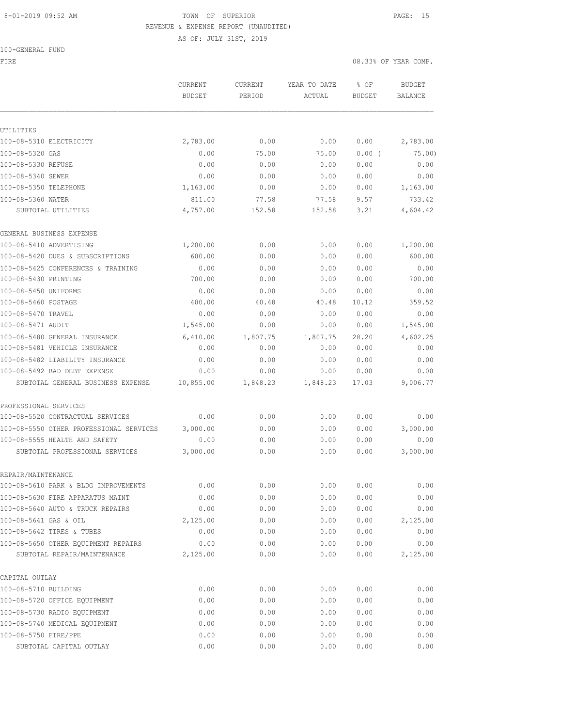#### 8-01-2019 09:52 AM TOWN OF SUPERIOR PAGE: 15 REVENUE & EXPENSE REPORT (UNAUDITED)

100-GENERAL FUND

AS OF: JULY 31ST, 2019

FIRE  $0.33\%$  OF YEAR COMP.

|                                         | CURRENT<br><b>BUDGET</b> | CURRENT<br>PERIOD | YEAR TO DATE<br>ACTUAL | % OF<br>BUDGET | <b>BUDGET</b><br><b>BALANCE</b> |
|-----------------------------------------|--------------------------|-------------------|------------------------|----------------|---------------------------------|
|                                         |                          |                   |                        |                |                                 |
| UTILITIES                               |                          |                   |                        |                |                                 |
| 100-08-5310 ELECTRICITY                 | 2,783.00                 | 0.00              | 0.00                   | 0.00           | 2,783.00                        |
| 100-08-5320 GAS                         | 0.00                     | 75.00             | 75.00                  | 0.00(          | 75.00)                          |
| 100-08-5330 REFUSE                      | 0.00                     | 0.00              | 0.00                   | 0.00           | 0.00                            |
| 100-08-5340 SEWER                       | 0.00                     | 0.00              | 0.00                   | 0.00           | 0.00                            |
| 100-08-5350 TELEPHONE                   | 1,163.00                 | 0.00              | 0.00                   | 0.00           | 1,163.00                        |
| 100-08-5360 WATER                       | 811.00                   | 77.58             | 77.58                  | 9.57           | 733.42                          |
| SUBTOTAL UTILITIES                      | 4,757.00                 | 152.58            | 152.58                 | 3.21           | 4,604.42                        |
| GENERAL BUSINESS EXPENSE                |                          |                   |                        |                |                                 |
| 100-08-5410 ADVERTISING                 | 1,200.00                 | 0.00              | 0.00                   | 0.00           | 1,200.00                        |
| 100-08-5420 DUES & SUBSCRIPTIONS        | 600.00                   | 0.00              | 0.00                   | 0.00           | 600.00                          |
| 100-08-5425 CONFERENCES & TRAINING      | 0.00                     | 0.00              | 0.00                   | 0.00           | 0.00                            |
| 100-08-5430 PRINTING                    | 700.00                   | 0.00              | 0.00                   | 0.00           | 700.00                          |
| 100-08-5450 UNIFORMS                    | 0.00                     | 0.00              | 0.00                   | 0.00           | 0.00                            |
| 100-08-5460 POSTAGE                     | 400.00                   | 40.48             | 40.48                  | 10.12          | 359.52                          |
| 100-08-5470 TRAVEL                      | 0.00                     | 0.00              | 0.00                   | 0.00           | 0.00                            |
| 100-08-5471 AUDIT                       | 1,545.00                 | 0.00              | 0.00                   | 0.00           | 1,545.00                        |
| 100-08-5480 GENERAL INSURANCE           | 6,410.00                 | 1,807.75          | 1,807.75               | 28.20          | 4,602.25                        |
| 100-08-5481 VEHICLE INSURANCE           | 0.00                     | 0.00              | 0.00                   | 0.00           | 0.00                            |
| 100-08-5482 LIABILITY INSURANCE         | 0.00                     | 0.00              | 0.00                   | 0.00           | 0.00                            |
| 100-08-5492 BAD DEBT EXPENSE            | 0.00                     | 0.00              | 0.00                   | 0.00           | 0.00                            |
| SUBTOTAL GENERAL BUSINESS EXPENSE       | 10,855.00                | 1,848.23          | 1,848.23               | 17.03          | 9,006.77                        |
| PROFESSIONAL SERVICES                   |                          |                   |                        |                |                                 |
| 100-08-5520 CONTRACTUAL SERVICES        | 0.00                     | 0.00              | 0.00                   | 0.00           | 0.00                            |
| 100-08-5550 OTHER PROFESSIONAL SERVICES | 3,000.00                 | 0.00              | 0.00                   | 0.00           | 3,000.00                        |
| 100-08-5555 HEALTH AND SAFETY           | 0.00                     | 0.00              | 0.00                   | 0.00           | 0.00                            |
| SUBTOTAL PROFESSIONAL SERVICES          | 3,000.00                 | 0.00              | 0.00                   | 0.00           | 3,000.00                        |
| REPAIR/MAINTENANCE                      |                          |                   |                        |                |                                 |
| 100-08-5610 PARK & BLDG IMPROVEMENTS    | 0.00                     | 0.00              | 0.00                   | 0.00           | 0.00                            |
| 100-08-5630 FIRE APPARATUS MAINT        | 0.00                     | 0.00              | 0.00                   | 0.00           | 0.00                            |
| 100-08-5640 AUTO & TRUCK REPAIRS        | 0.00                     | 0.00              | 0.00                   | 0.00           | 0.00                            |
| 100-08-5641 GAS & OIL                   | 2,125.00                 | 0.00              | 0.00                   | 0.00           | 2,125.00                        |
| 100-08-5642 TIRES & TUBES               | 0.00                     | 0.00              | 0.00                   | 0.00           | 0.00                            |
| 100-08-5650 OTHER EQUIPMENT REPAIRS     | 0.00                     | 0.00              | 0.00                   | 0.00           | 0.00                            |
| SUBTOTAL REPAIR/MAINTENANCE             | 2,125.00                 | 0.00              | 0.00                   | 0.00           | 2,125.00                        |
| CAPITAL OUTLAY                          |                          |                   |                        |                |                                 |
| 100-08-5710 BUILDING                    | 0.00                     | 0.00              | 0.00                   | 0.00           | 0.00                            |
| 100-08-5720 OFFICE EQUIPMENT            | 0.00                     | 0.00              | 0.00                   | 0.00           | 0.00                            |
| 100-08-5730 RADIO EQUIPMENT             | 0.00                     | 0.00              | 0.00                   | 0.00           | 0.00                            |
| 100-08-5740 MEDICAL EQUIPMENT           | 0.00                     | 0.00              | 0.00                   | 0.00           | 0.00                            |
| 100-08-5750 FIRE/PPE                    | 0.00                     | 0.00              | 0.00                   | 0.00           | 0.00                            |
| SUBTOTAL CAPITAL OUTLAY                 | 0.00                     | 0.00              | 0.00                   | 0.00           | 0.00                            |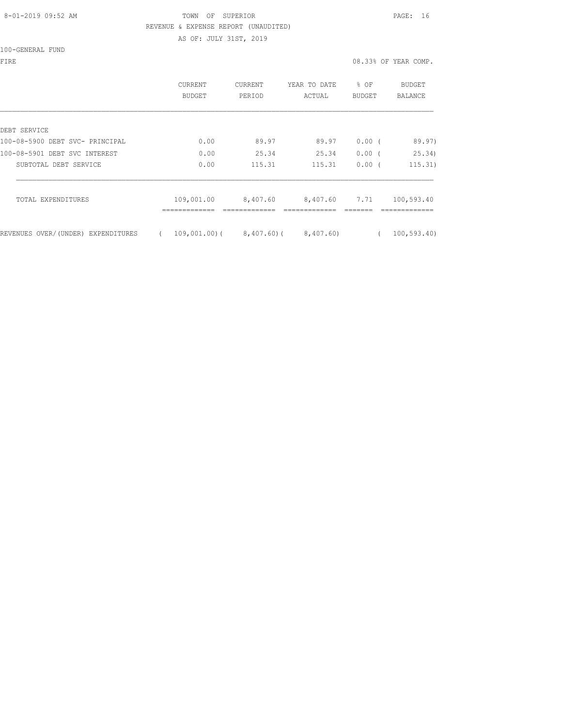## 8-01-2019 09:52 AM TOWN OF SUPERIOR PAGE: 16 REVENUE & EXPENSE REPORT (UNAUDITED)

AS OF: JULY 31ST, 2019

100-GENERAL FUND

|                |                |              |          | 08.33% OF YEAR COMP. |
|----------------|----------------|--------------|----------|----------------------|
| <b>CURRENT</b> | <b>CURRENT</b> | YEAR TO DATE | % OF     | BUDGET               |
| BUDGET         | PERIOD         | ACTUAL       | BUDGET   | BALANCE              |
|                |                |              |          |                      |
| 0.00           | 89.97          | 89.97        | $0.00$ ( | 89.97)               |
| 0.00           | 25.34          | 25.34        | $0.00$ ( | 25.34)               |
| 0.00           | 115.31         | 115.31       | $0.00$ ( | 115.31)              |
| 109,001.00     | 8,407.60       | 8,407.60     | 7.71     | 100,593.40           |
|                |                |              |          |                      |

REVENUES OVER/(UNDER) EXPENDITURES ( 109,001.00)( 8,407.60) ( 8,407.60) ( 100,593.40)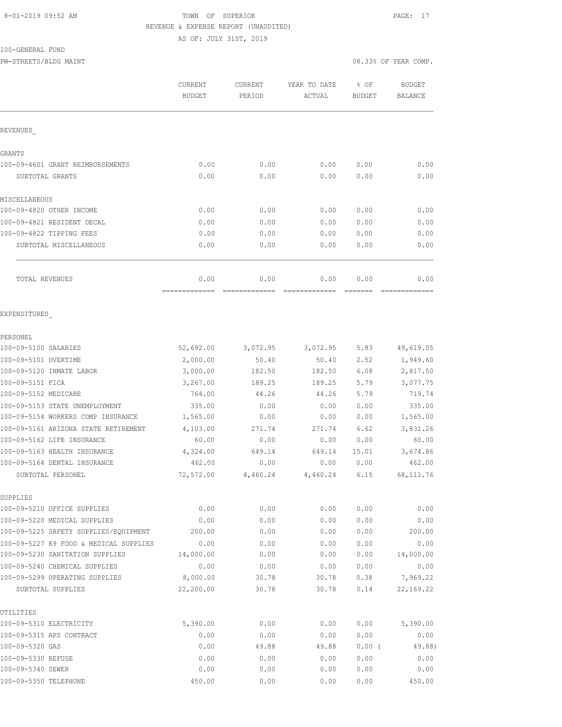# 8-01-2019 09:52 AM TOWN OF SUPERIOR PAGE: 17 REVENUE & EXPENSE REPORT (UNAUDITED)

AS OF: JULY 31ST, 2019

### 100-GENERAL FUND

PW-STREETS/BLDG MAINT 08.33% OF YEAR COMP.

|                                                                 | CURRENT               | CURRENT       | YEAR TO DATE  | % OF          | <b>BUDGET</b>          |
|-----------------------------------------------------------------|-----------------------|---------------|---------------|---------------|------------------------|
|                                                                 | <b>BUDGET</b>         | PERIOD        | ACTUAL        | <b>BUDGET</b> | <b>BALANCE</b>         |
| REVENUES                                                        |                       |               |               |               |                        |
| <b>GRANTS</b>                                                   |                       |               |               |               |                        |
| 100-09-4601 GRANT REIMBURSEMENTS                                | 0.00                  | 0.00          | 0.00          | 0.00          | 0.00                   |
| SUBTOTAL GRANTS                                                 | 0.00                  | 0.00          | 0.00          | 0.00          | 0.00                   |
| MISCELLANEOUS                                                   |                       |               |               |               |                        |
| 100-09-4820 OTHER INCOME                                        | 0.00                  | 0.00          | 0.00          | 0.00          | 0.00                   |
| 100-09-4821 RESIDENT DECAL                                      | 0.00                  | 0.00          | 0.00          | 0.00          | 0.00                   |
| 100-09-4822 TIPPING FEES                                        | 0.00                  | 0.00          | 0.00          | 0.00          | 0.00                   |
| SUBTOTAL MISCELLANEOUS                                          | 0.00                  | 0.00          | 0.00          | 0.00          | 0.00                   |
| TOTAL REVENUES                                                  | 0.00                  | 0.00          | 0.00          | 0.00          | 0.00                   |
| EXPENDITURES                                                    |                       |               |               |               |                        |
| PERSONEL                                                        |                       |               |               |               |                        |
| 100-09-5100 SALARIES                                            | 52,692.00             | 3,072.95      | 3,072.95      | 5.83          | 49,619.05              |
| 100-09-5101 OVERTIME                                            | 2,000.00              | 50.40         | 50.40         | 2.52          | 1,949.60               |
| 100-09-5120 INMATE LABOR                                        | 3,000.00              | 182.50        | 182.50        | 6.08          | 2,817.50               |
| 100-09-5151 FICA                                                | 3,267.00              | 189.25        | 189.25        | 5.79          | 3,077.75               |
| 100-09-5152 MEDICARE                                            | 764.00                | 44.26         | 44.26         | 5.79          | 719.74                 |
| 100-09-5153 STATE UNEMPLOYMENT                                  | 335.00                | 0.00          | 0.00          | 0.00          | 335.00                 |
| 100-09-5154 WORKERS COMP INSURANCE                              | 1,565.00              | 0.00          | 0.00          | 0.00          | 1,565.00               |
| 100-09-5161 ARIZONA STATE RETIREMENT                            | 4,103.00              | 271.74        | 271.74        | 6.62          | 3,831.26               |
| 100-09-5162 LIFE INSURANCE                                      | 60.00                 | 0.00          | 0.00          | 0.00          | 60.00                  |
| 100-09-5163 HEALTH INSURANCE                                    | 4,324.00              | 649.14        | 649.14        | 15.01         | 3,674.86               |
| 100-09-5164 DENTAL INSURANCE                                    | 462.00                | 0.00          | 0.00          | 0.00          | 462.00                 |
| SUBTOTAL PERSONEL                                               | 72,572.00             | 4,460.24      | 4,460.24      | 6.15          | 68, 111.76             |
| SUPPLIES                                                        |                       |               |               |               |                        |
| 100-09-5210 OFFICE SUPPLIES                                     | 0.00                  | 0.00          | 0.00          | 0.00          | 0.00                   |
| 100-09-5220 MEDICAL SUPPLIES                                    | 0.00                  | 0.00          | 0.00          | 0.00          | 0.00                   |
| 100-09-5225 SAFETY SUPPLIES/EQUIPMENT                           | 200.00                | 0.00          | 0.00          | 0.00          | 200.00                 |
| 100-09-5227 K9 FOOD & MEDICAL SUPPLIES                          | 0.00                  | 0.00          | 0.00          | 0.00          | 0.00                   |
| 100-09-5230 SANITATION SUPPLIES                                 | 14,000.00             | 0.00          | 0.00          | 0.00          | 14,000.00              |
| 100-09-5240 CHEMICAL SUPPLIES<br>100-09-5299 OPERATING SUPPLIES | 0.00                  | 0.00<br>30.78 | 0.00<br>30.78 | 0.00<br>0.38  | 0.00                   |
| SUBTOTAL SUPPLIES                                               | 8,000.00<br>22,200.00 | 30.78         | 30.78         | 0.14          | 7,969.22<br>22, 169.22 |
| UTILITIES                                                       |                       |               |               |               |                        |
| 100-09-5310 ELECTRICITY                                         | 5,390.00              | 0.00          | 0.00          | 0.00          | 5,390.00               |
| 100-09-5315 APS CONTRACT                                        | 0.00                  | 0.00          | 0.00          | 0.00          | 0.00                   |
| 100-09-5320 GAS                                                 | 0.00                  | 49.88         | 49.88         | 0.00(         | 49.88)                 |
| 100-09-5330 REFUSE                                              | 0.00                  | 0.00          | 0.00          | 0.00          | 0.00                   |
| 100-09-5340 SEWER                                               | 0.00                  | 0.00          | 0.00          | 0.00          | 0.00                   |
| 100-09-5350 TELEPHONE                                           | 450.00                | 0.00          | 0.00          | 0.00          | 450.00                 |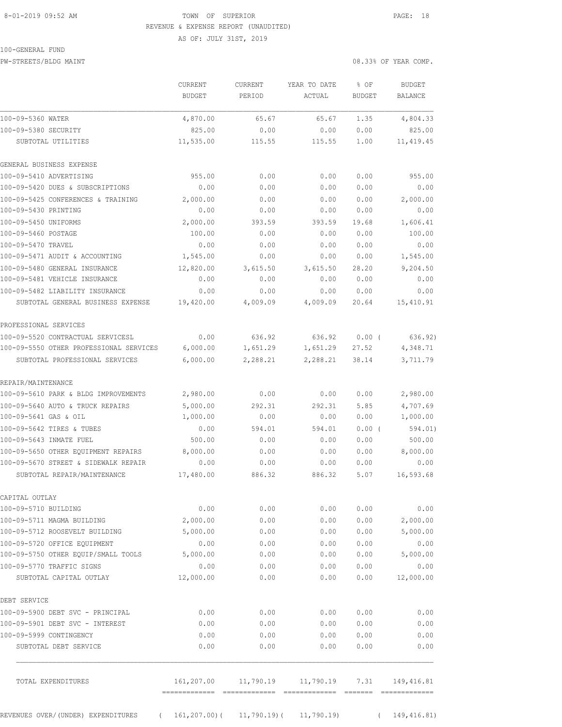# 8-01-2019 09:52 AM TOWN OF SUPERIOR PAGE: 18 REVENUE & EXPENSE REPORT (UNAUDITED) AS OF: JULY 31ST, 2019

## 100-GENERAL FUND

PW-STREETS/BLDG MAINT 08.33% OF YEAR COMP.

|                                                  | CURRENT<br><b>BUDGET</b> | <b>CURRENT</b><br>PERIOD | YEAR TO DATE<br>ACTUAL | % OF<br><b>BUDGET</b>  | <b>BUDGET</b><br>BALANCE      |
|--------------------------------------------------|--------------------------|--------------------------|------------------------|------------------------|-------------------------------|
| 100-09-5360 WATER                                | 4,870.00                 | 65.67                    | 65.67                  | 1.35                   | 4,804.33                      |
| 100-09-5380 SECURITY                             | 825.00                   | 0.00                     | 0.00                   | 0.00                   | 825.00                        |
| SUBTOTAL UTILITIES                               | 11,535.00                | 115.55                   | 115.55                 | 1.00                   | 11, 419.45                    |
| GENERAL BUSINESS EXPENSE                         |                          |                          |                        |                        |                               |
| 100-09-5410 ADVERTISING                          | 955.00                   | 0.00                     | 0.00                   | 0.00                   | 955.00                        |
| 100-09-5420 DUES & SUBSCRIPTIONS                 | 0.00                     | 0.00                     | 0.00                   | 0.00                   | 0.00                          |
| 100-09-5425 CONFERENCES & TRAINING               | 2,000.00                 | 0.00                     | 0.00                   | 0.00                   | 2,000.00                      |
| 100-09-5430 PRINTING                             | 0.00                     | 0.00                     | 0.00                   | 0.00                   | 0.00                          |
| 100-09-5450 UNIFORMS                             | 2,000.00                 | 393.59                   | 393.59                 | 19.68                  | 1,606.41                      |
| 100-09-5460 POSTAGE                              | 100.00                   | 0.00                     | 0.00                   | 0.00                   | 100.00                        |
| 100-09-5470 TRAVEL                               | 0.00                     | 0.00                     | 0.00                   | 0.00                   | 0.00                          |
| 100-09-5471 AUDIT & ACCOUNTING                   | 1,545.00                 | 0.00                     | 0.00                   | 0.00                   | 1,545.00                      |
| 100-09-5480 GENERAL INSURANCE                    | 12,820.00                | 3,615.50                 | 3,615.50               | 28.20                  | 9,204.50                      |
| 100-09-5481 VEHICLE INSURANCE                    | 0.00                     | 0.00                     | 0.00                   | 0.00                   | 0.00                          |
| 100-09-5482 LIABILITY INSURANCE                  | 0.00                     | 0.00                     | 0.00                   | 0.00                   | 0.00                          |
| SUBTOTAL GENERAL BUSINESS EXPENSE                | 19,420.00                | 4,009.09                 | 4,009.09               | 20.64                  | 15,410.91                     |
| PROFESSIONAL SERVICES                            |                          |                          |                        |                        |                               |
| 100-09-5520 CONTRACTUAL SERVICESL                | 0.00                     | 636.92                   | 636.92                 | $0.00$ (               | 636.92)                       |
| 100-09-5550 OTHER PROFESSIONAL SERVICES          | 6,000.00                 | 1,651.29                 | 1,651.29               | 27.52                  | 4,348.71                      |
| SUBTOTAL PROFESSIONAL SERVICES                   | 6,000.00                 | 2,288.21                 | 2,288.21               | 38.14                  | 3,711.79                      |
| REPAIR/MAINTENANCE                               |                          |                          |                        |                        |                               |
| 100-09-5610 PARK & BLDG IMPROVEMENTS             | 2,980.00                 | 0.00                     | 0.00                   | 0.00                   | 2,980.00                      |
| 100-09-5640 AUTO & TRUCK REPAIRS                 | 5,000.00                 | 292.31                   | 292.31                 | 5.85                   | 4,707.69                      |
| 100-09-5641 GAS & OIL                            | 1,000.00                 | 0.00                     | 0.00                   | 0.00                   | 1,000.00                      |
| 100-09-5642 TIRES & TUBES                        | 0.00                     | 594.01                   | 594.01                 | 0.00(                  | 594.01)                       |
| 100-09-5643 INMATE FUEL                          | 500.00                   | 0.00                     | 0.00                   | 0.00                   | 500.00                        |
| 100-09-5650 OTHER EOUIPMENT REPAIRS              | 8,000.00                 | 0.00                     | 0.00                   | 0.00                   | 8,000.00                      |
| 100-09-5670 STREET & SIDEWALK REPAIR             | 0.00                     | 0.00                     | 0.00                   | 0.00                   | 0.00                          |
| SUBTOTAL REPAIR/MAINTENANCE                      | 17,480.00                | 886.32                   | 886.32                 | 5.07                   | 16,593.68                     |
| CAPITAL OUTLAY                                   |                          |                          |                        |                        |                               |
| 100-09-5710 BUILDING                             | 0.00                     | 0.00                     | 0.00                   | 0.00                   | 0.00                          |
| 100-09-5711 MAGMA BUILDING                       | 2,000.00                 | 0.00                     | 0.00                   | 0.00                   | 2,000.00                      |
| 100-09-5712 ROOSEVELT BUILDING                   | 5,000.00                 | 0.00                     | 0.00                   | 0.00                   | 5,000.00                      |
| 100-09-5720 OFFICE EQUIPMENT                     | 0.00                     | 0.00                     | 0.00                   | 0.00                   | 0.00                          |
| 100-09-5750 OTHER EQUIP/SMALL TOOLS              | 5,000.00                 | 0.00                     | 0.00                   | 0.00                   | 5,000.00                      |
| 100-09-5770 TRAFFIC SIGNS                        | 0.00                     | 0.00                     | 0.00                   | 0.00                   | 0.00                          |
| SUBTOTAL CAPITAL OUTLAY                          | 12,000.00                | 0.00                     | 0.00                   | 0.00                   | 12,000.00                     |
| DEBT SERVICE                                     |                          |                          |                        |                        |                               |
| 100-09-5900 DEBT SVC - PRINCIPAL                 | 0.00                     | 0.00                     | 0.00                   | 0.00                   | 0.00                          |
| 100-09-5901 DEBT SVC - INTEREST                  | 0.00                     | 0.00                     | 0.00                   | 0.00                   | 0.00                          |
| 100-09-5999 CONTINGENCY                          | 0.00                     | 0.00                     | 0.00                   | 0.00                   | 0.00                          |
| SUBTOTAL DEBT SERVICE                            | 0.00                     | 0.00                     | 0.00                   | 0.00                   | 0.00                          |
| TOTAL EXPENDITURES                               | 161,207.00               | 11,790.19                | 11,790.19              | 7.31                   | 149,416.81                    |
| REVENUES OVER/(UNDER) EXPENDITURES<br>$\sqrt{2}$ | 161,207.00)(             | $11,790.19$ (            | 11,790.19              | --------<br>$\sqrt{2}$ | =============<br>149, 416.81) |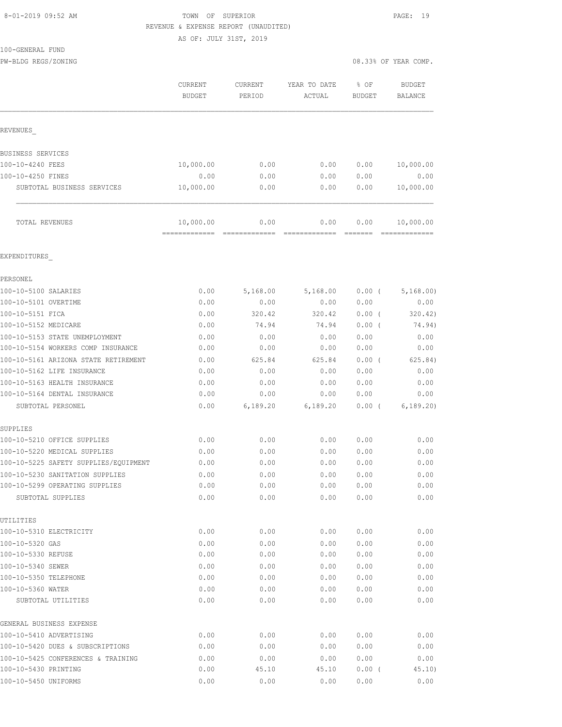# 8-01-2019 09:52 AM TOWN OF SUPERIOR PAGE: 19 REVENUE & EXPENSE REPORT (UNAUDITED)

AS OF: JULY 31ST, 2019

100-GENERAL FUND

PW-BLDG REGS/ZONING  $08.33\%$  OF YEAR COMP.

GENERAL BUSINESS EXPENSE

|                                       | <b>CURRENT</b><br><b>BUDGET</b> | CURRENT<br>PERIOD     | YEAR TO DATE<br>ACTUAL | $8$ OF<br><b>BUDGET</b> | <b>BUDGET</b><br>BALANCE   |
|---------------------------------------|---------------------------------|-----------------------|------------------------|-------------------------|----------------------------|
| REVENUES                              |                                 |                       |                        |                         |                            |
|                                       |                                 |                       |                        |                         |                            |
| BUSINESS SERVICES                     |                                 |                       |                        |                         |                            |
| 100-10-4240 FEES                      | 10,000.00                       | 0.00                  | 0.00                   | 0.00                    | 10,000.00                  |
| 100-10-4250 FINES                     | 0.00                            | 0.00                  | 0.00                   | 0.00                    | 0.00                       |
| SUBTOTAL BUSINESS SERVICES            | 10,000.00                       | 0.00                  | 0.00                   | 0.00                    | 10,000.00                  |
| TOTAL REVENUES                        | 10,000.00<br>=============      | 0.00<br>------------- | 0.00<br>=============  | 0.00                    | 10,000.00<br>------------- |
| EXPENDITURES                          |                                 |                       |                        |                         |                            |
| PERSONEL                              |                                 |                       |                        |                         |                            |
| 100-10-5100 SALARIES                  | 0.00                            | 5,168.00              | 5,168.00               | $0.00$ (                | 5, 168.00                  |
| 100-10-5101 OVERTIME                  | 0.00                            | 0.00                  | 0.00                   | 0.00                    | 0.00                       |
| 100-10-5151 FICA                      | 0.00                            | 320.42                | 320.42                 | 0.00(                   | 320.42)                    |
| 100-10-5152 MEDICARE                  | 0.00                            | 74.94                 | 74.94                  | 0.00(                   | 74.94)                     |
| 100-10-5153 STATE UNEMPLOYMENT        | 0.00                            | 0.00                  | 0.00                   | 0.00                    | 0.00                       |
| 100-10-5154 WORKERS COMP INSURANCE    | 0.00                            | 0.00                  | 0.00                   | 0.00                    | 0.00                       |
| 100-10-5161 ARIZONA STATE RETIREMENT  | 0.00                            | 625.84                | 625.84                 | 0.00(                   | 625.84)                    |
| 100-10-5162 LIFE INSURANCE            | 0.00                            | 0.00                  | 0.00                   | 0.00                    | 0.00                       |
| 100-10-5163 HEALTH INSURANCE          | 0.00                            | 0.00                  | 0.00                   | 0.00                    | 0.00                       |
| 100-10-5164 DENTAL INSURANCE          | 0.00                            | 0.00                  | 0.00                   | 0.00                    | 0.00                       |
| SUBTOTAL PERSONEL                     | 0.00                            | 6,189.20              | 6,189.20               | 0.00(                   | 6, 189.20                  |
| SUPPLIES                              |                                 |                       |                        |                         |                            |
| 100-10-5210 OFFICE SUPPLIES           | 0.00                            | 0.00                  | 0.00                   | 0.00                    | 0.00                       |
| 100-10-5220 MEDICAL SUPPLIES          | 0.00                            | 0.00                  | 0.00                   | 0.00                    | 0.00                       |
| 100-10-5225 SAFETY SUPPLIES/EQUIPMENT | 0.00                            | 0.00                  | 0.00                   | 0.00                    | 0.00                       |
| 100-10-5230 SANITATION SUPPLIES       | 0.00                            | 0.00                  | 0.00                   | 0.00                    | 0.00                       |
| 100-10-5299 OPERATING SUPPLIES        | 0.00                            | 0.00                  | 0.00                   | 0.00                    | 0.00                       |
| SUBTOTAL SUPPLIES                     | 0.00                            | 0.00                  | 0.00                   | 0.00                    | 0.00                       |
| UTILITIES                             |                                 |                       |                        |                         |                            |
| 100-10-5310 ELECTRICITY               | 0.00                            | 0.00                  | 0.00                   | 0.00                    | 0.00                       |
| 100-10-5320 GAS                       | 0.00                            | 0.00                  | 0.00                   | 0.00                    | 0.00                       |
| 100-10-5330 REFUSE                    | 0.00                            | 0.00                  | 0.00                   | 0.00                    | 0.00                       |
| 100-10-5340 SEWER                     | 0.00                            | 0.00                  | 0.00                   | 0.00                    | 0.00                       |

100-10-5350 TELEPHONE 0.00 0.00 0.00 0.00 0.00 100-10-5360 WATER 0.00 0.00 0.00 0.00 0.00 SUBTOTAL UTILITIES 6.00 0.00 0.00 0.00 0.00 0.00 0.00

100-10-5410 ADVERTISING 0.00 0.00 0.00 0.00 0.00 100-10-5420 DUES & SUBSCRIPTIONS 0.00 0.00 0.00 0.00 0.00 100-10-5425 CONFERENCES & TRAINING 0.00 0.00 0.00 0.00 0.00 100-10-5450 PRINTING CONDITIONS<br>100-10-5450 PRINTING 0.00 45.10 45.10 0.00 (45.10)<br>100-10-5450 PRINTEORMS 0.00 0.00 0.00 0.00 0.00 0.00 0.00 100-10-5450 UNIFORMS 0.00 0.00 0.00 0.00 0.00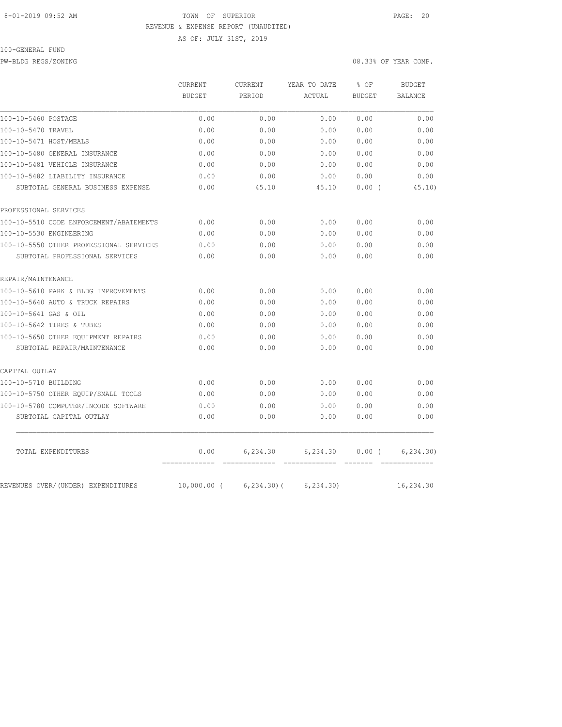# 8-01-2019 09:52 AM TOWN OF SUPERIOR PAGE: 20 REVENUE & EXPENSE REPORT (UNAUDITED) AS OF: JULY 31ST, 2019

### 100-GENERAL FUND

PW-BLDG REGS/ZONING 08.33% OF YEAR COMP.

|                                         | CURRENT<br><b>BUDGET</b> | <b>CURRENT</b><br>PERIOD | YEAR TO DATE | % OF<br><b>BUDGET</b> | <b>BUDGET</b>  |
|-----------------------------------------|--------------------------|--------------------------|--------------|-----------------------|----------------|
|                                         |                          |                          | ACTUAL       |                       | <b>BALANCE</b> |
| 100-10-5460 POSTAGE                     | 0.00                     | 0.00                     | 0.00         | 0.00                  | 0.00           |
| 100-10-5470 TRAVEL                      | 0.00                     | 0.00                     | 0.00         | 0.00                  | 0.00           |
| 100-10-5471 HOST/MEALS                  | 0.00                     | 0.00                     | 0.00         | 0.00                  | 0.00           |
| 100-10-5480 GENERAL INSURANCE           | 0.00                     | 0.00                     | 0.00         | 0.00                  | 0.00           |
| 100-10-5481 VEHICLE INSURANCE           | 0.00                     | 0.00                     | 0.00         | 0.00                  | 0.00           |
| 100-10-5482 LIABILITY INSURANCE         | 0.00                     | 0.00                     | 0.00         | 0.00                  | 0.00           |
| SUBTOTAL GENERAL BUSINESS EXPENSE       | 0.00                     | 45.10                    | 45.10        | $0.00$ (              | 45.10)         |
| PROFESSIONAL SERVICES                   |                          |                          |              |                       |                |
| 100-10-5510 CODE ENFORCEMENT/ABATEMENTS | 0.00                     | 0.00                     | 0.00         | 0.00                  | 0.00           |
| 100-10-5530 ENGINEERING                 | 0.00                     | 0.00                     | 0.00         | 0.00                  | 0.00           |
| 100-10-5550 OTHER PROFESSIONAL SERVICES | 0.00                     | 0.00                     | 0.00         | 0.00                  | 0.00           |
| SUBTOTAL PROFESSIONAL SERVICES          | 0.00                     | 0.00                     | 0.00         | 0.00                  | 0.00           |
| REPAIR/MAINTENANCE                      |                          |                          |              |                       |                |
| 100-10-5610 PARK & BLDG IMPROVEMENTS    | 0.00                     | 0.00                     | 0.00         | 0.00                  | 0.00           |
| 100-10-5640 AUTO & TRUCK REPAIRS        | 0.00                     | 0.00                     | 0.00         | 0.00                  | 0.00           |
| 100-10-5641 GAS & OIL                   | 0.00                     | 0.00                     | 0.00         | 0.00                  | 0.00           |
| 100-10-5642 TIRES & TUBES               | 0.00                     | 0.00                     | 0.00         | 0.00                  | 0.00           |
| 100-10-5650 OTHER EQUIPMENT REPAIRS     | 0.00                     | 0.00                     | 0.00         | 0.00                  | 0.00           |
| SUBTOTAL REPAIR/MAINTENANCE             | 0.00                     | 0.00                     | 0.00         | 0.00                  | 0.00           |
| CAPITAL OUTLAY                          |                          |                          |              |                       |                |
| 100-10-5710 BUILDING                    | 0.00                     | 0.00                     | 0.00         | 0.00                  | 0.00           |
| 100-10-5750 OTHER EQUIP/SMALL TOOLS     | 0.00                     | 0.00                     | 0.00         | 0.00                  | 0.00           |
| 100-10-5780 COMPUTER/INCODE SOFTWARE    | 0.00                     | 0.00                     | 0.00         | 0.00                  | 0.00           |
| SUBTOTAL CAPITAL OUTLAY                 | 0.00                     | 0.00                     | 0.00         | 0.00                  | 0.00           |
| TOTAL EXPENDITURES                      | 0.00                     | 6,234.30                 | 6,234.30     | 0.00(                 | 6, 234, 30)    |
| REVENUES OVER/(UNDER) EXPENDITURES      | $10,000.00$ (            | $6, 234.30$ (            | 6, 234.30    |                       | 16,234.30      |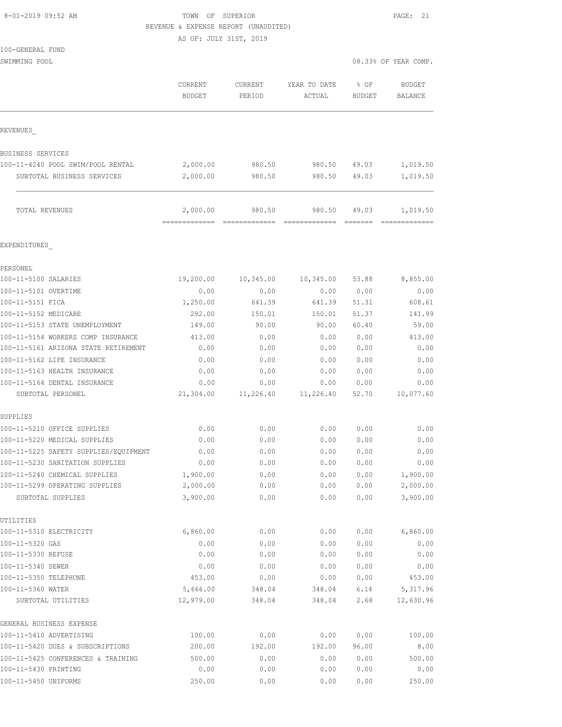| 8-01-2019 09:52 AM |  |
|--------------------|--|
|                    |  |

| 8-01-2019 09:52 AM                                     | TOWN OF SUPERIOR<br>REVENUE & EXPENSE REPORT (UNAUDITED) |                              |                              |                              | PAGE: 21                                                                                                                                                                                                                                                                                                                                                                                                                                                                                           |  |  |  |
|--------------------------------------------------------|----------------------------------------------------------|------------------------------|------------------------------|------------------------------|----------------------------------------------------------------------------------------------------------------------------------------------------------------------------------------------------------------------------------------------------------------------------------------------------------------------------------------------------------------------------------------------------------------------------------------------------------------------------------------------------|--|--|--|
|                                                        | AS OF: JULY 31ST, 2019                                   |                              |                              |                              |                                                                                                                                                                                                                                                                                                                                                                                                                                                                                                    |  |  |  |
| 100-GENERAL FUND                                       |                                                          |                              |                              |                              |                                                                                                                                                                                                                                                                                                                                                                                                                                                                                                    |  |  |  |
| SWIMMING POOL                                          |                                                          |                              |                              |                              | 08.33% OF YEAR COMP.                                                                                                                                                                                                                                                                                                                                                                                                                                                                               |  |  |  |
|                                                        | CURRENT<br><b>BUDGET</b>                                 | CURRENT<br>PERIOD            | YEAR TO DATE<br>ACTUAL       | $8$ OF<br>BUDGET             | <b>BUDGET</b><br>BALANCE                                                                                                                                                                                                                                                                                                                                                                                                                                                                           |  |  |  |
| REVENUES                                               |                                                          |                              |                              |                              |                                                                                                                                                                                                                                                                                                                                                                                                                                                                                                    |  |  |  |
| BUSINESS SERVICES                                      |                                                          |                              |                              |                              |                                                                                                                                                                                                                                                                                                                                                                                                                                                                                                    |  |  |  |
| 100-11-4240 POOL SWIM/POOL RENTAL                      | 2,000.00                                                 | 980.50                       | 980.50 49.03                 |                              | 1,019.50                                                                                                                                                                                                                                                                                                                                                                                                                                                                                           |  |  |  |
| SUBTOTAL BUSINESS SERVICES                             | 2,000.00                                                 | 980.50                       | 980.50                       | 49.03                        | 1,019.50                                                                                                                                                                                                                                                                                                                                                                                                                                                                                           |  |  |  |
| TOTAL REVENUES                                         | 2,000.00<br>------------- --------------                 | 980.50                       | 980.50<br>-------------      | 49.03<br>assesse i           | 1,019.50<br>$\begin{array}{cccccccccc} \multicolumn{2}{c}{} & \multicolumn{2}{c}{} & \multicolumn{2}{c}{} & \multicolumn{2}{c}{} & \multicolumn{2}{c}{} & \multicolumn{2}{c}{} & \multicolumn{2}{c}{} & \multicolumn{2}{c}{} & \multicolumn{2}{c}{} & \multicolumn{2}{c}{} & \multicolumn{2}{c}{} & \multicolumn{2}{c}{} & \multicolumn{2}{c}{} & \multicolumn{2}{c}{} & \multicolumn{2}{c}{} & \multicolumn{2}{c}{} & \multicolumn{2}{c}{} & \multicolumn{2}{c}{} & \multicolumn{2}{c}{} & \mult$ |  |  |  |
| EXPENDITURES                                           |                                                          |                              |                              |                              |                                                                                                                                                                                                                                                                                                                                                                                                                                                                                                    |  |  |  |
| PERSONEL                                               |                                                          |                              |                              |                              |                                                                                                                                                                                                                                                                                                                                                                                                                                                                                                    |  |  |  |
| 100-11-5100 SALARIES                                   | 19,200.00                                                | 10,345.00                    | 10,345.00                    | 53.88                        | 8,855.00                                                                                                                                                                                                                                                                                                                                                                                                                                                                                           |  |  |  |
| 100-11-5101 OVERTIME                                   | 0.00                                                     | 0.00                         | 0.00                         | 0.00                         | 0.00                                                                                                                                                                                                                                                                                                                                                                                                                                                                                               |  |  |  |
| 100-11-5151 FICA                                       | 1,250.00                                                 | 641.39                       | 641.39                       | 51.31                        | 608.61                                                                                                                                                                                                                                                                                                                                                                                                                                                                                             |  |  |  |
| 100-11-5152 MEDICARE<br>100-11-5153 STATE UNEMPLOYMENT | 292.00<br>149.00                                         | 150.01<br>90.00              | 150.01<br>90.00              | 51.37<br>60.40               | 141.99<br>59.00                                                                                                                                                                                                                                                                                                                                                                                                                                                                                    |  |  |  |
| 100-11-5154 WORKERS COMP INSURANCE                     | 413.00                                                   | 0.00                         | 0.00                         | 0.00                         | 413.00                                                                                                                                                                                                                                                                                                                                                                                                                                                                                             |  |  |  |
| 100-11-5161 ARIZONA STATE RETIREMENT                   | 0.00                                                     | 0.00                         | 0.00                         | 0.00                         | 0.00                                                                                                                                                                                                                                                                                                                                                                                                                                                                                               |  |  |  |
| 100-11-5162 LIFE INSURANCE                             | 0.00                                                     | 0.00                         | 0.00                         | 0.00                         | 0.00                                                                                                                                                                                                                                                                                                                                                                                                                                                                                               |  |  |  |
| 100-11-5163 HEALTH INSURANCE                           | 0.00                                                     | 0.00                         | 0.00                         | 0.00                         | 0.00                                                                                                                                                                                                                                                                                                                                                                                                                                                                                               |  |  |  |
| 100-11-5164 DENTAL INSURANCE                           | 0.00                                                     | 0.00                         | 0.00                         | 0.00                         | 0.00                                                                                                                                                                                                                                                                                                                                                                                                                                                                                               |  |  |  |
| SUBTOTAL PERSONEL                                      | 21,304.00                                                | 11,226.40                    | 11,226.40                    | 52.70                        | 10,077.60                                                                                                                                                                                                                                                                                                                                                                                                                                                                                          |  |  |  |
| SUPPLIES                                               |                                                          |                              |                              |                              |                                                                                                                                                                                                                                                                                                                                                                                                                                                                                                    |  |  |  |
| 100-11-5210 OFFICE SUPPLIES                            | 0.00                                                     | 0.00                         | 0.00                         | 0.00                         | 0.00                                                                                                                                                                                                                                                                                                                                                                                                                                                                                               |  |  |  |
| 100-11-5220 MEDICAL SUPPLIES                           | 0.00                                                     | 0.00                         | 0.00                         | 0.00                         | 0.00                                                                                                                                                                                                                                                                                                                                                                                                                                                                                               |  |  |  |
| 100-11-5225 SAFETY SUPPLIES/EQUIPMENT                  | 0.00<br>$\sim$ $\sim$ $\sim$                             | 0.00<br>$\sim$ $\sim$ $\sim$ | 0.00<br>$\sim$ $\sim$ $\sim$ | 0.00<br>$\sim$ $\sim$ $\sim$ | 0.00<br>$\sim$ $\sim$ $\sim$                                                                                                                                                                                                                                                                                                                                                                                                                                                                       |  |  |  |

| 0.00      | 0.00   | 0.00   | 0.00  | 0.00      |
|-----------|--------|--------|-------|-----------|
| 0.00      | 0.00   | 0.00   | 0.00  | 0.00      |
| 0.00      | 0.00   | 0.00   | 0.00  | 0.00      |
| 0.00      | 0.00   | 0.00   | 0.00  | 0.00      |
| 1,900.00  | 0.00   | 0.00   | 0.00  | 1,900.00  |
| 2,000.00  | 0.00   | 0.00   | 0.00  | 2,000.00  |
| 3,900.00  | 0.00   | 0.00   | 0.00  | 3,900.00  |
|           |        |        |       |           |
| 6,860.00  | 0.00   | 0.00   | 0.00  | 6,860.00  |
| 0.00      | 0.00   | 0.00   | 0.00  | 0.00      |
| 0.00      | 0.00   | 0.00   | 0.00  | 0.00      |
| 0.00      | 0.00   | 0.00   | 0.00  | 0.00      |
| 453.00    | 0.00   | 0.00   | 0.00  | 453.00    |
| 5,666.00  | 348.04 | 348.04 | 6.14  | 5,317.96  |
| 12,979.00 | 348.04 | 348.04 | 2.68  | 12,630.96 |
|           |        |        |       |           |
| 100.00    | 0.00   | 0.00   | 0.00  | 100.00    |
| 200.00    | 192.00 | 192.00 | 96.00 | 8.00      |
| 500.00    | 0.00   | 0.00   | 0.00  | 500.00    |
| 0.00      | 0.00   | 0.00   | 0.00  | 0.00      |
| 250.00    | 0.00   | 0.00   | 0.00  | 250.00    |
|           |        |        |       |           |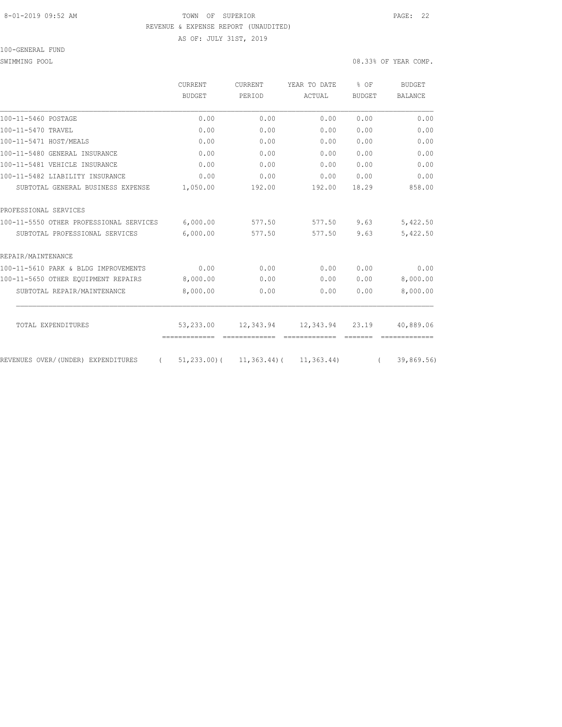## 8-01-2019 09:52 AM TOWN OF SUPERIOR PAGE: 22 REVENUE & EXPENSE REPORT (UNAUDITED)

AS OF: JULY 31ST, 2019

100-GENERAL FUND

SWIMMING POOL 08.33% OF YEAR COMP.

|                                                | CURRENT<br>BUDGET          | <b>CURRENT</b><br>PERIOD   | YEAR TO DATE                                    | % OF<br><b>BUDGET</b> | <b>BUDGET</b><br><b>BALANCE</b> |
|------------------------------------------------|----------------------------|----------------------------|-------------------------------------------------|-----------------------|---------------------------------|
|                                                |                            |                            | ACTUAL                                          |                       |                                 |
| 100-11-5460 POSTAGE                            | 0.00                       | 0.00                       | 0.00                                            | 0.00                  | 0.00                            |
| 100-11-5470 TRAVEL                             | 0.00                       | 0.00                       | 0.00                                            | 0.00                  | 0.00                            |
| 100-11-5471 HOST/MEALS                         | 0.00                       | 0.00                       | 0.00                                            | 0.00                  | 0.00                            |
| 100-11-5480 GENERAL INSURANCE                  | 0.00                       | 0.00                       | 0.00                                            | 0.00                  | 0.00                            |
| 100-11-5481 VEHICLE INSURANCE                  | 0.00                       | 0.00                       | 0.00                                            | 0.00                  | 0.00                            |
| 100-11-5482 LIABILITY INSURANCE                | 0.00                       | 0.00                       | 0.00                                            | 0.00                  | 0.00                            |
| SUBTOTAL GENERAL BUSINESS EXPENSE              | 1,050.00                   | 192.00                     | 192.00                                          | 18.29                 | 858.00                          |
| PROFESSIONAL SERVICES                          |                            |                            |                                                 |                       |                                 |
| 100-11-5550 OTHER PROFESSIONAL SERVICES        | 6,000.00                   | 577.50                     | 577.50                                          | 9.63                  | 5,422.50                        |
| SUBTOTAL PROFESSIONAL SERVICES                 | 6,000.00                   | 577.50                     | 577.50                                          | 9.63                  | 5,422.50                        |
| REPAIR/MAINTENANCE                             |                            |                            |                                                 |                       |                                 |
| 100-11-5610 PARK & BLDG IMPROVEMENTS           | 0.00                       | 0.00                       | 0.00                                            | 0.00                  | 0.00                            |
| 100-11-5650 OTHER EQUIPMENT REPAIRS            | 8,000.00                   | 0.00                       | 0.00                                            | 0.00                  | 8,000.00                        |
| SUBTOTAL REPAIR/MAINTENANCE                    | 8,000.00                   | 0.00                       | 0.00                                            | 0.00                  | 8,000.00                        |
|                                                |                            |                            |                                                 |                       |                                 |
| TOTAL EXPENDITURES                             | 53,233.00<br>============= | 12,343.94<br>============= | 12,343.94<br>=============                      | 23.19                 | 40,889.06                       |
|                                                |                            |                            |                                                 |                       |                                 |
| REVENUES OVER/(UNDER) EXPENDITURES<br>$\left($ |                            |                            | $51, 233, 00$ ( $11, 363, 44$ ( $11, 363, 44$ ) | $\sqrt{2}$            | 39,869.56)                      |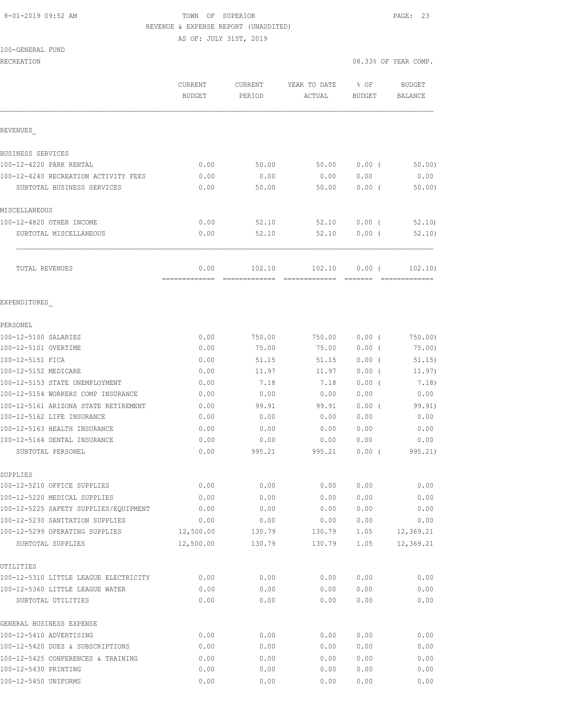#### 8-01-2019 09:52 AM TOWN OF SUPERIOR PAGE: 23 REVENUE & EXPENSE REPORT (UNAUDITED)

AS OF: JULY 31ST, 2019

100-GENERAL FUND

RECREATION 08.33% OF YEAR COMP.

|                                                                       | CURRENT<br><b>BUDGET</b> | <b>CURRENT</b><br>PERIOD | YEAR TO DATE<br>ACTUAL | % OF<br>BUDGET | <b>BUDGET</b><br><b>BALANCE</b> |
|-----------------------------------------------------------------------|--------------------------|--------------------------|------------------------|----------------|---------------------------------|
| <b>REVENUES</b>                                                       |                          |                          |                        |                |                                 |
| BUSINESS SERVICES                                                     |                          |                          |                        |                |                                 |
| 100-12-4220 PARK RENTAL                                               | 0.00                     | 50.00                    | 50.00                  | $0.00$ (       | 50.00                           |
| 100-12-4240 RECREATION ACTIVITY FEES                                  | 0.00                     | 0.00                     | 0.00                   | 0.00           | 0.00                            |
| SUBTOTAL BUSINESS SERVICES                                            | 0.00                     | 50.00                    | 50.00                  | $0.00$ (       | 50.00                           |
| MISCELLANEOUS                                                         |                          |                          |                        |                |                                 |
| 100-12-4820 OTHER INCOME                                              | 0.00                     | 52.10                    | 52.10                  | $0.00$ (       | 52,10)                          |
| SUBTOTAL MISCELLANEOUS                                                | 0.00                     | 52.10                    | 52.10                  | $0.00$ (       | 52.10                           |
| TOTAL REVENUES                                                        | 0.00                     | 102.10                   | 102.10                 | 0.00(          | 102, 10)                        |
| EXPENDITURES                                                          |                          |                          |                        |                |                                 |
| PERSONEL                                                              |                          |                          |                        |                |                                 |
| 100-12-5100 SALARIES                                                  | 0.00                     | 750.00                   | 750.00                 | $0.00$ (       | 750.00)                         |
| 100-12-5101 OVERTIME                                                  | 0.00                     | 75.00                    | 75.00                  | $0.00$ (       | 75.00)                          |
| 100-12-5151 FICA                                                      | 0.00                     | 51.15                    | 51.15                  | $0.00$ (       | 51.15)                          |
| 100-12-5152 MEDICARE                                                  | 0.00                     | 11.97                    | 11.97                  | $0.00$ (       | 11.97)                          |
| 100-12-5153 STATE UNEMPLOYMENT                                        | 0.00                     | 7.18                     | 7.18                   | $0.00$ (       | 7.18)                           |
| 100-12-5154 WORKERS COMP INSURANCE                                    | 0.00                     | 0.00                     | 0.00                   | 0.00           | 0.00                            |
| 100-12-5161 ARIZONA STATE RETIREMENT                                  | 0.00                     | 99.91                    | 99.91                  | $0.00$ (       | 99.91)                          |
| 100-12-5162 LIFE INSURANCE                                            | 0.00                     | 0.00                     | 0.00                   | 0.00           | 0.00                            |
| 100-12-5163 HEALTH INSURANCE                                          | 0.00                     | 0.00                     | 0.00                   | 0.00           | 0.00                            |
| 100-12-5164 DENTAL INSURANCE                                          | 0.00                     | 0.00                     | 0.00                   | 0.00           | 0.00                            |
| SUBTOTAL PERSONEL                                                     | 0.00                     | 995.21                   | 995.21                 | 0.00(          | 995.21)                         |
| SUPPLIES                                                              |                          |                          |                        |                |                                 |
| 100-12-5210 OFFICE SUPPLIES                                           | 0.00                     | 0.00                     | 0.00                   | 0.00           | 0.00                            |
| 100-12-5220 MEDICAL SUPPLIES<br>100-12-5225 SAFETY SUPPLIES/EQUIPMENT | 0.00                     | 0.00                     | 0.00                   | 0.00           | 0.00                            |
|                                                                       | 0.00                     | 0.00                     | 0.00                   | 0.00           | 0.00                            |
| 100-12-5230 SANITATION SUPPLIES<br>100-12-5299 OPERATING SUPPLIES     | 0.00<br>12,500.00        | 0.00<br>130.79           | 0.00<br>130.79         | 0.00<br>1.05   | 0.00<br>12,369.21               |
| SUBTOTAL SUPPLIES                                                     | 12,500.00                | 130.79                   | 130.79                 | 1.05           | 12,369.21                       |
| UTILITIES                                                             |                          |                          |                        |                |                                 |
| 100-12-5310 LITTLE LEAGUE ELECTRICITY                                 | 0.00                     | 0.00                     | 0.00                   | 0.00           | 0.00                            |
| 100-12-5360 LITTLE LEAGUE WATER                                       | 0.00                     | 0.00                     | 0.00                   | 0.00           | 0.00                            |
| SUBTOTAL UTILITIES                                                    | 0.00                     | 0.00                     | 0.00                   | 0.00           | 0.00                            |
| GENERAL BUSINESS EXPENSE                                              |                          |                          |                        |                |                                 |
| 100-12-5410 ADVERTISING                                               | 0.00                     | 0.00                     | 0.00                   | 0.00           | 0.00                            |
| 100-12-5420 DUES & SUBSCRIPTIONS                                      | 0.00                     | 0.00                     | 0.00                   | 0.00           | 0.00                            |
| 100-12-5425 CONFERENCES & TRAINING                                    | 0.00                     | 0.00                     | 0.00                   | 0.00           | 0.00                            |
| 100-12-5430 PRINTING                                                  | 0.00                     | 0.00                     | 0.00                   | 0.00           | 0.00                            |
| 100-12-5450 UNIFORMS                                                  | 0.00                     | 0.00                     | 0.00                   | 0.00           | 0.00                            |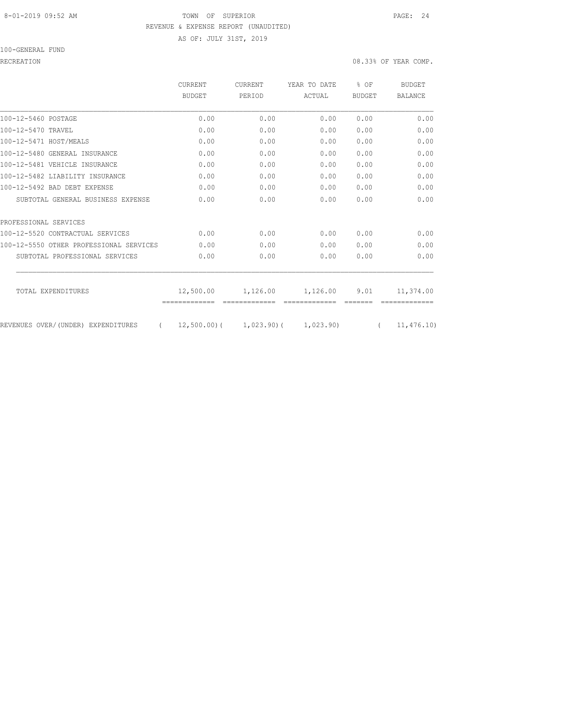## 8-01-2019 09:52 AM TOWN OF SUPERIOR PAGE: 24 REVENUE & EXPENSE REPORT (UNAUDITED) AS OF: JULY 31ST, 2019

100-GENERAL FUND

|                                                | CURRENT<br><b>BUDGET</b> | <b>CURRENT</b><br>PERIOD | YEAR TO DATE                            | $8$ OF<br><b>BUDGET</b> | <b>BUDGET</b>  |
|------------------------------------------------|--------------------------|--------------------------|-----------------------------------------|-------------------------|----------------|
|                                                |                          |                          | <b>ACTUAL</b>                           |                         | <b>BALANCE</b> |
| 100-12-5460 POSTAGE                            | 0.00                     | 0.00                     | 0.00                                    | 0.00                    | 0.00           |
| 100-12-5470 TRAVEL                             | 0.00                     | 0.00                     | 0.00                                    | 0.00                    | 0.00           |
| 100-12-5471 HOST/MEALS                         | 0.00                     | 0.00                     | 0.00                                    | 0.00                    | 0.00           |
| 100-12-5480 GENERAL INSURANCE                  | 0.00                     | 0.00                     | 0.00                                    | 0.00                    | 0.00           |
| 100-12-5481 VEHICLE INSURANCE                  | 0.00                     | 0.00                     | 0.00                                    | 0.00                    | 0.00           |
| 100-12-5482 LIABILITY INSURANCE                | 0.00                     | 0.00                     | 0.00                                    | 0.00                    | 0.00           |
| 100-12-5492 BAD DEBT EXPENSE                   | 0.00                     | 0.00                     | 0.00                                    | 0.00                    | 0.00           |
| SUBTOTAL GENERAL BUSINESS EXPENSE              | 0.00                     | 0.00                     | 0.00                                    | 0.00                    | 0.00           |
| PROFESSIONAL SERVICES                          |                          |                          |                                         |                         |                |
| 100-12-5520 CONTRACTUAL SERVICES               | 0.00                     | 0.00                     | 0.00                                    | 0.00                    | 0.00           |
| 100-12-5550 OTHER PROFESSIONAL SERVICES        | 0.00                     | 0.00                     | 0.00                                    | 0.00                    | 0.00           |
| SUBTOTAL PROFESSIONAL SERVICES                 | 0.00                     | 0.00                     | 0.00                                    | 0.00                    | 0.00           |
| TOTAL EXPENDITURES                             | 12,500.00                | 1,126.00                 | 1,126.00                                | 9.01                    | 11,374.00      |
| REVENUES OVER/(UNDER) EXPENDITURES<br>$\left($ |                          |                          | $12,500.00$ ( $1,023.90$ ( $1,023.90$ ) | $\left($                | 11,476.10      |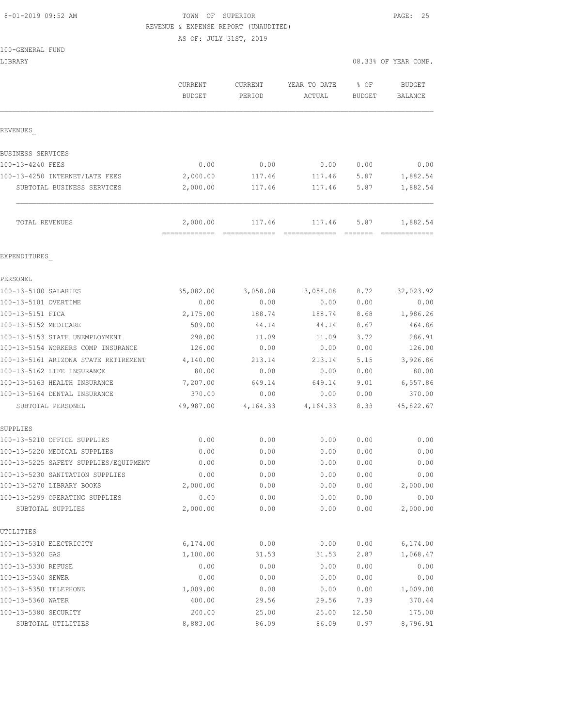# 8-01-2019 09:52 AM **TOWN OF SUPERIOR PAGE: 25** REVENUE & EXPENSE REPORT (UNAUDITED)

AS OF: JULY 31ST, 2019

|  |  |  | 100-GENERAL FUND |  |
|--|--|--|------------------|--|
|--|--|--|------------------|--|

| LIBRARY                                                      |                           |                         |                         |                       | 08.33% OF YEAR COMP.     |
|--------------------------------------------------------------|---------------------------|-------------------------|-------------------------|-----------------------|--------------------------|
|                                                              | <b>CURRENT</b><br>BUDGET  | CURRENT<br>PERIOD       | YEAR TO DATE<br>ACTUAL  | % OF<br><b>BUDGET</b> | <b>BUDGET</b><br>BALANCE |
| REVENUES                                                     |                           |                         |                         |                       |                          |
| BUSINESS SERVICES                                            |                           |                         |                         |                       |                          |
| 100-13-4240 FEES                                             | 0.00                      | 0.00                    | 0.00                    | 0.00                  | 0.00                     |
| 100-13-4250 INTERNET/LATE FEES                               | 2,000.00                  | 117.46                  | 117.46                  | 5.87                  | 1,882.54                 |
| SUBTOTAL BUSINESS SERVICES                                   | 2,000.00                  | 117.46                  | 117.46                  | 5.87                  | 1,882.54                 |
| TOTAL REVENUES                                               | 2,000.00<br>============= | 117.46<br>============= | 117.46<br>============= | 5.87<br>=======       | 1,882.54                 |
| EXPENDITURES                                                 |                           |                         |                         |                       |                          |
| PERSONEL                                                     |                           |                         |                         |                       |                          |
| 100-13-5100 SALARIES                                         | 35,082.00                 | 3,058.08                | 3,058.08                | 8.72                  | 32,023.92                |
| 100-13-5101 OVERTIME                                         | 0.00                      | 0.00                    | 0.00                    | 0.00                  | 0.00                     |
| 100-13-5151 FICA                                             | 2,175.00                  | 188.74                  | 188.74                  | 8.68                  | 1,986.26                 |
| 100-13-5152 MEDICARE                                         | 509.00                    | 44.14                   | 44.14                   | 8.67                  | 464.86                   |
| 100-13-5153 STATE UNEMPLOYMENT                               | 298.00                    | 11.09                   | 11.09                   | 3.72                  | 286.91                   |
| 100-13-5154 WORKERS COMP INSURANCE                           | 126.00                    | 0.00                    | 0.00                    | 0.00                  | 126.00                   |
| 100-13-5161 ARIZONA STATE RETIREMENT                         | 4,140.00                  | 213.14                  | 213.14                  | 5.15                  | 3,926.86                 |
| 100-13-5162 LIFE INSURANCE                                   | 80.00                     | 0.00                    | 0.00                    | 0.00                  | 80.00                    |
| 100-13-5163 HEALTH INSURANCE<br>100-13-5164 DENTAL INSURANCE | 7,207.00<br>370.00        | 649.14<br>0.00          | 649.14                  | 9.01<br>0.00          | 6,557.86<br>370.00       |
| SUBTOTAL PERSONEL                                            | 49,987.00                 | 4,164.33                | 0.00<br>4,164.33        | 8.33                  | 45,822.67                |
| SUPPLIES                                                     |                           |                         |                         |                       |                          |
| 100-13-5210 OFFICE SUPPLIES                                  | 0.00                      | 0.00                    | 0.00                    | 0.00                  | 0.00                     |
| 100-13-5220 MEDICAL SUPPLIES                                 | 0.00                      | 0.00                    | 0.00                    | 0.00                  | 0.00                     |
| 100-13-5225 SAFETY SUPPLIES/EQUIPMENT                        | 0.00                      | 0.00                    | 0.00                    | 0.00                  | 0.00                     |
| 100-13-5230 SANITATION SUPPLIES                              | 0.00                      | 0.00                    | 0.00                    | 0.00                  | 0.00                     |
| 100-13-5270 LIBRARY BOOKS                                    | 2,000.00                  | 0.00                    | 0.00                    | 0.00                  | 2,000.00                 |
| 100-13-5299 OPERATING SUPPLIES                               | 0.00                      | 0.00                    | 0.00                    | 0.00                  | 0.00                     |
| SUBTOTAL SUPPLIES                                            | 2,000.00                  | 0.00                    | 0.00                    | 0.00                  | 2,000.00                 |
| UTILITIES                                                    |                           |                         |                         |                       |                          |
| 100-13-5310 ELECTRICITY                                      | 6,174.00                  | 0.00                    | 0.00                    | 0.00                  | 6,174.00                 |
| 100-13-5320 GAS                                              | 1,100.00                  | 31.53                   | 31.53                   | 2.87                  | 1,068.47                 |
| 100-13-5330 REFUSE                                           | 0.00                      | 0.00                    | 0.00                    | 0.00                  | 0.00                     |
| 100-13-5340 SEWER                                            | 0.00                      | 0.00                    | 0.00                    | 0.00                  | 0.00                     |
| 100-13-5350 TELEPHONE                                        | 1,009.00                  | 0.00                    | 0.00                    | 0.00                  | 1,009.00                 |
| 100-13-5360 WATER                                            | 400.00                    | 29.56                   | 29.56                   | 7.39                  | 370.44                   |
| 100-13-5380 SECURITY                                         | 200.00                    | 25.00                   | 25.00                   | 12.50                 | 175.00                   |

SUBTOTAL UTILITIES 8,883.00 86.09 86.09 0.97 8,796.91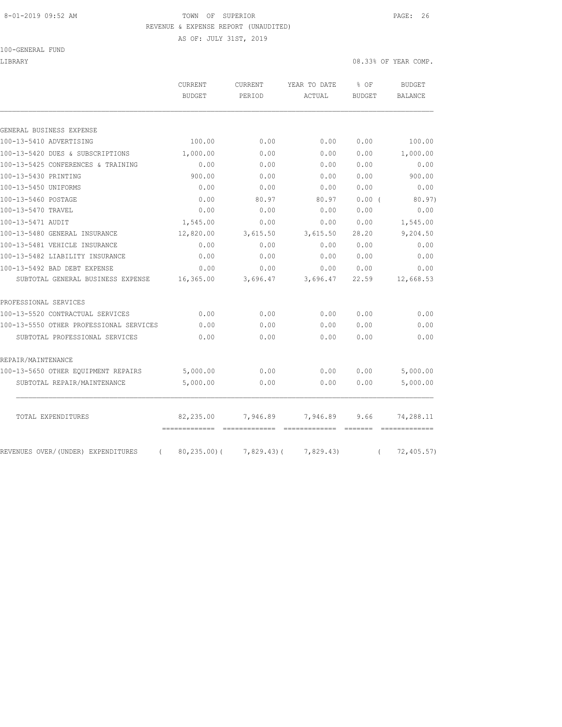## 8-01-2019 09:52 AM TOWN OF SUPERIOR PAGE: 26 REVENUE & EXPENSE REPORT (UNAUDITED)

AS OF: JULY 31ST, 2019

100-GENERAL FUND

LIBRARY 08.33% OF YEAR COMP.

|                                         | <b>CURRENT</b><br><b>BUDGET</b> | <b>CURRENT</b><br>PERIOD | YEAR TO DATE<br>ACTUAL | % OF<br><b>BUDGET</b> | <b>BUDGET</b><br><b>BALANCE</b> |
|-----------------------------------------|---------------------------------|--------------------------|------------------------|-----------------------|---------------------------------|
|                                         |                                 |                          |                        |                       |                                 |
| GENERAL BUSINESS EXPENSE                |                                 |                          |                        |                       |                                 |
| 100-13-5410 ADVERTISING                 | 100.00                          | 0.00                     | 0.00                   | 0.00                  | 100.00                          |
| 100-13-5420 DUES & SUBSCRIPTIONS        | 1,000.00                        | 0.00                     | 0.00                   | 0.00                  | 1,000.00                        |
| 100-13-5425 CONFERENCES & TRAINING      | 0.00                            | 0.00                     | 0.00                   | 0.00                  | 0.00                            |
| 100-13-5430 PRINTING                    | 900.00                          | 0.00                     | 0.00                   | 0.00                  | 900.00                          |
| 100-13-5450 UNIFORMS                    | 0.00                            | 0.00                     | 0.00                   | 0.00                  | 0.00                            |
| 100-13-5460 POSTAGE                     | 0.00                            | 80.97                    | 80.97                  | 0.00(                 | 80.97)                          |
| 100-13-5470 TRAVEL                      | 0.00                            | 0.00                     | 0.00                   | 0.00                  | 0.00                            |
| 100-13-5471 AUDIT                       | 1,545.00                        | 0.00                     | 0.00                   | 0.00                  | 1,545.00                        |
| 100-13-5480 GENERAL INSURANCE           | 12,820.00                       | 3,615.50                 | 3,615.50               | 28.20                 | 9,204.50                        |
| 100-13-5481 VEHICLE INSURANCE           | 0.00                            | 0.00                     | 0.00                   | 0.00                  | 0.00                            |
| 100-13-5482 LIABILITY INSURANCE         | 0.00                            | 0.00                     | 0.00                   | 0.00                  | 0.00                            |
| 100-13-5492 BAD DEBT EXPENSE            | 0.00                            | 0.00                     | 0.00                   | 0.00                  | 0.00                            |
| SUBTOTAL GENERAL BUSINESS EXPENSE       | 16,365.00                       | 3,696.47                 | 3,696.47               | 22.59                 | 12,668.53                       |
| PROFESSIONAL SERVICES                   |                                 |                          |                        |                       |                                 |
| 100-13-5520 CONTRACTUAL SERVICES        | 0.00                            | 0.00                     | 0.00                   | 0.00                  | 0.00                            |
| 100-13-5550 OTHER PROFESSIONAL SERVICES | 0.00                            | 0.00                     | 0.00                   | 0.00                  | 0.00                            |
| SUBTOTAL PROFESSIONAL SERVICES          | 0.00                            | 0.00                     | 0.00                   | 0.00                  | 0.00                            |
| REPAIR/MAINTENANCE                      |                                 |                          |                        |                       |                                 |
| 100-13-5650 OTHER EQUIPMENT REPAIRS     | 5,000.00                        | 0.00                     | 0.00                   | 0.00                  | 5,000.00                        |
| SUBTOTAL REPAIR/MAINTENANCE             | 5,000.00                        | 0.00                     | 0.00                   | 0.00                  | 5,000.00                        |
|                                         |                                 |                          |                        |                       |                                 |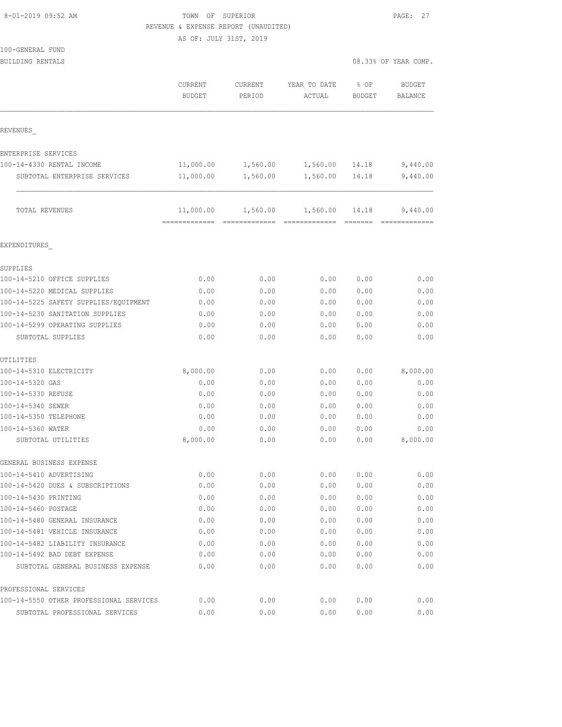|  | 8-01-2019 09:52 AM |  |
|--|--------------------|--|
|  |                    |  |

# TOWN OF SUPERIOR **EXECUTER** PAGE: 27 REVENUE & EXPENSE REPORT (UNAUDITED)

AS OF: JULY 31ST, 2019

| 100-GENERAL FUND |  |
|------------------|--|
|                  |  |

| BUILDING RENTALS                        |                          |                   |                        |                       | 08.33% OF YEAR COMP.            |
|-----------------------------------------|--------------------------|-------------------|------------------------|-----------------------|---------------------------------|
|                                         | CURRENT<br><b>BUDGET</b> | CURRENT<br>PERIOD | YEAR TO DATE<br>ACTUAL | % OF<br><b>BUDGET</b> | <b>BUDGET</b><br><b>BALANCE</b> |
| REVENUES                                |                          |                   |                        |                       |                                 |
| ENTERPRISE SERVICES                     |                          |                   |                        |                       |                                 |
| 100-14-4330 RENTAL INCOME               | 11,000.00                | 1,560.00          | 1,560.00               | 14.18                 | 9,440.00                        |
| SUBTOTAL ENTERPRISE SERVICES            | 11,000.00                | 1,560.00          | 1,560.00               | 14.18                 | 9,440.00                        |
| TOTAL REVENUES                          | 11,000.00                |                   | 1,560.00 1,560.00      | 14.18                 | 9,440.00                        |
| EXPENDITURES                            |                          |                   |                        |                       |                                 |
| SUPPLIES                                |                          |                   |                        |                       |                                 |
| 100-14-5210 OFFICE SUPPLIES             | 0.00                     | 0.00              | 0.00                   | 0.00                  | 0.00                            |
| 100-14-5220 MEDICAL SUPPLIES            | 0.00                     | 0.00              | 0.00                   | 0.00                  | 0.00                            |
| 100-14-5225 SAFETY SUPPLIES/EQUIPMENT   | 0.00                     | 0.00              | 0.00                   | 0.00                  | 0.00                            |
| 100-14-5230 SANITATION SUPPLIES         | 0.00                     | 0.00              | 0.00                   | 0.00                  | 0.00                            |
| 100-14-5299 OPERATING SUPPLIES          | 0.00                     | 0.00              | 0.00                   | 0.00                  | 0.00                            |
| SUBTOTAL SUPPLIES                       | 0.00                     | 0.00              | 0.00                   | 0.00                  | 0.00                            |
| UTILITIES                               |                          |                   |                        |                       |                                 |
| 100-14-5310 ELECTRICITY                 | 8,000.00                 | 0.00              | 0.00                   | 0.00                  | 8,000.00                        |
| 100-14-5320 GAS                         | 0.00                     | 0.00              | 0.00                   | 0.00                  | 0.00                            |
| 100-14-5330 REFUSE                      | 0.00                     | 0.00              | 0.00                   | 0.00                  | 0.00                            |
| 100-14-5340 SEWER                       | 0.00                     | 0.00              | 0.00                   | 0.00                  | 0.00                            |
| 100-14-5350 TELEPHONE                   | 0.00                     | 0.00              | 0.00                   | 0.00                  | 0.00                            |
| 100-14-5360 WATER                       | 0.00                     | 0.00              | 0.00                   | 0.00                  | 0.00                            |
| SUBTOTAL UTILITIES                      | 8,000.00                 | 0.00              | 0.00                   | 0.00                  | 8,000.00                        |
| GENERAL BUSINESS EXPENSE                |                          |                   |                        |                       |                                 |
| 100-14-5410 ADVERTISING                 | 0.00                     | 0.00              | 0.00                   | 0.00                  | 0.00                            |
| 100-14-5420 DUES & SUBSCRIPTIONS        | 0.00                     | 0.00              | 0.00                   | 0.00                  | 0.00                            |
| 100-14-5430 PRINTING                    | 0.00                     | 0.00              | 0.00                   | 0.00                  | 0.00                            |
| 100-14-5460 POSTAGE                     | 0.00                     | 0.00              | 0.00                   | 0.00                  | 0.00                            |
| 100-14-5480 GENERAL INSURANCE           | 0.00                     | 0.00              | 0.00                   | 0.00                  | 0.00                            |
| 100-14-5481 VEHICLE INSURANCE           | 0.00                     | 0.00              | 0.00                   | 0.00                  | 0.00                            |
| 100-14-5482 LIABILITY INSURANCE         | 0.00                     | 0.00              | 0.00                   | 0.00                  | 0.00                            |
| 100-14-5492 BAD DEBT EXPENSE            | 0.00                     | 0.00              | 0.00                   | 0.00                  | 0.00                            |
| SUBTOTAL GENERAL BUSINESS EXPENSE       | 0.00                     | 0.00              | 0.00                   | 0.00                  | 0.00                            |
| PROFESSIONAL SERVICES                   |                          |                   |                        |                       |                                 |
| 100-14-5550 OTHER PROFESSIONAL SERVICES | 0.00                     | 0.00              | 0.00                   | 0.00                  | 0.00                            |

SUBTOTAL PROFESSIONAL SERVICES 0.00 0.00 0.00 0.00 0.00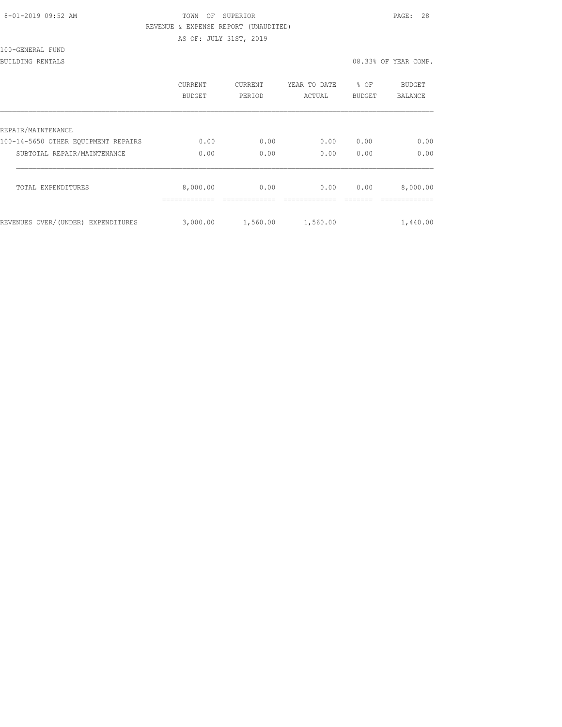| 8-01-2019 09:52 AM |  |
|--------------------|--|
|                    |  |

# TOWN OF SUPERIOR **Example 28** PAGE: 28 REVENUE & EXPENSE REPORT (UNAUDITED)

AS OF: JULY 31ST, 2019

100-GENERAL FUND

## BUILDING RENTALS 08.33% OF YEAR COMP.

|                                     | CURRENT<br><b>BUDGET</b> | <b>CURRENT</b><br>PERIOD | YEAR TO DATE<br>ACTUAL | % OF<br><b>BUDGET</b> | <b>BUDGET</b><br><b>BALANCE</b> |
|-------------------------------------|--------------------------|--------------------------|------------------------|-----------------------|---------------------------------|
| REPAIR/MAINTENANCE                  |                          |                          |                        |                       |                                 |
| 100-14-5650 OTHER EOUIPMENT REPAIRS | 0.00                     | 0.00                     | 0.00                   | 0.00                  | 0.00                            |
| SUBTOTAL REPAIR/MAINTENANCE         | 0.00                     | 0.00                     | 0.00                   | 0.00                  | 0.00                            |
| TOTAL EXPENDITURES                  | 8,000.00                 | 0.00                     | 0.00                   | 0.00                  | 8,000.00                        |
| REVENUES OVER/(UNDER) EXPENDITURES  | 3,000.00                 | 1,560.00                 | 1,560.00               |                       | 1,440.00                        |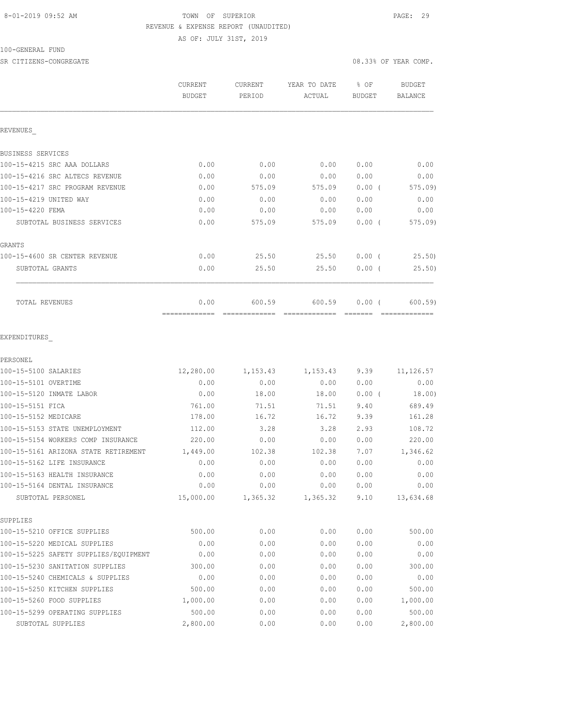# 8-01-2019 09:52 AM TOWN OF SUPERIOR PAGE: 29 REVENUE & EXPENSE REPORT (UNAUDITED)

AS OF: JULY 31ST, 2019

100-GENERAL FUND

SR CITIZENS-CONGREGATE **1999** CONGREGATE **1999** COMP.

|                                       | CURRENT<br><b>BUDGET</b> | CURRENT<br>PERIOD | YEAR TO DATE<br>ACTUAL | % OF<br>BUDGET | <b>BUDGET</b><br><b>BALANCE</b> |
|---------------------------------------|--------------------------|-------------------|------------------------|----------------|---------------------------------|
| REVENUES                              |                          |                   |                        |                |                                 |
| BUSINESS SERVICES                     |                          |                   |                        |                |                                 |
| 100-15-4215 SRC AAA DOLLARS           | 0.00                     | 0.00              | 0.00                   | 0.00           | 0.00                            |
| 100-15-4216 SRC ALTECS REVENUE        | 0.00                     | 0.00              | 0.00                   | 0.00           | 0.00                            |
| 100-15-4217 SRC PROGRAM REVENUE       | 0.00                     | 575.09            | 575.09                 | 0.00(          | 575.09                          |
| 100-15-4219 UNITED WAY                | 0.00                     | 0.00              | 0.00                   | 0.00           | 0.00                            |
| 100-15-4220 FEMA                      | 0.00                     | 0.00              | 0.00                   | 0.00           | 0.00                            |
| SUBTOTAL BUSINESS SERVICES            | 0.00                     | 575.09            | 575.09                 | $0.00$ (       | 575.09)                         |
| GRANTS                                |                          |                   |                        |                |                                 |
| 100-15-4600 SR CENTER REVENUE         | 0.00                     | 25.50             | 25.50                  | $0.00$ (       | 25.50                           |
| SUBTOTAL GRANTS                       | 0.00                     | 25.50             | 25.50                  | $0.00$ (       | 25.50)                          |
| TOTAL REVENUES                        | 0.00<br>=============    | 600.59            | 600.59                 | 0.00(          | 600.59                          |
| EXPENDITURES<br>PERSONEL              |                          |                   |                        |                |                                 |
| 100-15-5100 SALARIES                  | 12,280.00                | 1,153.43          | 1,153.43               | 9.39           | 11, 126.57                      |
| 100-15-5101 OVERTIME                  | 0.00                     | 0.00              | 0.00                   | 0.00           | 0.00                            |
| 100-15-5120 INMATE LABOR              | 0.00                     | 18.00             | 18.00                  | 0.00(          | 18.00)                          |
| 100-15-5151 FICA                      | 761.00                   | 71.51             | 71.51                  | 9.40           | 689.49                          |
| 100-15-5152 MEDICARE                  | 178.00                   | 16.72             | 16.72                  | 9.39           | 161.28                          |
| 100-15-5153 STATE UNEMPLOYMENT        | 112.00                   | 3.28              | 3.28                   | 2.93           | 108.72                          |
| 100-15-5154 WORKERS COMP INSURANCE    | 220.00                   | 0.00              | 0.00                   | 0.00           | 220.00                          |
| 100-15-5161 ARIZONA STATE RETIREMENT  | 1,449.00                 | 102.38            | 102.38                 | 7.07           | 1,346.62                        |
| 100-15-5162 LIFE INSURANCE            | 0.00                     | 0.00              | 0.00                   | 0.00           | 0.00                            |
| 100-15-5163 HEALTH INSURANCE          | 0.00                     | 0.00              | 0.00                   | 0.00           | 0.00                            |
| 100-15-5164 DENTAL INSURANCE          | 0.00                     | 0.00              | 0.00                   | 0.00           | 0.00                            |
| SUBTOTAL PERSONEL                     | 15,000.00                | 1,365.32          | 1,365.32               | 9.10           | 13,634.68                       |
| SUPPLIES                              |                          |                   |                        |                |                                 |
| 100-15-5210 OFFICE SUPPLIES           | 500.00                   | 0.00              | 0.00                   | 0.00           | 500.00                          |
| 100-15-5220 MEDICAL SUPPLIES          | 0.00                     | 0.00              | 0.00                   | 0.00           | 0.00                            |
| 100-15-5225 SAFETY SUPPLIES/EQUIPMENT | 0.00                     | 0.00              | 0.00                   | 0.00           | 0.00                            |
| 100-15-5230 SANITATION SUPPLIES       | 300.00                   | 0.00              | 0.00                   | 0.00           | 300.00                          |
| 100-15-5240 CHEMICALS & SUPPLIES      | 0.00                     | 0.00              | 0.00                   | 0.00           | 0.00                            |

100-15-5250 KITCHEN SUPPLIES 500.00 0.00 0.00 0.00 500.00 100-15-5260 FOOD SUPPLIES 1,000.00 0.00 0.00 0.00 1,000.00 100-15-5299 OPERATING SUPPLIES 500.00 0.00 0.00 0.00 500.00 SUBTOTAL SUPPLIES 2,800.00 0.00 0.00 0.00 2,800.00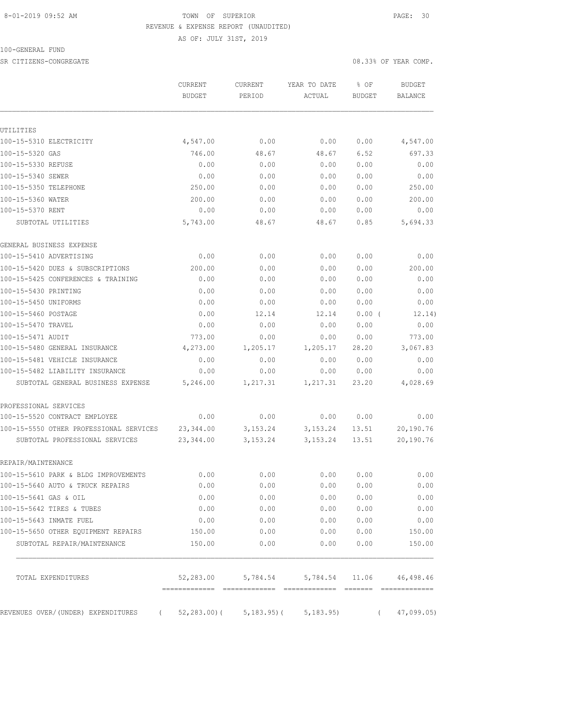### 8-01-2019 09:52 AM TOWN OF SUPERIOR PAGE: 30 REVENUE & EXPENSE REPORT (UNAUDITED)

AS OF: JULY 31ST, 2019

100-GENERAL FUND

SR CITIZENS-CONGREGATE **1999** OB SASES OF YEAR COMP.

|                                                                                   | <b>CURRENT</b><br><b>BUDGET</b> | <b>CURRENT</b><br>PERIOD | YEAR TO DATE<br>ACTUAL | % OF<br><b>BUDGET</b> | <b>BUDGET</b><br><b>BALANCE</b> |
|-----------------------------------------------------------------------------------|---------------------------------|--------------------------|------------------------|-----------------------|---------------------------------|
|                                                                                   |                                 |                          |                        |                       |                                 |
| UTILITIES                                                                         |                                 |                          |                        |                       |                                 |
| 100-15-5310 ELECTRICITY                                                           | 4,547.00                        | 0.00                     | 0.00                   | 0.00                  | 4,547.00                        |
| 100-15-5320 GAS                                                                   | 746.00                          | 48.67                    | 48.67                  | 6.52                  | 697.33                          |
| 100-15-5330 REFUSE                                                                | 0.00                            | 0.00                     | 0.00                   | 0.00                  | 0.00                            |
| 100-15-5340 SEWER                                                                 | 0.00                            | 0.00                     | 0.00                   | 0.00                  | 0.00                            |
| 100-15-5350 TELEPHONE                                                             | 250.00                          | 0.00                     | 0.00                   | 0.00                  | 250.00                          |
| 100-15-5360 WATER                                                                 | 200.00                          | 0.00                     | 0.00                   | 0.00                  | 200.00                          |
| 100-15-5370 RENT                                                                  | 0.00                            | 0.00                     | 0.00                   | 0.00                  | 0.00                            |
| SUBTOTAL UTILITIES                                                                | 5,743.00                        | 48.67                    | 48.67                  | 0.85                  | 5,694.33                        |
| GENERAL BUSINESS EXPENSE                                                          |                                 |                          |                        |                       |                                 |
| 100-15-5410 ADVERTISING                                                           | 0.00                            | 0.00                     | 0.00                   | 0.00                  | 0.00                            |
| 100-15-5420 DUES & SUBSCRIPTIONS                                                  | 200.00                          | 0.00                     | 0.00                   | 0.00                  | 200.00                          |
| 100-15-5425 CONFERENCES & TRAINING                                                | 0.00                            | 0.00                     | 0.00                   | 0.00                  | 0.00                            |
| 100-15-5430 PRINTING                                                              | 0.00                            | 0.00                     | 0.00                   | 0.00                  | 0.00                            |
| 100-15-5450 UNIFORMS                                                              | 0.00                            | 0.00                     | 0.00                   | 0.00                  | 0.00                            |
| 100-15-5460 POSTAGE                                                               | 0.00                            | 12.14                    | 12.14                  | $0.00$ (              | 12.14)                          |
| 100-15-5470 TRAVEL                                                                | 0.00                            | 0.00                     | 0.00                   | 0.00                  | 0.00                            |
| 100-15-5471 AUDIT                                                                 | 773.00                          | 0.00                     | 0.00                   | 0.00                  | 773.00                          |
| 100-15-5480 GENERAL INSURANCE                                                     | 4,273.00                        | 1,205.17                 | 1,205.17               | 28.20                 | 3,067.83                        |
| 100-15-5481 VEHICLE INSURANCE                                                     | 0.00                            | 0.00                     | 0.00                   | 0.00                  | 0.00                            |
| 100-15-5482 LIABILITY INSURANCE                                                   | 0.00                            | 0.00                     | 0.00                   | 0.00                  | 0.00                            |
| SUBTOTAL GENERAL BUSINESS EXPENSE                                                 | 5,246.00                        | 1,217.31                 | 1,217.31               | 23.20                 | 4,028.69                        |
| PROFESSIONAL SERVICES                                                             |                                 |                          |                        |                       |                                 |
| 100-15-5520 CONTRACT EMPLOYEE                                                     | 0.00                            | 0.00                     | 0.00                   | 0.00                  | 0.00                            |
| 100-15-5550 OTHER PROFESSIONAL SERVICES                                           | 23, 344.00                      | 3, 153. 24               | 3,153.24               | 13.51                 | 20,190.76                       |
| SUBTOTAL PROFESSIONAL SERVICES                                                    | 23,344.00                       | 3, 153. 24               | 3, 153. 24             | 13.51                 | 20,190.76                       |
| REPAIR/MAINTENANCE                                                                |                                 |                          |                        |                       |                                 |
| 100-15-5610 PARK & BLDG IMPROVEMENTS                                              | 0.00                            | 0.00                     | 0.00                   | 0.00                  | 0.00                            |
| 100-15-5640 AUTO & TRUCK REPAIRS                                                  | 0.00                            | 0.00                     | 0.00                   | 0.00                  | 0.00                            |
| 100-15-5641 GAS & OIL                                                             | 0.00                            | 0.00                     | 0.00                   | 0.00                  | 0.00                            |
| 100-15-5642 TIRES & TUBES                                                         | 0.00                            | 0.00                     | 0.00                   | 0.00                  | 0.00                            |
| 100-15-5643 INMATE FUEL                                                           | 0.00                            | 0.00                     | 0.00                   | 0.00                  | 0.00                            |
| 100-15-5650 OTHER EQUIPMENT REPAIRS                                               | 150.00                          | 0.00                     | 0.00                   | 0.00                  | 150.00                          |
| SUBTOTAL REPAIR/MAINTENANCE                                                       | 150.00                          | 0.00                     | 0.00                   | 0.00                  | 150.00                          |
| TOTAL EXPENDITURES                                                                | 52,283.00                       | 5,784.54                 |                        | 5,784.54 11.06        | 46,498.46                       |
| REVENUES OVER/(UNDER) EXPENDITURES ( 52,283.00)( 5,183.95)( 5,183.95) ( 6.189.95) |                                 |                          |                        |                       | 47,099.05)                      |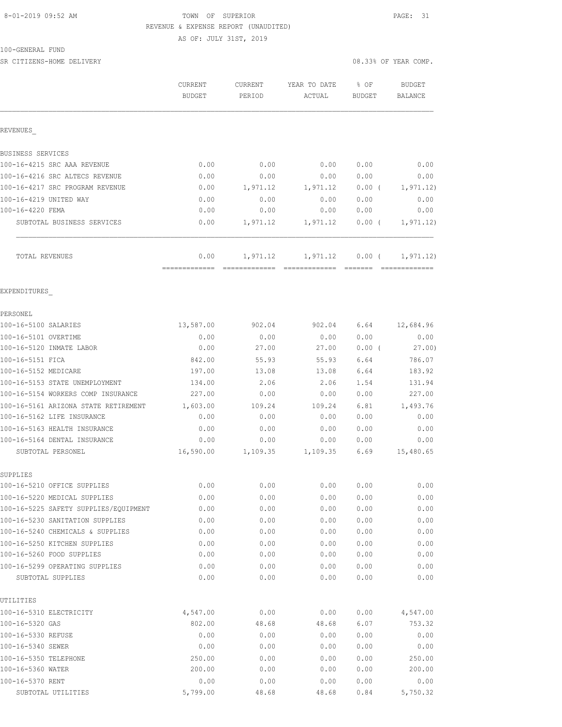#### 8-01-2019 09:52 AM TOWN OF SUPERIOR PAGE: 31 REVENUE & EXPENSE REPORT (UNAUDITED)

AS OF: JULY 31ST, 2019

### 100-GENERAL FUND

SR CITIZENS-HOME DELIVERY 08.33% OF YEAR COMP.

|                                                                       | CURRENT               | CURRENT      | YEAR TO DATE | % OF          | <b>BUDGET</b>  |
|-----------------------------------------------------------------------|-----------------------|--------------|--------------|---------------|----------------|
|                                                                       | <b>BUDGET</b>         | PERIOD       | ACTUAL       | <b>BUDGET</b> | <b>BALANCE</b> |
| REVENUES                                                              |                       |              |              |               |                |
| BUSINESS SERVICES                                                     |                       |              |              |               |                |
| 100-16-4215 SRC AAA REVENUE                                           | 0.00                  | 0.00         | 0.00         | 0.00          | 0.00           |
| 100-16-4216 SRC ALTECS REVENUE                                        | 0.00                  | 0.00         | 0.00         | 0.00          | 0.00           |
| 100-16-4217 SRC PROGRAM REVENUE                                       | 0.00                  | 1,971.12     | 1,971.12     | $0.00$ (      | 1, 971.12)     |
| 100-16-4219 UNITED WAY                                                | 0.00                  | 0.00         | 0.00         | 0.00          | 0.00           |
| 100-16-4220 FEMA                                                      | 0.00                  | 0.00         | 0.00         | 0.00          | 0.00           |
| SUBTOTAL BUSINESS SERVICES                                            | 0.00                  | 1,971.12     | 1,971.12     | $0.00$ (      | 1, 971.12)     |
| TOTAL REVENUES                                                        | 0.00<br>------------- | 1,971.12     | 1,971.12     | $0.00$ (      | 1, 971.12)     |
| EXPENDITURES                                                          |                       |              |              |               |                |
| PERSONEL                                                              |                       |              |              |               |                |
| 100-16-5100 SALARIES                                                  | 13,587.00             | 902.04       | 902.04       | 6.64          | 12,684.96      |
| 100-16-5101 OVERTIME                                                  | 0.00                  | 0.00         | 0.00         | 0.00          | 0.00           |
| 100-16-5120 INMATE LABOR                                              | 0.00                  | 27.00        | 27.00        | $0.00$ (      | 27.00)         |
| 100-16-5151 FICA                                                      | 842.00                | 55.93        | 55.93        | 6.64          | 786.07         |
| 100-16-5152 MEDICARE                                                  | 197.00                | 13.08        | 13.08        | 6.64          | 183.92         |
| 100-16-5153 STATE UNEMPLOYMENT                                        | 134.00                | 2.06         | 2.06         | 1.54          | 131.94         |
| 100-16-5154 WORKERS COMP INSURANCE                                    | 227.00                | 0.00         | 0.00         | 0.00          | 227.00         |
| 100-16-5161 ARIZONA STATE RETIREMENT                                  | 1,603.00              | 109.24       | 109.24       | 6.81          | 1,493.76       |
| 100-16-5162 LIFE INSURANCE                                            | 0.00                  | 0.00         | 0.00         | 0.00          | 0.00           |
| 100-16-5163 HEALTH INSURANCE                                          | 0.00                  | 0.00         | 0.00         | 0.00          | 0.00           |
| 100-16-5164 DENTAL INSURANCE                                          | 0.00                  | 0.00         | 0.00         | 0.00          | 0.00           |
| SUBTOTAL PERSONEL                                                     | 16,590.00             | 1,109.35     | 1,109.35     | 6.69          | 15,480.65      |
| SUPPLIES                                                              |                       |              |              |               |                |
| 100-16-5210 OFFICE SUPPLIES                                           | 0.00                  | 0.00         | 0.00         | 0.00          | 0.00           |
| 100-16-5220 MEDICAL SUPPLIES<br>100-16-5225 SAFETY SUPPLIES/EQUIPMENT | 0.00                  | 0.00         | 0.00         | 0.00          | 0.00           |
|                                                                       | 0.00                  | 0.00         | 0.00         | 0.00          | 0.00           |
| 100-16-5230 SANITATION SUPPLIES<br>100-16-5240 CHEMICALS & SUPPLIES   | 0.00<br>0.00          | 0.00<br>0.00 | 0.00<br>0.00 | 0.00<br>0.00  | 0.00<br>0.00   |
| 100-16-5250 KITCHEN SUPPLIES                                          |                       |              |              |               |                |
| 100-16-5260 FOOD SUPPLIES                                             | 0.00<br>0.00          | 0.00<br>0.00 | 0.00<br>0.00 | 0.00<br>0.00  | 0.00<br>0.00   |
| 100-16-5299 OPERATING SUPPLIES                                        | 0.00                  | 0.00         | 0.00         | 0.00          | 0.00           |
| SUBTOTAL SUPPLIES                                                     | 0.00                  | 0.00         | 0.00         | 0.00          | 0.00           |
| UTILITIES                                                             |                       |              |              |               |                |
| 100-16-5310 ELECTRICITY                                               | 4,547.00              | 0.00         | 0.00         | 0.00          | 4,547.00       |
| 100-16-5320 GAS                                                       | 802.00                | 48.68        | 48.68        | 6.07          | 753.32         |
| 100-16-5330 REFUSE                                                    | 0.00                  | 0.00         | 0.00         | 0.00          | 0.00           |
| 100-16-5340 SEWER                                                     | 0.00                  | 0.00         | 0.00         | 0.00          | 0.00           |
| 100-16-5350 TELEPHONE                                                 | 250.00                | 0.00         | 0.00         | 0.00          | 250.00         |
| 100-16-5360 WATER                                                     | 200.00                | 0.00         | 0.00         | 0.00          | 200.00         |
| 100-16-5370 RENT                                                      | 0.00                  | 0.00         | 0.00         | 0.00          | 0.00           |
| SUBTOTAL UTILITIES                                                    | 5,799.00              | 48.68        | 48.68        | 0.84          | 5,750.32       |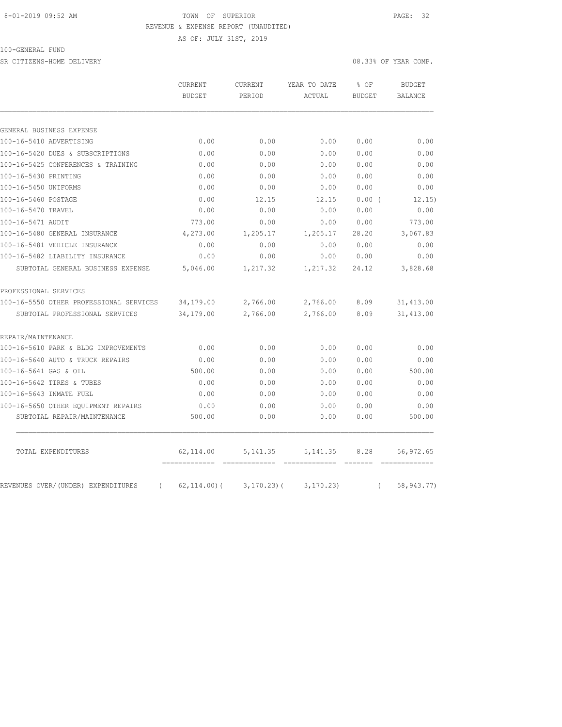#### 8-01-2019 09:52 AM TOWN OF SUPERIOR PAGE: 32 REVENUE & EXPENSE REPORT (UNAUDITED)

AS OF: JULY 31ST, 2019

100-GENERAL FUND

SR CITIZENS-HOME DELIVERY 08.33% OF YEAR COMP.

|                                                | CURRENT<br><b>BUDGET</b> | CURRENT<br>PERIOD | YEAR TO DATE<br>ACTUAL | % OF<br><b>BUDGET</b> | <b>BUDGET</b><br>BALANCE |
|------------------------------------------------|--------------------------|-------------------|------------------------|-----------------------|--------------------------|
|                                                |                          |                   |                        |                       |                          |
| GENERAL BUSINESS EXPENSE                       |                          |                   |                        |                       |                          |
| 100-16-5410 ADVERTISING                        | 0.00                     | 0.00              | 0.00                   | 0.00                  | 0.00                     |
| 100-16-5420 DUES & SUBSCRIPTIONS               | 0.00                     | 0.00              | 0.00                   | 0.00                  | 0.00                     |
| 100-16-5425 CONFERENCES & TRAINING             | 0.00                     | 0.00              | 0.00                   | 0.00                  | 0.00                     |
| 100-16-5430 PRINTING                           | 0.00                     | 0.00              | 0.00                   | 0.00                  | 0.00                     |
| 100-16-5450 UNIFORMS                           | 0.00                     | 0.00              | 0.00                   | 0.00                  | 0.00                     |
| 100-16-5460 POSTAGE                            | 0.00                     | 12.15             | 12.15                  | 0.00(                 | 12, 15)                  |
| 100-16-5470 TRAVEL                             | 0.00                     | 0.00              | 0.00                   | 0.00                  | 0.00                     |
| 100-16-5471 AUDIT                              | 773.00                   | 0.00              | 0.00                   | 0.00                  | 773.00                   |
| 100-16-5480 GENERAL INSURANCE                  | 4,273.00                 | 1,205.17          | 1,205.17               | 28.20                 | 3,067.83                 |
| 100-16-5481 VEHICLE INSURANCE                  | 0.00                     | 0.00              | 0.00                   | 0.00                  | 0.00                     |
| 100-16-5482 LIABILITY INSURANCE                | 0.00                     | 0.00              | 0.00                   | 0.00                  | 0.00                     |
| SUBTOTAL GENERAL BUSINESS EXPENSE              | 5,046.00                 | 1,217.32          | 1,217.32               | 24.12                 | 3,828.68                 |
| PROFESSIONAL SERVICES                          |                          |                   |                        |                       |                          |
| 100-16-5550 OTHER PROFESSIONAL SERVICES        | 34,179.00                | 2,766.00          | 2,766.00               | 8.09                  | 31, 413.00               |
| SUBTOTAL PROFESSIONAL SERVICES                 | 34,179.00                | 2,766.00          | 2,766.00               | 8.09                  | 31, 413.00               |
| REPAIR/MAINTENANCE                             |                          |                   |                        |                       |                          |
| 100-16-5610 PARK & BLDG IMPROVEMENTS           | 0.00                     | 0.00              | 0.00                   | 0.00                  | 0.00                     |
| 100-16-5640 AUTO & TRUCK REPAIRS               | 0.00                     | 0.00              | 0.00                   | 0.00                  | 0.00                     |
| 100-16-5641 GAS & OIL                          | 500.00                   | 0.00              | 0.00                   | 0.00                  | 500.00                   |
| 100-16-5642 TIRES & TUBES                      | 0.00                     | 0.00              | 0.00                   | 0.00                  | 0.00                     |
| 100-16-5643 INMATE FUEL                        | 0.00                     | 0.00              | 0.00                   | 0.00                  | 0.00                     |
| 100-16-5650 OTHER EQUIPMENT REPAIRS            | 0.00                     | 0.00              | 0.00                   | 0.00                  | 0.00                     |
| SUBTOTAL REPAIR/MAINTENANCE                    | 500.00                   | 0.00              | 0.00                   | 0.00                  | 500.00                   |
| TOTAL EXPENDITURES                             | 62,114.00                | 5, 141.35         | 5, 141.35              | 8.28                  | 56,972.65                |
| REVENUES OVER/(UNDER) EXPENDITURES<br>$\left($ | $62, 114.00$ (           | $3, 170.23$ ) (   | 3, 170.23              | $\left($              | 58, 943. 77)             |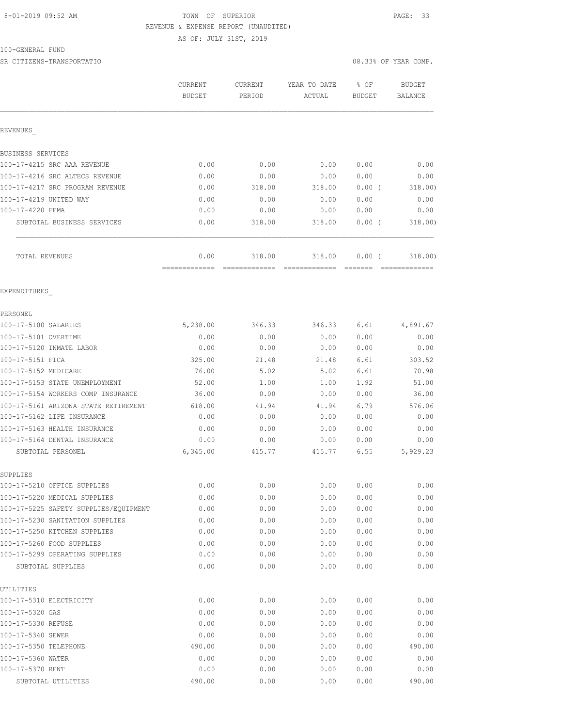#### 8-01-2019 09:52 AM TOWN OF SUPERIOR PAGE: 33 REVENUE & EXPENSE REPORT (UNAUDITED)

AS OF: JULY 31ST, 2019

100-GENERAL FUND

SR CITIZENS-TRANSPORTATIO 08.33% OF YEAR COMP.

|                                                                       | CURRENT<br><b>BUDGET</b> | CURRENT<br>PERIOD | YEAR TO DATE<br>ACTUAL | % OF<br>BUDGET | <b>BUDGET</b><br>BALANCE |
|-----------------------------------------------------------------------|--------------------------|-------------------|------------------------|----------------|--------------------------|
| REVENUES                                                              |                          |                   |                        |                |                          |
| BUSINESS SERVICES                                                     |                          |                   |                        |                |                          |
| 100-17-4215 SRC AAA REVENUE                                           | 0.00                     | 0.00              | 0.00                   | 0.00           | 0.00                     |
| 100-17-4216 SRC ALTECS REVENUE                                        | 0.00                     | 0.00              | 0.00                   | 0.00           | 0.00                     |
| 100-17-4217 SRC PROGRAM REVENUE                                       | 0.00                     | 318.00            | 318.00                 | 0.00(          | 318.00)                  |
| 100-17-4219 UNITED WAY                                                | 0.00                     | 0.00              | 0.00                   | 0.00           | 0.00                     |
| 100-17-4220 FEMA                                                      | 0.00                     | 0.00              | 0.00                   | 0.00           | 0.00                     |
| SUBTOTAL BUSINESS SERVICES                                            | 0.00                     | 318.00            | 318.00                 | 0.00(          | 318.00)                  |
| TOTAL REVENUES                                                        | 0.00                     | 318.00            | 318.00                 | 0.00(          | 318.00)                  |
| EXPENDITURES                                                          |                          |                   |                        |                |                          |
| PERSONEL                                                              |                          |                   |                        |                |                          |
| 100-17-5100 SALARIES                                                  | 5,238.00                 | 346.33            | 346.33                 | 6.61           | 4,891.67                 |
| 100-17-5101 OVERTIME                                                  | 0.00                     | 0.00              | 0.00                   | 0.00           | 0.00                     |
| 100-17-5120 INMATE LABOR                                              | 0.00                     | 0.00              | 0.00                   | 0.00           | 0.00                     |
| 100-17-5151 FICA                                                      | 325.00                   | 21.48             | 21.48                  | 6.61           | 303.52                   |
| 100-17-5152 MEDICARE                                                  | 76.00                    | 5.02              | 5.02                   | 6.61           | 70.98                    |
| 100-17-5153 STATE UNEMPLOYMENT                                        | 52.00                    | 1.00              | 1.00                   | 1.92           | 51.00                    |
| 100-17-5154 WORKERS COMP INSURANCE                                    | 36.00                    | 0.00              | 0.00                   | 0.00           | 36.00                    |
| 100-17-5161 ARIZONA STATE RETIREMENT                                  | 618.00                   | 41.94             | 41.94                  | 6.79           | 576.06                   |
| 100-17-5162 LIFE INSURANCE                                            | 0.00                     | 0.00              | 0.00                   | 0.00           | 0.00                     |
| 100-17-5163 HEALTH INSURANCE                                          | 0.00                     | 0.00              | 0.00                   | 0.00           | 0.00                     |
| 100-17-5164 DENTAL INSURANCE                                          | 0.00                     | 0.00              | 0.00                   | 0.00           | 0.00                     |
| SUBTOTAL PERSONEL                                                     | 6,345.00                 | 415.77            | 415.77                 | 6.55           | 5,929.23                 |
| SUPPLIES                                                              |                          |                   |                        |                |                          |
| 100-17-5210 OFFICE SUPPLIES                                           | 0.00                     | 0.00              | 0.00                   | 0.00           | 0.00                     |
| 100-17-5220 MEDICAL SUPPLIES<br>100-17-5225 SAFETY SUPPLIES/EQUIPMENT | 0.00<br>0.00             | 0.00<br>0.00      | 0.00<br>0.00           | 0.00<br>0.00   | 0.00<br>0.00             |
| 100-17-5230 SANITATION SUPPLIES                                       | 0.00                     | 0.00              | 0.00                   | 0.00           | 0.00                     |
| 100-17-5250 KITCHEN SUPPLIES                                          | 0.00                     | 0.00              | 0.00                   | 0.00           | 0.00                     |
| 100-17-5260 FOOD SUPPLIES                                             | 0.00                     | 0.00              | 0.00                   | 0.00           | 0.00                     |
| 100-17-5299 OPERATING SUPPLIES                                        | 0.00                     | 0.00              | 0.00                   | 0.00           | 0.00                     |
| SUBTOTAL SUPPLIES                                                     | 0.00                     | 0.00              | 0.00                   | 0.00           | 0.00                     |
| UTILITIES                                                             |                          |                   |                        |                |                          |
| 100-17-5310 ELECTRICITY                                               | 0.00                     | 0.00              | 0.00                   | 0.00           | 0.00                     |
| 100-17-5320 GAS                                                       | 0.00                     | 0.00              | 0.00                   | 0.00           | 0.00                     |
| 100-17-5330 REFUSE                                                    | 0.00                     | 0.00              | 0.00                   | 0.00           | 0.00                     |
| 100-17-5340 SEWER                                                     | 0.00                     | 0.00              | 0.00                   | 0.00           | 0.00                     |
| 100-17-5350 TELEPHONE                                                 | 490.00                   | 0.00              | 0.00                   | 0.00           | 490.00                   |
| 100-17-5360 WATER                                                     | 0.00                     | 0.00              | 0.00                   | 0.00           | 0.00                     |
| 100-17-5370 RENT                                                      | 0.00                     | 0.00              | 0.00                   | 0.00           | 0.00                     |
| SUBTOTAL UTILITIES                                                    | 490.00                   | 0.00              | 0.00                   | 0.00           | 490.00                   |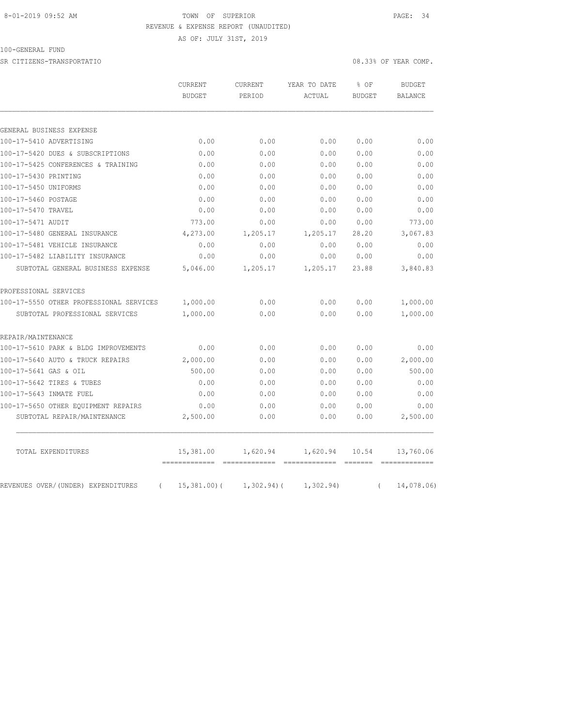#### 8-01-2019 09:52 AM TOWN OF SUPERIOR PAGE: 34 REVENUE & EXPENSE REPORT (UNAUDITED)

AS OF: JULY 31ST, 2019

### 100-GENERAL FUND

SR CITIZENS-TRANSPORTATIO 08.33% OF YEAR COMP.

|                                         | <b>CURRENT</b><br><b>BUDGET</b> | CURRENT<br>PERIOD | YEAR TO DATE<br>ACTUAL | % OF<br><b>BUDGET</b> | <b>BUDGET</b><br>BALANCE |
|-----------------------------------------|---------------------------------|-------------------|------------------------|-----------------------|--------------------------|
|                                         |                                 |                   |                        |                       |                          |
|                                         |                                 |                   |                        |                       |                          |
| GENERAL BUSINESS EXPENSE                |                                 |                   |                        |                       |                          |
| 100-17-5410 ADVERTISING                 | 0.00                            | 0.00              | 0.00                   | 0.00                  | 0.00                     |
| 100-17-5420 DUES & SUBSCRIPTIONS        | 0.00                            | 0.00              | 0.00                   | 0.00                  | 0.00                     |
| 100-17-5425 CONFERENCES & TRAINING      | 0.00                            | 0.00              | 0.00                   | 0.00                  | 0.00                     |
| 100-17-5430 PRINTING                    | 0.00                            | 0.00              | 0.00                   | 0.00                  | 0.00                     |
| 100-17-5450 UNIFORMS                    | 0.00                            | 0.00              | 0.00                   | 0.00                  | 0.00                     |
| 100-17-5460 POSTAGE                     | 0.00                            | 0.00              | 0.00                   | 0.00                  | 0.00                     |
| 100-17-5470 TRAVEL                      | 0.00                            | 0.00              | 0.00                   | 0.00                  | 0.00                     |
| 100-17-5471 AUDIT                       | 773.00                          | 0.00              | 0.00                   | 0.00                  | 773.00                   |
| 100-17-5480 GENERAL INSURANCE           | 4,273.00                        | 1,205.17          | 1,205.17               | 28.20                 | 3,067.83                 |
| 100-17-5481 VEHICLE INSURANCE           | 0.00                            | 0.00              | 0.00                   | 0.00                  | 0.00                     |
| 100-17-5482 LIABILITY INSURANCE         | 0.00                            | 0.00              | 0.00                   | 0.00                  | 0.00                     |
| SUBTOTAL GENERAL BUSINESS EXPENSE       | 5,046.00                        | 1,205.17          | 1,205.17               | 23.88                 | 3,840.83                 |
| PROFESSIONAL SERVICES                   |                                 |                   |                        |                       |                          |
| 100-17-5550 OTHER PROFESSIONAL SERVICES | 1,000.00                        | 0.00              | 0.00                   | 0.00                  | 1,000.00                 |
| SUBTOTAL PROFESSIONAL SERVICES          | 1,000.00                        | 0.00              | 0.00                   | 0.00                  | 1,000.00                 |
| REPAIR/MAINTENANCE                      |                                 |                   |                        |                       |                          |
| 100-17-5610 PARK & BLDG IMPROVEMENTS    | 0.00                            | 0.00              | 0.00                   | 0.00                  | 0.00                     |
| 100-17-5640 AUTO & TRUCK REPAIRS        | 2,000.00                        | 0.00              | 0.00                   | 0.00                  | 2,000.00                 |
| 100-17-5641 GAS & OIL                   | 500.00                          | 0.00              | 0.00                   | 0.00                  | 500.00                   |
| 100-17-5642 TIRES & TUBES               | 0.00                            | 0.00              | 0.00                   | 0.00                  | 0.00                     |
| 100-17-5643 INMATE FUEL                 | 0.00                            | 0.00              | 0.00                   | 0.00                  | 0.00                     |
| 100-17-5650 OTHER EQUIPMENT REPAIRS     | 0.00                            | 0.00              | 0.00                   | 0.00                  | 0.00                     |
| SUBTOTAL REPAIR/MAINTENANCE             | 2,500.00                        | 0.00              | 0.00                   | 0.00                  | 2,500.00                 |
|                                         | 15,381.00                       | 1,620.94          | 1,620.94               | 10.54                 | 13,760.06                |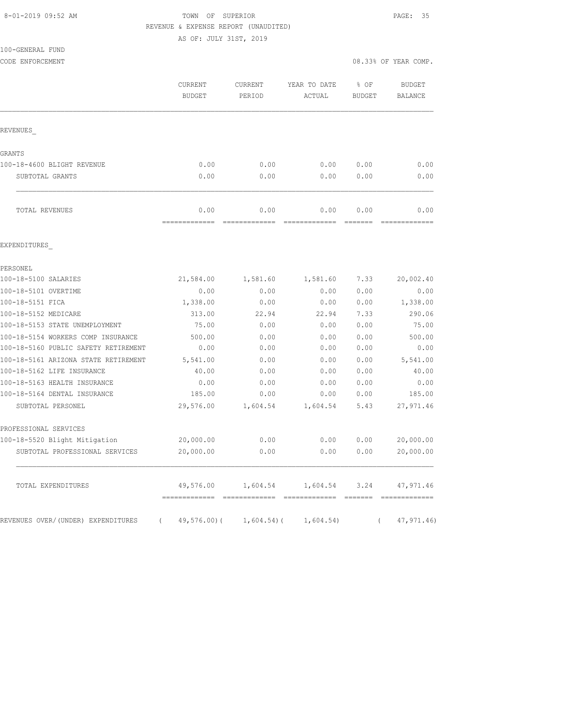#### 8-01-2019 09:52 AM TOWN OF SUPERIOR PAGE: 35 REVENUE & EXPENSE REPORT (UNAUDITED)

AS OF: JULY 31ST, 2019

| 100-GENERAL FUND |  |
|------------------|--|

CODE ENFORCEMENT COMP. THE SECOND EXAMPLE THE SECOND CODE ENFORCEMENT COMP.

|                                      | CURRENT<br><b>BUDGET</b> | CURRENT<br>PERIOD      | YEAR TO DATE<br>ACTUAL | % OF<br><b>BUDGET</b> | <b>BUDGET</b><br><b>BALANCE</b> |
|--------------------------------------|--------------------------|------------------------|------------------------|-----------------------|---------------------------------|
| REVENUES                             |                          |                        |                        |                       |                                 |
| GRANTS                               |                          |                        |                        |                       |                                 |
| 100-18-4600 BLIGHT REVENUE           | 0.00                     | 0.00                   | 0.00                   | 0.00                  | 0.00                            |
| SUBTOTAL GRANTS                      | 0.00                     | 0.00                   | 0.00                   | 0.00                  | 0.00                            |
| TOTAL REVENUES                       | 0.00<br>----------       | 0.00<br>-------------- | 0.00                   | 0.00                  | 0.00                            |
| EXPENDITURES                         |                          |                        |                        |                       |                                 |
| PERSONEL                             |                          |                        |                        |                       |                                 |
| 100-18-5100 SALARIES                 | 21,584.00                | 1,581.60               | 1,581.60               | 7.33                  | 20,002.40                       |
| 100-18-5101 OVERTIME                 | 0.00                     | 0.00                   | 0.00                   | 0.00                  | 0.00                            |
| 100-18-5151 FICA                     | 1,338.00                 | 0.00                   | 0.00                   | 0.00                  | 1,338.00                        |
| 100-18-5152 MEDICARE                 | 313.00                   | 22.94                  | 22.94                  | 7.33                  | 290.06                          |
| 100-18-5153 STATE UNEMPLOYMENT       | 75.00                    | 0.00                   | 0.00                   | 0.00                  | 75.00                           |
| 100-18-5154 WORKERS COMP INSURANCE   | 500.00                   | 0.00                   | 0.00                   | 0.00                  | 500.00                          |
| 100-18-5160 PUBLIC SAFETY RETIREMENT | 0.00                     | 0.00                   | 0.00                   | 0.00                  | 0.00                            |
| 100-18-5161 ARIZONA STATE RETIREMENT | 5,541.00                 | 0.00                   | 0.00                   | 0.00                  | 5,541.00                        |
| 100-18-5162 LIFE INSURANCE           | 40.00                    | 0.00                   | 0.00                   | 0.00                  | 40.00                           |
| 100-18-5163 HEALTH INSURANCE         | 0.00                     | 0.00                   | 0.00                   | 0.00                  | 0.00                            |
| 100-18-5164 DENTAL INSURANCE         | 185.00                   | 0.00                   | 0.00                   | 0.00                  | 185.00                          |
| SUBTOTAL PERSONEL                    | 29,576.00                | 1,604.54               | 1,604.54               | 5.43                  | 27,971.46                       |
| PROFESSIONAL SERVICES                |                          |                        |                        |                       |                                 |
| 100-18-5520 Blight Mitigation        | 20,000.00                | 0.00                   | 0.00                   | 0.00                  | 20,000.00                       |
| SUBTOTAL PROFESSIONAL SERVICES       | 20,000.00                | 0.00                   | 0.00                   | 0.00                  | 20,000.00                       |
| TOTAL EXPENDITURES                   | 49,576.00                | 1,604.54               | 1,604.54               | 3.24                  | 47,971.46                       |

REVENUES OVER/(UNDER) EXPENDITURES (49,576.00)( 1,604.54)( 1,604.54) (47,971.46)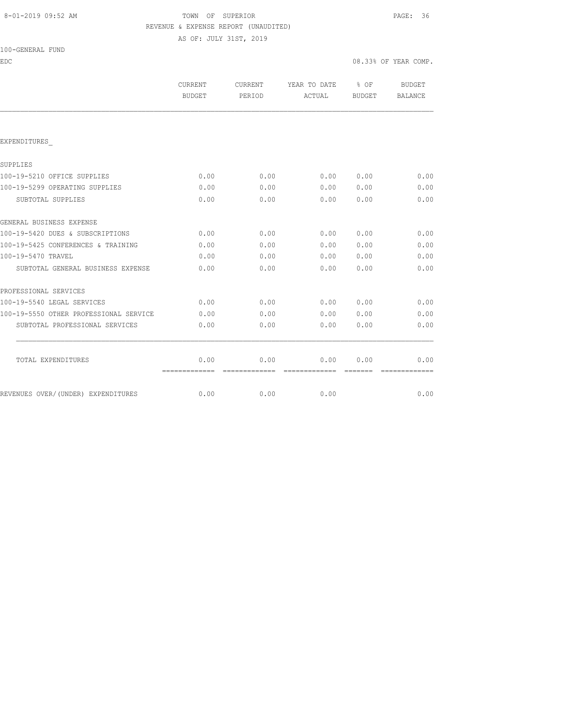# 8-01-2019 09:52 AM TOWN OF SUPERIOR PAGE: 36 REVENUE & EXPENSE REPORT (UNAUDITED)

AS OF: JULY 31ST, 2019

| EDC                                    |                          |                                                                                                                                                                                                                                                                                                                                                                                                                                                                                        |                        | 08.33% OF YEAR COMP.              |                                 |
|----------------------------------------|--------------------------|----------------------------------------------------------------------------------------------------------------------------------------------------------------------------------------------------------------------------------------------------------------------------------------------------------------------------------------------------------------------------------------------------------------------------------------------------------------------------------------|------------------------|-----------------------------------|---------------------------------|
|                                        | CURRENT<br><b>BUDGET</b> | CURRENT<br>PERIOD                                                                                                                                                                                                                                                                                                                                                                                                                                                                      | YEAR TO DATE<br>ACTUAL | $\frac{8}{6}$ OF<br><b>BUDGET</b> | <b>BUDGET</b><br><b>BALANCE</b> |
|                                        |                          |                                                                                                                                                                                                                                                                                                                                                                                                                                                                                        |                        |                                   |                                 |
| EXPENDITURES                           |                          |                                                                                                                                                                                                                                                                                                                                                                                                                                                                                        |                        |                                   |                                 |
| SUPPLIES                               |                          |                                                                                                                                                                                                                                                                                                                                                                                                                                                                                        |                        |                                   |                                 |
| 100-19-5210 OFFICE SUPPLIES            | 0.00                     | 0.00                                                                                                                                                                                                                                                                                                                                                                                                                                                                                   | 0.00                   | 0.00                              | 0.00                            |
| 100-19-5299 OPERATING SUPPLIES         | 0.00                     | 0.00                                                                                                                                                                                                                                                                                                                                                                                                                                                                                   | 0.00                   | 0.00                              | 0.00                            |
| SUBTOTAL SUPPLIES                      | 0.00                     | 0.00                                                                                                                                                                                                                                                                                                                                                                                                                                                                                   | 0.00                   | 0.00                              | 0.00                            |
| GENERAL BUSINESS EXPENSE               |                          |                                                                                                                                                                                                                                                                                                                                                                                                                                                                                        |                        |                                   |                                 |
| 100-19-5420 DUES & SUBSCRIPTIONS       | 0.00                     | 0.00                                                                                                                                                                                                                                                                                                                                                                                                                                                                                   | 0.00                   | 0.00                              | 0.00                            |
| 100-19-5425 CONFERENCES & TRAINING     | 0.00                     | 0.00                                                                                                                                                                                                                                                                                                                                                                                                                                                                                   | 0.00                   | 0.00                              | 0.00                            |
| 100-19-5470 TRAVEL                     | 0.00                     | 0.00                                                                                                                                                                                                                                                                                                                                                                                                                                                                                   | 0.00                   | 0.00                              | 0.00                            |
| SUBTOTAL GENERAL BUSINESS EXPENSE      | 0.00                     | 0.00                                                                                                                                                                                                                                                                                                                                                                                                                                                                                   | 0.00                   | 0.00                              | 0.00                            |
| PROFESSIONAL SERVICES                  |                          |                                                                                                                                                                                                                                                                                                                                                                                                                                                                                        |                        |                                   |                                 |
| 100-19-5540 LEGAL SERVICES             | 0.00                     | 0.00                                                                                                                                                                                                                                                                                                                                                                                                                                                                                   | 0.00                   | 0.00                              | 0.00                            |
| 100-19-5550 OTHER PROFESSIONAL SERVICE | 0.00                     | 0.00                                                                                                                                                                                                                                                                                                                                                                                                                                                                                   | 0.00                   | 0.00                              | 0.00                            |
| SUBTOTAL PROFESSIONAL SERVICES         | 0.00                     | 0.00                                                                                                                                                                                                                                                                                                                                                                                                                                                                                   | 0.00                   | 0.00                              | 0.00                            |
| TOTAL EXPENDITURES                     | 0.00                     | 0.00                                                                                                                                                                                                                                                                                                                                                                                                                                                                                   | 0.00                   | 0.00                              | 0.00                            |
|                                        | =============            | $\begin{array}{cccccccccc} \multicolumn{2}{c}{} & \multicolumn{2}{c}{} & \multicolumn{2}{c}{} & \multicolumn{2}{c}{} & \multicolumn{2}{c}{} & \multicolumn{2}{c}{} & \multicolumn{2}{c}{} & \multicolumn{2}{c}{} & \multicolumn{2}{c}{} & \multicolumn{2}{c}{} & \multicolumn{2}{c}{} & \multicolumn{2}{c}{} & \multicolumn{2}{c}{} & \multicolumn{2}{c}{} & \multicolumn{2}{c}{} & \multicolumn{2}{c}{} & \multicolumn{2}{c}{} & \multicolumn{2}{c}{} & \multicolumn{2}{c}{} & \mult$ | --------------         |                                   |                                 |
| REVENUES OVER/(UNDER) EXPENDITURES     | 0.00                     | 0.00                                                                                                                                                                                                                                                                                                                                                                                                                                                                                   | 0.00                   |                                   | 0.00                            |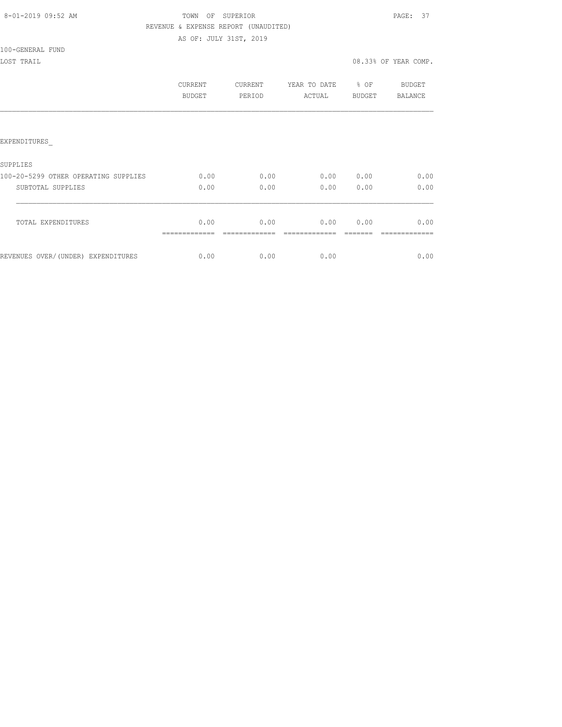## TOWN OF SUPERIOR **Example 2019** PAGE: 37 REVENUE & EXPENSE REPORT (UNAUDITED) AS OF: JULY 31ST, 2019

#### 100-GENERAL FUND

|                                      | CURRENT<br>BUDGET | CURRENT<br>PERIOD | YEAR TO DATE<br>ACTUAL | % OF<br>BUDGET | BUDGET<br>BALANCE |
|--------------------------------------|-------------------|-------------------|------------------------|----------------|-------------------|
|                                      |                   |                   |                        |                |                   |
| EXPENDITURES                         |                   |                   |                        |                |                   |
| <b>SUPPLIES</b>                      |                   |                   |                        |                |                   |
| 100-20-5299 OTHER OPERATING SUPPLIES | 0.00              | 0.00              | 0.00                   | 0.00           | 0.00              |
| SUBTOTAL SUPPLIES                    | 0.00              | 0.00              | 0.00                   | 0.00           | 0.00              |
| TOTAL EXPENDITURES                   | 0.00              | 0.00              | 0.00                   | 0.00           | 0.00              |
| REVENUES OVER/(UNDER) EXPENDITURES   | 0.00              | 0.00              | 0.00                   |                | 0.00              |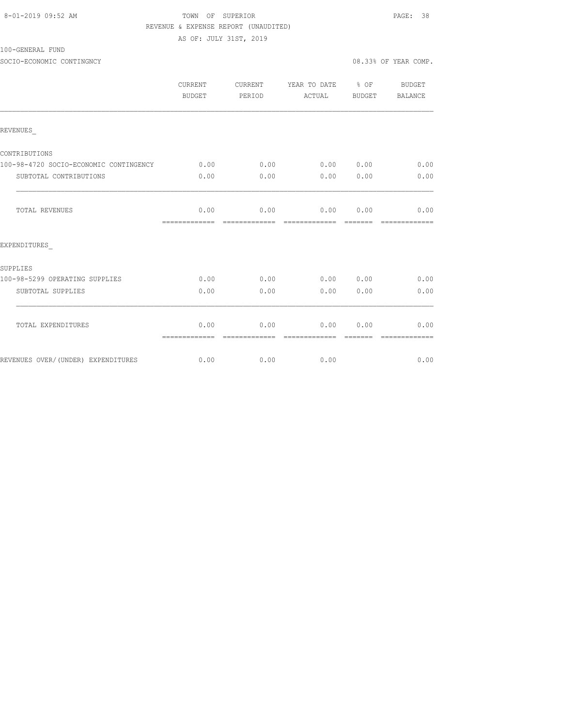|  | 8-01-2019 09:52 AM |  |
|--|--------------------|--|
|  |                    |  |

## TOWN OF SUPERIOR **Example 2019** PAGE: 38 REVENUE & EXPENSE REPORT (UNAUDITED)

AS OF: JULY 31ST, 2019

100-GENERAL FUND

SOCIO-ECONOMIC CONTINGNCY 08.33% OF YEAR COMP.

|                                        | <b>CURRENT</b><br><b>BUDGET</b> | <b>CURRENT</b><br>PERIOD | YEAR TO DATE % OF<br>ACTUAL | BUDGET | <b>BUDGET</b><br><b>BALANCE</b> |
|----------------------------------------|---------------------------------|--------------------------|-----------------------------|--------|---------------------------------|
| REVENUES                               |                                 |                          |                             |        |                                 |
| CONTRIBUTIONS                          |                                 |                          |                             |        |                                 |
| 100-98-4720 SOCIO-ECONOMIC CONTINGENCY | 0.00                            | 0.00                     | 0.00 0.00                   |        | 0.00                            |
| SUBTOTAL CONTRIBUTIONS                 | 0.00                            | 0.00                     | 0.00                        | 0.00   | 0.00                            |
| TOTAL REVENUES                         | 0.00<br>-------------           | 0.00<br>--------------   | 0.00<br>=============       | 0.00   | 0.00<br>=============           |
| EXPENDITURES                           |                                 |                          |                             |        |                                 |
| SUPPLIES                               |                                 |                          |                             |        |                                 |
| 100-98-5299 OPERATING SUPPLIES         | 0.00                            | 0.00                     | 0.00                        | 0.00   | 0.00                            |
| SUBTOTAL SUPPLIES                      | 0.00                            | 0.00                     | 0.00                        | 0.00   | 0.00                            |
| TOTAL EXPENDITURES                     | 0.00<br>=============           | 0.00                     | 0.00<br>-------------       | 0.00   | 0.00                            |
| REVENUES OVER/(UNDER) EXPENDITURES     | 0.00                            | 0.00                     | 0.00                        |        | 0.00                            |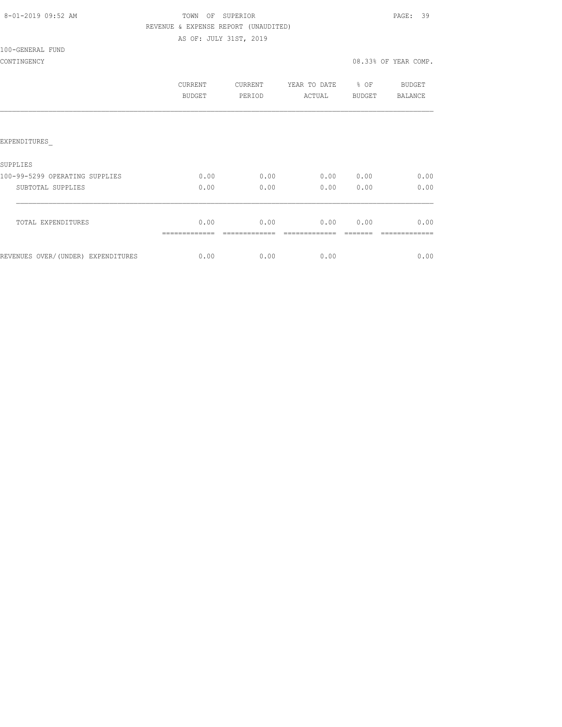|  |  |  | 8-01-2019 09:52 AM |  |
|--|--|--|--------------------|--|
|--|--|--|--------------------|--|

## TOWN OF SUPERIOR **Example 2019** PAGE: 39 REVENUE & EXPENSE REPORT (UNAUDITED) AS OF: JULY 31ST, 2019

## 100-GENERAL FUND

|                                    | CURRENT<br><b>BUDGET</b> | <b>CURRENT</b><br>PERIOD | YEAR TO DATE<br>ACTUAL | % OF<br><b>BUDGET</b> | <b>BUDGET</b><br>BALANCE |
|------------------------------------|--------------------------|--------------------------|------------------------|-----------------------|--------------------------|
|                                    |                          |                          |                        |                       |                          |
| EXPENDITURES                       |                          |                          |                        |                       |                          |
| <b>SUPPLIES</b>                    |                          |                          |                        |                       |                          |
| 100-99-5299 OPERATING SUPPLIES     | 0.00                     | 0.00                     | 0.00                   | 0.00                  | 0.00                     |
| SUBTOTAL SUPPLIES                  | 0.00                     | 0.00                     | 0.00                   | 0.00                  | 0.00                     |
| TOTAL EXPENDITURES                 | 0.00                     | 0.00                     | 0.00                   | 0.00                  | 0.00                     |
| REVENUES OVER/(UNDER) EXPENDITURES | 0.00                     | 0.00                     | 0.00                   |                       | 0.00                     |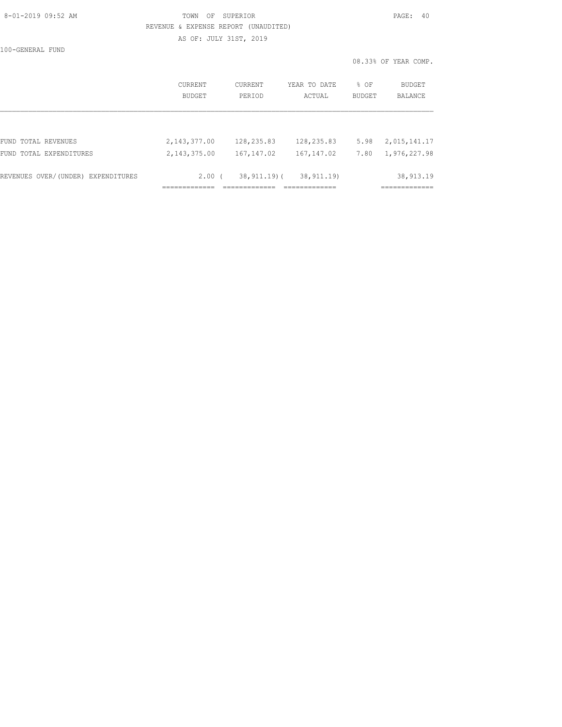|  | 8-01-2019 09:52 AM |  |
|--|--------------------|--|
|  |                    |  |

## TOWN OF SUPERIOR **Example 2019** PAGE: 40 REVENUE & EXPENSE REPORT (UNAUDITED) AS OF: JULY 31ST, 2019

100-GENERAL FUND

| FUND TOTAL EXPENDITURES | 2, 143, 375.00 | 167, 147.02 | 167, 147.02  | 7.80   | 1,976,227.98         |
|-------------------------|----------------|-------------|--------------|--------|----------------------|
| FUND TOTAL REVENUES     | 2,143,377.00   | 128,235.83  | 128,235.83   | 5.98   | 2,015,141.17         |
|                         |                |             |              |        |                      |
|                         | BUDGET         | PERIOD      | ACTUAL       | BUDGET | BALANCE              |
|                         | <b>CURRENT</b> | CURRENT     | YEAR TO DATE | % OF   | BUDGET               |
|                         |                |             |              |        | 08.33% OF YEAR COMP. |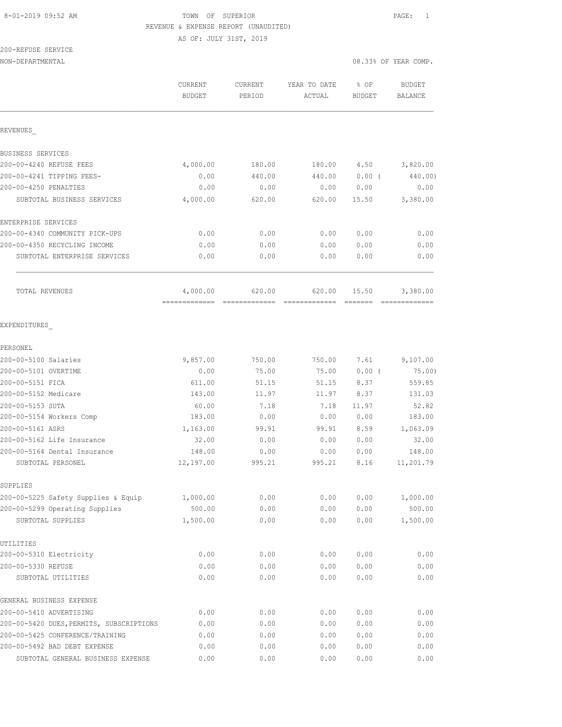## 8-01-2019 09:52 AM **TOWN** OF SUPERIOR **PAGE:** 1 REVENUE & EXPENSE REPORT (UNAUDITED)

AS OF: JULY 31ST, 2019

# 200-REFUSE SERVICE

NON-DEPARTMENTAL 08.33% OF YEAR COMP.

|                                          | CURRENT<br><b>BUDGET</b> | CURRENT<br>PERIOD | YEAR TO DATE<br>ACTUAL | % OF<br>BUDGET | <b>BUDGET</b><br><b>BALANCE</b> |
|------------------------------------------|--------------------------|-------------------|------------------------|----------------|---------------------------------|
| REVENUES                                 |                          |                   |                        |                |                                 |
| BUSINESS SERVICES                        |                          |                   |                        |                |                                 |
| 200-00-4240 REFUSE FEES                  | 4,000.00                 | 180.00            | 180.00                 | 4.50           | 3,820.00                        |
| 200-00-4241 TIPPING FEES-                | 0.00                     | 440.00            | 440.00                 | $0.00$ (       | 440.00)                         |
| 200-00-4250 PENALTIES                    | 0.00                     | 0.00              | 0.00                   | 0.00           | 0.00                            |
| SUBTOTAL BUSINESS SERVICES               | 4,000.00                 | 620.00            | 620.00                 | 15.50          | 3,380.00                        |
| ENTERPRISE SERVICES                      |                          |                   |                        |                |                                 |
| 200-00-4340 COMMUNITY PICK-UPS           | 0.00                     | 0.00              | 0.00                   | 0.00           | 0.00                            |
| 200-00-4350 RECYCLING INCOME             | 0.00                     | 0.00              | 0.00                   | 0.00           | 0.00                            |
| SUBTOTAL ENTERPRISE SERVICES             | 0.00                     | 0.00              | 0.00                   | 0.00           | 0.00                            |
| TOTAL REVENUES                           | 4,000.00                 | 620.00            | 620.00                 | 15.50          | 3,380.00                        |
|                                          | =============            | -------------     |                        |                | ------------                    |
| EXPENDITURES                             |                          |                   |                        |                |                                 |
| PERSONEL                                 |                          |                   |                        |                |                                 |
| 200-00-5100 Salaries                     | 9,857.00                 | 750.00            | 750.00                 | 7.61           | 9,107.00                        |
| 200-00-5101 OVERTIME                     | 0.00                     | 75.00             | 75.00                  | $0.00$ (       | 75.00)                          |
| 200-00-5151 FICA                         | 611.00                   | 51.15             | 51.15                  | 8.37           | 559.85                          |
| 200-00-5152 Medicare                     | 143.00                   | 11.97             | 11.97                  | 8.37           | 131.03                          |
| 200-00-5153 SUTA                         | 60.00                    | 7.18              | 7.18                   | 11.97          | 52.82                           |
| 200-00-5154 Workers Comp                 | 183.00                   | 0.00              | 0.00                   | 0.00           | 183.00                          |
| 200-00-5161 ASRS                         | 1,163.00                 | 99.91             | 99.91                  | 8.59           | 1,063.09                        |
| 200-00-5162 Life Insurance               | 32.00                    | 0.00              | 0.00                   | 0.00           | 32.00                           |
| 200-00-5164 Dental Insurance             | 148.00                   | 0.00              | 0.00                   | 0.00           | 148.00                          |
| SUBTOTAL PERSONEL                        | 12,197.00                | 995.21            | 995.21                 | 8.16           | 11,201.79                       |
| SUPPLIES                                 |                          |                   |                        |                |                                 |
| 200-00-5225 Safety Supplies & Equip      | 1,000.00                 | 0.00              | 0.00                   | 0.00           | 1,000.00                        |
| 200-00-5299 Operating Supplies           | 500.00                   | 0.00              | 0.00                   | 0.00           | 500.00                          |
| SUBTOTAL SUPPLIES                        | 1,500.00                 | 0.00              | 0.00                   | 0.00           | 1,500.00                        |
| UTILITIES                                |                          |                   |                        |                |                                 |
| 200-00-5310 Electricity                  | 0.00                     | 0.00              | 0.00                   | 0.00           | 0.00                            |
| 200-00-5330 REFUSE                       | 0.00                     | 0.00              | 0.00                   | 0.00           | 0.00                            |
| SUBTOTAL UTILITIES                       | 0.00                     | 0.00              | 0.00                   | 0.00           | 0.00                            |
| GENERAL BUSINESS EXPENSE                 |                          |                   |                        |                |                                 |
| 200-00-5410 ADVERTISING                  | 0.00                     | 0.00              | 0.00                   | 0.00           | 0.00                            |
| 200-00-5420 DUES, PERMITS, SUBSCRIPTIONS | 0.00                     | 0.00              | 0.00                   | 0.00           | 0.00                            |
| 200-00-5425 CONFERENCE/TRAINING          | 0.00                     | 0.00              | 0.00                   | 0.00           | 0.00                            |
| 200-00-5492 BAD DEBT EXPENSE             | 0.00                     | 0.00              | 0.00                   | 0.00           | 0.00                            |

SUBTOTAL GENERAL BUSINESS EXPENSE  $0.00$  0.00 0.00 0.00 0.00 0.00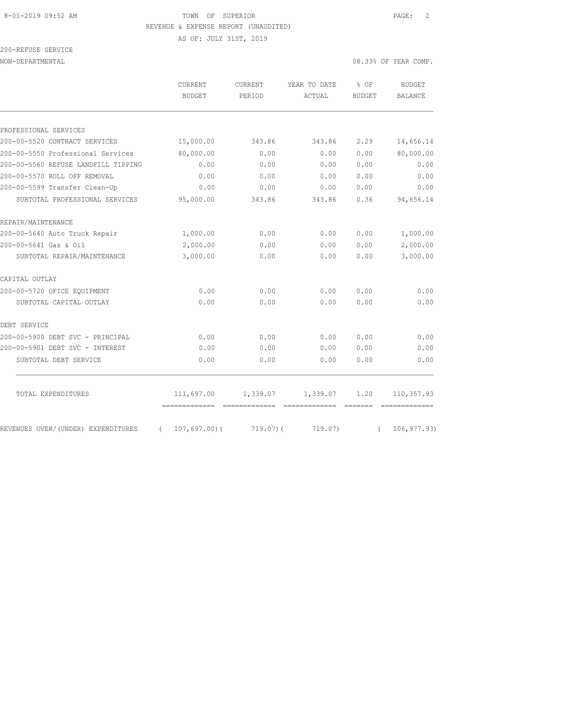## 8-01-2019 09:52 AM **TOWN OF SUPERIOR PAGE:** 2 REVENUE & EXPENSE REPORT (UNAUDITED)

AS OF: JULY 31ST, 2019

| 200-REFUSE SERVICE |  |
|--------------------|--|
|                    |  |

NON-DEPARTMENTAL 08.33% OF YEAR COMP.

|                                     | <b>CURRENT</b><br><b>BUDGET</b>                            | <b>CURRENT</b><br>PERIOD | YEAR TO DATE<br>ACTUAL    | % OF<br><b>BUDGET</b>                                                                                                                                                                                                                                                                                                                                                                                                                                                                                                                                                                                     | <b>BUDGET</b><br><b>BALANCE</b> |
|-------------------------------------|------------------------------------------------------------|--------------------------|---------------------------|-----------------------------------------------------------------------------------------------------------------------------------------------------------------------------------------------------------------------------------------------------------------------------------------------------------------------------------------------------------------------------------------------------------------------------------------------------------------------------------------------------------------------------------------------------------------------------------------------------------|---------------------------------|
| PROFESSIONAL SERVICES               |                                                            |                          |                           |                                                                                                                                                                                                                                                                                                                                                                                                                                                                                                                                                                                                           |                                 |
| 200-00-5520 CONTRACT SERVICES       | 15,000.00                                                  | 343.86                   | 343.86                    | 2.29                                                                                                                                                                                                                                                                                                                                                                                                                                                                                                                                                                                                      | 14,656.14                       |
| 200-00-5550 Professional Services   | 80,000.00                                                  | 0.00                     | 0.00                      | 0.00                                                                                                                                                                                                                                                                                                                                                                                                                                                                                                                                                                                                      | 80,000.00                       |
| 200-00-5560 REFUSE LANDFILL TIPPING | 0.00                                                       | 0.00                     | 0.00                      | 0.00                                                                                                                                                                                                                                                                                                                                                                                                                                                                                                                                                                                                      | 0.00                            |
| 200-00-5570 ROLL OFF REMOVAL        | 0.00                                                       | 0.00                     | 0.00                      | 0.00                                                                                                                                                                                                                                                                                                                                                                                                                                                                                                                                                                                                      | 0.00                            |
| 200-00-5599 Transfer Clean-Up       | 0.00                                                       | 0.00                     | 0.00                      | 0.00                                                                                                                                                                                                                                                                                                                                                                                                                                                                                                                                                                                                      | 0.00                            |
| SUBTOTAL PROFESSIONAL SERVICES      | 95,000.00                                                  | 343.86                   | 343.86                    | 0.36                                                                                                                                                                                                                                                                                                                                                                                                                                                                                                                                                                                                      | 94,656.14                       |
| REPAIR/MAINTENANCE                  |                                                            |                          |                           |                                                                                                                                                                                                                                                                                                                                                                                                                                                                                                                                                                                                           |                                 |
| 200-00-5640 Auto Truck Repair       | 1,000.00                                                   | 0.00                     | 0.00                      | 0.00                                                                                                                                                                                                                                                                                                                                                                                                                                                                                                                                                                                                      | 1,000.00                        |
| 200-00-5641 Gas & Oil               | 2,000.00                                                   | 0.00                     | 0.00                      | 0.00                                                                                                                                                                                                                                                                                                                                                                                                                                                                                                                                                                                                      | 2,000.00                        |
| SUBTOTAL REPAIR/MAINTENANCE         | 3,000.00                                                   | 0.00                     | 0.00                      | 0.00                                                                                                                                                                                                                                                                                                                                                                                                                                                                                                                                                                                                      | 3,000.00                        |
| CAPITAL OUTLAY                      |                                                            |                          |                           |                                                                                                                                                                                                                                                                                                                                                                                                                                                                                                                                                                                                           |                                 |
| 200-00-5720 OFICE EQUIPMENT         | 0.00                                                       | 0.00                     | 0.00                      | 0.00                                                                                                                                                                                                                                                                                                                                                                                                                                                                                                                                                                                                      | 0.00                            |
| SUBTOTAL CAPITAL OUTLAY             | 0.00                                                       | 0.00                     | 0.00                      | 0.00                                                                                                                                                                                                                                                                                                                                                                                                                                                                                                                                                                                                      | 0.00                            |
| DEBT SERVICE                        |                                                            |                          |                           |                                                                                                                                                                                                                                                                                                                                                                                                                                                                                                                                                                                                           |                                 |
| 200-00-5900 DEBT SVC - PRINCIPAL    | 0.00                                                       | 0.00                     | 0.00                      | 0.00                                                                                                                                                                                                                                                                                                                                                                                                                                                                                                                                                                                                      | 0.00                            |
| 200-00-5901 DEBT SVC - INTEREST     | 0.00                                                       | 0.00                     | 0.00                      | 0.00                                                                                                                                                                                                                                                                                                                                                                                                                                                                                                                                                                                                      | 0.00                            |
| SUBTOTAL DEBT SERVICE               | 0.00                                                       | 0.00                     | 0.00                      | 0.00                                                                                                                                                                                                                                                                                                                                                                                                                                                                                                                                                                                                      | 0.00                            |
| TOTAL EXPENDITURES                  | 111,697.00                                                 | 1,339.07                 | 1,339.07                  | 1.20                                                                                                                                                                                                                                                                                                                                                                                                                                                                                                                                                                                                      | 110,357.93                      |
| REVENUES OVER/ (UNDER) EXPENDITURES | ===============================<br>107,697.00(<br>$\left($ | $719.07$ ) (             | ==============<br>719.07) | $\qquad \qquad \overline{\qquad \qquad }=\overline{\qquad \qquad }=\overline{\qquad \qquad }=\overline{\qquad \qquad }=\overline{\qquad \qquad }=\overline{\qquad \qquad }=\overline{\qquad \qquad }=\overline{\qquad \qquad }=\overline{\qquad \qquad }=\overline{\qquad \qquad }=\overline{\qquad \qquad }=\overline{\qquad \qquad }=\overline{\qquad \qquad }=\overline{\qquad \qquad }=\overline{\qquad \qquad }=\overline{\qquad \qquad }=\overline{\qquad \qquad }=\overline{\qquad \qquad }=\overline{\qquad \qquad }=\overline{\qquad \qquad }=\overline{\qquad \qquad }=\overline{\$<br>$\left($ | 106, 977.93)                    |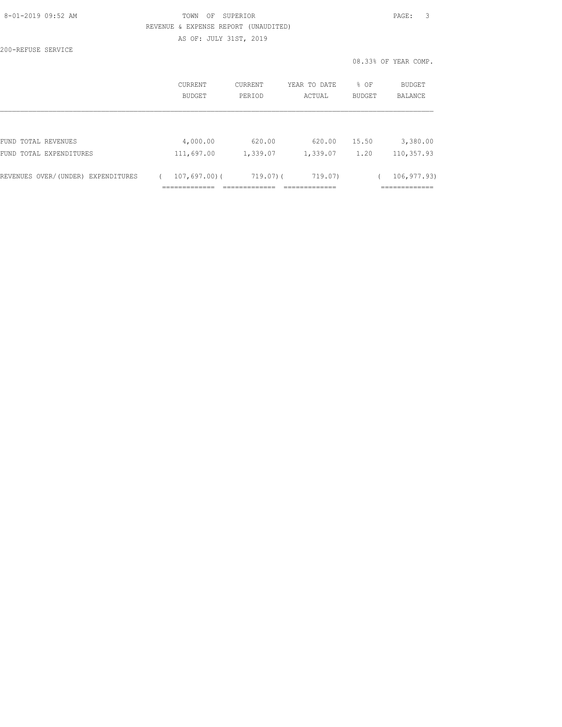| 8-01-2019 09:52 AM |  |
|--------------------|--|
|                    |  |

## TOWN OF SUPERIOR **Example 2019** PAGE: 3 REVENUE & EXPENSE REPORT (UNAUDITED) AS OF: JULY 31ST, 2019

200-REFUSE SERVICE

|                                    | CURRENT<br>BUDGET | <b>CURRENT</b><br>PERIOD | YEAR TO DATE<br>ACTUAL | % OF<br><b>BUDGET</b> | <b>BUDGET</b><br><b>BALANCE</b> |
|------------------------------------|-------------------|--------------------------|------------------------|-----------------------|---------------------------------|
|                                    |                   |                          |                        |                       |                                 |
| FUND TOTAL REVENUES                | 4,000.00          | 620.00                   | 620.00                 | 15.50                 | 3,380.00                        |
| FUND TOTAL EXPENDITURES            | 111,697.00        | 1,339.07                 | 1,339.07               | 1.20                  | 110,357.93                      |
| REVENUES OVER/(UNDER) EXPENDITURES | $107,697,00$ (    | $719.07$ ) (             | 719.07)                |                       | 106, 977.93)                    |
|                                    |                   |                          |                        |                       |                                 |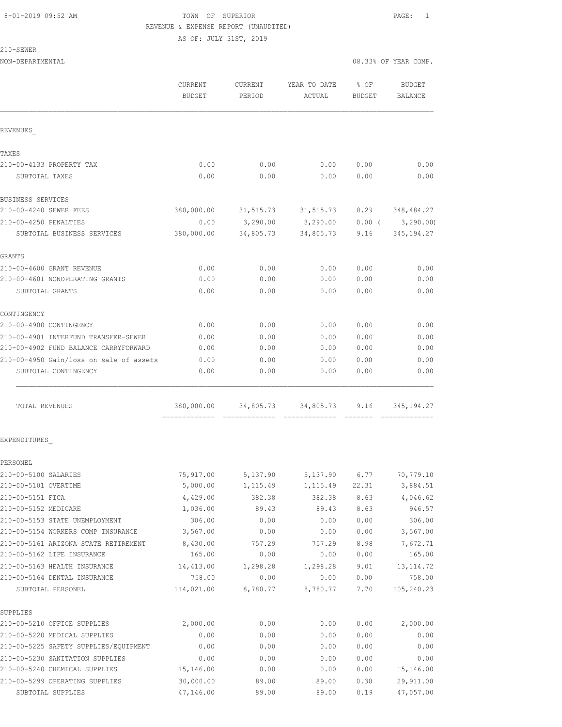## 8-01-2019 09:52 AM TOWN OF SUPERIOR PAGE: 1 REVENUE & EXPENSE REPORT (UNAUDITED)

AS OF: JULY 31ST, 2019

|                                         | CURRENT<br><b>BUDGET</b> | <b>CURRENT</b><br>PERIOD | YEAR TO DATE<br>ACTUAL | % OF<br><b>BUDGET</b> | <b>BUDGET</b><br>BALANCE |
|-----------------------------------------|--------------------------|--------------------------|------------------------|-----------------------|--------------------------|
| REVENUES                                |                          |                          |                        |                       |                          |
| TAXES                                   |                          |                          |                        |                       |                          |
| 210-00-4133 PROPERTY TAX                | 0.00                     | 0.00                     | 0.00                   | 0.00                  | 0.00                     |
| SUBTOTAL TAXES                          | 0.00                     | 0.00                     | 0.00                   | 0.00                  | 0.00                     |
| BUSINESS SERVICES                       |                          |                          |                        |                       |                          |
| 210-00-4240 SEWER FEES                  | 380,000.00               | 31, 515.73               | 31,515.73 8.29         |                       | 348,484.27               |
| 210-00-4250 PENALTIES                   | 0.00                     | 3,290.00                 | 3,290.00               | $0.00$ (              | 3, 290.00                |
| SUBTOTAL BUSINESS SERVICES              | 380,000.00               | 34,805.73                | 34,805.73              | 9.16                  | 345, 194.27              |
| GRANTS                                  |                          |                          |                        |                       |                          |
| 210-00-4600 GRANT REVENUE               | 0.00                     | 0.00                     | 0.00                   | 0.00                  | 0.00                     |
| 210-00-4601 NONOPERATING GRANTS         | 0.00                     | 0.00                     | 0.00                   | 0.00                  | 0.00                     |
| SUBTOTAL GRANTS                         | 0.00                     | 0.00                     | 0.00                   | 0.00                  | 0.00                     |
| CONTINGENCY                             |                          |                          |                        |                       |                          |
| 210-00-4900 CONTINGENCY                 | 0.00                     | 0.00                     | 0.00                   | 0.00                  | 0.00                     |
| 210-00-4901 INTERFUND TRANSFER-SEWER    | 0.00                     | 0.00                     | 0.00                   | 0.00                  | 0.00                     |
| 210-00-4902 FUND BALANCE CARRYFORWARD   | 0.00                     | 0.00                     | 0.00                   | 0.00                  | 0.00                     |
| 210-00-4950 Gain/loss on sale of assets | 0.00                     | 0.00                     | 0.00                   | 0.00                  | 0.00                     |
| SUBTOTAL CONTINGENCY                    | 0.00                     | 0.00                     | 0.00                   | 0.00                  | 0.00                     |
| TOTAL REVENUES                          | 380,000.00               | 34,805.73                | 34,805.73              | 9.16                  | 345, 194. 27             |
| EXPENDITURES                            |                          |                          |                        |                       |                          |
| PERSONEL                                |                          |                          |                        |                       |                          |
| 210-00-5100 SALARIES                    | 75,917.00                | 5,137.90                 | 5,137.90               | 6.77                  | 70,779.10                |
| 210-00-5101 OVERTIME                    | 5,000.00                 | 1,115.49                 | 1, 115.49              | 22.31                 | 3,884.51                 |
| 210-00-5151 FICA                        | 4,429.00                 | 382.38                   | 382.38                 | 8.63                  | 4,046.62                 |
| 210-00-5152 MEDICARE                    | 1,036.00                 | 89.43                    | 89.43                  | 8.63                  | 946.57                   |
| 210-00-5153 STATE UNEMPLOYMENT          | 306.00                   | 0.00                     | 0.00                   | 0.00                  | 306.00                   |
| 210-00-5154 WORKERS COMP INSURANCE      | 3,567.00                 | 0.00                     | 0.00                   | 0.00                  | 3,567.00                 |
| 210-00-5161 ARIZONA STATE RETIREMENT    | 8,430.00                 | 757.29                   | 757.29                 | 8.98                  | 7,672.71                 |
| 210-00-5162 LIFE INSURANCE              | 165.00                   | 0.00                     | 0.00                   | 0.00                  | 165.00                   |
| 210-00-5163 HEALTH INSURANCE            | 14,413.00                | 1,298.28                 | 1,298.28               | 9.01                  | 13, 114.72               |
| 210-00-5164 DENTAL INSURANCE            | 758.00                   | 0.00                     | 0.00                   | 0.00                  | 758.00                   |
| SUBTOTAL PERSONEL                       | 114,021.00               | 8,780.77                 | 8,780.77               | 7.70                  | 105,240.23               |
| SUPPLIES                                |                          |                          |                        |                       |                          |
| 210-00-5210 OFFICE SUPPLIES             | 2,000.00                 | 0.00                     | 0.00                   | 0.00                  | 2,000.00                 |
| 210-00-5220 MEDICAL SUPPLIES            | 0.00                     | 0.00                     | 0.00                   | 0.00                  | 0.00                     |
| 210-00-5225 SAFETY SUPPLIES/EQUIPMENT   | 0.00                     | 0.00                     | 0.00                   | 0.00                  | 0.00                     |
| 210-00-5230 SANITATION SUPPLIES         | 0.00                     | 0.00                     | 0.00                   | 0.00                  | 0.00                     |
| 210-00-5240 CHEMICAL SUPPLIES           | 15,146.00                | 0.00                     | 0.00                   | 0.00                  | 15,146.00                |
| 210-00-5299 OPERATING SUPPLIES          | 30,000.00                | 89.00                    | 89.00                  | 0.30                  | 29,911.00                |
| SUBTOTAL SUPPLIES                       | 47,146.00                | 89.00                    | 89.00                  | 0.19                  | 47,057.00                |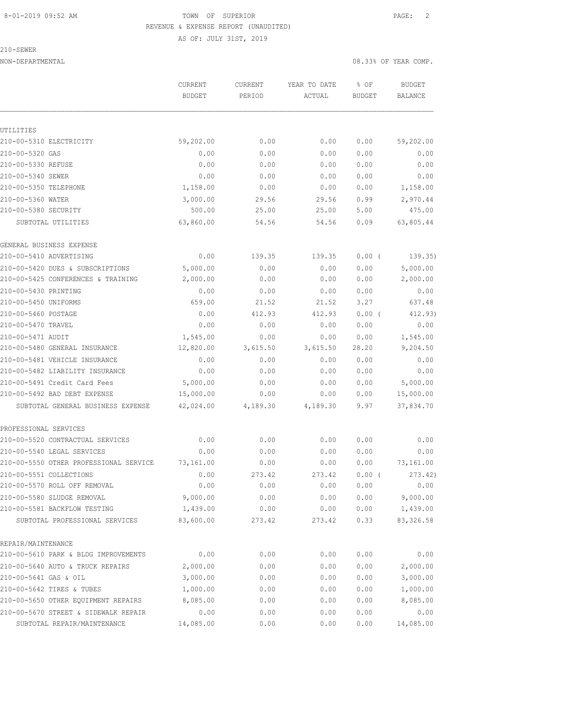### 8-01-2019 09:52 AM TOWN OF SUPERIOR PAGE: 2 REVENUE & EXPENSE REPORT (UNAUDITED)

AS OF: JULY 31ST, 2019

|                                        | CURRENT<br><b>BUDGET</b> | CURRENT<br>PERIOD | YEAR TO DATE<br>ACTUAL | % OF<br><b>BUDGET</b> | <b>BUDGET</b><br>BALANCE |
|----------------------------------------|--------------------------|-------------------|------------------------|-----------------------|--------------------------|
|                                        |                          |                   |                        |                       |                          |
|                                        |                          |                   |                        |                       |                          |
| UTILITIES<br>210-00-5310 ELECTRICITY   | 59,202.00                | 0.00              | 0.00                   | 0.00                  | 59,202.00                |
| 210-00-5320 GAS                        | 0.00                     | 0.00              | 0.00                   | 0.00                  | 0.00                     |
| 210-00-5330 REFUSE                     | 0.00                     | 0.00              | 0.00                   | 0.00                  | 0.00                     |
| 210-00-5340 SEWER                      | 0.00                     | 0.00              | 0.00                   | 0.00                  | 0.00                     |
| 210-00-5350 TELEPHONE                  | 1,158.00                 | 0.00              | 0.00                   | 0.00                  | 1,158.00                 |
| 210-00-5360 WATER                      | 3,000.00                 | 29.56             | 29.56                  | 0.99                  | 2,970.44                 |
| 210-00-5380 SECURITY                   | 500.00                   | 25.00             | 25.00                  | 5.00                  | 475.00                   |
| SUBTOTAL UTILITIES                     | 63,860.00                | 54.56             | 54.56                  | 0.09                  | 63,805.44                |
| GENERAL BUSINESS EXPENSE               |                          |                   |                        |                       |                          |
| 210-00-5410 ADVERTISING                | 0.00                     | 139.35            | 139.35                 | $0.00$ (              | 139.35)                  |
| 210-00-5420 DUES & SUBSCRIPTIONS       | 5,000.00                 | 0.00              | 0.00                   | 0.00                  | 5,000.00                 |
| 210-00-5425 CONFERENCES & TRAINING     | 2,000.00                 | 0.00              | 0.00                   | 0.00                  | 2,000.00                 |
| 210-00-5430 PRINTING                   | 0.00                     | 0.00              | 0.00                   | 0.00                  | 0.00                     |
| 210-00-5450 UNIFORMS                   | 659.00                   | 21.52             | 21.52                  | 3.27                  | 637.48                   |
| 210-00-5460 POSTAGE                    | 0.00                     | 412.93            | 412.93                 | 0.00(                 | 412.93)                  |
| 210-00-5470 TRAVEL                     | 0.00                     | 0.00              | 0.00                   | 0.00                  | 0.00                     |
| 210-00-5471 AUDIT                      | 1,545.00                 | 0.00              | 0.00                   | 0.00                  | 1,545.00                 |
| 210-00-5480 GENERAL INSURANCE          | 12,820.00                | 3,615.50          | 3,615.50               | 28.20                 | 9,204.50                 |
| 210-00-5481 VEHICLE INSURANCE          | 0.00                     | 0.00              | 0.00                   | 0.00                  | 0.00                     |
| 210-00-5482 LIABILITY INSURANCE        | 0.00                     | 0.00              | 0.00                   | 0.00                  | 0.00                     |
| 210-00-5491 Credit Card Fees           | 5,000.00                 | 0.00              | 0.00                   | 0.00                  | 5,000.00                 |
| 210-00-5492 BAD DEBT EXPENSE           | 15,000.00                | 0.00              | 0.00                   | 0.00                  | 15,000.00                |
| SUBTOTAL GENERAL BUSINESS EXPENSE      | 42,024.00                | 4,189.30          | 4,189.30               | 9.97                  | 37,834.70                |
| PROFESSIONAL SERVICES                  |                          |                   |                        |                       |                          |
| 210-00-5520 CONTRACTUAL SERVICES       | 0.00                     | 0.00              | 0.00                   | 0.00                  | 0.00                     |
| 210-00-5540 LEGAL SERVICES             | 0.00                     | 0.00              | 0.00                   | 0.00                  | 0.00                     |
| 210-00-5550 OTHER PROFESSIONAL SERVICE | 73,161.00                | 0.00              | 0.00                   | 0.00                  | 73,161.00                |
| 210-00-5551 COLLECTIONS                | 0.00                     | 273.42            | 273.42                 | 0.00(                 | 273.42)                  |
| 210-00-5570 ROLL OFF REMOVAL           | 0.00                     | 0.00              | 0.00                   | 0.00                  | 0.00                     |
| 210-00-5580 SLUDGE REMOVAL             | 9,000.00                 | 0.00              | 0.00                   | 0.00                  | 9,000.00                 |
| 210-00-5581 BACKFLOW TESTING           | 1,439.00                 | 0.00              | 0.00                   | 0.00                  | 1,439.00                 |
| SUBTOTAL PROFESSIONAL SERVICES         | 83,600.00                | 273.42            | 273.42                 | 0.33                  | 83, 326.58               |
| REPAIR/MAINTENANCE                     |                          |                   |                        |                       |                          |
| 210-00-5610 PARK & BLDG IMPROVEMENTS   | 0.00                     | 0.00              | 0.00                   | 0.00                  | 0.00                     |
| 210-00-5640 AUTO & TRUCK REPAIRS       | 2,000.00                 | 0.00              | 0.00                   | 0.00                  | 2,000.00                 |
| 210-00-5641 GAS & OIL                  | 3,000.00                 | 0.00              | 0.00                   | 0.00                  | 3,000.00                 |
| 210-00-5642 TIRES & TUBES              | 1,000.00                 | 0.00              | 0.00                   | 0.00                  | 1,000.00                 |
| 210-00-5650 OTHER EQUIPMENT REPAIRS    | 8,085.00                 | 0.00              | 0.00                   | 0.00                  | 8,085.00                 |
| 210-00-5670 STREET & SIDEWALK REPAIR   | 0.00                     | 0.00              | 0.00                   | 0.00                  | 0.00                     |
| SUBTOTAL REPAIR/MAINTENANCE            | 14,085.00                | 0.00              | 0.00                   | 0.00                  | 14,085.00                |
|                                        |                          |                   |                        |                       |                          |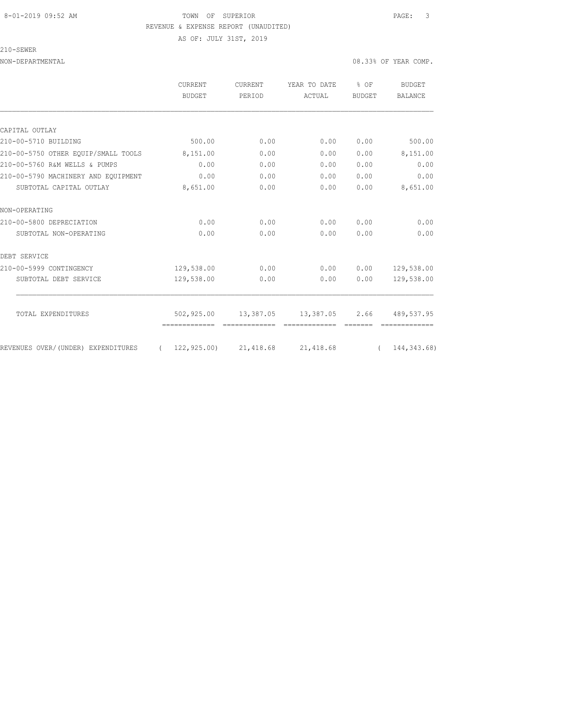### 8-01-2019 09:52 AM TOWN OF SUPERIOR PAGE: 3 REVENUE & EXPENSE REPORT (UNAUDITED) AS OF: JULY 31ST, 2019

|                                     | CURRENT                   | CURRENT<br>PERIOD | YEAR TO DATE<br>ACTUAL | % OF<br><b>BUDGET</b> | <b>BUDGET</b>  |
|-------------------------------------|---------------------------|-------------------|------------------------|-----------------------|----------------|
|                                     | <b>BUDGET</b>             |                   |                        |                       | <b>BALANCE</b> |
|                                     |                           |                   |                        |                       |                |
| CAPITAL OUTLAY                      |                           |                   |                        |                       |                |
| 210-00-5710 BUILDING                | 500.00                    | 0.00              | 0.00                   | 0.00                  | 500.00         |
| 210-00-5750 OTHER EOUIP/SMALL TOOLS | 8,151.00                  | 0.00              | 0.00                   | 0.00                  | 8,151.00       |
| 210-00-5760 R&M WELLS & PUMPS       | 0.00                      | 0.00              | 0.00                   | 0.00                  | 0.00           |
| 210-00-5790 MACHINERY AND EQUIPMENT | 0.00                      | 0.00              | 0.00                   | 0.00                  | 0.00           |
| SUBTOTAL CAPITAL OUTLAY             | 8,651.00                  | 0.00              | 0.00                   | 0.00                  | 8,651.00       |
| NON-OPERATING                       |                           |                   |                        |                       |                |
| 210-00-5800 DEPRECIATION            | 0.00                      | 0.00              | 0.00                   | 0.00                  | 0.00           |
| SUBTOTAL NON-OPERATING              | 0.00                      | 0.00              | 0.00                   | 0.00                  | 0.00           |
| DEBT SERVICE                        |                           |                   |                        |                       |                |
| 210-00-5999 CONTINGENCY             | 129,538.00                | 0.00              | 0.00                   | 0.00                  | 129,538.00     |
| SUBTOTAL DEBT SERVICE               | 129,538.00                | 0.00              | 0.00                   | 0.00                  | 129,538.00     |
| TOTAL EXPENDITURES                  | 502,925.00                | 13,387.05         | 13,387.05              | 2.66                  | 489,537.95     |
|                                     |                           |                   |                        |                       |                |
| REVENUES OVER/(UNDER) EXPENDITURES  | $(122, 925.00)$ 21,418.68 |                   | 21,418.68              |                       | (144, 343.68)  |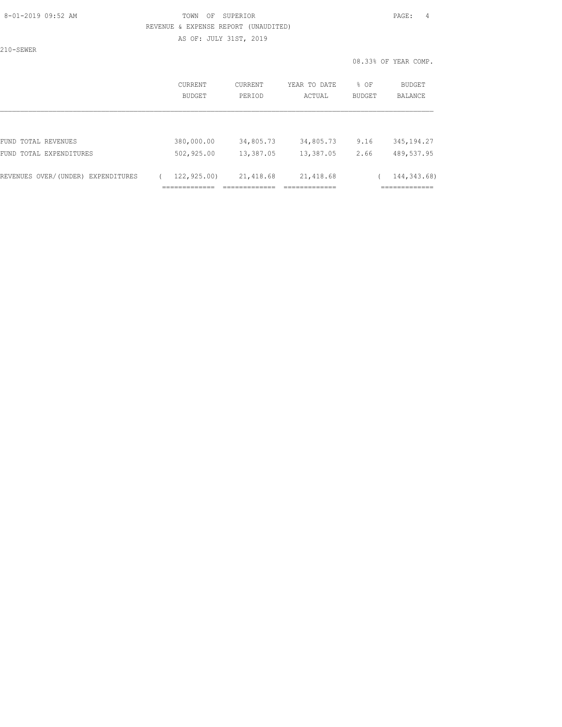### 8-01-2019 09:52 AM TOWN OF SUPERIOR PAGE: 4 REVENUE & EXPENSE REPORT (UNAUDITED) AS OF: JULY 31ST, 2019

|                                    |                          |                          |                        |                | 08.33% OF YEAR COMP.     |
|------------------------------------|--------------------------|--------------------------|------------------------|----------------|--------------------------|
|                                    | <b>CURRENT</b><br>BUDGET | <b>CURRENT</b><br>PERIOD | YEAR TO DATE<br>ACTUAL | % OF<br>BUDGET | BUDGET<br><b>BALANCE</b> |
|                                    |                          |                          |                        |                |                          |
| FUND TOTAL REVENUES                | 380,000.00               | 34,805.73                | 34,805.73              | 9.16           | 345, 194.27              |
| FUND TOTAL EXPENDITURES            | 502,925.00               | 13,387.05                | 13,387.05              | 2.66           | 489,537.95               |
| REVENUES OVER/(UNDER) EXPENDITURES | 122,925.00)              | 21,418.68                | 21, 418.68             |                | 144, 343.68)             |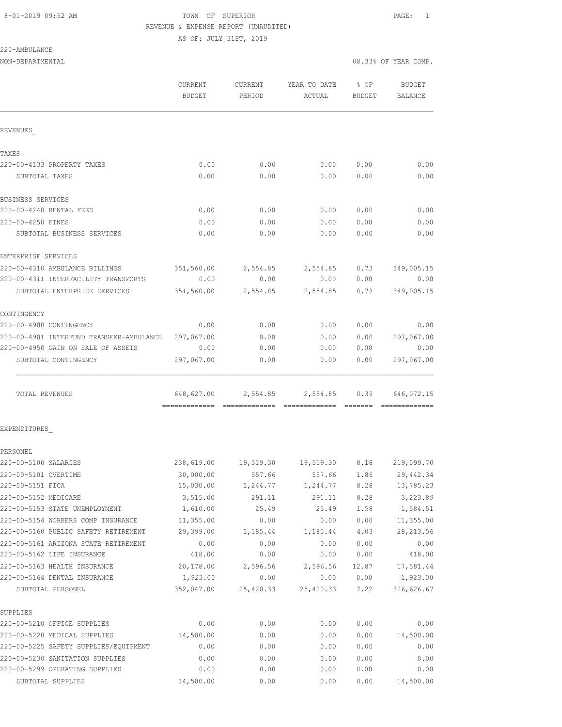## 8-01-2019 09:52 AM **TOWN OF SUPERIOR PAGE:** 1 REVENUE & EXPENSE REPORT (UNAUDITED)

AS OF: JULY 31ST, 2019

| NON-DEPARTMENTAL                                                   |                     |                  |                                     | 08.33% OF YEAR COMP. |                     |
|--------------------------------------------------------------------|---------------------|------------------|-------------------------------------|----------------------|---------------------|
|                                                                    | CURRENT<br>BUDGET   | PERIOD           | CURRENT YEAR TO DATE<br>ACTUAL      | $8$ OF<br>BUDGET     | BUDGET<br>BALANCE   |
| REVENUES                                                           |                     |                  |                                     |                      |                     |
| TAXES                                                              |                     |                  |                                     |                      |                     |
| 220-00-4133 PROPERTY TAXES                                         | 0.00                | 0.00             | 0.00                                | 0.00                 | 0.00                |
| SUBTOTAL TAXES                                                     | 0.00                | 0.00             | 0.00                                | 0.00                 | 0.00                |
| BUSINESS SERVICES                                                  |                     |                  |                                     |                      |                     |
| 220-00-4240 RENTAL FEES                                            | 0.00                | 0.00             | 0.00                                | 0.00                 | 0.00                |
| 220-00-4250 FINES                                                  | 0.00                | 0.00             | 0.00                                | 0.00                 | 0.00                |
| SUBTOTAL BUSINESS SERVICES                                         | 0.00                | 0.00             | 0.00                                | 0.00                 | 0.00                |
| ENTERPRISE SERVICES                                                |                     |                  |                                     |                      |                     |
| 220-00-4310 AMBULANCE BILLINGS                                     |                     |                  | 351,560.00 2,554.85 2,554.85        | 0.73                 | 349,005.15          |
| 220-00-4311 INTERFACILITY TRANSPORTS                               | 0.00                | 0.00             | 0.00                                | 0.00                 | 0.00                |
| SUBTOTAL ENTERPRISE SERVICES                                       | 351,560.00          | 2,554.85         | 2,554.85                            | 0.73                 | 349,005.15          |
| CONTINGENCY                                                        |                     |                  |                                     |                      |                     |
| 220-00-4900 CONTINGENCY                                            | 0.00                | 0.00             | 0.00                                | 0.00                 | 0.00                |
| 220-00-4901 INTERFUND TRANSFER-AMBULANCE 297,067.00                |                     | 0.00             | 0.00                                | 0.00                 | 297,067.00          |
| 220-00-4950 GAIN ON SALE OF ASSETS                                 | 0.00                | 0.00             | 0.00                                | 0.00                 | 0.00                |
| SUBTOTAL CONTINGENCY                                               | 297,067.00          | 0.00             | 0.00                                | 0.00                 | 297,067.00          |
| TOTAL REVENUES                                                     | 648,627.00          |                  | 2,554.85 2,554.85 0.39 646,072.15   |                      |                     |
|                                                                    |                     |                  |                                     |                      |                     |
| EXPENDITURES                                                       |                     |                  |                                     |                      |                     |
| PERSONEL                                                           |                     |                  |                                     |                      |                     |
| 220-00-5100 SALARIES                                               |                     |                  | 238,619.00 19,519.30 19,519.30 8.18 |                      | 219,099.70          |
| 220-00-5101 OVERTIME                                               | 30,000.00           | 557.66           | 557.66                              | 1.86                 | 29, 442.34          |
| 220-00-5151 FICA                                                   | 15,030.00           | 1,244.77         | 1,244.77                            | 8.28                 | 13,785.23           |
| 220-00-5152 MEDICARE                                               | 3,515.00            | 291.11           | 291.11                              | 8.28                 | 3,223.89            |
| 220-00-5153 STATE UNEMPLOYMENT                                     | 1,610.00            | 25.49            | 25.49                               | 1.58                 | 1,584.51            |
| 220-00-5154 WORKERS COMP INSURANCE                                 | 11,355.00           | 0.00             | 0.00                                | 0.00                 | 11,355.00           |
| 220-00-5160 PUBLIC SAFETY RETIREMENT                               | 29,399.00           | 1,185.44         | 1,185.44                            | 4.03                 | 28, 213.56          |
| 220-00-5161 ARIZONA STATE RETIREMENT<br>220-00-5162 LIFE INSURANCE | 0.00                | 0.00             | 0.00                                | 0.00                 | 0.00                |
| 220-00-5163 HEALTH INSURANCE                                       | 418.00<br>20,178.00 | 0.00             | 0.00                                | 0.00                 | 418.00<br>17,581.44 |
| 220-00-5164 DENTAL INSURANCE                                       | 1,923.00            | 2,596.56<br>0.00 | 2,596.56<br>0.00                    | 12.87<br>0.00        | 1,923.00            |
| SUBTOTAL PERSONEL                                                  | 352,047.00          | 25,420.33        | 25,420.33                           | 7.22                 | 326,626.67          |
| SUPPLIES                                                           |                     |                  |                                     |                      |                     |
| 220-00-5210 OFFICE SUPPLIES                                        | 0.00                | 0.00             | 0.00                                | 0.00                 | 0.00                |
| 220-00-5220 MEDICAL SUPPLIES                                       | 14,500.00           | 0.00             | 0.00                                | 0.00                 | 14,500.00           |
| 220-00-5225 SAFETY SUPPLIES/EQUIPMENT                              | 0.00                | 0.00             | 0.00                                | 0.00                 | 0.00                |
| 220-00-5230 SANITATION SUPPLIES                                    | 0.00                | 0.00             | 0.00                                | 0.00                 | 0.00                |
| 220-00-5299 OPERATING SUPPLIES                                     | 0.00                | 0.00             | 0.00                                | 0.00                 | 0.00                |

SUBTOTAL SUPPLIES 14,500.00 0.00 0.00 0.00 14,500.00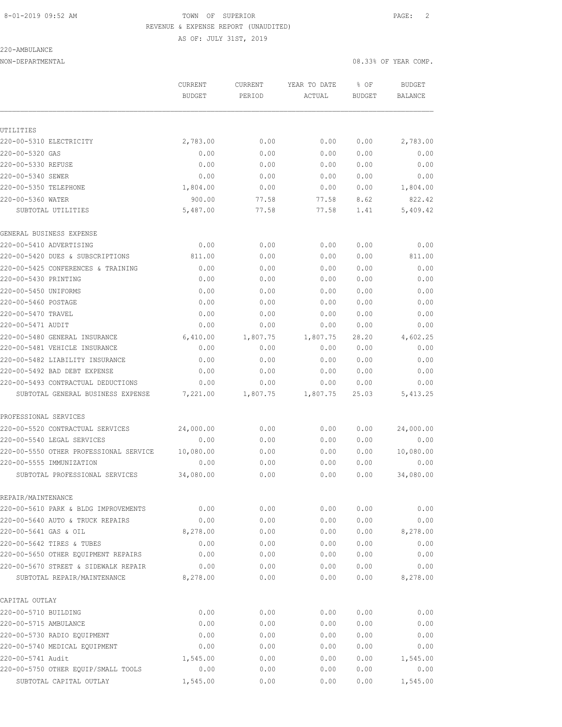## 8-01-2019 09:52 AM **TOWN OF SUPERIOR PAGE:** 2 REVENUE & EXPENSE REPORT (UNAUDITED)

AS OF: JULY 31ST, 2019

## 220-AMBULANCE

NON-DEPARTMENTAL 08.33% OF YEAR COMP.

|                                        | CURRENT<br><b>BUDGET</b> | CURRENT  | YEAR TO DATE<br>ACTUAL | % OF<br>BUDGET | <b>BUDGET</b><br><b>BALANCE</b> |
|----------------------------------------|--------------------------|----------|------------------------|----------------|---------------------------------|
|                                        |                          | PERIOD   |                        |                |                                 |
|                                        |                          |          |                        |                |                                 |
| UTILITIES                              |                          |          |                        |                |                                 |
| 220-00-5310 ELECTRICITY                | 2,783.00                 | 0.00     | 0.00                   | 0.00           | 2,783.00                        |
| 220-00-5320 GAS                        | 0.00                     | 0.00     | 0.00                   | 0.00           | 0.00                            |
| 220-00-5330 REFUSE                     | 0.00                     | 0.00     | 0.00                   | 0.00           | 0.00                            |
| 220-00-5340 SEWER                      | 0.00                     | 0.00     | 0.00                   | 0.00           | 0.00                            |
| 220-00-5350 TELEPHONE                  | 1,804.00                 | 0.00     | 0.00                   | 0.00           | 1,804.00                        |
| 220-00-5360 WATER                      | 900.00                   | 77.58    | 77.58                  | 8.62           | 822.42                          |
| SUBTOTAL UTILITIES                     | 5,487.00                 | 77.58    | 77.58                  | 1.41           | 5,409.42                        |
| GENERAL BUSINESS EXPENSE               |                          |          |                        |                |                                 |
| 220-00-5410 ADVERTISING                | 0.00                     | 0.00     | 0.00                   | 0.00           | 0.00                            |
| 220-00-5420 DUES & SUBSCRIPTIONS       | 811.00                   | 0.00     | 0.00                   | 0.00           | 811.00                          |
| 220-00-5425 CONFERENCES & TRAINING     | 0.00                     | 0.00     | 0.00                   | 0.00           | 0.00                            |
| 220-00-5430 PRINTING                   | 0.00                     | 0.00     | 0.00                   | 0.00           | 0.00                            |
| 220-00-5450 UNIFORMS                   | 0.00                     | 0.00     | 0.00                   | 0.00           | 0.00                            |
| 220-00-5460 POSTAGE                    | 0.00                     | 0.00     | 0.00                   | 0.00           | 0.00                            |
| 220-00-5470 TRAVEL                     | 0.00                     | 0.00     | 0.00                   | 0.00           | 0.00                            |
| 220-00-5471 AUDIT                      | 0.00                     | 0.00     | 0.00                   | 0.00           | 0.00                            |
| 220-00-5480 GENERAL INSURANCE          | 6,410.00                 | 1,807.75 | 1,807.75               | 28.20          | 4,602.25                        |
| 220-00-5481 VEHICLE INSURANCE          | 0.00                     | 0.00     | 0.00                   | 0.00           | 0.00                            |
| 220-00-5482 LIABILITY INSURANCE        | 0.00                     | 0.00     | 0.00                   | 0.00           | 0.00                            |
| 220-00-5492 BAD DEBT EXPENSE           | 0.00                     | 0.00     | 0.00                   | 0.00           | 0.00                            |
| 220-00-5493 CONTRACTUAL DEDUCTIONS     | 0.00                     | 0.00     | 0.00                   | 0.00           | 0.00                            |
| SUBTOTAL GENERAL BUSINESS EXPENSE      | 7,221.00                 | 1,807.75 | 1,807.75               | 25.03          | 5, 413.25                       |
| PROFESSIONAL SERVICES                  |                          |          |                        |                |                                 |
| 220-00-5520 CONTRACTUAL SERVICES       | 24,000.00                | 0.00     | 0.00                   | 0.00           | 24,000.00                       |
| 220-00-5540 LEGAL SERVICES             | 0.00                     | 0.00     | 0.00                   | 0.00           | 0.00                            |
| 220-00-5550 OTHER PROFESSIONAL SERVICE | 10,080.00                | 0.00     | 0.00                   | 0.00           | 10,080.00                       |
| 220-00-5555 IMMUNIZATION               | 0.00                     | 0.00     | 0.00                   | 0.00           | 0.00                            |
| SUBTOTAL PROFESSIONAL SERVICES         | 34,080.00                | 0.00     | 0.00                   | 0.00           | 34,080.00                       |
| REPAIR/MAINTENANCE                     |                          |          |                        |                |                                 |
| 220-00-5610 PARK & BLDG IMPROVEMENTS   | 0.00                     | 0.00     | 0.00                   | 0.00           | 0.00                            |
| 220-00-5640 AUTO & TRUCK REPAIRS       | 0.00                     | 0.00     | 0.00                   | 0.00           | 0.00                            |
| 220-00-5641 GAS & OIL                  | 8,278.00                 | 0.00     | 0.00                   | 0.00           | 8,278.00                        |
| 220-00-5642 TIRES & TUBES              | 0.00                     | 0.00     | 0.00                   | 0.00           | 0.00                            |
| 220-00-5650 OTHER EQUIPMENT REPAIRS    | 0.00                     | 0.00     | 0.00                   | 0.00           | 0.00                            |
| 220-00-5670 STREET & SIDEWALK REPAIR   | 0.00                     | 0.00     | 0.00                   | 0.00           | 0.00                            |
| SUBTOTAL REPAIR/MAINTENANCE            | 8,278.00                 | 0.00     | 0.00                   | 0.00           | 8,278.00                        |
| CAPITAL OUTLAY                         |                          |          |                        |                |                                 |
| 220-00-5710 BUILDING                   | 0.00                     | 0.00     | 0.00                   | 0.00           | 0.00                            |
| 220-00-5715 AMBULANCE                  | 0.00                     | 0.00     | 0.00                   | 0.00           | 0.00                            |
| 220-00-5730 RADIO EQUIPMENT            | 0.00                     | 0.00     | 0.00                   | 0.00           | 0.00                            |
| 220-00-5740 MEDICAL EQUIPMENT          | 0.00                     | 0.00     | 0.00                   | 0.00           | 0.00                            |
| 220-00-5741 Audit                      | 1,545.00                 | 0.00     | 0.00                   | 0.00           | 1,545.00                        |
| 220-00-5750 OTHER EQUIP/SMALL TOOLS    | 0.00                     | 0.00     | 0.00                   | 0.00           | 0.00                            |
| SUBTOTAL CAPITAL OUTLAY                | 1,545.00                 | 0.00     | 0.00                   | 0.00           | 1,545.00                        |
|                                        |                          |          |                        |                |                                 |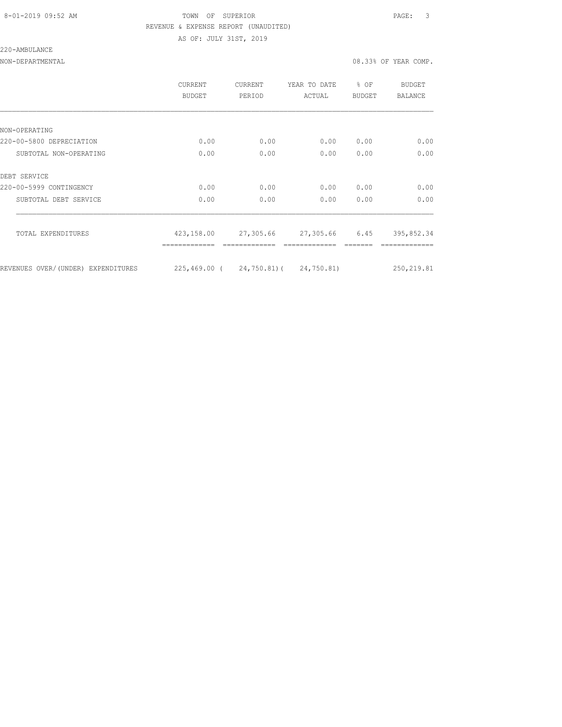### 8-01-2019 09:52 AM TOWN OF SUPERIOR PAGE: 3 REVENUE & EXPENSE REPORT (UNAUDITED) AS OF: JULY 31ST, 2019

220-AMBULANCE

NON-DEPARTMENTAL 08.33% OF YEAR COMP.

|                                    | CURRENT<br>BUDGET                    | CURRENT<br>PERIOD | YEAR TO DATE<br>ACTUAL   | $8$ OF<br>BUDGET | BUDGET<br>BALANCE |
|------------------------------------|--------------------------------------|-------------------|--------------------------|------------------|-------------------|
|                                    |                                      |                   |                          |                  |                   |
| NON-OPERATING                      |                                      |                   |                          |                  |                   |
| 220-00-5800 DEPRECIATION           | 0.00                                 | 0.00              | 0.00                     | 0.00             | 0.00              |
| SUBTOTAL NON-OPERATING             | 0.00                                 | 0.00              | 0.00                     | 0.00             | 0.00              |
| DEBT SERVICE                       |                                      |                   |                          |                  |                   |
| 220-00-5999 CONTINGENCY            | 0.00                                 | 0.00              | 0.00                     | 0.00             | 0.00              |
| SUBTOTAL DEBT SERVICE              | 0.00                                 | 0.00              | 0.00                     | 0.00             | 0.00              |
| TOTAL EXPENDITURES                 | 423,158.00                           |                   | 27,305.66 27,305.66 6.45 |                  | 395,852.34        |
| REVENUES OVER/(UNDER) EXPENDITURES | 225,469.00 ( 24,750.81) ( 24,750.81) |                   |                          |                  | 250, 219.81       |
|                                    |                                      |                   |                          |                  |                   |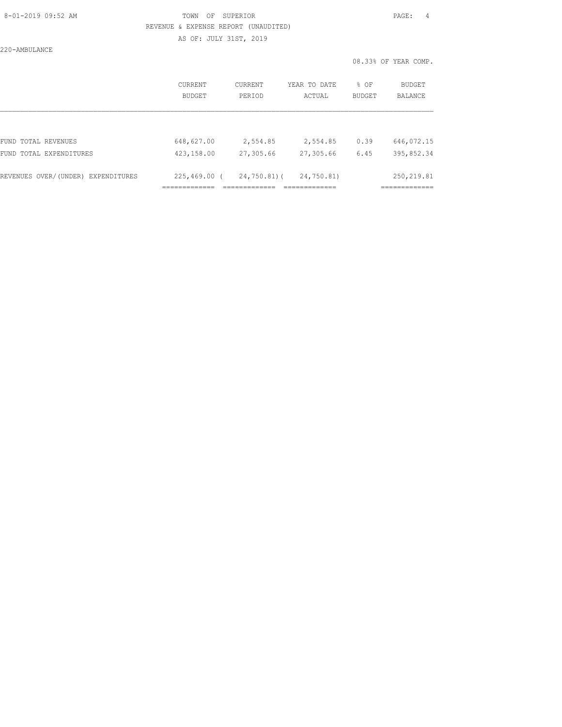### 8-01-2019 09:52 AM TOWN OF SUPERIOR PAGE: 4 REVENUE & EXPENSE REPORT (UNAUDITED) AS OF: JULY 31ST, 2019

220-AMBULANCE

|                                    | CURRENT<br><b>BUDGET</b> | CURRENT<br>PERIOD | YEAR TO DATE<br>ACTUAL | % OF<br><b>BUDGET</b> | BUDGET<br><b>BALANCE</b> |
|------------------------------------|--------------------------|-------------------|------------------------|-----------------------|--------------------------|
| FUND TOTAL REVENUES                | 648,627.00               | 2,554.85          | 2,554.85               | 0.39                  | 646,072.15               |
| FUND TOTAL EXPENDITURES            | 423,158.00               | 27,305.66         | 27,305.66              | 6.45                  | 395,852.34               |
| REVENUES OVER/(UNDER) EXPENDITURES | $225,469.00$ (           | $24,750.81$ (     | 24,750.81)             |                       | 250, 219.81              |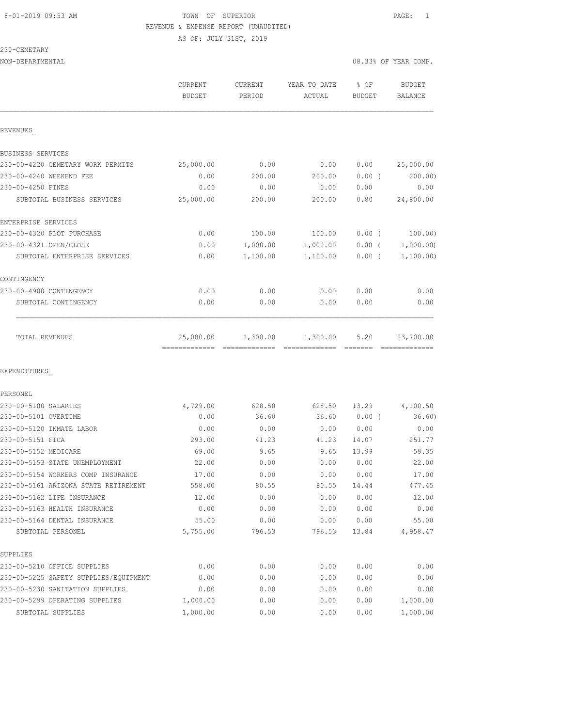## 8-01-2019 09:53 AM TOWN OF SUPERIOR PAGE: 1 REVENUE & EXPENSE REPORT (UNAUDITED) AS OF: JULY 31ST, 2019

230-CEMETARY

| NON-DEPARTMENTAL                      |                                           |                   |                                                                                                                                                                                                                                                                                                                                                                                                                                                                                                    |                       | 08.33% OF YEAR COMP.       |
|---------------------------------------|-------------------------------------------|-------------------|----------------------------------------------------------------------------------------------------------------------------------------------------------------------------------------------------------------------------------------------------------------------------------------------------------------------------------------------------------------------------------------------------------------------------------------------------------------------------------------------------|-----------------------|----------------------------|
|                                       | <b>CURRENT</b><br><b>BUDGET</b>           | CURRENT<br>PERIOD | YEAR TO DATE<br>ACTUAL                                                                                                                                                                                                                                                                                                                                                                                                                                                                             | % OF<br><b>BUDGET</b> | <b>BUDGET</b><br>BALANCE   |
| REVENUES                              |                                           |                   |                                                                                                                                                                                                                                                                                                                                                                                                                                                                                                    |                       |                            |
| BUSINESS SERVICES                     |                                           |                   |                                                                                                                                                                                                                                                                                                                                                                                                                                                                                                    |                       |                            |
| 230-00-4220 CEMETARY WORK PERMITS     | 25,000.00                                 | 0.00              | 0.00                                                                                                                                                                                                                                                                                                                                                                                                                                                                                               | 0.00                  | 25,000.00                  |
| 230-00-4240 WEEKEND FEE               | 0.00                                      | 200.00            | 200.00                                                                                                                                                                                                                                                                                                                                                                                                                                                                                             | $0.00$ (              | 200.00)                    |
| 230-00-4250 FINES                     | 0.00                                      | 0.00              | 0.00                                                                                                                                                                                                                                                                                                                                                                                                                                                                                               | 0.00                  | 0.00                       |
| SUBTOTAL BUSINESS SERVICES            | 25,000.00                                 | 200.00            | 200.00                                                                                                                                                                                                                                                                                                                                                                                                                                                                                             | 0.80                  | 24,800.00                  |
| ENTERPRISE SERVICES                   |                                           |                   |                                                                                                                                                                                                                                                                                                                                                                                                                                                                                                    |                       |                            |
| 230-00-4320 PLOT PURCHASE             | 0.00                                      | 100.00            | 100.00                                                                                                                                                                                                                                                                                                                                                                                                                                                                                             | $0.00$ (              | 100.00)                    |
| 230-00-4321 OPEN/CLOSE                | 0.00                                      | 1,000.00          | 1,000.00                                                                                                                                                                                                                                                                                                                                                                                                                                                                                           | $0.00$ (              | 1,000.00)                  |
| SUBTOTAL ENTERPRISE SERVICES          | 0.00                                      | 1,100.00          | 1,100.00                                                                                                                                                                                                                                                                                                                                                                                                                                                                                           | 0.00(                 | 1,100.00)                  |
| CONTINGENCY                           |                                           |                   |                                                                                                                                                                                                                                                                                                                                                                                                                                                                                                    |                       |                            |
| 230-00-4900 CONTINGENCY               | 0.00                                      | 0.00              | 0.00                                                                                                                                                                                                                                                                                                                                                                                                                                                                                               | 0.00                  | 0.00                       |
| SUBTOTAL CONTINGENCY                  | 0.00                                      | 0.00              | 0.00                                                                                                                                                                                                                                                                                                                                                                                                                                                                                               | 0.00                  | 0.00                       |
| TOTAL REVENUES                        | 25,000.00<br>-------------- ------------- | 1,300.00          | 1,300.00<br>$\begin{array}{cccccccccccccc} \multicolumn{2}{c}{} & \multicolumn{2}{c}{} & \multicolumn{2}{c}{} & \multicolumn{2}{c}{} & \multicolumn{2}{c}{} & \multicolumn{2}{c}{} & \multicolumn{2}{c}{} & \multicolumn{2}{c}{} & \multicolumn{2}{c}{} & \multicolumn{2}{c}{} & \multicolumn{2}{c}{} & \multicolumn{2}{c}{} & \multicolumn{2}{c}{} & \multicolumn{2}{c}{} & \multicolumn{2}{c}{} & \multicolumn{2}{c}{} & \multicolumn{2}{c}{} & \multicolumn{2}{c}{} & \multicolumn{2}{c}{} & \$ | 5.20<br>--------      | 23,700.00<br>============= |
| EXPENDITURES                          |                                           |                   |                                                                                                                                                                                                                                                                                                                                                                                                                                                                                                    |                       |                            |
| PERSONEL                              |                                           |                   |                                                                                                                                                                                                                                                                                                                                                                                                                                                                                                    |                       |                            |
| 230-00-5100 SALARIES                  | 4,729.00                                  | 628.50            | 628.50                                                                                                                                                                                                                                                                                                                                                                                                                                                                                             | 13.29                 | 4,100.50                   |
| 230-00-5101 OVERTIME                  | 0.00                                      | 36.60             | 36.60                                                                                                                                                                                                                                                                                                                                                                                                                                                                                              | $0.00$ (              | 36.60)                     |
| 230-00-5120 INMATE LABOR              | 0.00                                      | 0.00              | 0.00                                                                                                                                                                                                                                                                                                                                                                                                                                                                                               | 0.00                  | 0.00                       |
| 230-00-5151 FICA                      | 293.00                                    | 41.23             | 41.23                                                                                                                                                                                                                                                                                                                                                                                                                                                                                              | 14.07                 | 251.77                     |
| 230-00-5152 MEDICARE                  | 69.00                                     | 9.65              | 9.65                                                                                                                                                                                                                                                                                                                                                                                                                                                                                               | 13.99                 | 59.35                      |
| 230-00-5153 STATE UNEMPLOYMENT        | 22.00                                     | 0.00              | 0.00                                                                                                                                                                                                                                                                                                                                                                                                                                                                                               | 0.00                  | 22.00                      |
| 230-00-5154 WORKERS COMP INSURANCE    | 17.00                                     | 0.00              | 0.00                                                                                                                                                                                                                                                                                                                                                                                                                                                                                               | 0.00                  | 17.00                      |
| 230-00-5161 ARIZONA STATE RETIREMENT  | 558.00                                    | 80.55             | 80.55                                                                                                                                                                                                                                                                                                                                                                                                                                                                                              | 14.44                 | 477.45                     |
| 230-00-5162 LIFE INSURANCE            | 12.00                                     | 0.00              | 0.00                                                                                                                                                                                                                                                                                                                                                                                                                                                                                               | 0.00                  | 12.00                      |
| 230-00-5163 HEALTH INSURANCE          | 0.00                                      | 0.00              | 0.00                                                                                                                                                                                                                                                                                                                                                                                                                                                                                               | 0.00                  | 0.00                       |
| 230-00-5164 DENTAL INSURANCE          | 55.00                                     | 0.00              | 0.00                                                                                                                                                                                                                                                                                                                                                                                                                                                                                               | 0.00                  | 55.00                      |
| SUBTOTAL PERSONEL                     | 5,755.00                                  | 796.53            | 796.53                                                                                                                                                                                                                                                                                                                                                                                                                                                                                             | 13.84                 | 4,958.47                   |
| SUPPLIES                              |                                           |                   |                                                                                                                                                                                                                                                                                                                                                                                                                                                                                                    |                       |                            |
| 230-00-5210 OFFICE SUPPLIES           | 0.00                                      | 0.00              | 0.00                                                                                                                                                                                                                                                                                                                                                                                                                                                                                               | 0.00                  | 0.00                       |
| 230-00-5225 SAFETY SUPPLIES/EQUIPMENT | 0.00                                      | 0.00              | 0.00                                                                                                                                                                                                                                                                                                                                                                                                                                                                                               | 0.00                  | 0.00                       |
| 230-00-5230 SANITATION SUPPLIES       | 0.00                                      | 0.00              | 0.00                                                                                                                                                                                                                                                                                                                                                                                                                                                                                               | 0.00                  | 0.00                       |
| 230-00-5299 OPERATING SUPPLIES        | 1,000.00                                  | 0.00              | 0.00                                                                                                                                                                                                                                                                                                                                                                                                                                                                                               | 0.00                  | 1,000.00                   |
| SUBTOTAL SUPPLIES                     | 1,000.00                                  | 0.00              | 0.00                                                                                                                                                                                                                                                                                                                                                                                                                                                                                               | 0.00                  | 1,000.00                   |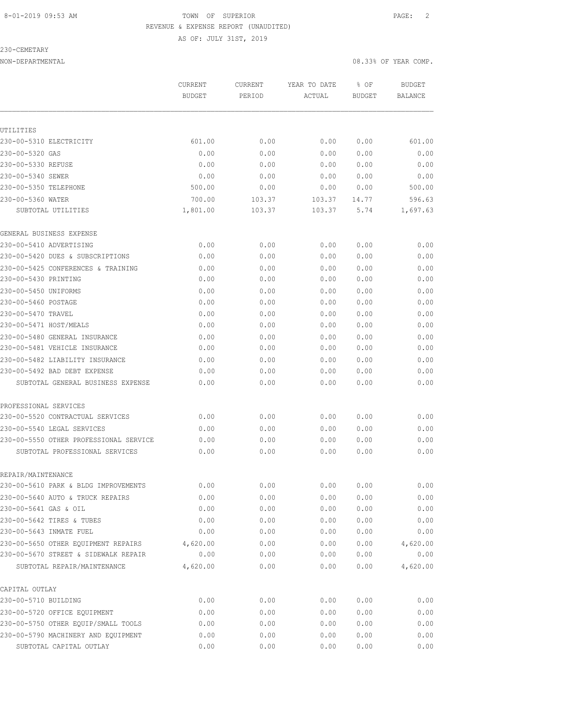### 8-01-2019 09:53 AM TOWN OF SUPERIOR PAGE: 2 REVENUE & EXPENSE REPORT (UNAUDITED)

AS OF: JULY 31ST, 2019

230-CEMETARY

NON-DEPARTMENTAL 08.33% OF YEAR COMP.

|                                        | CURRENT       | CURRENT | YEAR TO DATE | % OF   | <b>BUDGET</b>  |
|----------------------------------------|---------------|---------|--------------|--------|----------------|
|                                        | <b>BUDGET</b> | PERIOD  | ACTUAL       | BUDGET | <b>BALANCE</b> |
|                                        |               |         |              |        |                |
| UTILITIES                              |               |         |              |        |                |
| 230-00-5310 ELECTRICITY                | 601.00        | 0.00    | 0.00         | 0.00   | 601.00         |
| 230-00-5320 GAS                        | 0.00          | 0.00    | 0.00         | 0.00   | 0.00           |
| 230-00-5330 REFUSE                     | 0.00          | 0.00    | 0.00         | 0.00   | 0.00           |
| 230-00-5340 SEWER                      | 0.00          | 0.00    | 0.00         | 0.00   | 0.00           |
| 230-00-5350 TELEPHONE                  | 500.00        | 0.00    | 0.00         | 0.00   | 500.00         |
| 230-00-5360 WATER                      | 700.00        | 103.37  | 103.37       | 14.77  | 596.63         |
| SUBTOTAL UTILITIES                     | 1,801.00      | 103.37  | 103.37       | 5.74   | 1,697.63       |
| GENERAL BUSINESS EXPENSE               |               |         |              |        |                |
| 230-00-5410 ADVERTISING                | 0.00          | 0.00    | 0.00         | 0.00   | 0.00           |
| 230-00-5420 DUES & SUBSCRIPTIONS       | 0.00          | 0.00    | 0.00         | 0.00   | 0.00           |
| 230-00-5425 CONFERENCES & TRAINING     | 0.00          | 0.00    | 0.00         | 0.00   | 0.00           |
| 230-00-5430 PRINTING                   | 0.00          | 0.00    | 0.00         | 0.00   | 0.00           |
| 230-00-5450 UNIFORMS                   | 0.00          | 0.00    | 0.00         | 0.00   | 0.00           |
| 230-00-5460 POSTAGE                    | 0.00          | 0.00    | 0.00         | 0.00   | 0.00           |
| 230-00-5470 TRAVEL                     | 0.00          | 0.00    | 0.00         | 0.00   | 0.00           |
| 230-00-5471 HOST/MEALS                 | 0.00          | 0.00    | 0.00         | 0.00   | 0.00           |
| 230-00-5480 GENERAL INSURANCE          | 0.00          | 0.00    | 0.00         | 0.00   | 0.00           |
| 230-00-5481 VEHICLE INSURANCE          | 0.00          | 0.00    | 0.00         | 0.00   | 0.00           |
| 230-00-5482 LIABILITY INSURANCE        | 0.00          | 0.00    | 0.00         | 0.00   | 0.00           |
| 230-00-5492 BAD DEBT EXPENSE           | 0.00          | 0.00    | 0.00         | 0.00   | 0.00           |
| SUBTOTAL GENERAL BUSINESS EXPENSE      | 0.00          | 0.00    | 0.00         | 0.00   | 0.00           |
| PROFESSIONAL SERVICES                  |               |         |              |        |                |
| 230-00-5520 CONTRACTUAL SERVICES       | 0.00          | 0.00    | 0.00         | 0.00   | 0.00           |
| 230-00-5540 LEGAL SERVICES             | 0.00          | 0.00    | 0.00         | 0.00   | 0.00           |
| 230-00-5550 OTHER PROFESSIONAL SERVICE | 0.00          | 0.00    | 0.00         | 0.00   | 0.00           |
| SUBTOTAL PROFESSIONAL SERVICES         | 0.00          | 0.00    | 0.00         | 0.00   | 0.00           |
| REPAIR/MAINTENANCE                     |               |         |              |        |                |
| 230-00-5610 PARK & BLDG IMPROVEMENTS   | 0.00          | 0.00    | 0.00         | 0.00   | 0.00           |
| 230-00-5640 AUTO & TRUCK REPAIRS       | 0.00          | 0.00    | 0.00         | 0.00   | 0.00           |
| 230-00-5641 GAS & OIL                  | 0.00          | 0.00    | 0.00         | 0.00   | 0.00           |
| 230-00-5642 TIRES & TUBES              | 0.00          | 0.00    | 0.00         | 0.00   | 0.00           |
| 230-00-5643 INMATE FUEL                | 0.00          | 0.00    | 0.00         | 0.00   | 0.00           |
| 230-00-5650 OTHER EOUIPMENT REPAIRS    | 4,620.00      | 0.00    | 0.00         | 0.00   | 4,620.00       |
| 230-00-5670 STREET & SIDEWALK REPAIR   | 0.00          | 0.00    | 0.00         | 0.00   | 0.00           |
| SUBTOTAL REPAIR/MAINTENANCE            | 4,620.00      | 0.00    | 0.00         | 0.00   | 4,620.00       |
| CAPITAL OUTLAY                         |               |         |              |        |                |
| 230-00-5710 BUILDING                   | 0.00          | 0.00    | 0.00         | 0.00   | 0.00           |
| 230-00-5720 OFFICE EQUIPMENT           | 0.00          | 0.00    | 0.00         | 0.00   | 0.00           |
| 230-00-5750 OTHER EQUIP/SMALL TOOLS    | 0.00          | 0.00    | 0.00         | 0.00   | 0.00           |
| 230-00-5790 MACHINERY AND EQUIPMENT    | 0.00          | 0.00    | 0.00         | 0.00   | 0.00           |
| SUBTOTAL CAPITAL OUTLAY                | 0.00          | 0.00    | 0.00         | 0.00   | 0.00           |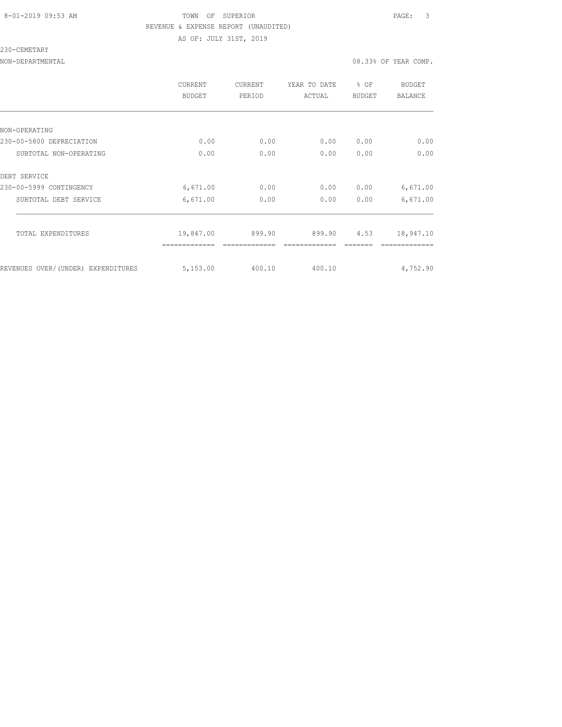### 8-01-2019 09:53 AM TOWN OF SUPERIOR PAGE: 3 REVENUE & EXPENSE REPORT (UNAUDITED) AS OF: JULY 31ST, 2019

230-CEMETARY

NON-DEPARTMENTAL 08.33% OF YEAR COMP.

|                                    | <b>CURRENT</b><br><b>BUDGET</b> | CURRENT<br>PERIOD | YEAR TO DATE<br>ACTUAL | % OF<br><b>BUDGET</b> | BUDGET<br><b>BALANCE</b> |
|------------------------------------|---------------------------------|-------------------|------------------------|-----------------------|--------------------------|
|                                    |                                 |                   |                        |                       |                          |
| NON-OPERATING                      |                                 |                   |                        |                       |                          |
| 230-00-5800 DEPRECIATION           | 0.00                            | 0.00              | 0.00                   | 0.00                  | 0.00                     |
| SUBTOTAL NON-OPERATING             | 0.00                            | 0.00              | 0.00                   | 0.00                  | 0.00                     |
| DEBT SERVICE                       |                                 |                   |                        |                       |                          |
| 230-00-5999 CONTINGENCY            | 6,671.00                        | 0.00              | 0.00                   | 0.00                  | 6,671.00                 |
| SUBTOTAL DEBT SERVICE              | 6,671.00                        | 0.00              | 0.00                   | 0.00                  | 6,671.00                 |
| TOTAL EXPENDITURES                 | 19,847.00                       | 899.90            | 899.90                 | 4.53                  | 18,947.10                |
| REVENUES OVER/(UNDER) EXPENDITURES | 5,153.00                        | 400.10            | 400.10                 |                       | 4,752.90                 |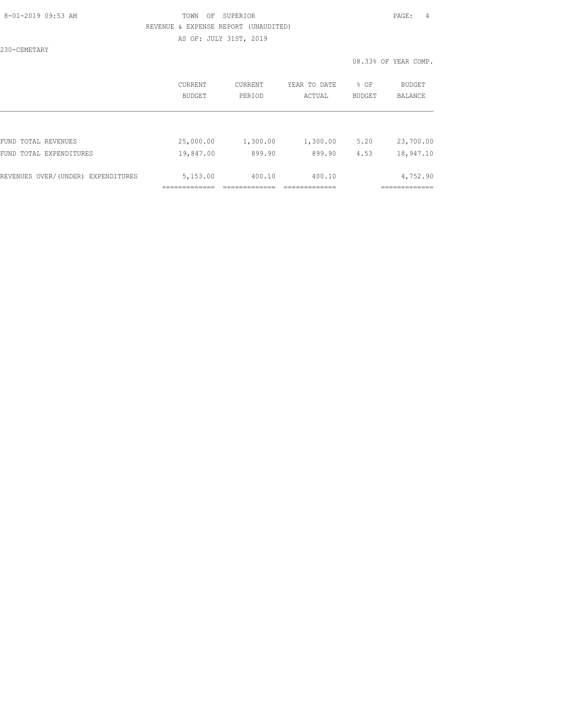### 8-01-2019 09:53 AM TOWN OF SUPERIOR PAGE: 4 REVENUE & EXPENSE REPORT (UNAUDITED) AS OF: JULY 31ST, 2019

230-CEMETARY

|                                    | CURRENT       | CURRENT  | YEAR TO DATE | % OF          | <b>BUDGET</b>  |
|------------------------------------|---------------|----------|--------------|---------------|----------------|
|                                    | <b>BUDGET</b> | PERIOD   | ACTUAL       | <b>BUDGET</b> | <b>BALANCE</b> |
| FUND TOTAL REVENUES                | 25,000.00     | 1,300.00 | 1,300.00     | 5.20          | 23,700.00      |
| FUND TOTAL EXPENDITURES            | 19,847.00     | 899.90   | 899.90       | 4.53          | 18,947.10      |
| REVENUES OVER/(UNDER) EXPENDITURES | 5,153.00      | 400.10   | 400.10       |               | 4,752.90       |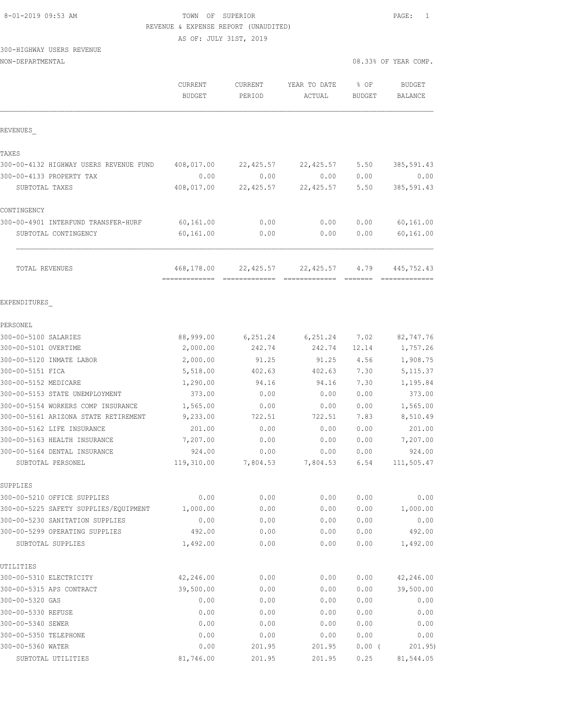### 8-01-2019 09:53 AM TOWN OF SUPERIOR PAGE: 1 REVENUE & EXPENSE REPORT (UNAUDITED)

AS OF: JULY 31ST, 2019

## 300-HIGHWAY USERS REVENUE

| NON-DEPARTMENTAL                           |                          |                   |                        | 08.33% OF YEAR COMP.  |                                 |
|--------------------------------------------|--------------------------|-------------------|------------------------|-----------------------|---------------------------------|
|                                            | CURRENT<br><b>BUDGET</b> | CURRENT<br>PERIOD | YEAR TO DATE<br>ACTUAL | % OF<br><b>BUDGET</b> | <b>BUDGET</b><br><b>BALANCE</b> |
| REVENUES                                   |                          |                   |                        |                       |                                 |
| TAXES                                      |                          |                   |                        |                       |                                 |
| 300-00-4132 HIGHWAY USERS REVENUE FUND     | 408,017.00               | 22,425.57         | 22,425.57              | 5.50                  | 385,591.43                      |
| 300-00-4133 PROPERTY TAX                   | 0.00                     | 0.00              | 0.00                   | 0.00                  | 0.00                            |
| SUBTOTAL TAXES                             | 408,017.00               | 22,425.57         | 22, 425.57             | 5.50                  | 385,591.43                      |
| CONTINGENCY                                |                          |                   |                        |                       |                                 |
| 300-00-4901 INTERFUND TRANSFER-HURF        | 60, 161.00               | 0.00              | 0.00                   | 0.00                  | 60,161.00                       |
| SUBTOTAL CONTINGENCY                       | 60,161.00                | 0.00              | 0.00                   | 0.00                  | 60,161.00                       |
| TOTAL REVENUES                             | 468,178.00               | 22, 425.57        | 22,425.57              | 4.79                  | 445,752.43                      |
| EXPENDITURES                               |                          |                   |                        |                       |                                 |
| PERSONEL                                   |                          |                   |                        |                       |                                 |
| 300-00-5100 SALARIES                       | 88,999.00                | 6, 251.24         | 6, 251.24              | 7.02                  | 82,747.76                       |
| 300-00-5101 OVERTIME                       | 2,000.00                 | 242.74            | 242.74                 | 12.14                 | 1,757.26                        |
| 300-00-5120 INMATE LABOR                   | 2,000.00                 | 91.25             | 91.25                  | 4.56                  | 1,908.75                        |
| 300-00-5151 FICA                           | 5,518.00                 | 402.63            | 402.63                 | 7.30                  | 5, 115.37                       |
| 300-00-5152 MEDICARE                       | 1,290.00                 | 94.16             | 94.16                  | 7.30                  | 1,195.84                        |
| 300-00-5153 STATE UNEMPLOYMENT             | 373.00                   | 0.00              | 0.00                   | 0.00                  | 373.00                          |
| 300-00-5154 WORKERS COMP INSURANCE         | 1,565.00                 | 0.00              | 0.00                   | 0.00                  | 1,565.00                        |
| 300-00-5161 ARIZONA STATE RETIREMENT       | 9,233.00                 | 722.51            | 722.51                 | 7.83                  | 8,510.49                        |
| 300-00-5162 LIFE INSURANCE                 | 201.00                   | 0.00              | 0.00                   | 0.00                  | 201.00                          |
| 300-00-5163 HEALTH INSURANCE               | 7,207.00                 | 0.00              | 0.00                   | 0.00                  | 7,207.00                        |
| 300-00-5164 DENTAL INSURANCE               | 924.00                   | 0.00              | 0.00                   | 0.00                  | 924.00                          |
| SUBTOTAL PERSONEL                          | 119,310.00               | 7,804.53          | 7,804.53               | 6.54                  | 111,505.47                      |
| SUPPLIES                                   |                          |                   |                        |                       |                                 |
| 300-00-5210 OFFICE SUPPLIES                | 0.00                     | 0.00              | 0.00                   | 0.00                  | 0.00                            |
| 300-00-5225 SAFETY SUPPLIES/EQUIPMENT      | 1,000.00                 | 0.00              | 0.00                   | 0.00                  | 1,000.00                        |
| 300-00-5230 SANITATION SUPPLIES            | 0.00                     | 0.00              | 0.00                   | 0.00                  | 0.00                            |
| 300-00-5299 OPERATING SUPPLIES             | 492.00                   | 0.00              | 0.00                   | 0.00                  | 492.00                          |
| SUBTOTAL SUPPLIES                          | 1,492.00                 | 0.00              | 0.00                   | 0.00                  | 1,492.00                        |
| UTILITIES                                  |                          |                   |                        |                       |                                 |
| 300-00-5310 ELECTRICITY                    | 42,246.00                | 0.00              | 0.00                   | 0.00                  | 42,246.00                       |
| 300-00-5315 APS CONTRACT                   | 39,500.00                | 0.00              | 0.00                   | 0.00                  | 39,500.00                       |
| 300-00-5320 GAS                            | 0.00                     | 0.00              | 0.00                   | 0.00                  | 0.00                            |
| 300-00-5330 REFUSE                         | 0.00                     | 0.00              | 0.00                   | 0.00                  | 0.00                            |
| 300-00-5340 SEWER<br>300-00-5350 TELEPHONE | 0.00                     | 0.00              | 0.00                   | 0.00                  | 0.00                            |
| 300-00-5360 WATER                          | 0.00<br>0.00             | 0.00<br>201.95    | 0.00<br>201.95         | 0.00<br>0.00(         | 0.00<br>201.95)                 |
| SUBTOTAL UTILITIES                         | 81,746.00                | 201.95            | 201.95                 | 0.25                  | 81,544.05                       |
|                                            |                          |                   |                        |                       |                                 |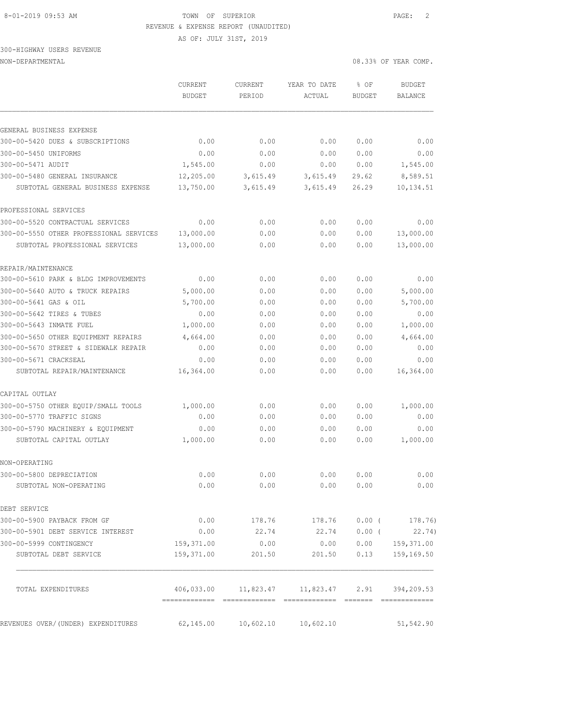#### 8-01-2019 09:53 AM TOWN OF SUPERIOR PAGE: 2 REVENUE & EXPENSE REPORT (UNAUDITED)

AS OF: JULY 31ST, 2019

### 300-HIGHWAY USERS REVENUE NON-DEPARTMENTAL 08.33% OF YEAR COMP.

|                                                                    | CURRENT<br><b>BUDGET</b> | CURRENT<br>PERIOD    | YEAR TO DATE<br>ACTUAL                         | % OF<br>BUDGET | <b>BUDGET</b><br><b>BALANCE</b> |
|--------------------------------------------------------------------|--------------------------|----------------------|------------------------------------------------|----------------|---------------------------------|
|                                                                    |                          |                      |                                                |                |                                 |
| GENERAL BUSINESS EXPENSE                                           |                          |                      |                                                |                |                                 |
| 300-00-5420 DUES & SUBSCRIPTIONS                                   | 0.00                     | 0.00                 | 0.00                                           | 0.00           | 0.00                            |
| 300-00-5450 UNIFORMS                                               | 0.00                     | 0.00                 | 0.00                                           | 0.00           | 0.00                            |
| 300-00-5471 AUDIT                                                  | 1,545.00                 | 0.00                 | 0.00                                           | 0.00           | 1,545.00                        |
| 300-00-5480 GENERAL INSURANCE<br>SUBTOTAL GENERAL BUSINESS EXPENSE | 12,205.00<br>13,750.00   | 3,615.49<br>3,615.49 | 3,615.49<br>3,615.49                           | 29.62<br>26.29 | 8,589.51<br>10, 134.51          |
| PROFESSIONAL SERVICES                                              |                          |                      |                                                |                |                                 |
| 300-00-5520 CONTRACTUAL SERVICES                                   | 0.00                     | 0.00                 | 0.00                                           | 0.00           | 0.00                            |
| 300-00-5550 OTHER PROFESSIONAL SERVICES                            | 13,000.00                | 0.00                 | 0.00                                           | 0.00           | 13,000.00                       |
| SUBTOTAL PROFESSIONAL SERVICES                                     | 13,000.00                | 0.00                 | 0.00                                           | 0.00           | 13,000.00                       |
| REPAIR/MAINTENANCE                                                 |                          |                      |                                                |                |                                 |
| 300-00-5610 PARK & BLDG IMPROVEMENTS                               | 0.00                     | 0.00                 | 0.00                                           | 0.00           | 0.00                            |
| 300-00-5640 AUTO & TRUCK REPAIRS                                   | 5,000.00                 | 0.00                 | 0.00                                           | 0.00           | 5,000.00                        |
| 300-00-5641 GAS & OIL                                              | 5,700.00                 | 0.00                 | 0.00                                           | 0.00           | 5,700.00                        |
| 300-00-5642 TIRES & TUBES                                          | 0.00                     | 0.00                 | 0.00                                           | 0.00           | 0.00                            |
| 300-00-5643 INMATE FUEL                                            | 1,000.00                 | 0.00                 | 0.00                                           | 0.00           | 1,000.00                        |
| 300-00-5650 OTHER EQUIPMENT REPAIRS                                | 4,664.00                 | 0.00                 | 0.00                                           | 0.00           | 4,664.00                        |
| 300-00-5670 STREET & SIDEWALK REPAIR                               | 0.00                     | 0.00                 | 0.00                                           | 0.00           | 0.00                            |
| 300-00-5671 CRACKSEAL                                              | 0.00                     | 0.00                 | 0.00                                           | 0.00           | 0.00                            |
| SUBTOTAL REPAIR/MAINTENANCE                                        | 16,364.00                | 0.00                 | 0.00                                           | 0.00           | 16,364.00                       |
| CAPITAL OUTLAY                                                     |                          |                      |                                                |                |                                 |
| 300-00-5750 OTHER EQUIP/SMALL TOOLS                                | 1,000.00                 | 0.00                 | 0.00                                           | 0.00           | 1,000.00                        |
| 300-00-5770 TRAFFIC SIGNS                                          | 0.00                     | 0.00                 | 0.00                                           | 0.00           | 0.00                            |
| 300-00-5790 MACHINERY & EQUIPMENT                                  | 0.00                     | 0.00                 | 0.00                                           | 0.00           | 0.00                            |
| SUBTOTAL CAPITAL OUTLAY                                            | 1,000.00                 | 0.00                 | 0.00                                           | 0.00           | 1,000.00                        |
| NON-OPERATING                                                      |                          |                      |                                                |                |                                 |
| 300-00-5800 DEPRECIATION                                           | 0.00                     | 0.00                 | 0.00                                           | 0.00           | 0.00                            |
| SUBTOTAL NON-OPERATING                                             | 0.00                     | 0.00                 | 0.00                                           | 0.00           | 0.00                            |
| DEBT SERVICE                                                       |                          |                      |                                                |                |                                 |
| 300-00-5900 PAYBACK FROM GF                                        |                          |                      | $0.00$ 178.76 178.76                           |                | $0.00$ ( 178.76)                |
| 300-00-5901 DEBT SERVICE INTEREST                                  | 0.00                     | 22.74                | 22.74                                          |                | $0.00$ ( 22.74)                 |
| 300-00-5999 CONTINGENCY                                            | 159,371.00               | 0.00                 | 0.00                                           |                | $0.00$ 159, 371.00              |
| SUBTOTAL DEBT SERVICE                                              | 159,371.00               | 201.50               | 201.50                                         | 0.13           | 159,169.50                      |
| TOTAL EXPENDITURES                                                 |                          |                      | 406,033.00 11,823.47 11,823.47 2.91 394,209.53 |                |                                 |
| REVENUES OVER/(UNDER) EXPENDITURES                                 | 62,145.00                | 10,602.10            | 10,602.10                                      |                | 51,542.90                       |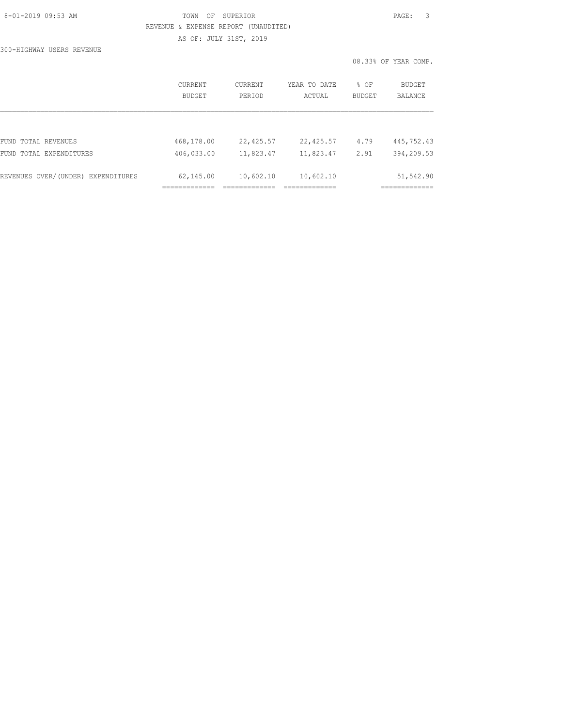### 8-01-2019 09:53 AM TOWN OF SUPERIOR PAGE: 3 REVENUE & EXPENSE REPORT (UNAUDITED) AS OF: JULY 31ST, 2019

300-HIGHWAY USERS REVENUE

|                                    | CURRENT<br><b>BUDGET</b> | <b>CURRENT</b><br>PERIOD | YEAR TO DATE<br>ACTUAL | % OF<br><b>BUDGET</b> | BUDGET<br><b>BALANCE</b> |
|------------------------------------|--------------------------|--------------------------|------------------------|-----------------------|--------------------------|
|                                    |                          |                          |                        |                       |                          |
| FUND TOTAL REVENUES                | 468,178.00               | 22,425.57                | 22,425.57              | 4.79                  | 445,752.43               |
| FUND TOTAL EXPENDITURES            | 406,033.00               | 11,823.47                | 11,823.47              | 2.91                  | 394,209.53               |
| REVENUES OVER/(UNDER) EXPENDITURES | 62,145.00                | 10,602.10                | 10,602.10              |                       | 51,542.90                |
|                                    |                          |                          |                        |                       |                          |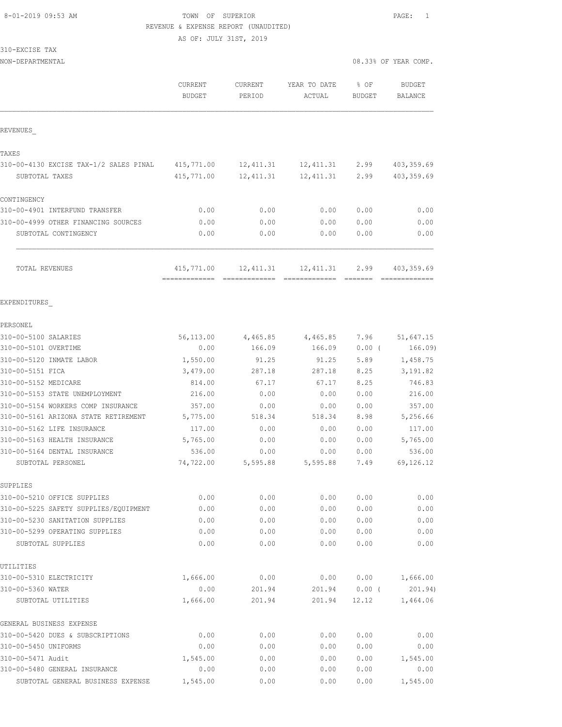### 8-01-2019 09:53 AM TOWN OF SUPERIOR PAGE: 1 REVENUE & EXPENSE REPORT (UNAUDITED)

|  | 310-EXCISE | TAX |  |
|--|------------|-----|--|
|  |            |     |  |

| NON-DEPARTMENTAL                                                     |                                           |                   |                        |                | 08.33% OF YEAR COMP.            |
|----------------------------------------------------------------------|-------------------------------------------|-------------------|------------------------|----------------|---------------------------------|
|                                                                      | CURRENT<br><b>BUDGET</b>                  | CURRENT<br>PERIOD | YEAR TO DATE<br>ACTUAL | % OF<br>BUDGET | <b>BUDGET</b><br><b>BALANCE</b> |
| REVENUES                                                             |                                           |                   |                        |                |                                 |
| TAXES                                                                |                                           |                   |                        |                |                                 |
| 310-00-4130 EXCISE TAX-1/2 SALES PINAL                               | 415,771.00                                | 12,411.31         | 12,411.31              | 2.99           | 403, 359.69                     |
| SUBTOTAL TAXES                                                       | 415,771.00                                | 12, 411.31        | 12,411.31              | 2.99           | 403,359.69                      |
| CONTINGENCY                                                          |                                           |                   |                        |                |                                 |
| 310-00-4901 INTERFUND TRANSFER                                       | 0.00                                      | 0.00              | 0.00                   | 0.00           | 0.00                            |
| 310-00-4999 OTHER FINANCING SOURCES                                  | 0.00                                      | 0.00              | 0.00                   | 0.00           | 0.00                            |
| SUBTOTAL CONTINGENCY                                                 | 0.00                                      | 0.00              | 0.00                   | 0.00           | 0.00                            |
| TOTAL REVENUES                                                       | 415,771.00<br>------------- ------------- | 12,411.31         | 12,411.31              | 2.99           | 403, 359.69<br>=============    |
| EXPENDITURES                                                         |                                           |                   |                        |                |                                 |
| PERSONEL                                                             |                                           |                   |                        |                |                                 |
| 310-00-5100 SALARIES                                                 | 56,113.00                                 | 4,465.85          | 4,465.85               | 7.96           | 51,647.15                       |
| 310-00-5101 OVERTIME                                                 | 0.00                                      | 166.09            | 166.09                 | $0.00$ (       | 166.09)                         |
| 310-00-5120 INMATE LABOR                                             | 1,550.00                                  | 91.25             | 91.25                  | 5.89           | 1,458.75                        |
| 310-00-5151 FICA                                                     | 3,479.00                                  | 287.18            | 287.18                 | 8.25           | 3, 191.82                       |
| 310-00-5152 MEDICARE                                                 | 814.00                                    | 67.17             | 67.17                  | 8.25           | 746.83                          |
| 310-00-5153 STATE UNEMPLOYMENT                                       | 216.00                                    | 0.00              | 0.00                   | 0.00           | 216.00                          |
| 310-00-5154 WORKERS COMP INSURANCE                                   | 357.00                                    | 0.00              | 0.00                   | 0.00           | 357.00                          |
| 310-00-5161 ARIZONA STATE RETIREMENT                                 | 5,775.00                                  | 518.34            | 518.34                 | 8.98           | 5,256.66                        |
| 310-00-5162 LIFE INSURANCE                                           | 117.00                                    | 0.00              | 0.00                   | 0.00           | 117.00                          |
| 310-00-5163 HEALTH INSURANCE                                         | 5,765.00                                  | 0.00              | 0.00                   | 0.00           | 5,765.00                        |
| 310-00-5164 DENTAL INSURANCE                                         | 536.00                                    | 0.00              | 0.00                   | 0.00           | 536.00                          |
| SUBTOTAL PERSONEL                                                    | 74,722.00                                 | 5,595.88          | 5,595.88               | 7.49           | 69, 126.12                      |
| SUPPLIES                                                             |                                           |                   |                        |                |                                 |
| 310-00-5210 OFFICE SUPPLIES<br>310-00-5225 SAFETY SUPPLIES/EOUIPMENT | 0.00<br>0.00                              | 0.00<br>0.00      | 0.00<br>0.00           | 0.00<br>0.00   | 0.00<br>0.00                    |
| 310-00-5230 SANITATION SUPPLIES                                      | 0.00                                      | 0.00              | 0.00                   | 0.00           | 0.00                            |
| 310-00-5299 OPERATING SUPPLIES                                       | 0.00                                      | 0.00              | 0.00                   | 0.00           | 0.00                            |
| SUBTOTAL SUPPLIES                                                    | 0.00                                      | 0.00              | 0.00                   | 0.00           | 0.00                            |
| UTILITIES                                                            |                                           |                   |                        |                |                                 |
| 310-00-5310 ELECTRICITY                                              | 1,666.00                                  | 0.00              | 0.00                   | 0.00           | 1,666.00                        |
| 310-00-5360 WATER                                                    | 0.00                                      | 201.94            | 201.94                 | $0.00$ (       | 201.94)                         |
| SUBTOTAL UTILITIES                                                   | 1,666.00                                  | 201.94            | 201.94                 | 12.12          | 1,464.06                        |
| GENERAL BUSINESS EXPENSE                                             |                                           |                   |                        |                |                                 |
| 310-00-5420 DUES & SUBSCRIPTIONS                                     | 0.00                                      | 0.00              | 0.00                   | 0.00           | 0.00                            |
| 310-00-5450 UNIFORMS                                                 | 0.00                                      | 0.00              | 0.00                   | 0.00           | 0.00                            |
| 310-00-5471 Audit                                                    | 1,545.00                                  | 0.00              | 0.00                   | 0.00           | 1,545.00                        |
| 310-00-5480 GENERAL INSURANCE                                        | 0.00                                      | 0.00              | 0.00                   | 0.00           | 0.00                            |
| SUBTOTAL GENERAL BUSINESS EXPENSE                                    | 1,545.00                                  | 0.00              | 0.00                   | 0.00           | 1,545.00                        |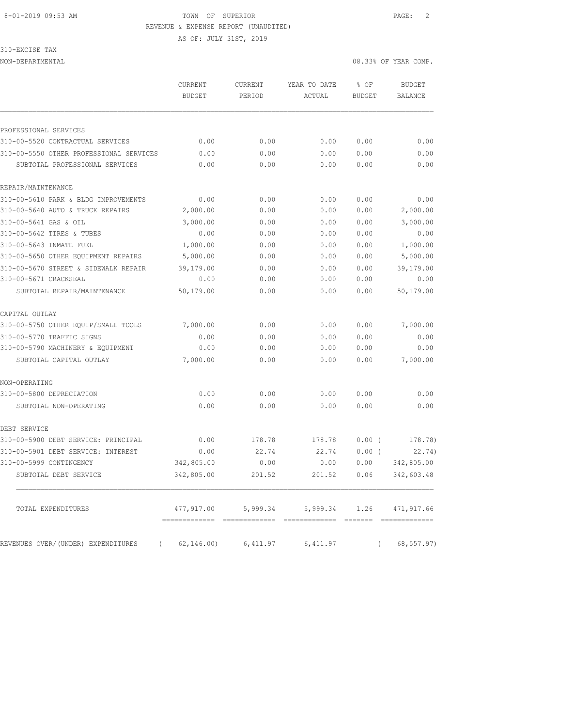## 8-01-2019 09:53 AM TOWN OF SUPERIOR PAGE: 2 REVENUE & EXPENSE REPORT (UNAUDITED)

AS OF: JULY 31ST, 2019

310-EXCISE TAX

NON-DEPARTMENTAL 08.33% OF YEAR COMP.

|                                                | CURRENT<br><b>BUDGET</b>                   | CURRENT<br>PERIOD | YEAR TO DATE<br>ACTUAL | % OF<br><b>BUDGET</b> | <b>BUDGET</b><br><b>BALANCE</b> |
|------------------------------------------------|--------------------------------------------|-------------------|------------------------|-----------------------|---------------------------------|
|                                                |                                            |                   |                        |                       |                                 |
| PROFESSIONAL SERVICES                          |                                            |                   |                        |                       |                                 |
| 310-00-5520 CONTRACTUAL SERVICES               | 0.00                                       | 0.00              | 0.00                   | 0.00                  | 0.00                            |
| 310-00-5550 OTHER PROFESSIONAL SERVICES        | 0.00                                       | 0.00              | 0.00                   | 0.00                  | 0.00                            |
| SUBTOTAL PROFESSIONAL SERVICES                 | 0.00                                       | 0.00              | 0.00                   | 0.00                  | 0.00                            |
| REPAIR/MAINTENANCE                             |                                            |                   |                        |                       |                                 |
| 310-00-5610 PARK & BLDG IMPROVEMENTS           | 0.00                                       | 0.00              | 0.00                   | 0.00                  | 0.00                            |
| 310-00-5640 AUTO & TRUCK REPAIRS               | 2,000.00                                   | 0.00              | 0.00                   | 0.00                  | 2,000.00                        |
| 310-00-5641 GAS & OIL                          | 3,000.00                                   | 0.00              | 0.00                   | 0.00                  | 3,000.00                        |
| 310-00-5642 TIRES & TUBES                      | 0.00                                       | 0.00              | 0.00                   | 0.00                  | 0.00                            |
| 310-00-5643 INMATE FUEL                        | 1,000.00                                   | 0.00              | 0.00                   | 0.00                  | 1,000.00                        |
| 310-00-5650 OTHER EQUIPMENT REPAIRS            | 5,000.00                                   | 0.00              | 0.00                   | 0.00                  | 5,000.00                        |
| 310-00-5670 STREET & SIDEWALK REPAIR           | 39,179.00                                  | 0.00              | 0.00                   | 0.00                  | 39,179.00                       |
| 310-00-5671 CRACKSEAL                          | 0.00                                       | 0.00              | 0.00                   | 0.00                  | 0.00                            |
| SUBTOTAL REPAIR/MAINTENANCE                    | 50,179.00                                  | 0.00              | 0.00                   | 0.00                  | 50,179.00                       |
| CAPITAL OUTLAY                                 |                                            |                   |                        |                       |                                 |
| 310-00-5750 OTHER EQUIP/SMALL TOOLS            | 7,000.00                                   | 0.00              | 0.00                   | 0.00                  | 7,000.00                        |
| 310-00-5770 TRAFFIC SIGNS                      | 0.00                                       | 0.00              | 0.00                   | 0.00                  | 0.00                            |
| 310-00-5790 MACHINERY & EQUIPMENT              | 0.00                                       | 0.00              | 0.00                   | 0.00                  | 0.00                            |
| SUBTOTAL CAPITAL OUTLAY                        | 7,000.00                                   | 0.00              | 0.00                   | 0.00                  | 7,000.00                        |
| NON-OPERATING                                  |                                            |                   |                        |                       |                                 |
| 310-00-5800 DEPRECIATION                       | 0.00                                       | 0.00              | 0.00                   | 0.00                  | 0.00                            |
| SUBTOTAL NON-OPERATING                         | 0.00                                       | 0.00              | 0.00                   | 0.00                  | 0.00                            |
| DEBT SERVICE                                   |                                            |                   |                        |                       |                                 |
| 310-00-5900 DEBT SERVICE: PRINCIPAL            | 0.00                                       | 178.78            | 178.78                 | 0.00(                 | 178.78)                         |
| 310-00-5901 DEBT SERVICE: INTEREST             | 0.00                                       | 22.74             | 22.74                  | $0.00$ (              | 22.74)                          |
| 310-00-5999 CONTINGENCY                        | 342,805.00                                 | 0.00              | 0.00                   | 0.00                  | 342,805.00                      |
| SUBTOTAL DEBT SERVICE                          | 342,805.00                                 | 201.52            | 201.52                 | 0.06                  | 342,603.48                      |
| TOTAL EXPENDITURES                             | 477,917.00                                 | 5,999.34          | 5,999.34               | 1.26                  | 471,917.66                      |
| REVENUES OVER/(UNDER) EXPENDITURES<br>$\left($ | -------------- -------------<br>62, 146.00 | 6,411.97          | 6,411.97               | $\left($              | 68, 557.97)                     |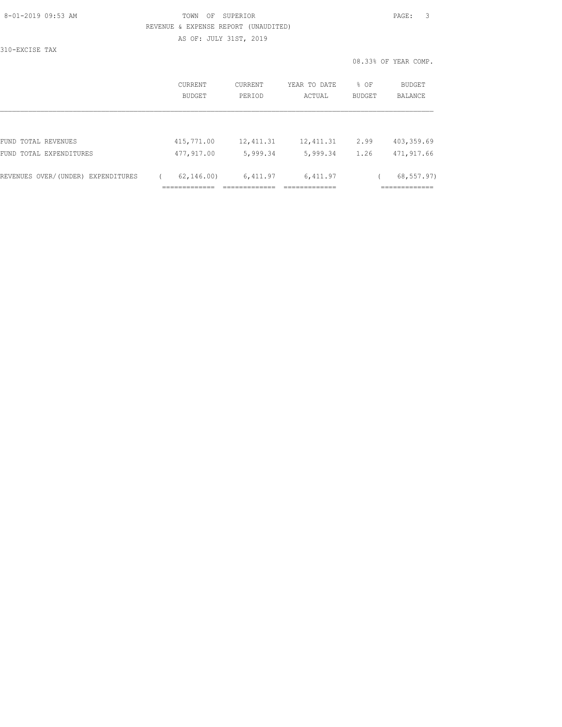### 8-01-2019 09:53 AM TOWN OF SUPERIOR PAGE: 3 REVENUE & EXPENSE REPORT (UNAUDITED) AS OF: JULY 31ST, 2019

310-EXCISE TAX

|                                    | CURRENT<br>BUDGET | CURRENT<br>PERIOD | YEAR TO DATE<br>ACTUAL | $8$ OF<br>BUDGET | BUDGET<br><b>BALANCE</b> |
|------------------------------------|-------------------|-------------------|------------------------|------------------|--------------------------|
|                                    |                   |                   |                        |                  |                          |
| FUND TOTAL REVENUES                | 415,771.00        | 12, 411.31        | 12, 411.31             | 2.99             | 403, 359.69              |
| FUND TOTAL EXPENDITURES            | 477,917.00        | 5,999.34          | 5,999.34               | 1.26             | 471,917.66               |
| REVENUES OVER/(UNDER) EXPENDITURES | 62, 146, 00       | 6,411.97          | 6,411.97               |                  | 68, 557.97)              |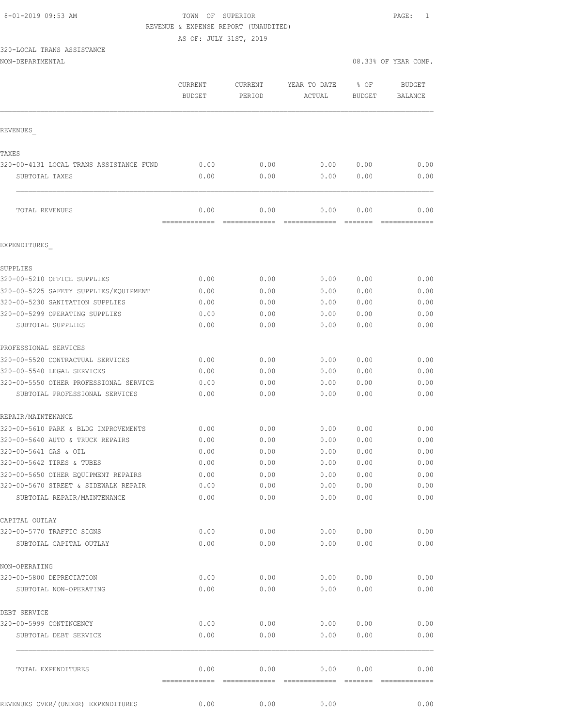#### 8-01-2019 09:53 AM TOWN OF SUPERIOR PAGE: 1 REVENUE & EXPENSE REPORT (UNAUDITED)

AS OF: JULY 31ST, 2019

## 320-LOCAL TRANS ASSISTANCE

| NON-DEPARTMENTAL |  |
|------------------|--|
|------------------|--|

|                                                  | CURRENT<br><b>BUDGET</b> | CURRENT<br>PERIOD      | YEAR TO DATE<br>ACTUAL | % OF<br><b>BUDGET</b> | <b>BUDGET</b><br><b>BALANCE</b> |
|--------------------------------------------------|--------------------------|------------------------|------------------------|-----------------------|---------------------------------|
| REVENUES                                         |                          |                        |                        |                       |                                 |
|                                                  |                          |                        |                        |                       |                                 |
| TAXES<br>320-00-4131 LOCAL TRANS ASSISTANCE FUND | 0.00                     | 0.00                   | 0.00                   | 0.00                  | 0.00                            |
| SUBTOTAL TAXES                                   | 0.00                     | 0.00                   | 0.00                   | 0.00                  | 0.00                            |
| TOTAL REVENUES                                   | 0.00                     | 0.00                   | 0.00                   | 0.00                  | 0.00                            |
| EXPENDITURES                                     | =======                  |                        |                        |                       |                                 |
|                                                  |                          |                        |                        |                       |                                 |
| SUPPLIES                                         |                          |                        |                        |                       |                                 |
| 320-00-5210 OFFICE SUPPLIES                      | 0.00                     | 0.00                   | 0.00                   | 0.00                  | 0.00                            |
| 320-00-5225 SAFETY SUPPLIES/EQUIPMENT            | 0.00                     | 0.00                   | 0.00                   | 0.00                  | 0.00                            |
| 320-00-5230 SANITATION SUPPLIES                  | 0.00                     | 0.00                   | 0.00                   | 0.00                  | 0.00                            |
| 320-00-5299 OPERATING SUPPLIES                   | 0.00                     | 0.00                   | 0.00                   | 0.00                  | 0.00                            |
| SUBTOTAL SUPPLIES                                | 0.00                     | 0.00                   | 0.00                   | 0.00                  | 0.00                            |
| PROFESSIONAL SERVICES                            |                          |                        |                        |                       |                                 |
| 320-00-5520 CONTRACTUAL SERVICES                 | 0.00                     | 0.00                   | 0.00                   | 0.00                  | 0.00                            |
| 320-00-5540 LEGAL SERVICES                       | 0.00                     | 0.00                   | 0.00                   | 0.00                  | 0.00                            |
| 320-00-5550 OTHER PROFESSIONAL SERVICE           | 0.00                     | 0.00                   | 0.00                   | 0.00                  | 0.00                            |
| SUBTOTAL PROFESSIONAL SERVICES                   | 0.00                     | 0.00                   | 0.00                   | 0.00                  | 0.00                            |
| REPAIR/MAINTENANCE                               |                          |                        |                        |                       |                                 |
| 320-00-5610 PARK & BLDG IMPROVEMENTS             | 0.00                     | 0.00                   | 0.00                   | 0.00                  | 0.00                            |
| 320-00-5640 AUTO & TRUCK REPAIRS                 | 0.00                     | 0.00                   | 0.00                   | 0.00                  | 0.00                            |
| 320-00-5641 GAS & OIL                            | 0.00                     | 0.00                   | 0.00                   | 0.00                  | 0.00                            |
| 320-00-5642 TIRES & TUBES                        | 0.00                     | 0.00                   | 0.00                   | 0.00                  | 0.00                            |
| 320-00-5650 OTHER EQUIPMENT REPAIRS              | 0.00                     | 0.00                   | 0.00                   | 0.00                  | 0.00                            |
| 320-00-5670 STREET & SIDEWALK REPAIR             | 0.00                     | 0.00                   | 0.00                   | 0.00                  | 0.00                            |
| SUBTOTAL REPAIR/MAINTENANCE                      | 0.00                     | 0.00                   | 0.00                   | 0.00                  | 0.00                            |
|                                                  |                          |                        |                        |                       |                                 |
| CAPITAL OUTLAY<br>320-00-5770 TRAFFIC SIGNS      | 0.00                     | 0.00                   | 0.00                   | 0.00                  | 0.00                            |
| SUBTOTAL CAPITAL OUTLAY                          | 0.00                     | 0.00                   | 0.00                   | 0.00                  | 0.00                            |
|                                                  |                          |                        |                        |                       |                                 |
| NON-OPERATING<br>320-00-5800 DEPRECIATION        | 0.00                     | 0.00                   | 0.00                   | 0.00                  | 0.00                            |
|                                                  |                          |                        |                        |                       |                                 |
| SUBTOTAL NON-OPERATING                           | 0.00                     | 0.00                   | 0.00                   | 0.00                  | 0.00                            |
| DEBT SERVICE                                     |                          |                        |                        |                       |                                 |
| 320-00-5999 CONTINGENCY                          | 0.00                     | 0.00                   | 0.00                   | 0.00                  | 0.00                            |
| SUBTOTAL DEBT SERVICE                            | 0.00                     | 0.00                   | 0.00                   | 0.00                  | 0.00                            |
| TOTAL EXPENDITURES                               | 0.00                     | 0.00                   | 0.00                   | 0.00                  | 0.00                            |
| REVENUES OVER/ (UNDER) EXPENDITURES              | =============<br>0.00    | --------------<br>0.00 | --------------<br>0.00 | =======               | --------------<br>0.00          |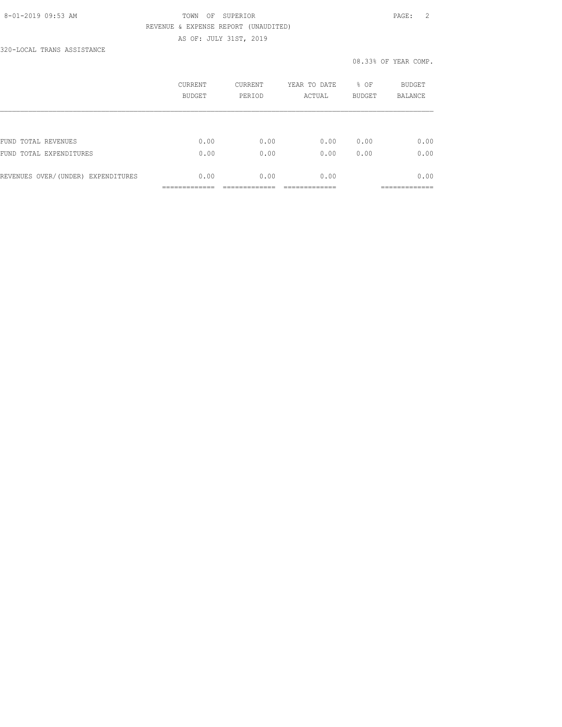### 8-01-2019 09:53 AM TOWN OF SUPERIOR PAGE: 2 REVENUE & EXPENSE REPORT (UNAUDITED) AS OF: JULY 31ST, 2019

320-LOCAL TRANS ASSISTANCE

|                                    | CURRENT<br><b>BUDGET</b> | <b>CURRENT</b><br>PERIOD | YEAR TO DATE<br>ACTUAL | % OF<br><b>BUDGET</b> | <b>BUDGET</b><br><b>BALANCE</b> |
|------------------------------------|--------------------------|--------------------------|------------------------|-----------------------|---------------------------------|
|                                    |                          |                          |                        |                       |                                 |
| FUND TOTAL REVENUES                | 0.00                     | 0.00                     | 0.00                   | 0.00                  | 0.00                            |
| FUND TOTAL EXPENDITURES            | 0.00                     | 0.00                     | 0.00                   | 0.00                  | 0.00                            |
| REVENUES OVER/(UNDER) EXPENDITURES | 0.00                     | 0.00                     | 0.00                   |                       | 0.00                            |
|                                    |                          |                          |                        |                       |                                 |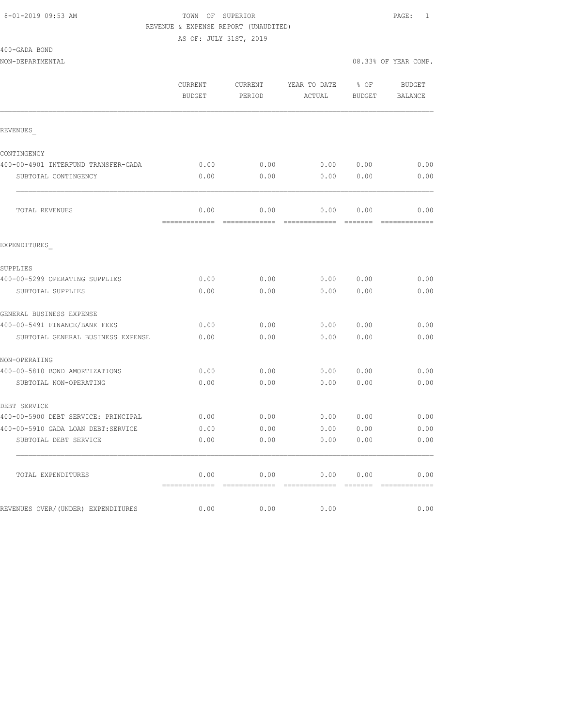#### 8-01-2019 09:53 AM TOWN OF SUPERIOR PAGE: 1 REVENUE & EXPENSE REPORT (UNAUDITED)

| 400-GADA BOND |  |
|---------------|--|
|               |  |

|                                     | CURRENT<br><b>BUDGET</b> | CURRENT<br>PERIOD | YEAR TO DATE<br>ACTUAL | $8$ OF<br><b>BUDGET</b> | BUDGET<br><b>BALANCE</b> |
|-------------------------------------|--------------------------|-------------------|------------------------|-------------------------|--------------------------|
| REVENUES                            |                          |                   |                        |                         |                          |
| CONTINGENCY                         |                          |                   |                        |                         |                          |
| 400-00-4901 INTERFUND TRANSFER-GADA | 0.00                     | 0.00              | 0.00 0.00              |                         | 0.00                     |
| SUBTOTAL CONTINGENCY                | 0.00                     | 0.00              | 0.00                   | 0.00                    | 0.00                     |
| TOTAL REVENUES                      | 0.00                     | 0.00              | 0.00                   | 0.00                    | 0.00                     |
| EXPENDITURES                        |                          |                   |                        |                         |                          |
| SUPPLIES                            |                          |                   |                        |                         |                          |
| 400-00-5299 OPERATING SUPPLIES      | 0.00                     | 0.00              |                        | 0.00 0.00               | 0.00                     |
| SUBTOTAL SUPPLIES                   | 0.00                     | 0.00              | 0.00                   | 0.00                    | 0.00                     |
| GENERAL BUSINESS EXPENSE            |                          |                   |                        |                         |                          |
| 400-00-5491 FINANCE/BANK FEES       | 0.00                     | 0.00              | 0.00                   | 0.00                    | 0.00                     |
| SUBTOTAL GENERAL BUSINESS EXPENSE   | 0.00                     | 0.00              | 0.00                   | 0.00                    | 0.00                     |
| NON-OPERATING                       |                          |                   |                        |                         |                          |
| 400-00-5810 BOND AMORTIZATIONS      | 0.00                     | 0.00              | 0.00                   | 0.00                    | 0.00                     |
| SUBTOTAL NON-OPERATING              | 0.00                     | 0.00              | 0.00                   | 0.00                    | 0.00                     |
| DEBT SERVICE                        |                          |                   |                        |                         |                          |
| 400-00-5900 DEBT SERVICE: PRINCIPAL | 0.00                     | 0.00              | 0.0000000              |                         | 0.00                     |
| 400-00-5910 GADA LOAN DEBT:SERVICE  | 0.00                     | 0.00              | 0.00                   | 0.00                    | 0.00                     |
| SUBTOTAL DEBT SERVICE               | 0.00                     | 0.00              | 0.00                   | 0.00                    | 0.00                     |
| TOTAL EXPENDITURES                  | 0.00                     | 0.00              | 0.00                   | 0.00                    | 0.00                     |
| REVENUES OVER/(UNDER) EXPENDITURES  | 0.00                     | 0.00              | 0.00                   |                         | 0.00                     |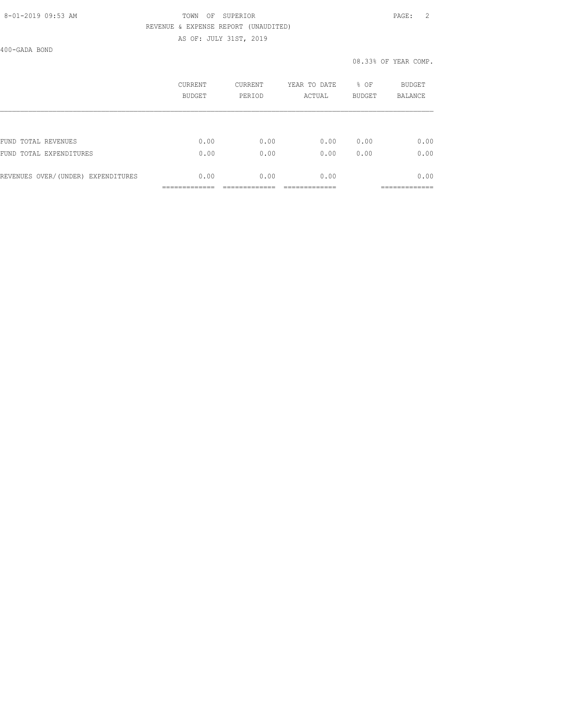## 8-01-2019 09:53 AM TOWN OF SUPERIOR PAGE: 2 REVENUE & EXPENSE REPORT (UNAUDITED)

AS OF: JULY 31ST, 2019

400-GADA BOND

|                                    | <b>CURRENT</b><br>BUDGET | CURRENT<br>PERIOD | YEAR TO DATE<br>ACTUAL | % OF<br><b>BUDGET</b> | BUDGET<br><b>BALANCE</b> |
|------------------------------------|--------------------------|-------------------|------------------------|-----------------------|--------------------------|
|                                    |                          |                   |                        |                       |                          |
| TOTAL REVENUES<br>FUND             | 0.00                     | 0.00              | 0.00                   | 0.00                  | 0.00                     |
| FUND TOTAL EXPENDITURES            | 0.00                     | 0.00              | 0.00                   | 0.00                  | 0.00                     |
| REVENUES OVER/(UNDER) EXPENDITURES | 0.00                     | 0.00              | 0.00                   |                       | 0.00                     |
|                                    |                          |                   |                        |                       | ------------             |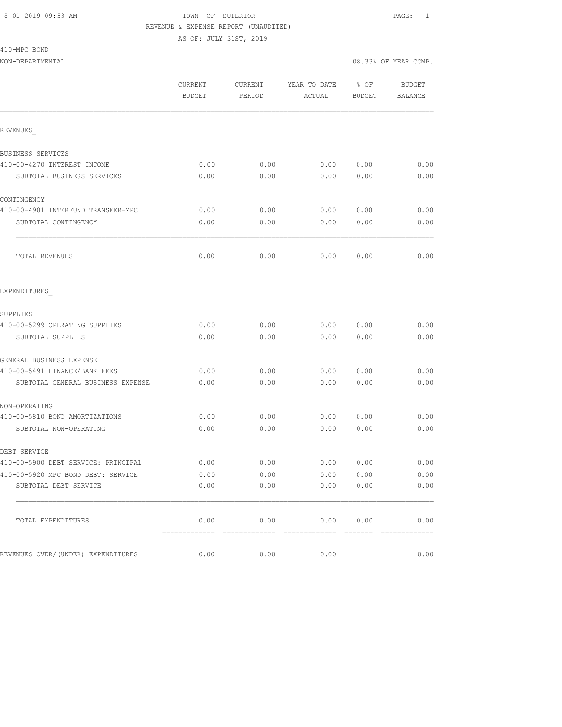### 8-01-2019 09:53 AM TOWN OF SUPERIOR PAGE: 1 REVENUE & EXPENSE REPORT (UNAUDITED) AS OF: JULY 31ST, 2019

410-MPC BOND

|                                     | CURRENT<br><b>BUDGET</b> | CURRENT<br>PERIOD | YEAR TO DATE<br>ACTUAL | % OF<br><b>BUDGET</b> | <b>BUDGET</b><br><b>BALANCE</b>                                                                                                                                                                                                                                                                                                                                                                                                                                                        |
|-------------------------------------|--------------------------|-------------------|------------------------|-----------------------|----------------------------------------------------------------------------------------------------------------------------------------------------------------------------------------------------------------------------------------------------------------------------------------------------------------------------------------------------------------------------------------------------------------------------------------------------------------------------------------|
| REVENUES                            |                          |                   |                        |                       |                                                                                                                                                                                                                                                                                                                                                                                                                                                                                        |
| BUSINESS SERVICES                   |                          |                   |                        |                       |                                                                                                                                                                                                                                                                                                                                                                                                                                                                                        |
| 410-00-4270 INTEREST INCOME         | 0.00                     | 0.00              | 0.00                   | 0.00                  | 0.00                                                                                                                                                                                                                                                                                                                                                                                                                                                                                   |
| SUBTOTAL BUSINESS SERVICES          | 0.00                     | 0.00              | 0.00                   | 0.00                  | 0.00                                                                                                                                                                                                                                                                                                                                                                                                                                                                                   |
| CONTINGENCY                         |                          |                   |                        |                       |                                                                                                                                                                                                                                                                                                                                                                                                                                                                                        |
| 410-00-4901 INTERFUND TRANSFER-MPC  | 0.00                     | 0.00              | 0.00                   | 0.00                  | 0.00                                                                                                                                                                                                                                                                                                                                                                                                                                                                                   |
| SUBTOTAL CONTINGENCY                | 0.00                     | 0.00              | 0.00                   | 0.00                  | 0.00                                                                                                                                                                                                                                                                                                                                                                                                                                                                                   |
| TOTAL REVENUES                      | 0.00                     | 0.00              | 0.00                   | 0.00                  | 0.00                                                                                                                                                                                                                                                                                                                                                                                                                                                                                   |
| EXPENDITURES                        |                          |                   |                        |                       |                                                                                                                                                                                                                                                                                                                                                                                                                                                                                        |
| SUPPLIES                            |                          |                   |                        |                       |                                                                                                                                                                                                                                                                                                                                                                                                                                                                                        |
| 410-00-5299 OPERATING SUPPLIES      | 0.00                     | 0.00              | 0.00                   | 0.00                  | 0.00                                                                                                                                                                                                                                                                                                                                                                                                                                                                                   |
| SUBTOTAL SUPPLIES                   | 0.00                     | 0.00              | 0.00                   | 0.00                  | 0.00                                                                                                                                                                                                                                                                                                                                                                                                                                                                                   |
| GENERAL BUSINESS EXPENSE            |                          |                   |                        |                       |                                                                                                                                                                                                                                                                                                                                                                                                                                                                                        |
| 410-00-5491 FINANCE/BANK FEES       | 0.00                     | 0.00              | 0.00                   | 0.00                  | 0.00                                                                                                                                                                                                                                                                                                                                                                                                                                                                                   |
| SUBTOTAL GENERAL BUSINESS EXPENSE   | 0.00                     | 0.00              | 0.00                   | 0.00                  | 0.00                                                                                                                                                                                                                                                                                                                                                                                                                                                                                   |
| NON-OPERATING                       |                          |                   |                        |                       |                                                                                                                                                                                                                                                                                                                                                                                                                                                                                        |
| 410-00-5810 BOND AMORTIZATIONS      | 0.00                     | 0.00              | 0.00                   | 0.00                  | 0.00                                                                                                                                                                                                                                                                                                                                                                                                                                                                                   |
| SUBTOTAL NON-OPERATING              | 0.00                     | 0.00              | 0.00                   | 0.00                  | 0.00                                                                                                                                                                                                                                                                                                                                                                                                                                                                                   |
| DEBT SERVICE                        |                          |                   |                        |                       |                                                                                                                                                                                                                                                                                                                                                                                                                                                                                        |
| 410-00-5900 DEBT SERVICE: PRINCIPAL | 0.00                     | 0.00              | 0.00                   | 0.00                  | 0.00                                                                                                                                                                                                                                                                                                                                                                                                                                                                                   |
| 410-00-5920 MPC BOND DEBT: SERVICE  | 0.00                     | 0.00              | 0.00                   | 0.00                  | 0.00                                                                                                                                                                                                                                                                                                                                                                                                                                                                                   |
| SUBTOTAL DEBT SERVICE               | 0.00                     | 0.00              | 0.00                   | 0.00                  | 0.00                                                                                                                                                                                                                                                                                                                                                                                                                                                                                   |
| TOTAL EXPENDITURES                  | 0.00                     | 0.00              | 0.00                   | 0.00                  | 0.00                                                                                                                                                                                                                                                                                                                                                                                                                                                                                   |
|                                     | =============            |                   |                        |                       | $\begin{array}{cccccccccccccc} \multicolumn{2}{c}{} & \multicolumn{2}{c}{} & \multicolumn{2}{c}{} & \multicolumn{2}{c}{} & \multicolumn{2}{c}{} & \multicolumn{2}{c}{} & \multicolumn{2}{c}{} & \multicolumn{2}{c}{} & \multicolumn{2}{c}{} & \multicolumn{2}{c}{} & \multicolumn{2}{c}{} & \multicolumn{2}{c}{} & \multicolumn{2}{c}{} & \multicolumn{2}{c}{} & \multicolumn{2}{c}{} & \multicolumn{2}{c}{} & \multicolumn{2}{c}{} & \multicolumn{2}{c}{} & \multicolumn{2}{c}{} & \$ |
| REVENUES OVER/(UNDER) EXPENDITURES  | 0.00                     | 0.00              | 0.00                   |                       | 0.00                                                                                                                                                                                                                                                                                                                                                                                                                                                                                   |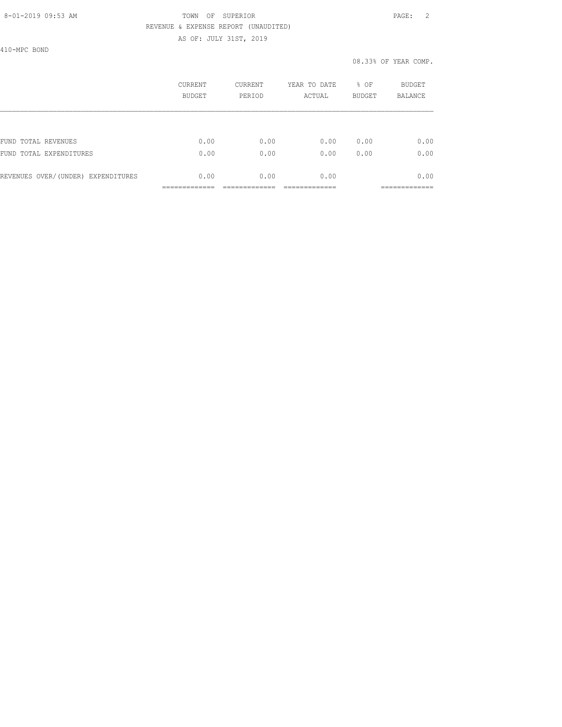### 8-01-2019 09:53 AM TOWN OF SUPERIOR PAGE: 2 REVENUE & EXPENSE REPORT (UNAUDITED) AS OF: JULY 31ST, 2019

410-MPC BOND

|                                    | CURRENT<br><b>BUDGET</b> | <b>CURRENT</b><br>PERIOD | YEAR TO DATE<br>ACTUAL | % OF<br><b>BUDGET</b> | <b>BUDGET</b><br><b>BALANCE</b> |
|------------------------------------|--------------------------|--------------------------|------------------------|-----------------------|---------------------------------|
|                                    |                          |                          |                        |                       |                                 |
| FUND TOTAL REVENUES                | 0.00                     | 0.00                     | 0.00                   | 0.00                  | 0.00                            |
| FUND TOTAL EXPENDITURES            | 0.00                     | 0.00                     | 0.00                   | 0.00                  | 0.00                            |
| REVENUES OVER/(UNDER) EXPENDITURES | 0.00                     | 0.00                     | 0.00                   |                       | 0.00                            |
|                                    |                          |                          |                        |                       |                                 |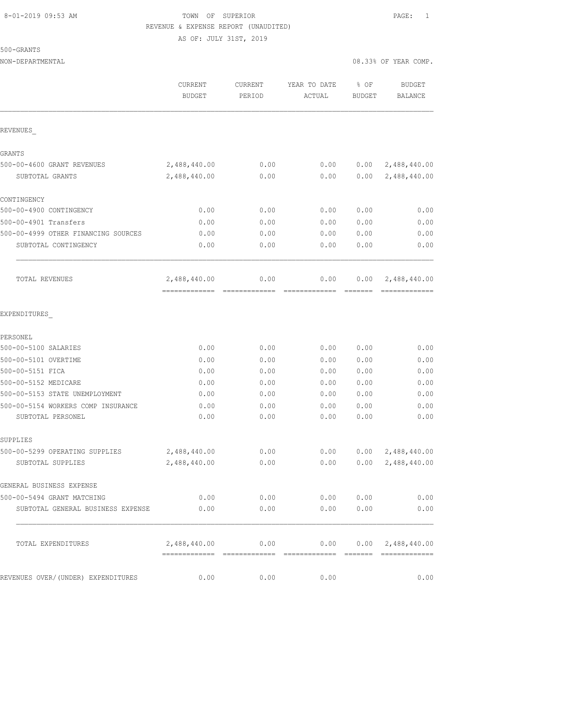## 8-01-2019 09:53 AM TOWN OF SUPERIOR PAGE: 1 REVENUE & EXPENSE REPORT (UNAUDITED) AS OF: JULY 31ST, 2019

500-GRANTS

| NON-DEPARTMENTAL                    |                                              |                       |                                                                                                                                                                                                                                                                                                                                                                                                                                                                                                |                       | 08.33% OF YEAR COMP.           |
|-------------------------------------|----------------------------------------------|-----------------------|------------------------------------------------------------------------------------------------------------------------------------------------------------------------------------------------------------------------------------------------------------------------------------------------------------------------------------------------------------------------------------------------------------------------------------------------------------------------------------------------|-----------------------|--------------------------------|
|                                     | CURRENT<br><b>BUDGET</b>                     | CURRENT<br>PERIOD     | YEAR TO DATE<br>ACTUAL                                                                                                                                                                                                                                                                                                                                                                                                                                                                         | % OF<br><b>BUDGET</b> | <b>BUDGET</b><br>BALANCE       |
| REVENUES                            |                                              |                       |                                                                                                                                                                                                                                                                                                                                                                                                                                                                                                |                       |                                |
| GRANTS                              |                                              |                       |                                                                                                                                                                                                                                                                                                                                                                                                                                                                                                |                       |                                |
| 500-00-4600 GRANT REVENUES          | 2,488,440.00                                 | 0.00                  | 0.00                                                                                                                                                                                                                                                                                                                                                                                                                                                                                           | 0.00                  | 2,488,440.00                   |
| SUBTOTAL GRANTS                     | 2,488,440.00                                 | 0.00                  | 0.00                                                                                                                                                                                                                                                                                                                                                                                                                                                                                           | 0.00                  | 2,488,440.00                   |
| CONTINGENCY                         |                                              |                       |                                                                                                                                                                                                                                                                                                                                                                                                                                                                                                |                       |                                |
| 500-00-4900 CONTINGENCY             | 0.00                                         | 0.00                  | 0.00                                                                                                                                                                                                                                                                                                                                                                                                                                                                                           | 0.00                  | 0.00                           |
| 500-00-4901 Transfers               | 0.00                                         | 0.00                  | 0.00                                                                                                                                                                                                                                                                                                                                                                                                                                                                                           | 0.00                  | 0.00                           |
| 500-00-4999 OTHER FINANCING SOURCES | 0.00                                         | 0.00                  | 0.00                                                                                                                                                                                                                                                                                                                                                                                                                                                                                           | 0.00                  | 0.00                           |
| SUBTOTAL CONTINGENCY                | 0.00                                         | 0.00                  | 0.00                                                                                                                                                                                                                                                                                                                                                                                                                                                                                           | 0.00                  | 0.00                           |
| TOTAL REVENUES                      | 2,488,440.00<br>-------------- ------------- | 0.00                  | 0.00<br>$\begin{array}{cccccccccccccc} \multicolumn{2}{c}{} & \multicolumn{2}{c}{} & \multicolumn{2}{c}{} & \multicolumn{2}{c}{} & \multicolumn{2}{c}{} & \multicolumn{2}{c}{} & \multicolumn{2}{c}{} & \multicolumn{2}{c}{} & \multicolumn{2}{c}{} & \multicolumn{2}{c}{} & \multicolumn{2}{c}{} & \multicolumn{2}{c}{} & \multicolumn{2}{c}{} & \multicolumn{2}{c}{} & \multicolumn{2}{c}{} & \multicolumn{2}{c}{} & \multicolumn{2}{c}{} & \multicolumn{2}{c}{} & \multicolumn{2}{c}{} & \$ | 0.00                  | 2,488,440.00<br>-------------- |
| EXPENDITURES                        |                                              |                       |                                                                                                                                                                                                                                                                                                                                                                                                                                                                                                |                       |                                |
| PERSONEL                            |                                              |                       |                                                                                                                                                                                                                                                                                                                                                                                                                                                                                                |                       |                                |
| 500-00-5100 SALARIES                | 0.00                                         | 0.00                  | 0.00                                                                                                                                                                                                                                                                                                                                                                                                                                                                                           | 0.00                  | 0.00                           |
| 500-00-5101 OVERTIME                | 0.00                                         | 0.00                  | 0.00                                                                                                                                                                                                                                                                                                                                                                                                                                                                                           | 0.00                  | 0.00                           |
| 500-00-5151 FICA                    | 0.00                                         | 0.00                  | 0.00                                                                                                                                                                                                                                                                                                                                                                                                                                                                                           | 0.00                  | 0.00                           |
| 500-00-5152 MEDICARE                | 0.00                                         | 0.00                  | 0.00                                                                                                                                                                                                                                                                                                                                                                                                                                                                                           | 0.00                  | 0.00                           |
| 500-00-5153 STATE UNEMPLOYMENT      | 0.00                                         | 0.00                  | 0.00                                                                                                                                                                                                                                                                                                                                                                                                                                                                                           | 0.00                  | 0.00                           |
| 500-00-5154 WORKERS COMP INSURANCE  | 0.00                                         | 0.00                  | 0.00                                                                                                                                                                                                                                                                                                                                                                                                                                                                                           | 0.00                  | 0.00                           |
| SUBTOTAL PERSONEL                   | 0.00                                         | 0.00                  | 0.00                                                                                                                                                                                                                                                                                                                                                                                                                                                                                           | 0.00                  | 0.00                           |
| SUPPLIES                            |                                              |                       |                                                                                                                                                                                                                                                                                                                                                                                                                                                                                                |                       |                                |
| 500-00-5299 OPERATING SUPPLIES      | 2,488,440.00                                 | 0.00                  | 0.00                                                                                                                                                                                                                                                                                                                                                                                                                                                                                           | 0.00                  | 2,488,440.00                   |
| SUBTOTAL SUPPLIES                   | 2,488,440.00                                 | ${\bf 0}$ . ${\bf 0}$ | 0.00                                                                                                                                                                                                                                                                                                                                                                                                                                                                                           | 0.00                  | 2,488,440.00                   |
| GENERAL BUSINESS EXPENSE            |                                              |                       |                                                                                                                                                                                                                                                                                                                                                                                                                                                                                                |                       |                                |
| 500-00-5494 GRANT MATCHING          | 0.00                                         |                       | $0.00$ 0.00                                                                                                                                                                                                                                                                                                                                                                                                                                                                                    | 0.00                  | 0.00                           |
| SUBTOTAL GENERAL BUSINESS EXPENSE   | 0.00                                         | 0.00                  | 0.00                                                                                                                                                                                                                                                                                                                                                                                                                                                                                           | 0.00                  | 0.00                           |
| TOTAL EXPENDITURES                  | 2,488,440.00                                 |                       | $0.00$ 0.00 0.00 2,488,440.00                                                                                                                                                                                                                                                                                                                                                                                                                                                                  |                       |                                |
| REVENUES OVER/(UNDER) EXPENDITURES  | 0.00                                         | 0.00                  | 0.00                                                                                                                                                                                                                                                                                                                                                                                                                                                                                           |                       | 0.00                           |
|                                     |                                              |                       |                                                                                                                                                                                                                                                                                                                                                                                                                                                                                                |                       |                                |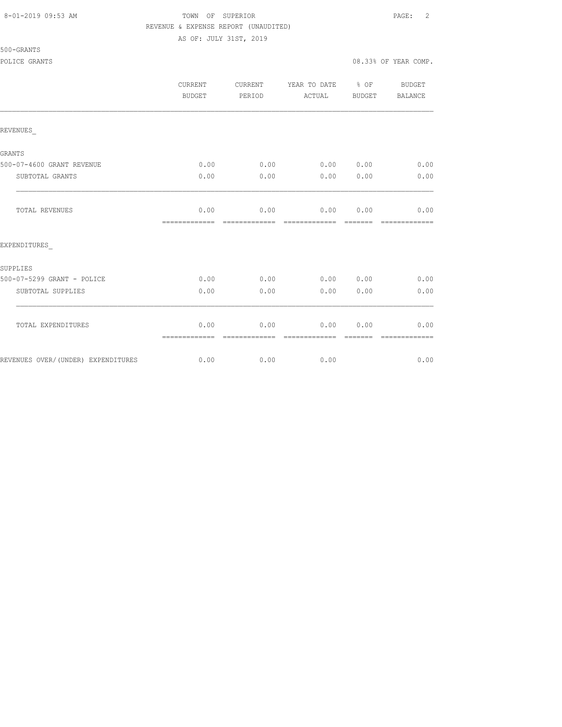### 8-01-2019 09:53 AM TOWN OF SUPERIOR PAGE: 2 REVENUE & EXPENSE REPORT (UNAUDITED) AS OF: JULY 31ST, 2019

### 500-GRANTS

|                                    | CURRENT<br><b>BUDGET</b> | <b>CURRENT</b><br>PERIOD | YEAR TO DATE % OF<br>ACTUAL | BUDGET          | BUDGET<br><b>BALANCE</b> |
|------------------------------------|--------------------------|--------------------------|-----------------------------|-----------------|--------------------------|
| REVENUES                           |                          |                          |                             |                 |                          |
| GRANTS                             |                          |                          |                             |                 |                          |
| 500-07-4600 GRANT REVENUE          | 0.00                     | 0.00                     | 0.00 0.00                   |                 | 0.00                     |
| SUBTOTAL GRANTS                    | 0.00                     | 0.00                     | 0.00                        | 0.00            | 0.00                     |
| <b>TOTAL REVENUES</b>              | 0.00<br>=============    | 0.00<br>=============    | 0.00<br>=============       | 0.00<br>------- | 0.00<br>=============    |
| EXPENDITURES                       |                          |                          |                             |                 |                          |
| <b>SUPPLIES</b>                    |                          |                          |                             |                 |                          |
| 500-07-5299 GRANT - POLICE         | 0.00                     | 0.00                     | 0.00 0.00                   |                 | 0.00                     |
| SUBTOTAL SUPPLIES                  | 0.00                     | 0.00                     | 0.00                        | 0.00            | 0.00                     |
| TOTAL EXPENDITURES                 | 0.00<br>=============    | 0.00<br>-------------    | 0.00<br>-------------       | 0.00            | 0.00<br>-------------    |
| REVENUES OVER/(UNDER) EXPENDITURES | 0.00                     | 0.00                     | 0.00                        |                 | 0.00                     |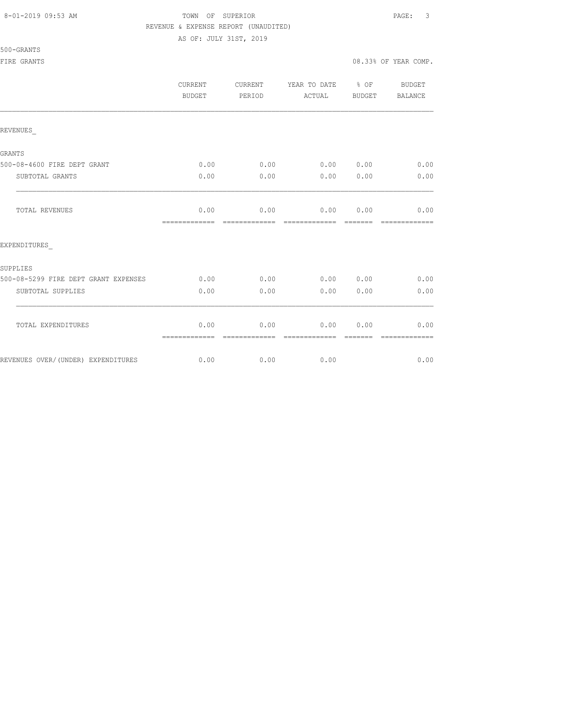#### 8-01-2019 09:53 AM TOWN OF SUPERIOR PAGE: 3 REVENUE & EXPENSE REPORT (UNAUDITED)

|                                      | CURRENT<br>BUDGET     | CURRENT<br>PERIOD     | YEAR TO DATE % OF<br>ACTUAL | BUDGET          | BUDGET<br>BALANCE     |
|--------------------------------------|-----------------------|-----------------------|-----------------------------|-----------------|-----------------------|
| REVENUES                             |                       |                       |                             |                 |                       |
| GRANTS                               |                       |                       |                             |                 |                       |
| 500-08-4600 FIRE DEPT GRANT          | 0.00                  |                       | $0.00$ $0.00$ $0.00$        |                 | 0.00                  |
| SUBTOTAL GRANTS                      | 0.00                  | 0.00                  | 0.00                        | 0.00            | 0.00                  |
| <b>TOTAL REVENUES</b>                | 0.00<br>============= | 0.00<br>============= | 0.00<br>=============       | 0.00<br>------- | 0.00<br>------------- |
| EXPENDITURES                         |                       |                       |                             |                 |                       |
| SUPPLIES                             |                       |                       |                             |                 |                       |
| 500-08-5299 FIRE DEPT GRANT EXPENSES | 0.00                  | 0.00                  | 0.00 0.00                   |                 | 0.00                  |
| SUBTOTAL SUPPLIES                    | 0.00                  | 0.00                  | 0.00                        | 0.00            | 0.00                  |
| TOTAL EXPENDITURES                   | 0.00<br>============= | 0.00                  | 0.00                        | 0.00            | 0.00                  |
| REVENUES OVER/(UNDER) EXPENDITURES   | 0.00                  | 0.00                  | 0.00                        |                 | 0.00                  |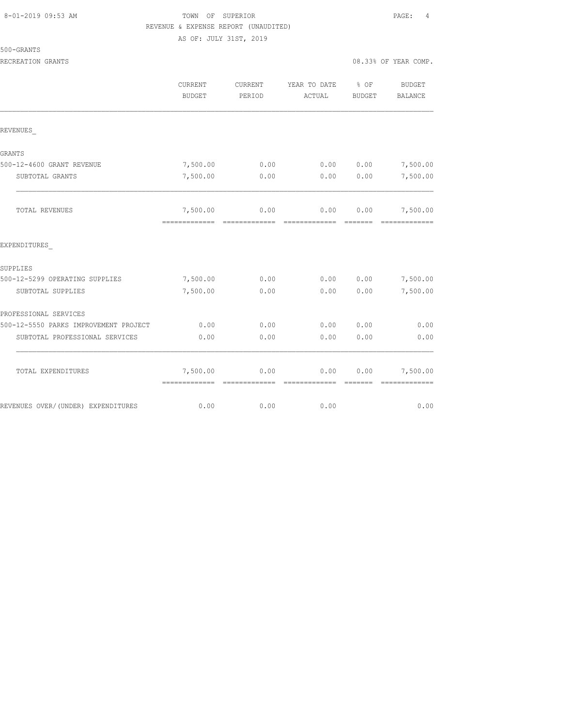## TOWN OF SUPERIOR **Example 2019** PAGE: 4 REVENUE & EXPENSE REPORT (UNAUDITED)

| 5() | . . |  | GRAN |  |  |
|-----|-----|--|------|--|--|
|     |     |  |      |  |  |

|                                       | CURRENT<br><b>BUDGET</b>                  | <b>CURRENT</b><br>PERIOD | YEAR TO DATE<br>ACTUAL | % OF<br><b>BUDGET</b>               | <b>BUDGET</b><br><b>BALANCE</b>            |
|---------------------------------------|-------------------------------------------|--------------------------|------------------------|-------------------------------------|--------------------------------------------|
| REVENUES                              |                                           |                          |                        |                                     |                                            |
| GRANTS                                |                                           |                          |                        |                                     |                                            |
| 500-12-4600 GRANT REVENUE             | 7,500.00                                  | 0.00                     | 0.00                   |                                     | $0.00$ 7,500.00                            |
| SUBTOTAL GRANTS                       | 7,500.00                                  | 0.00                     | 0.00                   | 0.00                                | 7,500.00                                   |
| TOTAL REVENUES                        | 7,500.00<br>-------------                 | 0.00                     | 0.00                   | 0.00<br>$=$ $=$ $=$ $=$ $=$ $=$ $=$ | 7,500.00<br>--------------                 |
| EXPENDITURES                          |                                           |                          |                        |                                     |                                            |
| SUPPLIES                              |                                           |                          |                        |                                     |                                            |
| 500-12-5299 OPERATING SUPPLIES        | 7,500.00                                  | 0.00                     | 0.00                   |                                     | $0.00$ 7,500.00                            |
| SUBTOTAL SUPPLIES                     | 7,500.00                                  | 0.00                     | 0.00                   | 0.00                                | 7,500.00                                   |
| PROFESSIONAL SERVICES                 |                                           |                          |                        |                                     |                                            |
| 500-12-5550 PARKS IMPROVEMENT PROJECT | 0.00                                      | 0.00                     | 0.00                   | 0.00                                | 0.00                                       |
| SUBTOTAL PROFESSIONAL SERVICES        | 0.00                                      | 0.00                     | 0.00                   | 0.00                                | 0.00                                       |
| TOTAL EXPENDITURES                    | 7,500.00<br>-------------- -------------- | 0.00                     | 0.00<br>-------------- |                                     | $0.00$ 7,500.00<br>----------------------- |
| REVENUES OVER/(UNDER) EXPENDITURES    | 0.00                                      | 0.00                     | 0.00                   |                                     | 0.00                                       |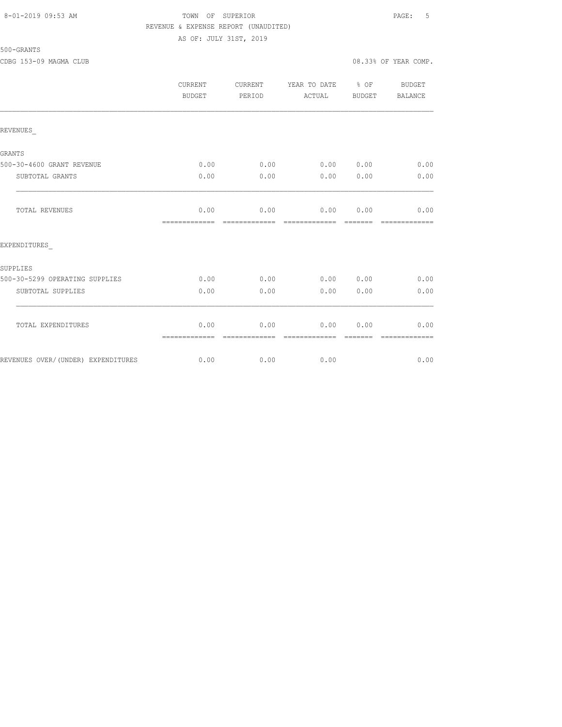## 8-01-2019 09:53 AM TOWN OF SUPERIOR PAGE: 5 REVENUE & EXPENSE REPORT (UNAUDITED)

500-GRANTS

|                                    | <b>CURRENT</b><br><b>BUDGET</b> | CURRENT<br>PERIOD     | YEAR TO DATE % OF<br>ACTUAL | BUDGET | BUDGET<br>BALANCE |
|------------------------------------|---------------------------------|-----------------------|-----------------------------|--------|-------------------|
| REVENUES                           |                                 |                       |                             |        |                   |
| GRANTS                             |                                 |                       |                             |        |                   |
| 500-30-4600 GRANT REVENUE          | 0.00                            | 0.00                  | 0.00 0.00                   |        | 0.00              |
| SUBTOTAL GRANTS                    | 0.00                            | 0.00                  | 0.00                        | 0.00   | 0.00              |
| TOTAL REVENUES                     | 0.00<br>=============           | 0.00                  | 0.00<br>-------------       | 0.00   | 0.00              |
| EXPENDITURES                       |                                 |                       |                             |        |                   |
| SUPPLIES                           |                                 |                       |                             |        |                   |
| 500-30-5299 OPERATING SUPPLIES     | 0.00                            | 0.00                  | 0.00                        | 0.00   | 0.00              |
| SUBTOTAL SUPPLIES                  | 0.00                            | 0.00                  | 0.00                        | 0.00   | 0.00              |
| TOTAL EXPENDITURES                 | 0.00<br>=============           | 0.00<br>------------- | 0.00<br>--------------      | 0.00   | 0.00              |
| REVENUES OVER/(UNDER) EXPENDITURES | 0.00                            | 0.00                  | 0.00                        |        | 0.00              |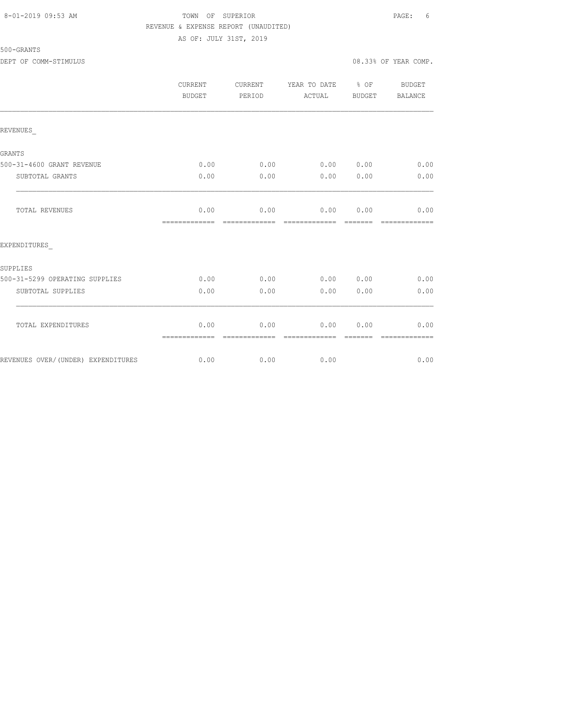#### 8-01-2019 09:53 AM TOWN OF SUPERIOR PAGE: 6 REVENUE & EXPENSE REPORT (UNAUDITED) AS OF: JULY 31ST, 2019

|                                    | CURRENT<br><b>BUDGET</b> | CURRENT<br>PERIOD     | YEAR TO DATE % OF<br>ACTUAL | BUDGET           | <b>BUDGET</b><br>BALANCE |
|------------------------------------|--------------------------|-----------------------|-----------------------------|------------------|--------------------------|
| REVENUES                           |                          |                       |                             |                  |                          |
| GRANTS                             |                          |                       |                             |                  |                          |
| 500-31-4600 GRANT REVENUE          | 0.00                     | 0.00                  | 0.00                        | 0.00             | 0.00                     |
| SUBTOTAL GRANTS                    | 0.00                     | 0.00                  | 0.00                        | 0.00             | 0.00                     |
| TOTAL REVENUES                     | 0.00<br>=============    | 0.00<br>------------- | 0.00<br>--------------      | 0.00<br>-------- | 0.00                     |
| EXPENDITURES                       |                          |                       |                             |                  |                          |
| SUPPLIES                           |                          |                       |                             |                  |                          |
| 500-31-5299 OPERATING SUPPLIES     | 0.00                     | 0.00                  | 0.00                        | 0.00             | 0.00                     |
| SUBTOTAL SUPPLIES                  | 0.00                     | 0.00                  | 0.00                        | 0.00             | 0.00                     |
| TOTAL EXPENDITURES                 | 0.00<br>=============    | 0.00<br>------------- | 0.00                        | 0.00             | 0.00                     |
| REVENUES OVER/(UNDER) EXPENDITURES | 0.00                     | 0.00                  | 0.00                        |                  | 0.00                     |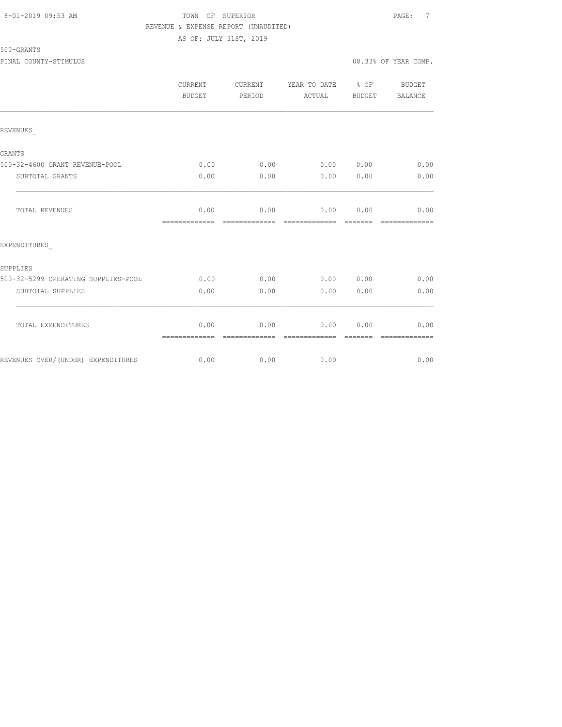#### 8-01-2019 09:53 AM TOWN OF SUPERIOR PAGE: 7 REVENUE & EXPENSE REPORT (UNAUDITED) AS OF: JULY 31ST, 2019

500-GRANTS

PINAL COUNTY-STIMULUS 08.33% OF YEAR COMP.

|                                     | <b>CURRENT</b><br>BUDGET | CURRENT<br>PERIOD     | YEAR TO DATE % OF<br>ACTUAL | BUDGET                                                                                                                                                                                                                                                                                                                                                                                                                                                                               | <b>BUDGET</b><br>BALANCE |
|-------------------------------------|--------------------------|-----------------------|-----------------------------|--------------------------------------------------------------------------------------------------------------------------------------------------------------------------------------------------------------------------------------------------------------------------------------------------------------------------------------------------------------------------------------------------------------------------------------------------------------------------------------|--------------------------|
| REVENUES                            |                          |                       |                             |                                                                                                                                                                                                                                                                                                                                                                                                                                                                                      |                          |
| GRANTS                              |                          |                       |                             |                                                                                                                                                                                                                                                                                                                                                                                                                                                                                      |                          |
| 500-32-4600 GRANT REVENUE-POOL      | 0.00                     | 0.00                  |                             | 0.00 0.00                                                                                                                                                                                                                                                                                                                                                                                                                                                                            | 0.00                     |
| SUBTOTAL GRANTS                     | 0.00                     | 0.00                  | 0.00                        | 0.00                                                                                                                                                                                                                                                                                                                                                                                                                                                                                 | 0.00                     |
| TOTAL REVENUES                      | 0.00<br>-------------    | 0.00<br>============= | 0.00 0.00                   | $\begin{array}{cccccc} \multicolumn{2}{c}{} & \multicolumn{2}{c}{} & \multicolumn{2}{c}{} & \multicolumn{2}{c}{} & \multicolumn{2}{c}{} & \multicolumn{2}{c}{} & \multicolumn{2}{c}{} & \multicolumn{2}{c}{} & \multicolumn{2}{c}{} & \multicolumn{2}{c}{} & \multicolumn{2}{c}{} & \multicolumn{2}{c}{} & \multicolumn{2}{c}{} & \multicolumn{2}{c}{} & \multicolumn{2}{c}{} & \multicolumn{2}{c}{} & \multicolumn{2}{c}{} & \multicolumn{2}{c}{} & \multicolumn{2}{c}{} & \multic$ | 0.00<br>--------------   |
| EXPENDITURES                        |                          |                       |                             |                                                                                                                                                                                                                                                                                                                                                                                                                                                                                      |                          |
| SUPPLIES                            |                          |                       |                             |                                                                                                                                                                                                                                                                                                                                                                                                                                                                                      |                          |
| 500-32-5299 OPERATING SUPPLIES-POOL | 0.00                     | 0.00                  |                             | 0.00 0.00                                                                                                                                                                                                                                                                                                                                                                                                                                                                            | 0.00                     |
| SUBTOTAL SUPPLIES                   | 0.00                     | 0.00                  | 0.00                        | 0.00                                                                                                                                                                                                                                                                                                                                                                                                                                                                                 | 0.00                     |
| TOTAL EXPENDITURES                  | 0.00<br>=============    | 0.00                  | 0.00                        | 0.00                                                                                                                                                                                                                                                                                                                                                                                                                                                                                 | 0.00                     |
| REVENUES OVER/(UNDER) EXPENDITURES  | 0.00                     | 0.00                  | 0.00                        |                                                                                                                                                                                                                                                                                                                                                                                                                                                                                      | 0.00                     |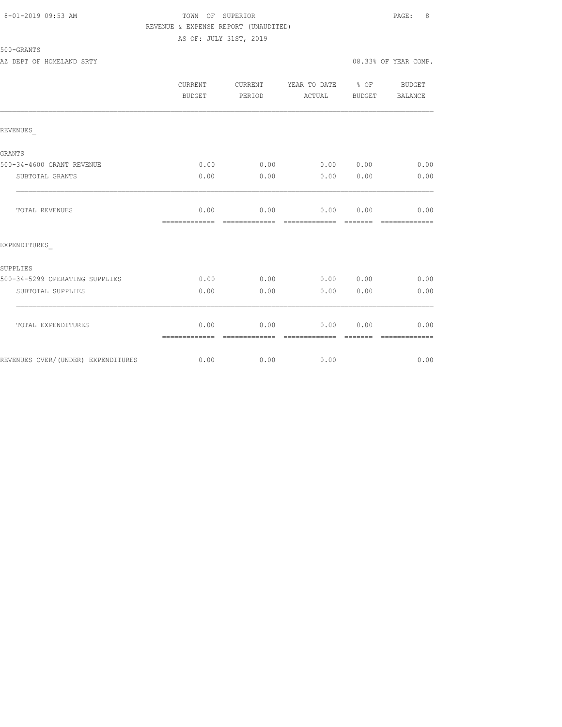### 8-01-2019 09:53 AM TOWN OF SUPERIOR PAGE: 8 REVENUE & EXPENSE REPORT (UNAUDITED) AS OF: JULY 31ST, 2019

|                                    | <b>CURRENT</b><br>BUDGET | CURRENT<br>PERIOD     | YEAR TO DATE % OF<br>ACTUAL | BUDGET | BUDGET<br>BALANCE |
|------------------------------------|--------------------------|-----------------------|-----------------------------|--------|-------------------|
| REVENUES                           |                          |                       |                             |        |                   |
| GRANTS                             |                          |                       |                             |        |                   |
| 500-34-4600 GRANT REVENUE          | 0.00                     | 0.00                  | 0.00 0.00                   |        | 0.00              |
| SUBTOTAL GRANTS                    | 0.00                     | 0.00                  | 0.00                        | 0.00   | 0.00              |
| TOTAL REVENUES                     | 0.00<br>=============    | 0.00                  | 0.00 0.00<br>=============  |        | 0.00              |
| EXPENDITURES                       |                          |                       |                             |        |                   |
| SUPPLIES                           |                          |                       |                             |        |                   |
| 500-34-5299 OPERATING SUPPLIES     | 0.00                     | 0.00                  | 0.00 0.00                   |        | 0.00              |
| SUBTOTAL SUPPLIES                  | 0.00                     | 0.00                  | 0.00                        | 0.00   | 0.00              |
| TOTAL EXPENDITURES                 | 0.00<br>=============    | 0.00<br>------------- | 0.00<br>--------------      | 0.00   | 0.00              |
| REVENUES OVER/(UNDER) EXPENDITURES | 0.00                     | 0.00                  | 0.00                        |        | 0.00              |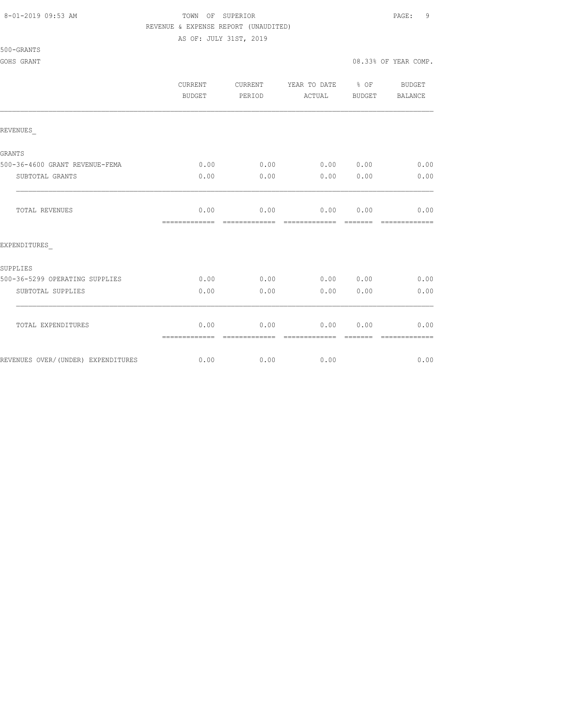#### 8-01-2019 09:53 AM TOWN OF SUPERIOR PAGE: 9 REVENUE & EXPENSE REPORT (UNAUDITED)

|                                    | <b>CURRENT</b><br><b>BUDGET</b> | CURRENT<br>PERIOD      | YEAR TO DATE % OF<br>ACTUAL | BUDGET | <b>BUDGET</b><br><b>BALANCE</b> |
|------------------------------------|---------------------------------|------------------------|-----------------------------|--------|---------------------------------|
| REVENUES                           |                                 |                        |                             |        |                                 |
| GRANTS                             |                                 |                        |                             |        |                                 |
| 500-36-4600 GRANT REVENUE-FEMA     | 0.00                            | 0.00                   | 0.00 0.00                   |        | 0.00                            |
| SUBTOTAL GRANTS                    | 0.00                            | 0.00                   | 0.00                        | 0.00   | 0.00                            |
| TOTAL REVENUES                     | 0.00<br>-------------           | 0.00<br>-------------- | 0.00<br>=============       | 0.00   | 0.00<br>=============           |
| EXPENDITURES                       |                                 |                        |                             |        |                                 |
| SUPPLIES                           |                                 |                        |                             |        |                                 |
| 500-36-5299 OPERATING SUPPLIES     | 0.00                            | 0.00                   | 0.00 0.00                   |        | 0.00                            |
| SUBTOTAL SUPPLIES                  | 0.00                            | 0.00                   | 0.00                        | 0.00   | 0.00                            |
| TOTAL EXPENDITURES                 | 0.00<br>=============           | 0.00                   | 0.00<br>--------------      | 0.00   | 0.00                            |
| REVENUES OVER/(UNDER) EXPENDITURES | 0.00                            | 0.00                   | 0.00                        |        | 0.00                            |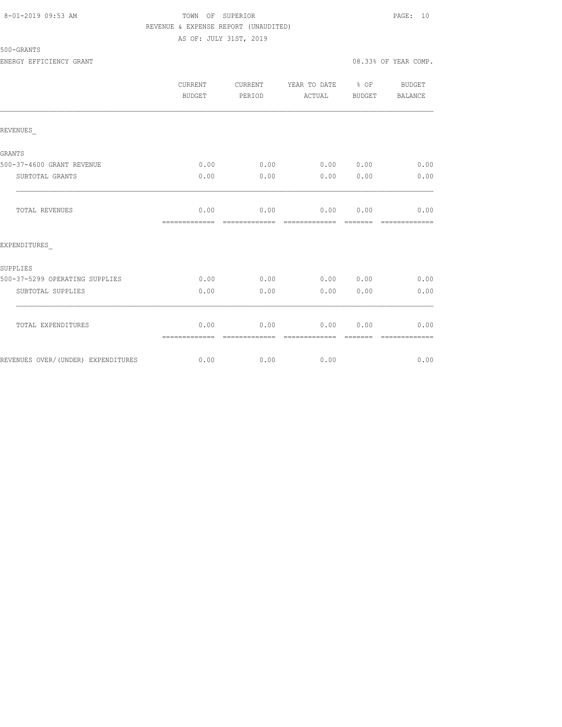### 8-01-2019 09:53 AM TOWN OF SUPERIOR PAGE: 10 REVENUE & EXPENSE REPORT (UNAUDITED) AS OF: JULY 31ST, 2019

500-GRANTS

ENERGY EFFICIENCY GRANT 08.33% OF YEAR COMP. CURRENT CURRENT YEAR TO DATE % OF BUDGET BUDGET PERIOD ACTUAL BUDGET BALANCE REVENUES\_ GRANTS 500-37-4600 GRANT REVENUE 0.00 0.00 0.00 0.00 0.00 SUBTOTAL GRANTS 0.00 0.00 0.00 0.00 0.00 TOTAL REVENUES 0.00 0.00 0.00 0.00 0.00 ============= ============= ============= ======= ============= EXPENDITURES\_ SUPPLIES 500-37-5299 OPERATING SUPPLIES 0.00 0.00 0.00 0.00 0.00 SUBTOTAL SUPPLIES 0.00 0.00 0.00 0.00 0.00  $\mathcal{L}_\text{max}$  TOTAL EXPENDITURES 0.00 0.00 0.00 0.00 0.00 ============= ============= ============= ======= ============= REVENUES OVER/(UNDER) EXPENDITURES  $0.00$  0.00 0.00 0.00 0.00 0.00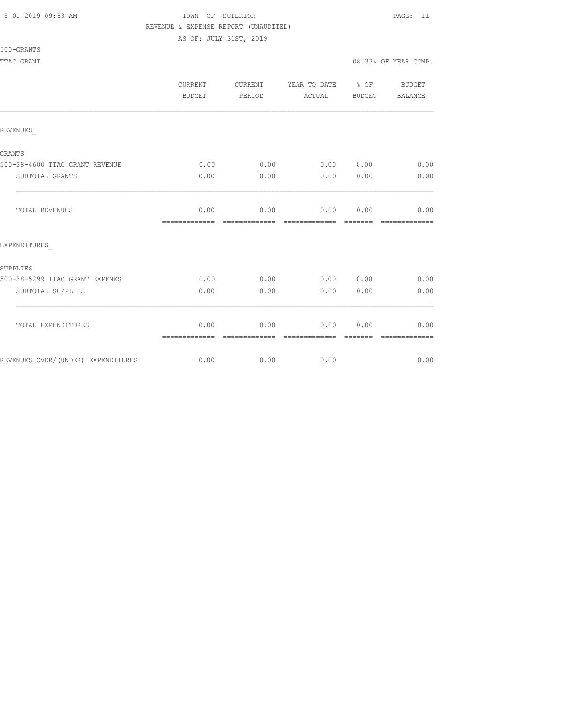#### 8-01-2019 09:53 AM TOWN OF SUPERIOR PAGE: 11 REVENUE & EXPENSE REPORT (UNAUDITED)

AS OF: JULY 31ST, 2019

|                                    | <b>CURRENT</b><br>BUDGET | CURRENT<br>PERIOD | YEAR TO DATE % OF<br>ACTUAL | BUDGET | BUDGET<br>BALANCE |
|------------------------------------|--------------------------|-------------------|-----------------------------|--------|-------------------|
| REVENUES                           |                          |                   |                             |        |                   |
| GRANTS                             |                          |                   |                             |        |                   |
| 500-38-4600 TTAC GRANT REVENUE     | 0.00                     | 0.00              | 0.00 0.00                   |        | 0.00              |
| SUBTOTAL GRANTS                    | 0.00                     | 0.00              | 0.00                        | 0.00   | 0.00              |
| TOTAL REVENUES                     | 0.00<br>=============    | 0.00              | 0.00 0.00<br>=============  |        | 0.00              |
| EXPENDITURES                       |                          |                   |                             |        |                   |
| SUPPLIES                           |                          |                   |                             |        |                   |
| 500-38-5299 TTAC GRANT EXPENES     | 0.00                     | 0.00              | 0.00 0.00                   |        | 0.00              |
| SUBTOTAL SUPPLIES                  | 0.00                     | 0.00              | 0.00                        | 0.00   | 0.00              |
| TOTAL EXPENDITURES                 | 0.00<br>=============    | 0.00              | 0.00                        | 0.00   | 0.00              |
| REVENUES OVER/(UNDER) EXPENDITURES |                          | $0.00$ 0.00       | 0.00                        |        | 0.00              |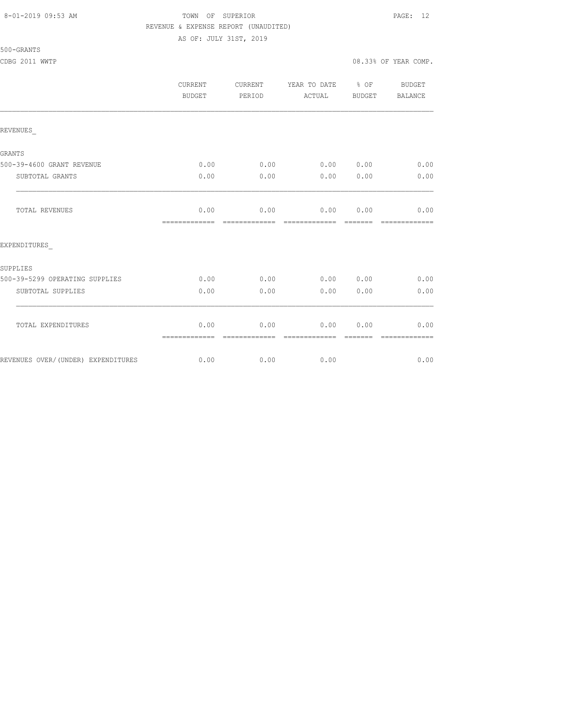#### 8-01-2019 09:53 AM TOWN OF SUPERIOR PAGE: 12 REVENUE & EXPENSE REPORT (UNAUDITED) AS OF: JULY 31ST, 2019

|                                    | <b>CURRENT</b><br>BUDGET | <b>CURRENT</b><br>PERIOD | YEAR TO DATE % OF<br>ACTUAL | BUDGET         | BUDGET<br>BALANCE     |
|------------------------------------|--------------------------|--------------------------|-----------------------------|----------------|-----------------------|
| REVENUES                           |                          |                          |                             |                |                       |
| GRANTS                             |                          |                          |                             |                |                       |
| 500-39-4600 GRANT REVENUE          | 0.00                     |                          | $0.00$ 0.00 0.00            |                | 0.00                  |
| SUBTOTAL GRANTS                    | 0.00                     | 0.00                     | 0.00                        | 0.00           | 0.00                  |
| TOTAL REVENUES                     | 0.00<br>=============    | 0.00<br>=============    | 0.00 0.00<br>-------------  | <b>COOCCOO</b> | 0.00<br>============= |
| EXPENDITURES                       |                          |                          |                             |                |                       |
| SUPPLIES                           |                          |                          |                             |                |                       |
| 500-39-5299 OPERATING SUPPLIES     | 0.00                     | 0.00                     | 0.00 0.00                   |                | 0.00                  |
| SUBTOTAL SUPPLIES                  | 0.00                     | 0.00                     | 0.00                        | 0.00           | 0.00                  |
| TOTAL EXPENDITURES                 | 0.00<br>=============    | 0.00                     | 0.00                        | 0.00           | 0.00                  |
| REVENUES OVER/(UNDER) EXPENDITURES | 0.00                     | 0.00                     | 0.00                        |                | 0.00                  |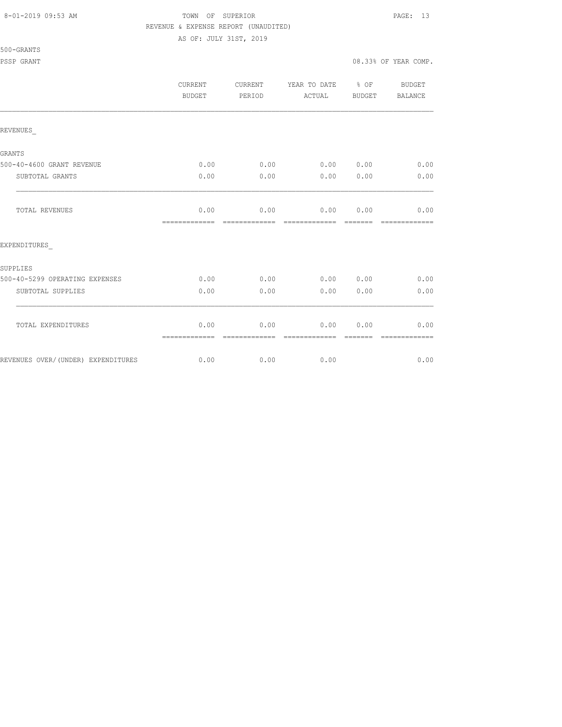#### 8-01-2019 09:53 AM TOWN OF SUPERIOR PAGE: 13 REVENUE & EXPENSE REPORT (UNAUDITED)

|                                    | CURRENT<br>BUDGET     | <b>CURRENT</b><br>PERIOD | YEAR TO DATE % OF<br>ACTUAL | BUDGET          | <b>BUDGET</b><br><b>BALANCE</b> |
|------------------------------------|-----------------------|--------------------------|-----------------------------|-----------------|---------------------------------|
| REVENUES                           |                       |                          |                             |                 |                                 |
| GRANTS                             |                       |                          |                             |                 |                                 |
| 500-40-4600 GRANT REVENUE          | 0.00                  | 0.00                     | 0.00 0.00                   |                 | 0.00                            |
| SUBTOTAL GRANTS                    | 0.00                  | 0.00                     | 0.00                        | 0.00            | 0.00                            |
| TOTAL REVENUES                     | 0.00<br>============= | 0.00                     | 0.00                        | 0.00            | 0.00<br>-------------           |
| EXPENDITURES                       |                       |                          |                             |                 |                                 |
| SUPPLIES                           |                       |                          |                             |                 |                                 |
| 500-40-5299 OPERATING EXPENSES     | 0.00                  | 0.00                     | 0.00 0.00                   |                 | 0.00                            |
| SUBTOTAL SUPPLIES                  | 0.00                  | 0.00                     | 0.00                        | 0.00            | 0.00                            |
| TOTAL EXPENDITURES                 | 0.00<br>============= | 0.00<br>-------------    | 0.00<br>--------------      | 0.00<br>------- | 0.00<br>-------------           |
| REVENUES OVER/(UNDER) EXPENDITURES | 0.00                  | 0.00                     | 0.00                        |                 | 0.00                            |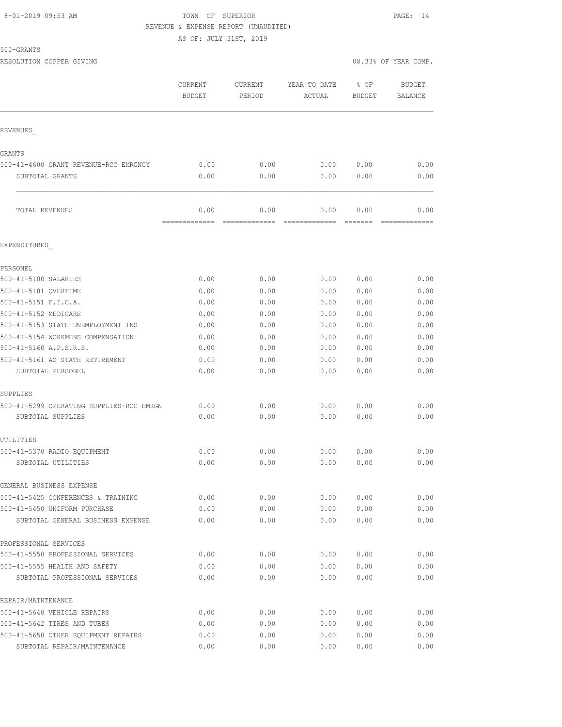500-GRANTS

#### 8-01-2019 09:53 AM TOWN OF SUPERIOR PAGE: 14 REVENUE & EXPENSE REPORT (UNAUDITED)

AS OF: JULY 31ST, 2019

RESOLUTION COPPER GIVING **EXECUTE A** COMP.

|                                                                   | <b>CURRENT</b><br><b>BUDGET</b> | <b>CURRENT</b><br>PERIOD | YEAR TO DATE<br>ACTUAL | % OF<br><b>BUDGET</b> | <b>BUDGET</b><br><b>BALANCE</b> |
|-------------------------------------------------------------------|---------------------------------|--------------------------|------------------------|-----------------------|---------------------------------|
| REVENUES                                                          |                                 |                          |                        |                       |                                 |
| GRANTS                                                            |                                 |                          |                        |                       |                                 |
| 500-41-4600 GRANT REVENUE-RCC EMRGNCY                             | 0.00                            | 0.00                     | 0.00                   | 0.00                  | 0.00                            |
| SUBTOTAL GRANTS                                                   | 0.00                            | 0.00                     | 0.00                   | 0.00                  | 0.00                            |
| TOTAL REVENUES                                                    | 0.00<br>=============           | 0.00<br>=========        | 0.00<br>=============  | 0.00<br>=======       | 0.00                            |
| EXPENDITURES                                                      |                                 |                          |                        |                       |                                 |
| PERSONEL                                                          |                                 |                          |                        |                       |                                 |
| 500-41-5100 SALARIES                                              | 0.00                            | 0.00                     | 0.00                   | 0.00                  | 0.00                            |
| 500-41-5101 OVERTIME                                              | 0.00                            | 0.00                     | 0.00                   | 0.00                  | 0.00                            |
| 500-41-5151 F.I.C.A.                                              | 0.00                            | 0.00                     | 0.00                   | 0.00                  | 0.00                            |
| 500-41-5152 MEDICARE                                              | 0.00                            | 0.00                     | 0.00                   | 0.00                  | 0.00                            |
| 500-41-5153 STATE UNEMPLOYMENT INS                                | 0.00                            | 0.00                     | 0.00                   | 0.00                  | 0.00                            |
| 500-41-5154 WORKMENS COMPENSATION                                 | 0.00                            | 0.00                     | 0.00                   | 0.00                  | 0.00                            |
| 500-41-5160 A.P.S.R.S.                                            | 0.00                            | 0.00                     | 0.00                   | 0.00                  | 0.00                            |
| 500-41-5161 AZ STATE RETIREMENT                                   | 0.00                            | 0.00                     | 0.00                   | 0.00                  | 0.00                            |
| SUBTOTAL PERSONEL                                                 | 0.00                            | 0.00                     | 0.00                   | 0.00                  | 0.00                            |
| SUPPLIES                                                          |                                 |                          |                        |                       |                                 |
| 500-41-5299 OPERATING SUPPLIES-RCC EMRGN                          | 0.00                            | 0.00                     | 0.00                   | 0.00                  | 0.00                            |
| SUBTOTAL SUPPLIES                                                 | 0.00                            | 0.00                     | 0.00                   | 0.00                  | 0.00                            |
| UTILITIES                                                         |                                 |                          |                        |                       |                                 |
| 500-41-5370 RADIO EQUIPMENT                                       | 0.00                            | 0.00                     | 0.00                   | 0.00                  | 0.00                            |
| SUBTOTAL UTILITIES                                                | 0.00                            | 0.00                     | 0.00                   | 0.00                  | 0.00                            |
| GENERAL BUSINESS EXPENSE                                          |                                 |                          |                        |                       |                                 |
| 500-41-5425 CONFERENCES & TRAINING                                | 0.00                            | 0.00                     | 0.00                   | 0.00                  | 0.00                            |
| 500-41-5450 UNIFORM PURCHASE<br>SUBTOTAL GENERAL BUSINESS EXPENSE | 0.00<br>0.00                    | 0.00<br>0.00             | 0.00<br>0.00           | 0.00<br>0.00          | 0.00<br>0.00                    |
|                                                                   |                                 |                          |                        |                       |                                 |
| PROFESSIONAL SERVICES                                             |                                 |                          |                        |                       |                                 |
| 500-41-5550 PROFESSIONAL SERVICES                                 | 0.00                            | 0.00                     | 0.00                   | 0.00                  | 0.00                            |
| 500-41-5555 HEALTH AND SAFETY<br>SUBTOTAL PROFESSIONAL SERVICES   | 0.00<br>0.00                    | 0.00<br>0.00             | 0.00<br>0.00           | 0.00<br>0.00          | 0.00<br>0.00                    |
| REPAIR/MAINTENANCE                                                |                                 |                          |                        |                       |                                 |
| 500-41-5640 VEHICLE REPAIRS                                       | 0.00                            | 0.00                     | 0.00                   | 0.00                  | 0.00                            |
| 500-41-5642 TIRES AND TUBES                                       | 0.00                            | 0.00                     | 0.00                   | 0.00                  | 0.00                            |
| 500-41-5650 OTHER EQUIPMENT REPAIRS                               | 0.00                            | 0.00                     | 0.00                   | 0.00                  | 0.00                            |
| SUBTOTAL REPAIR/MAINTENANCE                                       | 0.00                            | 0.00                     | 0.00                   | 0.00                  | 0.00                            |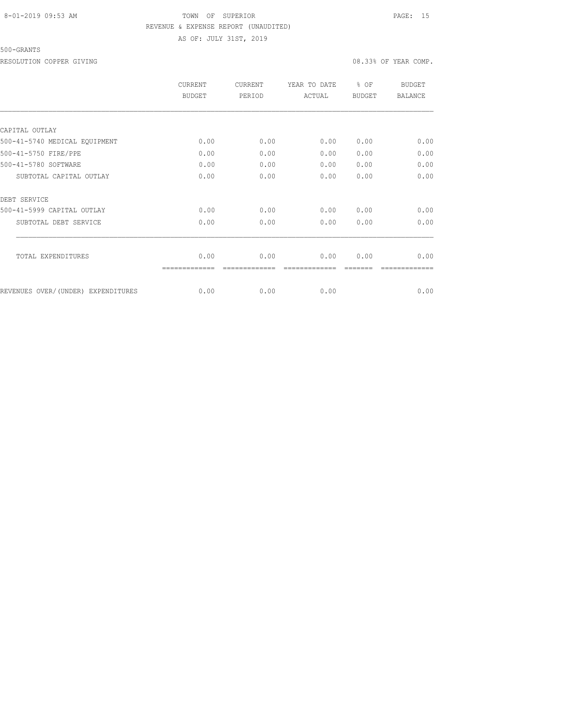### 8-01-2019 09:53 AM TOWN OF SUPERIOR PAGE: 15 REVENUE & EXPENSE REPORT (UNAUDITED) AS OF: JULY 31ST, 2019

#### 500-GRANTS

RESOLUTION COPPER GIVING  $08.33\%$  OF YEAR COMP.

|                                    | <b>CURRENT</b><br><b>BUDGET</b> | <b>CURRENT</b><br>PERIOD | YEAR TO DATE<br>ACTUAL | % OF<br><b>BUDGET</b> | <b>BUDGET</b><br><b>BALANCE</b> |
|------------------------------------|---------------------------------|--------------------------|------------------------|-----------------------|---------------------------------|
|                                    |                                 |                          |                        |                       |                                 |
| CAPITAL OUTLAY                     |                                 |                          |                        |                       |                                 |
| 500-41-5740 MEDICAL EQUIPMENT      | 0.00                            | 0.00                     | 0.00                   | 0.00                  | 0.00                            |
| 500-41-5750 FIRE/PPE               | 0.00                            | 0.00                     | 0.00                   | 0.00                  | 0.00                            |
| 500-41-5780 SOFTWARE               | 0.00                            | 0.00                     | 0.00                   | 0.00                  | 0.00                            |
| SUBTOTAL CAPITAL OUTLAY            | 0.00                            | 0.00                     | 0.00                   | 0.00                  | 0.00                            |
| DEBT SERVICE                       |                                 |                          |                        |                       |                                 |
| 500-41-5999 CAPITAL OUTLAY         | 0.00                            | 0.00                     | 0.00                   | 0.00                  | 0.00                            |
| SUBTOTAL DEBT SERVICE              | 0.00                            | 0.00                     | 0.00                   | 0.00                  | 0.00                            |
| TOTAL EXPENDITURES                 | 0.00                            | 0.00                     | 0.00                   | 0.00                  | 0.00                            |
|                                    |                                 |                          |                        |                       |                                 |
| REVENUES OVER/(UNDER) EXPENDITURES | 0.00                            | 0.00                     | 0.00                   |                       | 0.00                            |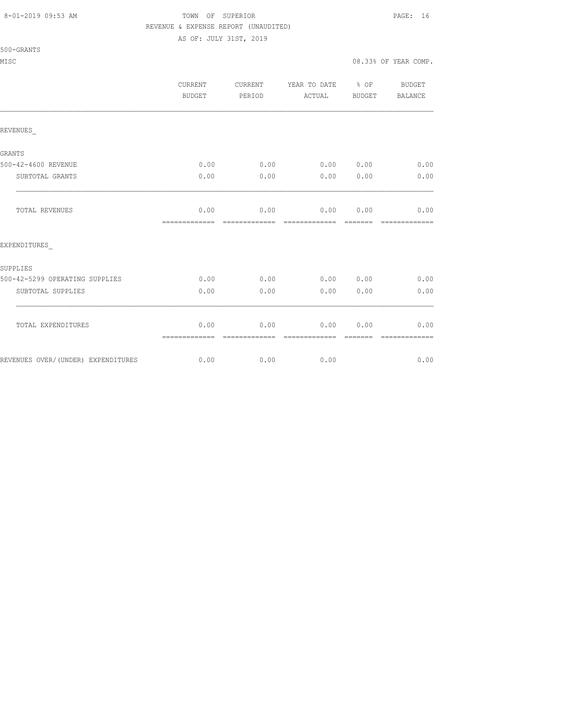#### 8-01-2019 09:53 AM TOWN OF SUPERIOR PAGE: 16 REVENUE & EXPENSE REPORT (UNAUDITED)

| 500<br>'–GRANT |  |
|----------------|--|
|----------------|--|

|                                    | <b>CURRENT</b><br>BUDGET | CURRENT<br>PERIOD     | YEAR TO DATE % OF<br>ACTUAL | BUDGET          | BUDGET<br>BALANCE     |
|------------------------------------|--------------------------|-----------------------|-----------------------------|-----------------|-----------------------|
| REVENUES                           |                          |                       |                             |                 |                       |
| GRANTS                             |                          |                       |                             |                 |                       |
| 500-42-4600 REVENUE                | 0.00                     | 0.00                  | 0.000000                    |                 | 0.00                  |
| SUBTOTAL GRANTS                    | 0.00                     | 0.00                  | 0.00                        | 0.00            | 0.00                  |
| TOTAL REVENUES                     | 0.00<br>=============    | 0.00<br>============= | 0.00<br>=============       | 0.00<br>======= | 0.00<br>============= |
| EXPENDITURES                       |                          |                       |                             |                 |                       |
| SUPPLIES                           |                          |                       |                             |                 |                       |
| 500-42-5299 OPERATING SUPPLIES     | 0.00                     | 0.00                  | 0.00 0.00                   |                 | 0.00                  |
| SUBTOTAL SUPPLIES                  | 0.00                     | 0.00                  | 0.00                        | 0.00            | 0.00                  |
| TOTAL EXPENDITURES                 | 0.00<br>=============    | 0.00                  | 0.00                        | 0.00            | 0.00                  |
| REVENUES OVER/(UNDER) EXPENDITURES | 0.00                     | 0.00                  | 0.00                        |                 | 0.00                  |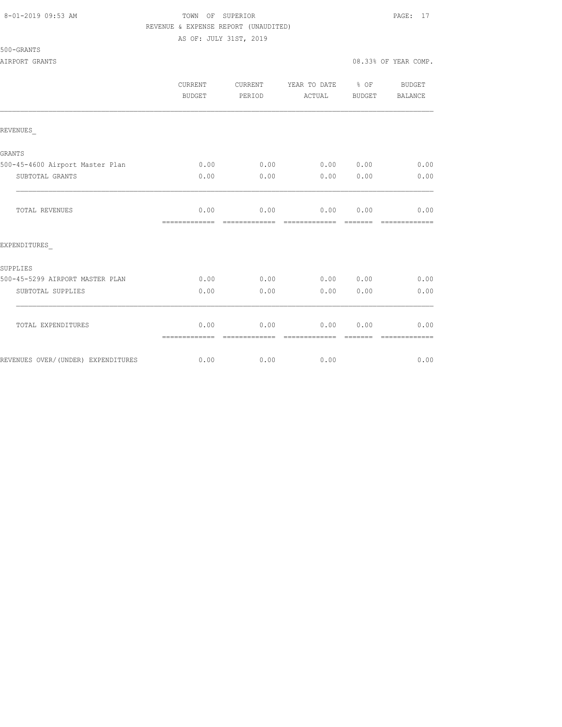#### 8-01-2019 09:53 AM TOWN OF SUPERIOR PAGE: 17 REVENUE & EXPENSE REPORT (UNAUDITED)

AS OF: JULY 31ST, 2019

#### 500-GRANTS

AIRPORT GRANTS 6000 COMP.

|                                 | <b>CURRENT</b><br><b>BUDGET</b> | <b>CURRENT</b><br>PERIOD | YEAR TO DATE % OF<br>ACTUAL | BUDGET    | <b>BUDGET</b><br>BALANCE                                                                                                                                                                                                                                                                                                                                                                                                                                                                       |
|---------------------------------|---------------------------------|--------------------------|-----------------------------|-----------|------------------------------------------------------------------------------------------------------------------------------------------------------------------------------------------------------------------------------------------------------------------------------------------------------------------------------------------------------------------------------------------------------------------------------------------------------------------------------------------------|
| REVENUES                        |                                 |                          |                             |           |                                                                                                                                                                                                                                                                                                                                                                                                                                                                                                |
| <b>GRANTS</b>                   |                                 |                          |                             |           |                                                                                                                                                                                                                                                                                                                                                                                                                                                                                                |
| 500-45-4600 Airport Master Plan | 0.00                            | 0.00                     |                             | 0.00 0.00 | 0.00                                                                                                                                                                                                                                                                                                                                                                                                                                                                                           |
| SUBTOTAL GRANTS                 | 0.00                            | 0.00                     | 0.00                        | 0.00      | 0.00                                                                                                                                                                                                                                                                                                                                                                                                                                                                                           |
| TOTAL REVENUES                  | 0.00<br>=============           | 0.00<br>essessessesse    | ------------- -----         | 0.00 0.00 | 0.00<br>$\begin{array}{cccccccccc} \multicolumn{2}{c}{} & \multicolumn{2}{c}{} & \multicolumn{2}{c}{} & \multicolumn{2}{c}{} & \multicolumn{2}{c}{} & \multicolumn{2}{c}{} & \multicolumn{2}{c}{} & \multicolumn{2}{c}{} & \multicolumn{2}{c}{} & \multicolumn{2}{c}{} & \multicolumn{2}{c}{} & \multicolumn{2}{c}{} & \multicolumn{2}{c}{} & \multicolumn{2}{c}{} & \multicolumn{2}{c}{} & \multicolumn{2}{c}{} & \multicolumn{2}{c}{} & \multicolumn{2}{c}{} & \multicolumn{2}{c}{} & \mult$ |
| EXPENDITURES                    |                                 |                          |                             |           |                                                                                                                                                                                                                                                                                                                                                                                                                                                                                                |
| SUPPLIES                        |                                 |                          |                             |           |                                                                                                                                                                                                                                                                                                                                                                                                                                                                                                |
| 500-45-5299 AIRPORT MASTER PLAN | 0.00                            | 0.00                     |                             | 0.00 0.00 | 0.00                                                                                                                                                                                                                                                                                                                                                                                                                                                                                           |
| SUBTOTAL SUPPLIES               | 0.00                            | 0.00                     | 0.00                        | 0.00      | 0.00                                                                                                                                                                                                                                                                                                                                                                                                                                                                                           |
| TOTAL EXPENDITURES              | 0.00                            | 0.00                     | 0.00                        | 0.00      | 0.00                                                                                                                                                                                                                                                                                                                                                                                                                                                                                           |
|                                 | -------------                   | -------------            |                             |           | -------------                                                                                                                                                                                                                                                                                                                                                                                                                                                                                  |

REVENUES OVER/(UNDER) EXPENDITURES 0.00 0.00 0.00 0.00 0.00 0.00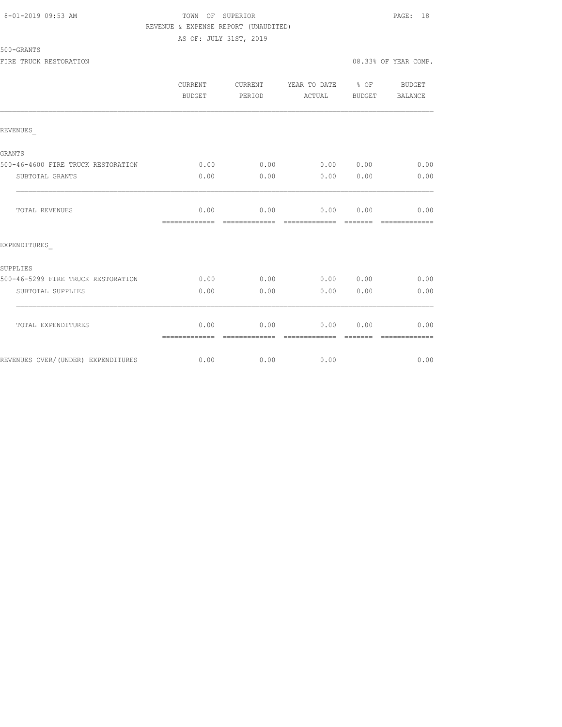#### 8-01-2019 09:53 AM TOWN OF SUPERIOR PAGE: 18 REVENUE & EXPENSE REPORT (UNAUDITED) AS OF: JULY 31ST, 2019

|                                    | <b>CURRENT</b><br>BUDGET | CURRENT<br>PERIOD     | YEAR TO DATE % OF BUDGET<br>ACTUAL | BUDGET           | <b>BALANCE</b>        |
|------------------------------------|--------------------------|-----------------------|------------------------------------|------------------|-----------------------|
| REVENUES                           |                          |                       |                                    |                  |                       |
| GRANTS                             |                          |                       |                                    |                  |                       |
| 500-46-4600 FIRE TRUCK RESTORATION | 0.00                     | 0.00                  | 0.00 0.00                          |                  | 0.00                  |
| SUBTOTAL GRANTS                    | 0.00                     | 0.00                  | 0.00                               | 0.00             | 0.00                  |
| TOTAL REVENUES                     | 0.00                     |                       | $0.00$ $0.00$ $0.00$               |                  | 0.00                  |
| EXPENDITURES                       |                          |                       |                                    |                  |                       |
| SUPPLIES                           |                          |                       |                                    |                  |                       |
| 500-46-5299 FIRE TRUCK RESTORATION | 0.00                     | 0.00                  | 0.0000000                          |                  | 0.00                  |
| SUBTOTAL SUPPLIES                  | 0.00                     | 0.00                  | 0.00                               | 0.00             | 0.00                  |
| TOTAL EXPENDITURES                 | 0.00<br>=============    | 0.00<br>essessessesse | 0.00<br>=============              | 0.00<br>-------- | 0.00<br>============= |
| REVENUES OVER/(UNDER) EXPENDITURES | 0.00                     | 0.00                  | 0.00                               |                  | 0.00                  |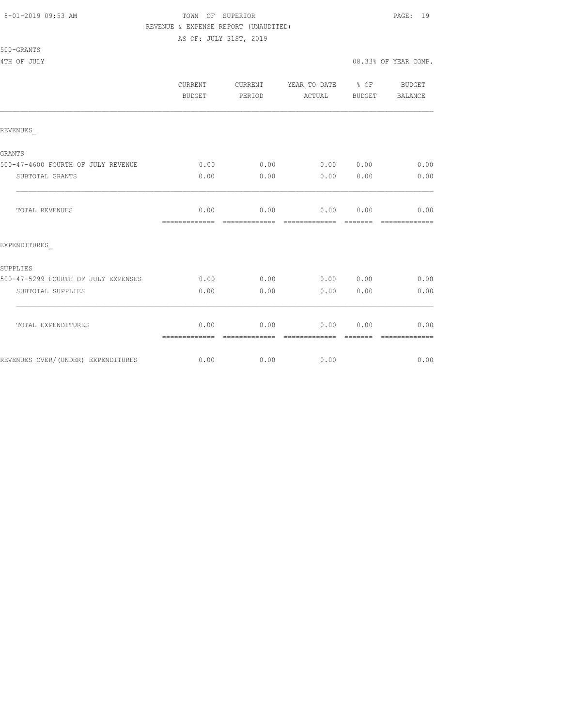#### 8-01-2019 09:53 AM TOWN OF SUPERIOR PAGE: 19 REVENUE & EXPENSE REPORT (UNAUDITED)

AS OF: JULY 31ST, 2019

|                                     | CURRENT<br>BUDGET     | CURRENT<br>PERIOD     | YEAR TO DATE % OF<br>ACTUAL    | BUDGET                  | BUDGET<br>BALANCE     |
|-------------------------------------|-----------------------|-----------------------|--------------------------------|-------------------------|-----------------------|
| REVENUES                            |                       |                       |                                |                         |                       |
| GRANTS                              |                       |                       |                                |                         |                       |
| 500-47-4600 FOURTH OF JULY REVENUE  | 0.00                  | 0.00                  | $0.00$ $0.00$ $0.00$ $0.00$    |                         |                       |
| SUBTOTAL GRANTS                     | 0.00                  | 0.00                  | 0.00                           | 0.00                    | 0.00                  |
| <b>TOTAL REVENUES</b>               | 0.00<br>============= | 0.00<br>============= | $0.00$ $0.00$<br>============= | $=$ $=$ $=$ $=$ $=$ $=$ | 0.00<br>============= |
| EXPENDITURES                        |                       |                       |                                |                         |                       |
| SUPPLIES                            |                       |                       |                                |                         |                       |
| 500-47-5299 FOURTH OF JULY EXPENSES | 0.00                  | 0.00                  | 0.00 0.00                      |                         | 0.00                  |
| SUBTOTAL SUPPLIES                   | 0.00                  | 0.00                  | 0.00                           | 0.00                    | 0.00                  |
| TOTAL EXPENDITURES                  | 0.00<br>============= | 0.00<br>------------- | 0.00<br>=============          | 0.00                    | 0.00<br>============= |
| REVENUES OVER/(UNDER) EXPENDITURES  | 0.00                  |                       | $0.00$ 0.00                    |                         | 0.00                  |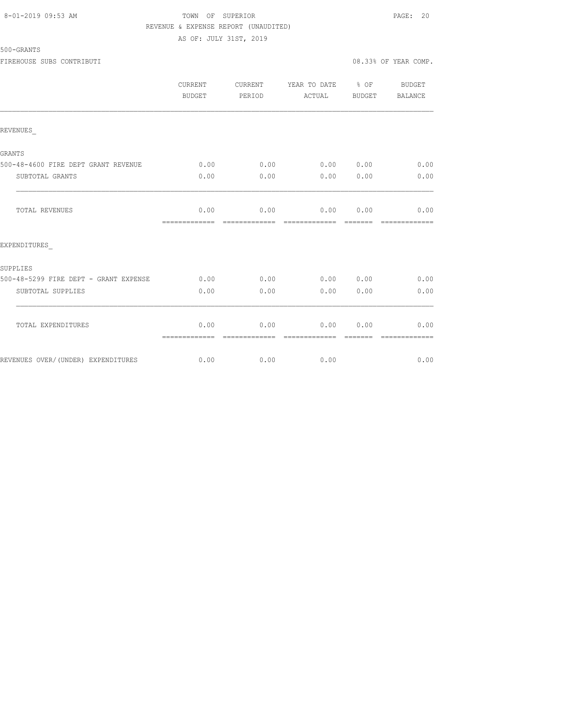#### 8-01-2019 09:53 AM TOWN OF SUPERIOR PAGE: 20 REVENUE & EXPENSE REPORT (UNAUDITED) AS OF: JULY 31ST, 2019

|                                       | CURRENT<br><b>BUDGET</b> | CURRENT<br>PERIOD     | YEAR TO DATE % OF<br>ACTUAL                                                                                                                                                                                                                                                                                                                                                                                                                                                                    | BUDGET           | BUDGET<br>BALANCE     |
|---------------------------------------|--------------------------|-----------------------|------------------------------------------------------------------------------------------------------------------------------------------------------------------------------------------------------------------------------------------------------------------------------------------------------------------------------------------------------------------------------------------------------------------------------------------------------------------------------------------------|------------------|-----------------------|
| REVENUES                              |                          |                       |                                                                                                                                                                                                                                                                                                                                                                                                                                                                                                |                  |                       |
| <b>GRANTS</b>                         |                          |                       |                                                                                                                                                                                                                                                                                                                                                                                                                                                                                                |                  |                       |
| 500-48-4600 FIRE DEPT GRANT REVENUE   | 0.00                     | 0.00                  | 0.00                                                                                                                                                                                                                                                                                                                                                                                                                                                                                           | 0.00             | 0.00                  |
| SUBTOTAL GRANTS                       | 0.00                     | 0.00                  | 0.00                                                                                                                                                                                                                                                                                                                                                                                                                                                                                           | 0.00             | 0.00                  |
| TOTAL REVENUES                        | 0.00<br>=============    | -------------         | $0.00$ $0.00$ $0.00$                                                                                                                                                                                                                                                                                                                                                                                                                                                                           |                  | 0.00<br>============= |
| EXPENDITURES                          |                          |                       |                                                                                                                                                                                                                                                                                                                                                                                                                                                                                                |                  |                       |
| SUPPLIES                              |                          |                       |                                                                                                                                                                                                                                                                                                                                                                                                                                                                                                |                  |                       |
| 500-48-5299 FIRE DEPT - GRANT EXPENSE | 0.00                     | 0.00                  | 0.00                                                                                                                                                                                                                                                                                                                                                                                                                                                                                           | 0.00             | 0.00                  |
| SUBTOTAL SUPPLIES                     | 0.00                     | 0.00                  | 0.00                                                                                                                                                                                                                                                                                                                                                                                                                                                                                           | 0.00             | 0.00                  |
| TOTAL EXPENDITURES                    | 0.00<br>=============    | 0.00<br>============= | 0.00<br>$\begin{array}{cccccccccc} \multicolumn{2}{c}{} & \multicolumn{2}{c}{} & \multicolumn{2}{c}{} & \multicolumn{2}{c}{} & \multicolumn{2}{c}{} & \multicolumn{2}{c}{} & \multicolumn{2}{c}{} & \multicolumn{2}{c}{} & \multicolumn{2}{c}{} & \multicolumn{2}{c}{} & \multicolumn{2}{c}{} & \multicolumn{2}{c}{} & \multicolumn{2}{c}{} & \multicolumn{2}{c}{} & \multicolumn{2}{c}{} & \multicolumn{2}{c}{} & \multicolumn{2}{c}{} & \multicolumn{2}{c}{} & \multicolumn{2}{c}{} & \mult$ | 0.00<br>-------- | 0.00<br>============= |
| REVENUES OVER/(UNDER) EXPENDITURES    | 0.00                     | 0.00                  | 0.00                                                                                                                                                                                                                                                                                                                                                                                                                                                                                           |                  | 0.00                  |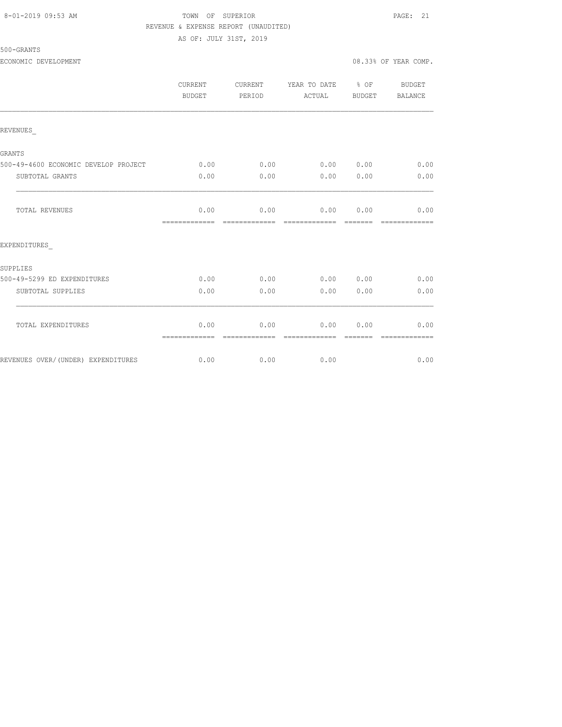#### 8-01-2019 09:53 AM TOWN OF SUPERIOR PAGE: 21 REVENUE & EXPENSE REPORT (UNAUDITED)

AS OF: JULY 31ST, 2019

|                                      | CURRENT<br>BUDGET     | <b>CURRENT</b><br>PERIOD | YEAR TO DATE % OF<br>ACTUAL | BUDGET | BUDGET<br>BALANCE |
|--------------------------------------|-----------------------|--------------------------|-----------------------------|--------|-------------------|
| REVENUES                             |                       |                          |                             |        |                   |
| GRANTS                               |                       |                          |                             |        |                   |
| 500-49-4600 ECONOMIC DEVELOP PROJECT | 0.00                  | 0.00                     | 0.00 0.00                   |        | 0.00              |
| SUBTOTAL GRANTS                      | 0.00                  | 0.00                     | 0.00                        | 0.00   | 0.00              |
| TOTAL REVENUES                       | 0.00<br>============= | 0.00                     | 0.00                        | 0.00   | 0.00              |
| EXPENDITURES                         |                       |                          |                             |        |                   |
| SUPPLIES                             |                       |                          |                             |        |                   |
| 500-49-5299 ED EXPENDITURES          | 0.00                  | 0.00                     | 0.00 0.00                   |        | 0.00              |
| SUBTOTAL SUPPLIES                    | 0.00                  | 0.00                     | 0.00                        | 0.00   | 0.00              |
| TOTAL EXPENDITURES                   | 0.00<br>============= | 0.00                     | 0.00                        | 0.00   | 0.00              |
| REVENUES OVER/(UNDER) EXPENDITURES   | 0.00                  | 0.00                     | 0.00                        |        | 0.00              |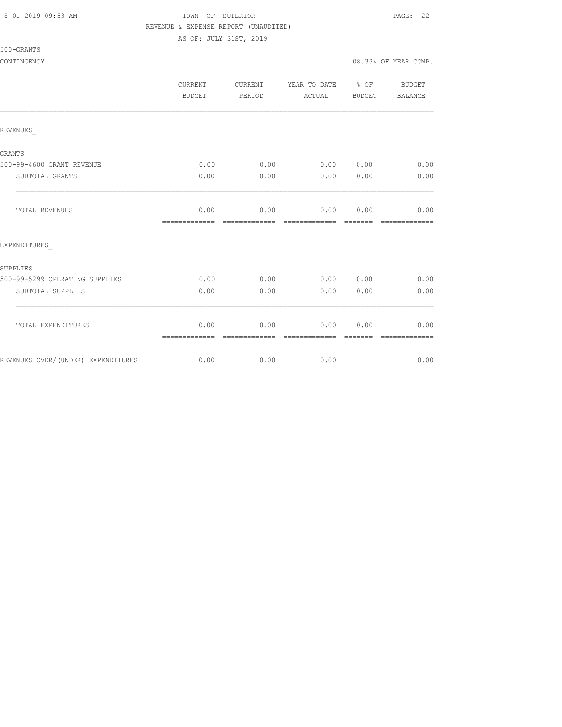500-GRANTS

#### 8-01-2019 09:53 AM TOWN OF SUPERIOR PAGE: 22 REVENUE & EXPENSE REPORT (UNAUDITED)

AS OF: JULY 31ST, 2019

CONTINGENCY 08.33% OF YEAR COMP.

|                                    | CURRENT<br>BUDGET     | CURRENT<br>PERIOD     | YEAR TO DATE 8 OF<br>ACTUAL | <b>BUDGET</b> | BUDGET<br>BALANCE     |
|------------------------------------|-----------------------|-----------------------|-----------------------------|---------------|-----------------------|
| REVENUES                           |                       |                       |                             |               |                       |
| GRANTS                             |                       |                       |                             |               |                       |
| 500-99-4600 GRANT REVENUE          | 0.00                  | 0.00                  | 0.00 0.00                   |               | 0.00                  |
| SUBTOTAL GRANTS                    | 0.00                  | 0.00                  | 0.00                        | 0.00          | 0.00                  |
| <b>TOTAL REVENUES</b>              | 0.00                  | 0.00                  | 0.00 0.00                   |               | 0.00                  |
|                                    | --------------        | -------------         | -------------               | -------       | -------------         |
| EXPENDITURES                       |                       |                       |                             |               |                       |
| SUPPLIES                           |                       |                       |                             |               |                       |
| 500-99-5299 OPERATING SUPPLIES     | 0.00                  | 0.00                  | 0.00 0.00                   |               | 0.00                  |
| SUBTOTAL SUPPLIES                  | 0.00                  | 0.00                  | 0.00                        | 0.00          | 0.00                  |
| TOTAL EXPENDITURES                 | 0.00<br>============= | 0.00<br>============= | 0.00<br>=============       | 0.00          | 0.00<br>============= |
| REVENUES OVER/(UNDER) EXPENDITURES | 0.00                  | 0.00                  | 0.00                        |               | 0.00                  |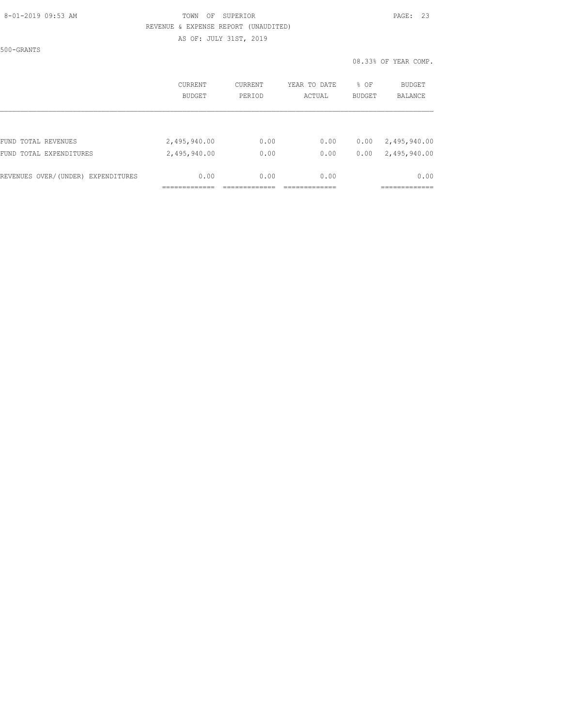#### 8-01-2019 09:53 AM TOWN OF SUPERIOR PAGE: 23 REVENUE & EXPENSE REPORT (UNAUDITED) AS OF: JULY 31ST, 2019

500-GRANTS

|                                    | <b>CURRENT</b><br>BUDGET | <b>CURRENT</b><br>PERIOD | YEAR TO DATE<br>ACTUAL | % OF<br><b>BUDGET</b> | BUDGET<br><b>BALANCE</b>     |
|------------------------------------|--------------------------|--------------------------|------------------------|-----------------------|------------------------------|
| FUND TOTAL REVENUES                | 2,495,940.00             | 0.00                     | 0.00                   | 0.00                  |                              |
| FUND TOTAL EXPENDITURES            | 2,495,940.00             | 0.00                     | 0.00                   | 0.00                  | 2,495,940.00<br>2,495,940.00 |
| REVENUES OVER/(UNDER) EXPENDITURES | 0.00                     | 0.00                     | 0.00                   |                       | 0.00                         |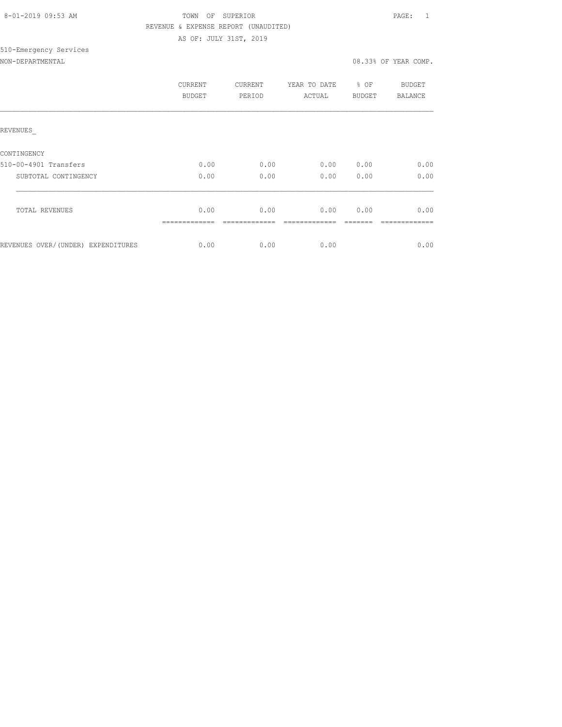| 8-01-2019 09:53 AM |
|--------------------|
|                    |

### TOWN OF SUPERIOR **Example 2019** PAGE: 1 REVENUE & EXPENSE REPORT (UNAUDITED) AS OF: JULY 31ST, 2019

# 510-Emergency Services

| NON-DEPARTMENTAL |  |
|------------------|--|
|                  |  |

|                                    | CURRENT<br>BUDGET | CURRENT<br>PERIOD | YEAR TO DATE<br>ACTUAL | % OF<br><b>BUDGET</b> | BUDGET<br>BALANCE |
|------------------------------------|-------------------|-------------------|------------------------|-----------------------|-------------------|
| REVENUES                           |                   |                   |                        |                       |                   |
| CONTINGENCY                        |                   |                   |                        |                       |                   |
| 510-00-4901 Transfers              | 0.00              | 0.00              | 0.00                   | 0.00                  | 0.00              |
| SUBTOTAL CONTINGENCY               | 0.00              | 0.00              | 0.00                   | 0.00                  | 0.00              |
|                                    |                   |                   |                        |                       |                   |
| <b>TOTAL REVENUES</b>              | 0.00              | 0.00              | 0.00                   | 0.00                  | 0.00              |
| REVENUES OVER/(UNDER) EXPENDITURES | 0.00              | 0.00              | 0.00                   |                       | 0.00              |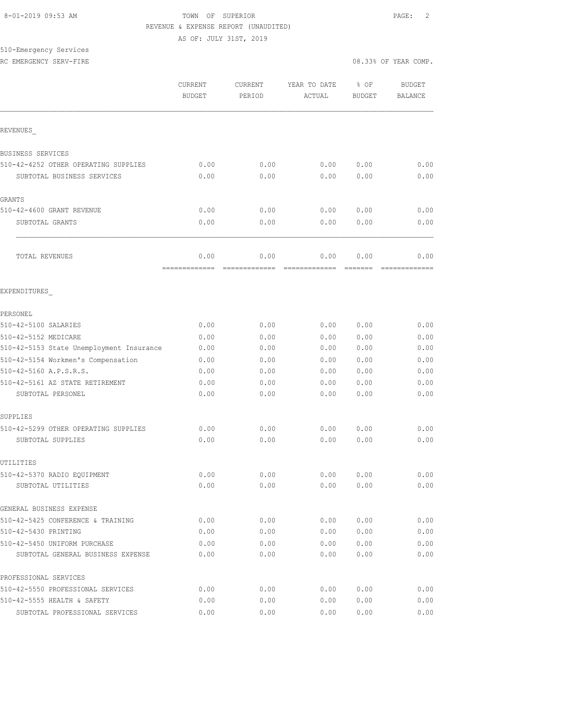#### 8-01-2019 09:53 AM TOWN OF SUPERIOR PAGE: 2 REVENUE & EXPENSE REPORT (UNAUDITED)

AS OF: JULY 31ST, 2019

# 510-Emergency Services

RC EMERGENCY SERV-FIRE **All and Service Computer**  $\sim$  08.33% OF YEAR COMP.

|                                          | CURRENT<br><b>BUDGET</b> | <b>CURRENT</b><br>PERIOD | YEAR TO DATE<br>ACTUAL | % OF<br><b>BUDGET</b> | <b>BUDGET</b><br><b>BALANCE</b> |
|------------------------------------------|--------------------------|--------------------------|------------------------|-----------------------|---------------------------------|
| REVENUES                                 |                          |                          |                        |                       |                                 |
| BUSINESS SERVICES                        |                          |                          |                        |                       |                                 |
| 510-42-4252 OTHER OPERATING SUPPLIES     | 0.00                     | 0.00                     | 0.00                   | 0.00                  | 0.00                            |
| SUBTOTAL BUSINESS SERVICES               | 0.00                     | 0.00                     | 0.00                   | 0.00                  | 0.00                            |
| GRANTS                                   |                          |                          |                        |                       |                                 |
| 510-42-4600 GRANT REVENUE                | 0.00                     | 0.00                     | 0.00                   | 0.00                  | 0.00                            |
| SUBTOTAL GRANTS                          | 0.00                     | 0.00                     | 0.00                   | 0.00                  | 0.00                            |
| TOTAL REVENUES                           | 0.00<br>-------------    | 0.00<br>=============    | 0.00<br>=============  | 0.00<br>=======       | 0.00<br>=============           |
| EXPENDITURES                             |                          |                          |                        |                       |                                 |
| PERSONEL                                 |                          |                          |                        |                       |                                 |
| 510-42-5100 SALARIES                     | 0.00                     | 0.00                     | 0.00                   | 0.00                  | 0.00                            |
| 510-42-5152 MEDICARE                     | 0.00                     | 0.00                     | 0.00                   | 0.00                  | 0.00                            |
| 510-42-5153 State Unemployment Insurance | 0.00                     | 0.00                     | 0.00                   | 0.00                  | 0.00                            |
| 510-42-5154 Workmen's Compensation       | 0.00                     | 0.00                     | 0.00                   | 0.00                  | 0.00                            |
| 510-42-5160 A.P.S.R.S.                   | 0.00                     | 0.00                     | 0.00                   | 0.00                  | 0.00                            |
| 510-42-5161 AZ STATE RETIREMENT          | 0.00                     | 0.00                     | 0.00                   | 0.00                  | 0.00                            |
| SUBTOTAL PERSONEL                        | 0.00                     | 0.00                     | 0.00                   | 0.00                  | 0.00                            |
| SUPPLIES                                 |                          |                          |                        |                       |                                 |
| 510-42-5299 OTHER OPERATING SUPPLIES     | 0.00                     | 0.00                     | 0.00                   | 0.00                  | 0.00                            |
| SUBTOTAL SUPPLIES                        | 0.00                     | 0.00                     | 0.00                   | 0.00                  | 0.00                            |
| UTILITIES                                |                          |                          |                        |                       |                                 |
| 510-42-5370 RADIO EQUIPMENT              | 0.00                     | 0.00                     | 0.00                   | 0.00                  | 0.00                            |
| SUBTOTAL UTILITIES                       | 0.00                     | 0.00                     | 0.00                   | 0.00                  | 0.00                            |
| GENERAL BUSINESS EXPENSE                 |                          |                          |                        |                       |                                 |
| 510-42-5425 CONFERENCE & TRAINING        | 0.00                     | 0.00                     | 0.00                   | 0.00                  | 0.00                            |
| 510-42-5430 PRINTING                     | 0.00                     | 0.00                     | 0.00                   | 0.00                  | 0.00                            |
| 510-42-5450 UNIFORM PURCHASE             | 0.00                     | 0.00                     | 0.00                   | 0.00                  | 0.00                            |
| SUBTOTAL GENERAL BUSINESS EXPENSE        | 0.00                     | 0.00                     | 0.00                   | 0.00                  | 0.00                            |
| PROFESSIONAL SERVICES                    |                          |                          |                        |                       |                                 |
| 510-42-5550 PROFESSIONAL SERVICES        | 0.00                     | 0.00                     | 0.00                   | 0.00                  | 0.00                            |
| 510-42-5555 HEALTH & SAFETY              | 0.00                     | 0.00                     | 0.00                   | 0.00                  | 0.00                            |
| SUBTOTAL PROFESSIONAL SERVICES           | 0.00                     | 0.00                     | 0.00                   | 0.00                  | 0.00                            |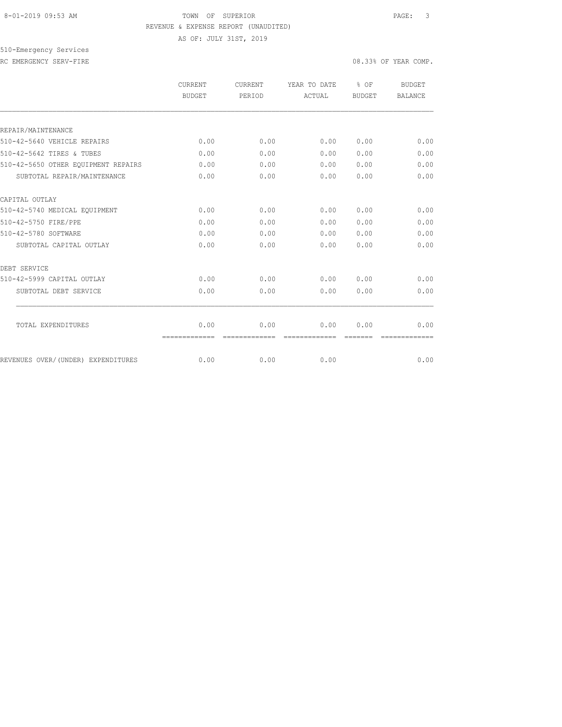#### 8-01-2019 09:53 AM TOWN OF SUPERIOR PAGE: 3 REVENUE & EXPENSE REPORT (UNAUDITED)

AS OF: JULY 31ST, 2019

510-Emergency Services RC EMERGENCY SERV-FIRE **All and Service Computer**  $\sim$  08.33% OF YEAR COMP.

|                                     | CURRENT               | <b>CURRENT</b>        | YEAR TO DATE           | % OF          | BUDGET         |
|-------------------------------------|-----------------------|-----------------------|------------------------|---------------|----------------|
|                                     | <b>BUDGET</b>         | PERIOD                | ACTUAL                 | <b>BUDGET</b> | <b>BALANCE</b> |
|                                     |                       |                       |                        |               |                |
| REPAIR/MAINTENANCE                  |                       |                       |                        |               |                |
| 510-42-5640 VEHICLE REPAIRS         | 0.00                  | 0.00                  | 0.00                   | 0.00          | 0.00           |
| 510-42-5642 TIRES & TUBES           | 0.00                  | 0.00                  | 0.00                   | 0.00          | 0.00           |
| 510-42-5650 OTHER EQUIPMENT REPAIRS | 0.00                  | 0.00                  | 0.00                   | 0.00          | 0.00           |
| SUBTOTAL REPAIR/MAINTENANCE         | 0.00                  | 0.00                  | 0.00                   | 0.00          | 0.00           |
| CAPITAL OUTLAY                      |                       |                       |                        |               |                |
| 510-42-5740 MEDICAL EQUIPMENT       | 0.00                  | 0.00                  | 0.00                   | 0.00          | 0.00           |
| 510-42-5750 FIRE/PPE                | 0.00                  | 0.00                  | 0.00                   | 0.00          | 0.00           |
| 510-42-5780 SOFTWARE                | 0.00                  | 0.00                  | 0.00                   | 0.00          | 0.00           |
| SUBTOTAL CAPITAL OUTLAY             | 0.00                  | 0.00                  | 0.00                   | 0.00          | 0.00           |
| DEBT SERVICE                        |                       |                       |                        |               |                |
| 510-42-5999 CAPITAL OUTLAY          | 0.00                  | 0.00                  | 0.00                   | 0.00          | 0.00           |
| SUBTOTAL DEBT SERVICE               | 0.00                  | 0.00                  | 0.00                   | 0.00          | 0.00           |
|                                     |                       |                       |                        |               |                |
| TOTAL EXPENDITURES                  | 0.00<br>============= | 0.00<br>------------- | 0.00<br>-------------- | 0.00          | 0.00           |
| REVENUES OVER/(UNDER) EXPENDITURES  | 0.00                  | 0.00                  | 0.00                   |               | 0.00           |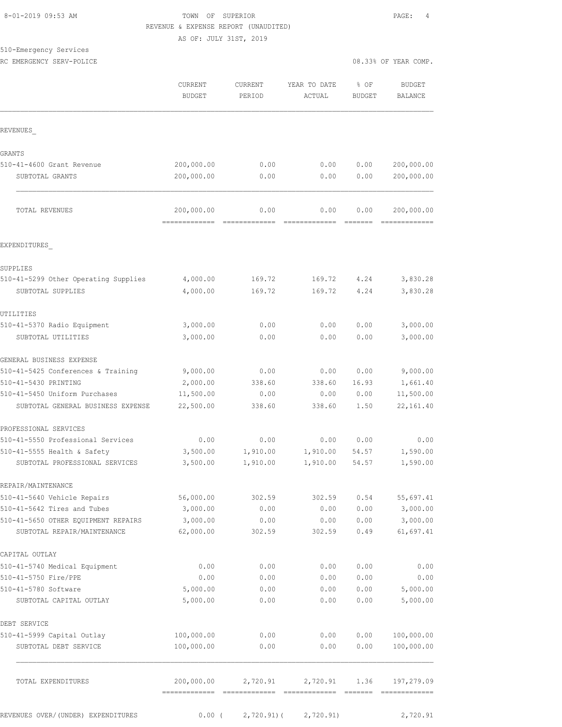### 8-01-2019 09:53 AM TOWN OF SUPERIOR PAGE: 4 REVENUE & EXPENSE REPORT (UNAUDITED)

AS OF: JULY 31ST, 2019

## 510-Emergency Services

RC EMERGENCY SERV-POLICE

| 08.33% OF YEAR COMP. |  |  |
|----------------------|--|--|
|                      |  |  |

| REVENUES                                                      | 200,000.00<br>200,000.00 |                      |                      |                |                             |
|---------------------------------------------------------------|--------------------------|----------------------|----------------------|----------------|-----------------------------|
|                                                               |                          |                      |                      |                |                             |
| <b>GRANTS</b>                                                 |                          |                      |                      |                |                             |
| 510-41-4600 Grant Revenue                                     |                          | 0.00                 | 0.00                 | 0.00           | 200,000.00                  |
| SUBTOTAL GRANTS                                               |                          | 0.00                 | 0.00                 | 0.00           | 200,000.00                  |
| TOTAL REVENUES                                                | 200,000.00               | 0.00                 | 0.00                 | 0.00           | 200,000.00                  |
| EXPENDITURES                                                  |                          |                      |                      |                |                             |
| SUPPLIES                                                      |                          |                      |                      |                |                             |
| 510-41-5299 Other Operating Supplies                          | 4,000.00                 | 169.72               | 169.72               | 4.24           | 3,830.28                    |
| SUBTOTAL SUPPLIES                                             | 4,000.00                 | 169.72               | 169.72               | 4.24           | 3,830.28                    |
| UTILITIES                                                     |                          |                      |                      |                |                             |
| 510-41-5370 Radio Equipment                                   | 3,000.00                 | 0.00                 | 0.00                 | 0.00           | 3,000.00                    |
| SUBTOTAL UTILITIES                                            | 3,000.00                 | 0.00                 | 0.00                 | 0.00           | 3,000.00                    |
| GENERAL BUSINESS EXPENSE                                      |                          |                      |                      |                |                             |
| 510-41-5425 Conferences & Training                            | 9,000.00                 | 0.00                 | 0.00                 | 0.00           | 9,000.00                    |
| 510-41-5430 PRINTING                                          | 2,000.00                 | 338.60               | 338.60               | 16.93          | 1,661.40                    |
| 510-41-5450 Uniform Purchases                                 | 11,500.00                | 0.00                 | 0.00                 | 0.00           | 11,500.00                   |
| SUBTOTAL GENERAL BUSINESS EXPENSE                             | 22,500.00                | 338.60               | 338.60               | 1.50           | 22, 161.40                  |
| PROFESSIONAL SERVICES                                         |                          |                      |                      |                |                             |
| 510-41-5550 Professional Services                             | 0.00                     | 0.00                 | 0.00                 | 0.00           | 0.00                        |
| 510-41-5555 Health & Safety<br>SUBTOTAL PROFESSIONAL SERVICES | 3,500.00<br>3,500.00     | 1,910.00<br>1,910.00 | 1,910.00<br>1,910.00 | 54.57<br>54.57 | 1,590.00<br>1,590.00        |
| REPAIR/MAINTENANCE                                            |                          |                      |                      |                |                             |
| 510-41-5640 Vehicle Repairs                                   | 56,000.00                | 302.59               | 302.59               | 0.54           | 55,697.41                   |
| 510-41-5642 Tires and Tubes                                   | 3,000.00                 | 0.00                 | 0.00                 | 0.00           | 3,000.00                    |
| 510-41-5650 OTHER EQUIPMENT REPAIRS                           | 3,000.00                 | 0.00                 | 0.00                 | 0.00           | 3,000.00                    |
| SUBTOTAL REPAIR/MAINTENANCE                                   | 62,000.00                | 302.59               | 302.59               | 0.49           | 61,697.41                   |
| CAPITAL OUTLAY                                                |                          |                      |                      |                |                             |
| 510-41-5740 Medical Equipment                                 | 0.00                     | 0.00                 | 0.00                 | 0.00           | 0.00                        |
| 510-41-5750 Fire/PPE                                          | 0.00                     | 0.00                 | 0.00                 | 0.00           | 0.00                        |
| 510-41-5780 Software                                          | 5,000.00                 | 0.00                 | 0.00                 | 0.00           | 5,000.00                    |
| SUBTOTAL CAPITAL OUTLAY                                       | 5,000.00                 | 0.00                 | 0.00                 | 0.00           | 5,000.00                    |
| DEBT SERVICE                                                  |                          |                      |                      |                |                             |
| 510-41-5999 Capital Outlay                                    | 100,000.00               | 0.00                 | 0.00                 | 0.00           | 100,000.00                  |
| SUBTOTAL DEBT SERVICE                                         | 100,000.00               | 0.00                 | 0.00                 | 0.00           | 100,000.00                  |
| TOTAL EXPENDITURES                                            | 200,000.00               | 2,720.91             | 2,720.91             | 1.36           | 197,279.09<br>------------- |
| REVENUES OVER/(UNDER) EXPENDITURES                            | $0.00$ (                 | 2,720.91)(           | 2,720.91)            |                | 2,720.91                    |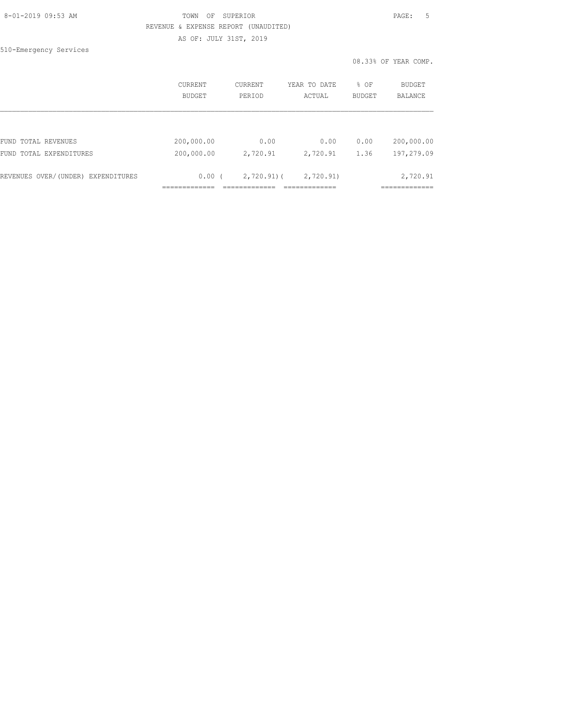#### 8-01-2019 09:53 AM TOWN OF SUPERIOR PAGE: 5 REVENUE & EXPENSE REPORT (UNAUDITED) AS OF: JULY 31ST, 2019

510-Emergency Services

|                                    | <b>CURRENT</b> | CURRENT      | YEAR TO DATE | % OF          | BUDGET         |
|------------------------------------|----------------|--------------|--------------|---------------|----------------|
|                                    | <b>BUDGET</b>  | PERIOD       | ACTUAL       | <b>BUDGET</b> | <b>BALANCE</b> |
| FUND TOTAL REVENUES                | 200,000.00     | 0.00         | 0.00         | 0.00          | 200,000.00     |
| FUND TOTAL EXPENDITURES            | 200,000.00     | 2,720.91     | 2,720.91     | 1.36          | 197,279.09     |
| REVENUES OVER/(UNDER) EXPENDITURES | $0.00$ (       | $2,720.91$ ( | 2,720.91)    |               | 2,720.91       |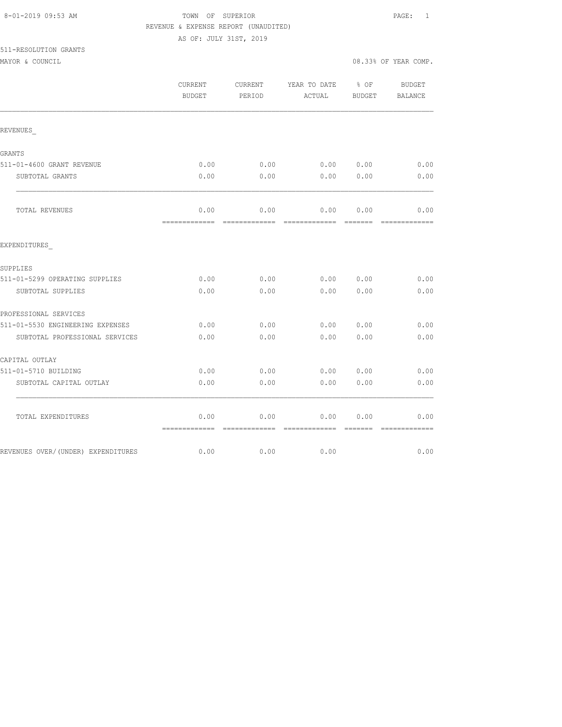| 8-01-2019 09:53 AM |  |
|--------------------|--|
|                    |  |

### TOWN OF SUPERIOR **Example 2010** PAGE: 1 REVENUE & EXPENSE REPORT (UNAUDITED)

| 511-RESOLUTION GRANTS |  |
|-----------------------|--|
|                       |  |

|                                     | CURRENT<br><b>BUDGET</b>             | CURRENT<br>PERIOD | YEAR TO DATE % OF<br>ACTUAL                    | BUDGET | BUDGET<br>BALANCE |
|-------------------------------------|--------------------------------------|-------------------|------------------------------------------------|--------|-------------------|
| REVENUES                            |                                      |                   |                                                |        |                   |
| GRANTS                              |                                      |                   |                                                |        |                   |
| 511-01-4600 GRANT REVENUE           | 0.00                                 | 0.00              | 0.00 0.00                                      |        | 0.00              |
| SUBTOTAL GRANTS                     | 0.00                                 | 0.00              | 0.00                                           | 0.00   | 0.00              |
| TOTAL REVENUES                      | 0.00                                 | 0.00              | 0.00 0.00                                      |        | 0.00              |
| EXPENDITURES                        |                                      |                   |                                                |        |                   |
| SUPPLIES                            |                                      |                   |                                                |        |                   |
| 511-01-5299 OPERATING SUPPLIES      | 0.00                                 | 0.00              | $0.00$ $0.00$                                  |        | 0.00              |
| SUBTOTAL SUPPLIES                   | 0.00                                 | 0.00              | 0.00                                           | 0.00   | 0.00              |
| PROFESSIONAL SERVICES               |                                      |                   |                                                |        |                   |
| 511-01-5530 ENGINEERING EXPENSES    | 0.00                                 | 0.00              | 0.00                                           | 0.00   | 0.00              |
| SUBTOTAL PROFESSIONAL SERVICES      | 0.00                                 | 0.00              | 0.00                                           | 0.00   | 0.00              |
| CAPITAL OUTLAY                      |                                      |                   |                                                |        |                   |
| 511-01-5710 BUILDING                | 0.00                                 | 0.00              | 0.0000000                                      |        | 0.00              |
| SUBTOTAL CAPITAL OUTLAY             | 0.00                                 | 0.00              | 0.00                                           | 0.00   | 0.00              |
| TOTAL EXPENDITURES                  | 0.00<br>-------------- ------------- | 0.00              | 0.00<br>_============== ======= ============== | 0.00   | 0.00              |
| REVENUES OVER/ (UNDER) EXPENDITURES | 0.00                                 | 0.00              | 0.00                                           |        | 0.00              |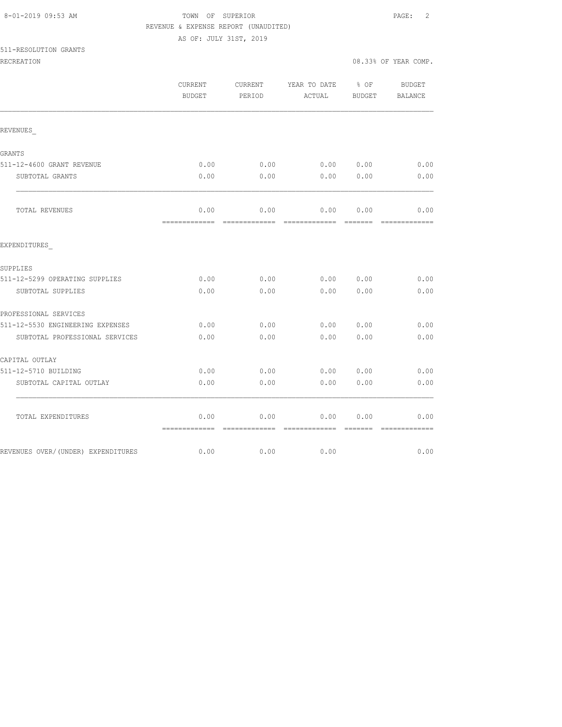### TOWN OF SUPERIOR **Example 2** PAGE: 2 REVENUE & EXPENSE REPORT (UNAUDITED)

| 511-RESOLUTION GRANTS |  |
|-----------------------|--|
|-----------------------|--|

|                                     | CURRENT<br><b>BUDGET</b> | CURRENT<br>PERIOD     | YEAR TO DATE<br>ACTUAL                                                                                                                                                                                                                                                                                                                                                                                                                                                                         | $\frac{1}{6}$ OF<br>BUDGET                                                                                                                                                                                                                                                                                                                                                                                                                                                                     | <b>BUDGET</b><br>BALANCE |
|-------------------------------------|--------------------------|-----------------------|------------------------------------------------------------------------------------------------------------------------------------------------------------------------------------------------------------------------------------------------------------------------------------------------------------------------------------------------------------------------------------------------------------------------------------------------------------------------------------------------|------------------------------------------------------------------------------------------------------------------------------------------------------------------------------------------------------------------------------------------------------------------------------------------------------------------------------------------------------------------------------------------------------------------------------------------------------------------------------------------------|--------------------------|
| REVENUES                            |                          |                       |                                                                                                                                                                                                                                                                                                                                                                                                                                                                                                |                                                                                                                                                                                                                                                                                                                                                                                                                                                                                                |                          |
| GRANTS                              |                          |                       |                                                                                                                                                                                                                                                                                                                                                                                                                                                                                                |                                                                                                                                                                                                                                                                                                                                                                                                                                                                                                |                          |
| 511-12-4600 GRANT REVENUE           | 0.00                     | 0.00                  | 0.00 0.00                                                                                                                                                                                                                                                                                                                                                                                                                                                                                      |                                                                                                                                                                                                                                                                                                                                                                                                                                                                                                | 0.00                     |
| SUBTOTAL GRANTS                     | 0.00                     | 0.00                  | 0.00                                                                                                                                                                                                                                                                                                                                                                                                                                                                                           | 0.00                                                                                                                                                                                                                                                                                                                                                                                                                                                                                           | 0.00                     |
| TOTAL REVENUES                      | 0.00<br>=============    | 0.00<br>============= | 0.00<br>$\begin{array}{cccccccccc} \multicolumn{2}{c}{} & \multicolumn{2}{c}{} & \multicolumn{2}{c}{} & \multicolumn{2}{c}{} & \multicolumn{2}{c}{} & \multicolumn{2}{c}{} & \multicolumn{2}{c}{} & \multicolumn{2}{c}{} & \multicolumn{2}{c}{} & \multicolumn{2}{c}{} & \multicolumn{2}{c}{} & \multicolumn{2}{c}{} & \multicolumn{2}{c}{} & \multicolumn{2}{c}{} & \multicolumn{2}{c}{} & \multicolumn{2}{c}{} & \multicolumn{2}{c}{} & \multicolumn{2}{c}{} & \multicolumn{2}{c}{} & \mult$ | 0.00<br>$\begin{array}{cccccccccc} \multicolumn{2}{c}{} & \multicolumn{2}{c}{} & \multicolumn{2}{c}{} & \multicolumn{2}{c}{} & \multicolumn{2}{c}{} & \multicolumn{2}{c}{} & \multicolumn{2}{c}{} & \multicolumn{2}{c}{} & \multicolumn{2}{c}{} & \multicolumn{2}{c}{} & \multicolumn{2}{c}{} & \multicolumn{2}{c}{} & \multicolumn{2}{c}{} & \multicolumn{2}{c}{} & \multicolumn{2}{c}{} & \multicolumn{2}{c}{} & \multicolumn{2}{c}{} & \multicolumn{2}{c}{} & \multicolumn{2}{c}{} & \mult$ | 0.00<br>=============    |
| EXPENDITURES                        |                          |                       |                                                                                                                                                                                                                                                                                                                                                                                                                                                                                                |                                                                                                                                                                                                                                                                                                                                                                                                                                                                                                |                          |
| SUPPLIES                            |                          |                       |                                                                                                                                                                                                                                                                                                                                                                                                                                                                                                |                                                                                                                                                                                                                                                                                                                                                                                                                                                                                                |                          |
| 511-12-5299 OPERATING SUPPLIES      | 0.00                     | 0.00                  | 0.00 0.00                                                                                                                                                                                                                                                                                                                                                                                                                                                                                      |                                                                                                                                                                                                                                                                                                                                                                                                                                                                                                | 0.00                     |
| SUBTOTAL SUPPLIES                   | 0.00                     | 0.00                  | 0.00                                                                                                                                                                                                                                                                                                                                                                                                                                                                                           | 0.00                                                                                                                                                                                                                                                                                                                                                                                                                                                                                           | 0.00                     |
| PROFESSIONAL SERVICES               |                          |                       |                                                                                                                                                                                                                                                                                                                                                                                                                                                                                                |                                                                                                                                                                                                                                                                                                                                                                                                                                                                                                |                          |
| 511-12-5530 ENGINEERING EXPENSES    | 0.00                     | 0.00                  | 0.00 0.00                                                                                                                                                                                                                                                                                                                                                                                                                                                                                      |                                                                                                                                                                                                                                                                                                                                                                                                                                                                                                | 0.00                     |
| SUBTOTAL PROFESSIONAL SERVICES      | 0.00                     | 0.00                  | 0.00                                                                                                                                                                                                                                                                                                                                                                                                                                                                                           | 0.00                                                                                                                                                                                                                                                                                                                                                                                                                                                                                           | 0.00                     |
| CAPITAL OUTLAY                      |                          |                       |                                                                                                                                                                                                                                                                                                                                                                                                                                                                                                |                                                                                                                                                                                                                                                                                                                                                                                                                                                                                                |                          |
| 511-12-5710 BUILDING                | 0.00                     | 0.00                  | 0.00                                                                                                                                                                                                                                                                                                                                                                                                                                                                                           | 0.00                                                                                                                                                                                                                                                                                                                                                                                                                                                                                           | 0.00                     |
| SUBTOTAL CAPITAL OUTLAY             | 0.00                     | 0.00                  | 0.00                                                                                                                                                                                                                                                                                                                                                                                                                                                                                           | 0.00                                                                                                                                                                                                                                                                                                                                                                                                                                                                                           | 0.00                     |
| TOTAL EXPENDITURES                  | 0.00<br>=============    | 0.00<br>============= | 0.00<br>=============                                                                                                                                                                                                                                                                                                                                                                                                                                                                          | 0.00<br><b>COOCCOO</b>                                                                                                                                                                                                                                                                                                                                                                                                                                                                         | 0.00<br>=============    |
| REVENUES OVER/ (UNDER) EXPENDITURES | 0.00                     | 0.00                  | 0.00                                                                                                                                                                                                                                                                                                                                                                                                                                                                                           |                                                                                                                                                                                                                                                                                                                                                                                                                                                                                                | 0.00                     |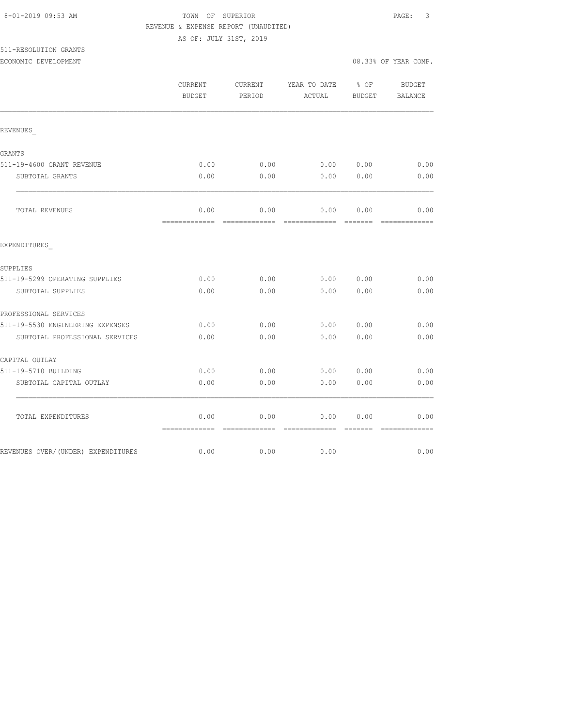### TOWN OF SUPERIOR **Example 2019** PAGE: 3 REVENUE & EXPENSE REPORT (UNAUDITED)

| 511-RESOLUTION GRANTS |  |
|-----------------------|--|
|                       |  |

|                                     | CURRENT<br><b>BUDGET</b>             | CURRENT<br>PERIOD | YEAR TO DATE % OF<br>ACTUAL | BUDGET           | BUDGET<br>BALANCE                                                                                                                                                                                                                                                                                                                                                                                                                                                                              |
|-------------------------------------|--------------------------------------|-------------------|-----------------------------|------------------|------------------------------------------------------------------------------------------------------------------------------------------------------------------------------------------------------------------------------------------------------------------------------------------------------------------------------------------------------------------------------------------------------------------------------------------------------------------------------------------------|
| REVENUES                            |                                      |                   |                             |                  |                                                                                                                                                                                                                                                                                                                                                                                                                                                                                                |
| GRANTS                              |                                      |                   |                             |                  |                                                                                                                                                                                                                                                                                                                                                                                                                                                                                                |
| 511-19-4600 GRANT REVENUE           | 0.00                                 | 0.00              | 0.00 0.00                   |                  | 0.00                                                                                                                                                                                                                                                                                                                                                                                                                                                                                           |
| SUBTOTAL GRANTS                     | 0.00                                 | 0.00              | 0.00                        | 0.00             | 0.00                                                                                                                                                                                                                                                                                                                                                                                                                                                                                           |
| TOTAL REVENUES                      | 0.00                                 | 0.00              | 0.00                        | 0.00             | 0.00<br>$\begin{array}{cccccccccc} \multicolumn{2}{c}{} & \multicolumn{2}{c}{} & \multicolumn{2}{c}{} & \multicolumn{2}{c}{} & \multicolumn{2}{c}{} & \multicolumn{2}{c}{} & \multicolumn{2}{c}{} & \multicolumn{2}{c}{} & \multicolumn{2}{c}{} & \multicolumn{2}{c}{} & \multicolumn{2}{c}{} & \multicolumn{2}{c}{} & \multicolumn{2}{c}{} & \multicolumn{2}{c}{} & \multicolumn{2}{c}{} & \multicolumn{2}{c}{} & \multicolumn{2}{c}{} & \multicolumn{2}{c}{} & \multicolumn{2}{c}{} & \mult$ |
| EXPENDITURES                        |                                      |                   |                             |                  |                                                                                                                                                                                                                                                                                                                                                                                                                                                                                                |
| SUPPLIES                            |                                      |                   |                             |                  |                                                                                                                                                                                                                                                                                                                                                                                                                                                                                                |
| 511-19-5299 OPERATING SUPPLIES      | 0.00                                 | 0.00              | 0.0000000                   |                  | 0.00                                                                                                                                                                                                                                                                                                                                                                                                                                                                                           |
| SUBTOTAL SUPPLIES                   | 0.00                                 | 0.00              | 0.00                        | 0.00             | 0.00                                                                                                                                                                                                                                                                                                                                                                                                                                                                                           |
| PROFESSIONAL SERVICES               |                                      |                   |                             |                  |                                                                                                                                                                                                                                                                                                                                                                                                                                                                                                |
| 511-19-5530 ENGINEERING EXPENSES    | 0.00                                 | 0.00              | 0.00 0.00                   |                  | 0.00                                                                                                                                                                                                                                                                                                                                                                                                                                                                                           |
| SUBTOTAL PROFESSIONAL SERVICES      | 0.00                                 | 0.00              | 0.00                        | 0.00             | 0.00                                                                                                                                                                                                                                                                                                                                                                                                                                                                                           |
| CAPITAL OUTLAY                      |                                      |                   |                             |                  |                                                                                                                                                                                                                                                                                                                                                                                                                                                                                                |
| 511-19-5710 BUILDING                | 0.00                                 | 0.00              | 0.00 0.00                   |                  | 0.00                                                                                                                                                                                                                                                                                                                                                                                                                                                                                           |
| SUBTOTAL CAPITAL OUTLAY             | 0.00                                 | 0.00              | 0.00                        | 0.00             | 0.00                                                                                                                                                                                                                                                                                                                                                                                                                                                                                           |
| TOTAL EXPENDITURES                  | 0.00<br>-------------- ------------- | 0.00              | 0.00                        | 0.00<br>-------- | 0.00                                                                                                                                                                                                                                                                                                                                                                                                                                                                                           |
| REVENUES OVER/ (UNDER) EXPENDITURES | 0.00                                 | 0.00              | 0.00                        |                  | 0.00                                                                                                                                                                                                                                                                                                                                                                                                                                                                                           |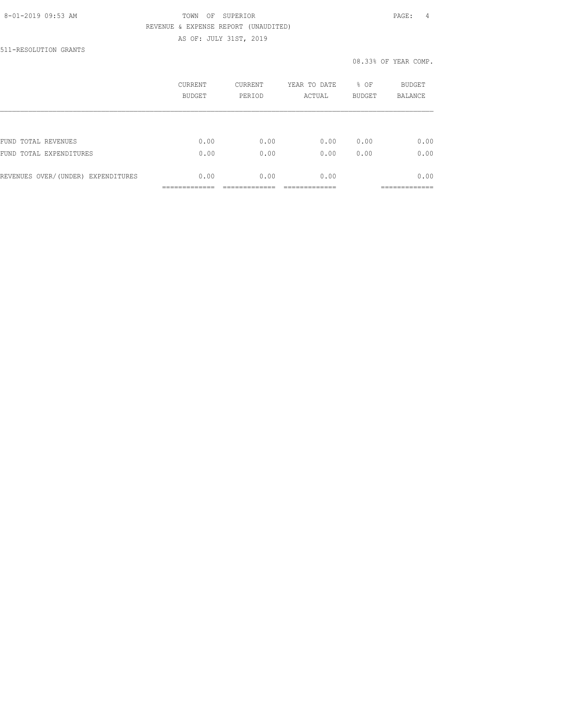### 8-01-2019 09:53 AM TOWN OF SUPERIOR PAGE: 4 REVENUE & EXPENSE REPORT (UNAUDITED) AS OF: JULY 31ST, 2019

511-RESOLUTION GRANTS

|                                    | CURRENT<br>BUDGET | CURRENT<br>PERIOD | YEAR TO DATE<br>ACTUAL | % OF<br><b>BUDGET</b> | BUDGET<br><b>BALANCE</b> |
|------------------------------------|-------------------|-------------------|------------------------|-----------------------|--------------------------|
|                                    |                   |                   |                        |                       |                          |
| FUND TOTAL REVENUES                | 0.00              | 0.00              | 0.00                   | 0.00                  | 0.00                     |
| FUND<br>TOTAL EXPENDITURES         | 0.00              | 0.00              | 0.00                   | 0.00                  | 0.00                     |
| REVENUES OVER/(UNDER) EXPENDITURES | 0.00              | 0.00              | 0.00                   |                       | 0.00                     |
|                                    |                   |                   |                        |                       |                          |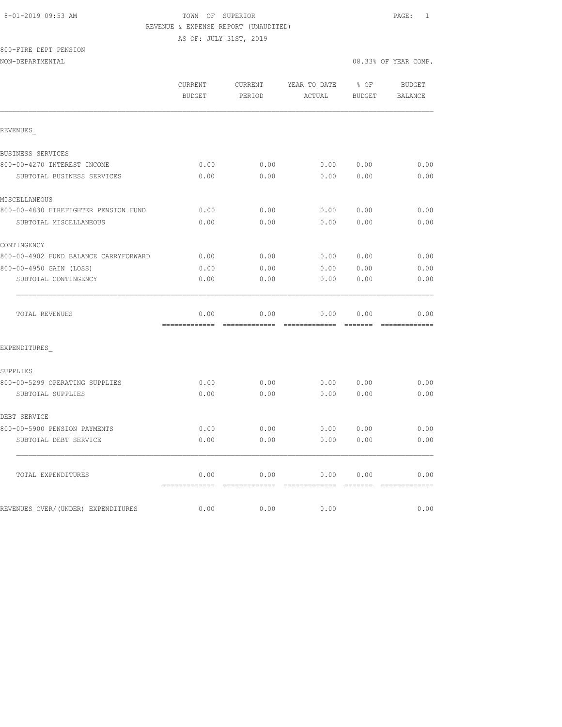#### 8-01-2019 09:53 AM TOWN OF SUPERIOR PAGE: 1 REVENUE & EXPENSE REPORT (UNAUDITED)

AS OF: JULY 31ST, 2019

### 800-FIRE DEPT PENSION

|                                       | CURRENT<br>BUDGET                       | CURRENT<br>PERIOD | YEAR TO DATE<br>ACTUAL                                                                                                                                                                                                                                                                                                                                                                                                                                                                         | % OF<br>BUDGET            | <b>BUDGET</b><br>BALANCE |
|---------------------------------------|-----------------------------------------|-------------------|------------------------------------------------------------------------------------------------------------------------------------------------------------------------------------------------------------------------------------------------------------------------------------------------------------------------------------------------------------------------------------------------------------------------------------------------------------------------------------------------|---------------------------|--------------------------|
|                                       |                                         |                   |                                                                                                                                                                                                                                                                                                                                                                                                                                                                                                |                           |                          |
| REVENUES                              |                                         |                   |                                                                                                                                                                                                                                                                                                                                                                                                                                                                                                |                           |                          |
| BUSINESS SERVICES                     |                                         |                   |                                                                                                                                                                                                                                                                                                                                                                                                                                                                                                |                           |                          |
| 800-00-4270 INTEREST INCOME           | 0.00                                    | 0.00              |                                                                                                                                                                                                                                                                                                                                                                                                                                                                                                | 0.0000000                 | 0.00                     |
| SUBTOTAL BUSINESS SERVICES            | 0.00                                    | 0.00              | 0.00                                                                                                                                                                                                                                                                                                                                                                                                                                                                                           | 0.00                      | 0.00                     |
| MISCELLANEOUS                         |                                         |                   |                                                                                                                                                                                                                                                                                                                                                                                                                                                                                                |                           |                          |
| 800-00-4830 FIREFIGHTER PENSION FUND  | 0.00                                    | 0.00              | 0.00                                                                                                                                                                                                                                                                                                                                                                                                                                                                                           | 0.00                      | 0.00                     |
| SUBTOTAL MISCELLANEOUS                | 0.00                                    | 0.00              | 0.00                                                                                                                                                                                                                                                                                                                                                                                                                                                                                           | 0.00                      | 0.00                     |
| CONTINGENCY                           |                                         |                   |                                                                                                                                                                                                                                                                                                                                                                                                                                                                                                |                           |                          |
| 800-00-4902 FUND BALANCE CARRYFORWARD | 0.00                                    | 0.00              | 0.00                                                                                                                                                                                                                                                                                                                                                                                                                                                                                           | 0.00                      | 0.00                     |
| 800-00-4950 GAIN (LOSS)               | 0.00                                    | 0.00              | 0.00                                                                                                                                                                                                                                                                                                                                                                                                                                                                                           | 0.00                      | 0.00                     |
| SUBTOTAL CONTINGENCY                  | 0.00                                    | 0.00              | 0.00                                                                                                                                                                                                                                                                                                                                                                                                                                                                                           | 0.00                      | 0.00                     |
| TOTAL REVENUES                        | 0.00<br>=============================== | 0.00              | 0.00                                                                                                                                                                                                                                                                                                                                                                                                                                                                                           | 0.00                      | 0.00<br>=============    |
| EXPENDITURES                          |                                         |                   |                                                                                                                                                                                                                                                                                                                                                                                                                                                                                                |                           |                          |
| SUPPLIES                              |                                         |                   |                                                                                                                                                                                                                                                                                                                                                                                                                                                                                                |                           |                          |
| 800-00-5299 OPERATING SUPPLIES        | 0.00                                    | 0.00              | 0.00                                                                                                                                                                                                                                                                                                                                                                                                                                                                                           | 0.00                      | 0.00                     |
| SUBTOTAL SUPPLIES                     | 0.00                                    | 0.00              | 0.00                                                                                                                                                                                                                                                                                                                                                                                                                                                                                           | 0.00                      | 0.00                     |
| DEBT SERVICE                          |                                         |                   |                                                                                                                                                                                                                                                                                                                                                                                                                                                                                                |                           |                          |
| 800-00-5900 PENSION PAYMENTS          | 0.00                                    | 0.00              | 0.00                                                                                                                                                                                                                                                                                                                                                                                                                                                                                           | 0.00                      | 0.00                     |
| SUBTOTAL DEBT SERVICE                 | 0.00                                    | 0.00              | 0.00                                                                                                                                                                                                                                                                                                                                                                                                                                                                                           | 0.00                      | 0.00                     |
| TOTAL EXPENDITURES                    | 0.00<br>------------- -------------     | 0.00              | 0.00<br>$\begin{array}{cccccccccc} \multicolumn{2}{c}{} & \multicolumn{2}{c}{} & \multicolumn{2}{c}{} & \multicolumn{2}{c}{} & \multicolumn{2}{c}{} & \multicolumn{2}{c}{} & \multicolumn{2}{c}{} & \multicolumn{2}{c}{} & \multicolumn{2}{c}{} & \multicolumn{2}{c}{} & \multicolumn{2}{c}{} & \multicolumn{2}{c}{} & \multicolumn{2}{c}{} & \multicolumn{2}{c}{} & \multicolumn{2}{c}{} & \multicolumn{2}{c}{} & \multicolumn{2}{c}{} & \multicolumn{2}{c}{} & \multicolumn{2}{c}{} & \mult$ | 0.00<br><b>Experience</b> | 0.00<br>=============    |
| REVENUES OVER/(UNDER) EXPENDITURES    | 0.00                                    | 0.00              | 0.00                                                                                                                                                                                                                                                                                                                                                                                                                                                                                           |                           | 0.00                     |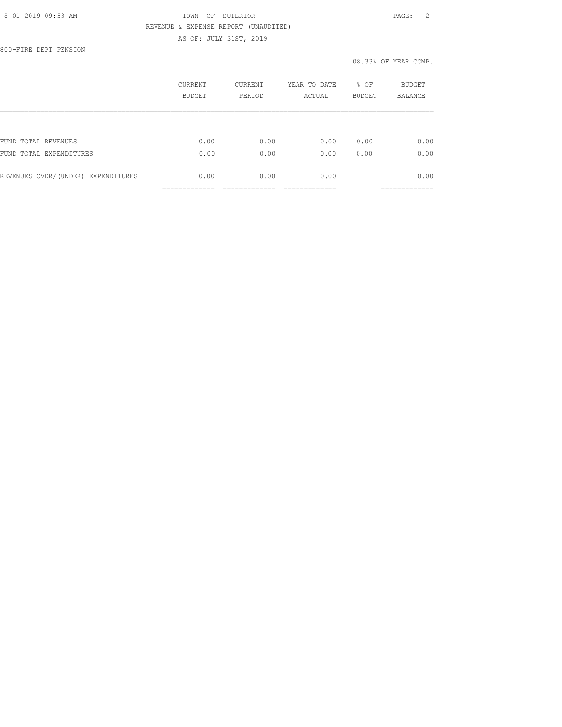### 8-01-2019 09:53 AM TOWN OF SUPERIOR PAGE: 2 REVENUE & EXPENSE REPORT (UNAUDITED) AS OF: JULY 31ST, 2019

800-FIRE DEPT PENSION

|                                    | CURRENT<br>BUDGET | CURRENT<br>PERIOD | YEAR TO DATE<br>ACTUAL | % OF<br><b>BUDGET</b> | BUDGET<br><b>BALANCE</b> |
|------------------------------------|-------------------|-------------------|------------------------|-----------------------|--------------------------|
|                                    |                   |                   |                        |                       |                          |
| FUND TOTAL REVENUES                | 0.00              | 0.00              | 0.00                   | 0.00                  | 0.00                     |
| FUND<br>TOTAL EXPENDITURES         | 0.00              | 0.00              | 0.00                   | 0.00                  | 0.00                     |
| REVENUES OVER/(UNDER) EXPENDITURES | 0.00              | 0.00              | 0.00                   |                       | 0.00                     |
|                                    |                   |                   |                        |                       |                          |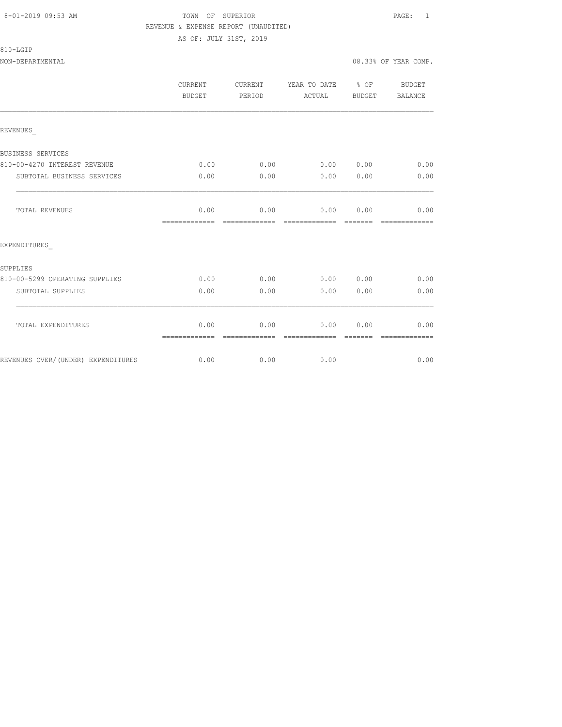#### 8-01-2019 09:53 AM TOWN OF SUPERIOR PAGE: 1 REVENUE & EXPENSE REPORT (UNAUDITED) AS OF: JULY 31ST, 2019

| 810-LGIP |
|----------|
|----------|

NON-DEPARTMENTAL 08.33% OF YEAR COMP.

|                                | CURRENT<br><b>BUDGET</b> | <b>CURRENT</b><br>PERIOD | YEAR TO DATE % OF<br>ACTUAL | BUDGET                                                                                                                                                                                                                                                                                                                                                                                                                                                                                                                   | <b>BUDGET</b><br><b>BALANCE</b> |
|--------------------------------|--------------------------|--------------------------|-----------------------------|--------------------------------------------------------------------------------------------------------------------------------------------------------------------------------------------------------------------------------------------------------------------------------------------------------------------------------------------------------------------------------------------------------------------------------------------------------------------------------------------------------------------------|---------------------------------|
| REVENUES                       |                          |                          |                             |                                                                                                                                                                                                                                                                                                                                                                                                                                                                                                                          |                                 |
| BUSINESS SERVICES              |                          |                          |                             |                                                                                                                                                                                                                                                                                                                                                                                                                                                                                                                          |                                 |
| 810-00-4270 INTEREST REVENUE   | 0.00                     | 0.00                     |                             | 0.0000000                                                                                                                                                                                                                                                                                                                                                                                                                                                                                                                | 0.00                            |
| SUBTOTAL BUSINESS SERVICES     | 0.00                     | 0.00                     | 0.00                        | 0.00                                                                                                                                                                                                                                                                                                                                                                                                                                                                                                                     | 0.00                            |
| TOTAL REVENUES                 | 0.00<br>=============    | 0.00<br>--------------   | 0.00                        | 0.00<br>--------                                                                                                                                                                                                                                                                                                                                                                                                                                                                                                         | 0.00<br>-------------           |
| EXPENDITURES                   |                          |                          |                             |                                                                                                                                                                                                                                                                                                                                                                                                                                                                                                                          |                                 |
| SUPPLIES                       |                          |                          |                             |                                                                                                                                                                                                                                                                                                                                                                                                                                                                                                                          |                                 |
| 810-00-5299 OPERATING SUPPLIES | 0.00                     | 0.00                     | 0.000000                    |                                                                                                                                                                                                                                                                                                                                                                                                                                                                                                                          | 0.00                            |
| SUBTOTAL SUPPLIES              | 0.00                     | 0.00                     | 0.00                        | 0.00                                                                                                                                                                                                                                                                                                                                                                                                                                                                                                                     | 0.00                            |
| TOTAL EXPENDITURES             | 0.00                     | 0.00                     | 0.00 0.00                   |                                                                                                                                                                                                                                                                                                                                                                                                                                                                                                                          | 0.00                            |
|                                | =============            | =============            | =============               | $\qquad \qquad = \qquad \qquad = \qquad \qquad = \qquad \qquad = \qquad \qquad = \qquad \qquad = \qquad \qquad = \qquad \qquad = \qquad \qquad = \qquad \qquad = \qquad \qquad = \qquad \qquad = \qquad \qquad = \qquad \qquad = \qquad \qquad = \qquad \qquad = \qquad \qquad = \qquad \qquad = \qquad \qquad = \qquad \qquad = \qquad \qquad = \qquad \qquad = \qquad \qquad = \qquad \qquad = \qquad \qquad = \qquad \qquad = \qquad \qquad = \qquad \qquad = \qquad \qquad = \qquad \qquad = \qquad \qquad = \qquad$ | =============                   |

REVENUES OVER/(UNDER) EXPENDITURES 0.00 0.00 0.00 0.00 0.00 0.00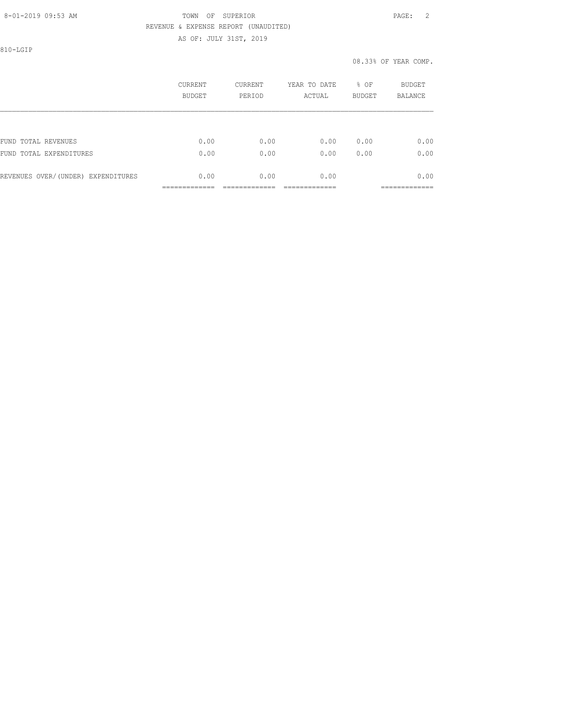#### 8-01-2019 09:53 AM TOWN OF SUPERIOR PAGE: 2 REVENUE & EXPENSE REPORT (UNAUDITED) AS OF: JULY 31ST, 2019

810-LGIP

|                                    | CURRENT<br>BUDGET | CURRENT<br>PERIOD | YEAR TO DATE<br>ACTUAL | % OF<br><b>BUDGET</b> | <b>BUDGET</b><br><b>BALANCE</b> |
|------------------------------------|-------------------|-------------------|------------------------|-----------------------|---------------------------------|
|                                    |                   |                   |                        |                       |                                 |
| FUND TOTAL REVENUES                | 0.00              | 0.00              | 0.00                   | 0.00                  | 0.00                            |
| FUND TOTAL EXPENDITURES            | 0.00              | 0.00              | 0.00                   | 0.00                  | 0.00                            |
| REVENUES OVER/(UNDER) EXPENDITURES | 0.00              | 0.00              | 0.00                   |                       | 0.00                            |
|                                    |                   |                   |                        |                       |                                 |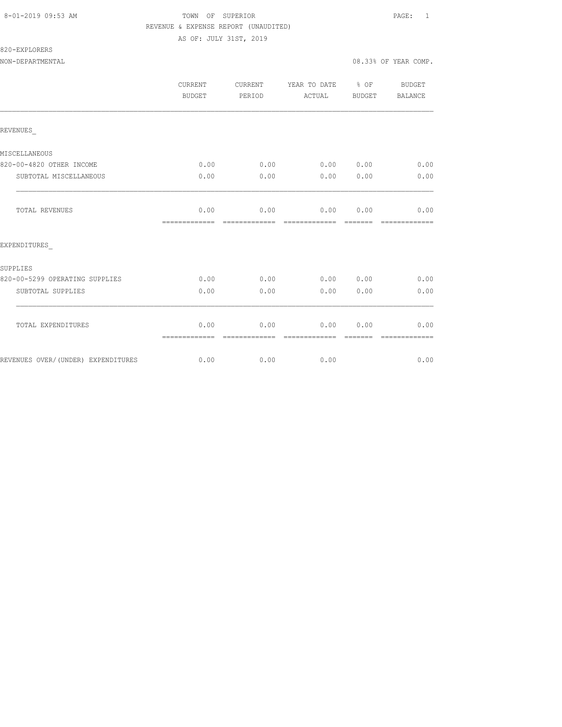### 8-01-2019 09:53 AM TOWN OF SUPERIOR PAGE: 1 REVENUE & EXPENSE REPORT (UNAUDITED)

AS OF: JULY 31ST, 2019

820-EXPLORERS

|                                    | <b>CURRENT</b><br><b>BUDGET</b> | CURRENT<br>PERIOD     | YEAR TO DATE % OF<br>ACTUAL | <b>BUDGET</b>    | <b>BUDGET</b><br>BALANCE |
|------------------------------------|---------------------------------|-----------------------|-----------------------------|------------------|--------------------------|
| REVENUES                           |                                 |                       |                             |                  |                          |
| MISCELLANEOUS                      |                                 |                       |                             |                  |                          |
| 820-00-4820 OTHER INCOME           | 0.00                            | 0.00                  | 0.00 0.00                   |                  | 0.00                     |
| SUBTOTAL MISCELLANEOUS             | 0.00                            | 0.00                  | 0.00                        | 0.00             | 0.00                     |
| <b>TOTAL REVENUES</b>              | 0.00<br>=============           | 0.00<br>------------- | 0.00<br>--------------      | 0.00<br>-------- | 0.00                     |
| EXPENDITURES                       |                                 |                       |                             |                  |                          |
| SUPPLIES                           |                                 |                       |                             |                  |                          |
| 820-00-5299 OPERATING SUPPLIES     | 0.00                            | 0.00                  | 0.00                        | 0.00             | 0.00                     |
| SUBTOTAL SUPPLIES                  | 0.00                            | 0.00                  | 0.00                        | 0.00             | 0.00                     |
| TOTAL EXPENDITURES                 | 0.00<br>=============           | 0.00                  | 0.00<br>=============       | 0.00             | 0.00                     |
| REVENUES OVER/(UNDER) EXPENDITURES | 0.00                            | 0.00                  | 0.00                        |                  | 0.00                     |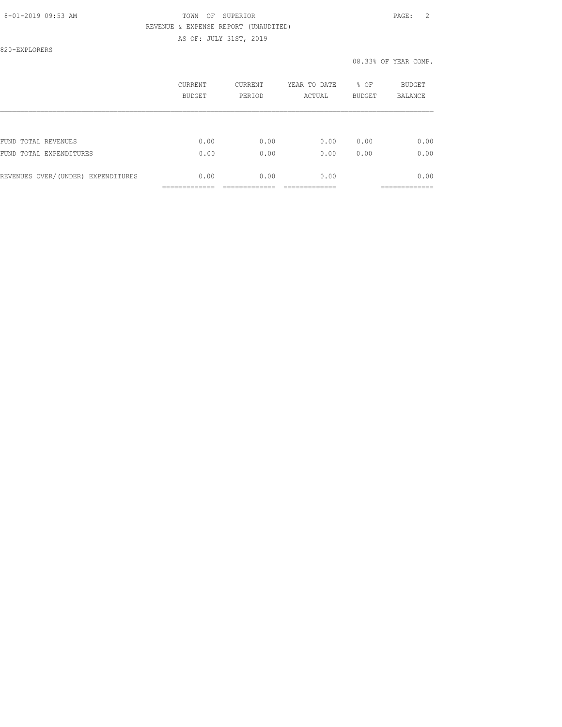### 8-01-2019 09:53 AM TOWN OF SUPERIOR PAGE: 2 REVENUE & EXPENSE REPORT (UNAUDITED)

AS OF: JULY 31ST, 2019

820-EXPLORERS

|                                    | CURRENT<br><b>BUDGET</b> | CURRENT<br>PERIOD | YEAR TO DATE<br>ACTUAL | % OF<br><b>BUDGET</b> | BUDGET<br><b>BALANCE</b> |
|------------------------------------|--------------------------|-------------------|------------------------|-----------------------|--------------------------|
|                                    |                          |                   |                        |                       |                          |
| FUND TOTAL REVENUES                | 0.00                     | 0.00              | 0.00                   | 0.00                  | 0.00                     |
| FUND TOTAL EXPENDITURES            | 0.00                     | 0.00              | 0.00                   | 0.00                  | 0.00                     |
| REVENUES OVER/(UNDER) EXPENDITURES | 0.00                     | 0.00              | 0.00                   |                       | 0.00                     |
|                                    |                          |                   |                        |                       | ------------             |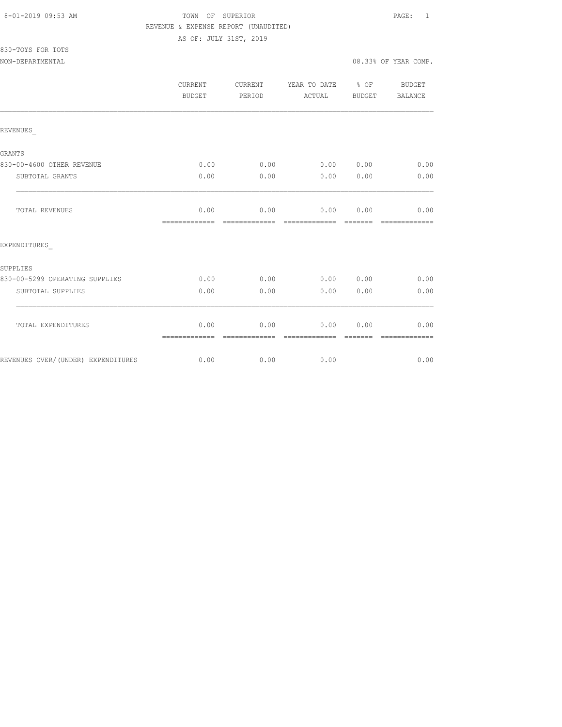### 8-01-2019 09:53 AM TOWN OF SUPERIOR PAGE: 1 REVENUE & EXPENSE REPORT (UNAUDITED)

| 830-TOYS FOR TOTS |  |  |
|-------------------|--|--|
|                   |  |  |

|                                    | <b>CURRENT</b><br>BUDGET | CURRENT<br>PERIOD     | YEAR TO DATE<br>ACTUAL | $8$ OF<br>BUDGET | <b>BUDGET</b><br><b>BALANCE</b> |
|------------------------------------|--------------------------|-----------------------|------------------------|------------------|---------------------------------|
| REVENUES                           |                          |                       |                        |                  |                                 |
| GRANTS                             |                          |                       |                        |                  |                                 |
| 830-00-4600 OTHER REVENUE          | 0.00                     | 0.00                  | 0.00 0.00              |                  | 0.00                            |
| SUBTOTAL GRANTS                    | 0.00                     | 0.00                  | 0.00                   | 0.00             | 0.00                            |
| TOTAL REVENUES                     | 0.00<br>=============    | 0.00                  | 0.00<br>-------------- | 0.00             | 0.00                            |
| EXPENDITURES                       |                          |                       |                        |                  |                                 |
| SUPPLIES                           |                          |                       |                        |                  |                                 |
| 830-00-5299 OPERATING SUPPLIES     | 0.00                     | 0.00                  | 0.00                   | 0.00             | 0.00                            |
| SUBTOTAL SUPPLIES                  | 0.00                     | 0.00                  | 0.00                   | 0.00             | 0.00                            |
| TOTAL EXPENDITURES                 | 0.00<br>=============    | 0.00<br>------------- | 0.00<br>-------------- | 0.00<br>-------- | 0.00<br>-------------           |
| REVENUES OVER/(UNDER) EXPENDITURES | 0.00                     | 0.00                  | 0.00                   |                  | 0.00                            |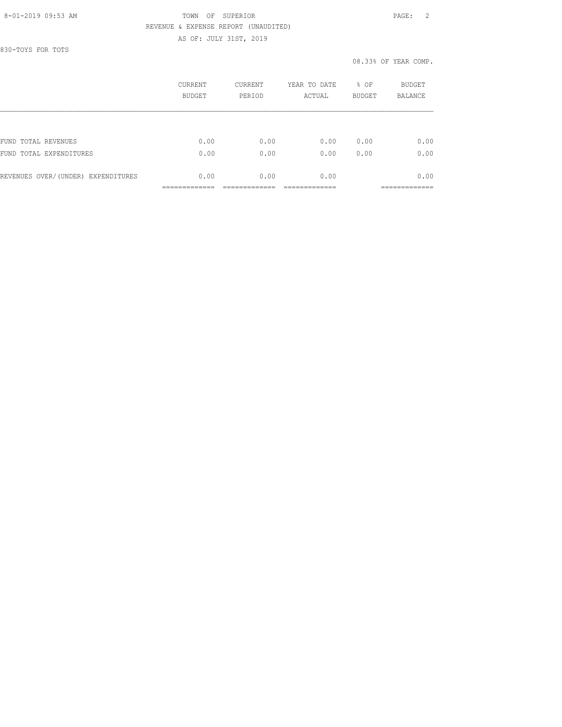#### 8-01-2019 09:53 AM TOWN OF SUPERIOR PAGE: 2 REVENUE & EXPENSE REPORT (UNAUDITED) AS OF: JULY 31ST, 2019

830-TOYS FOR TOTS

|                                    | CURRENT<br>BUDGET | CURRENT<br>PERIOD | YEAR TO DATE<br>ACTUAL | % OF<br><b>BUDGET</b> | BUDGET<br><b>BALANCE</b> |
|------------------------------------|-------------------|-------------------|------------------------|-----------------------|--------------------------|
|                                    |                   |                   |                        |                       |                          |
| FUND TOTAL REVENUES                | 0.00              | 0.00              | 0.00                   | 0.00                  | 0.00                     |
| FUND TOTAL EXPENDITURES            | 0.00              | 0.00              | 0.00                   | 0.00                  | 0.00                     |
| REVENUES OVER/(UNDER) EXPENDITURES | 0.00              | 0.00              | 0.00                   |                       | 0.00                     |
|                                    |                   |                   |                        |                       | _________                |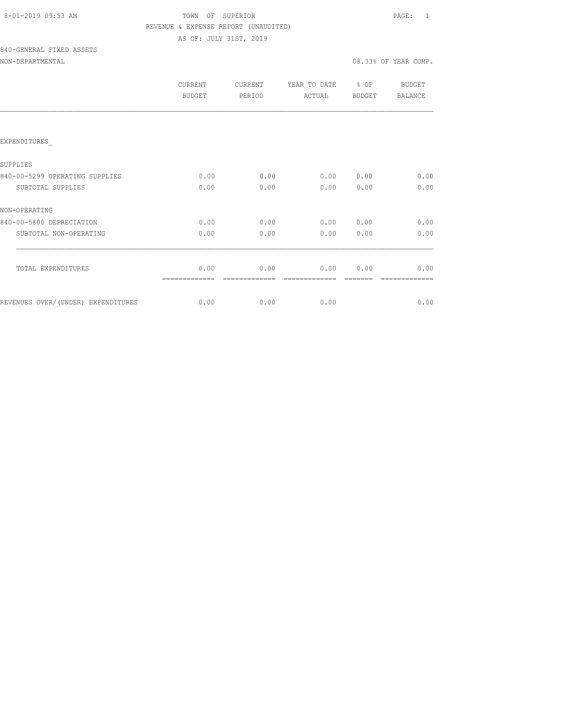| 8-01-2019 09:53 AM |  |
|--------------------|--|
|                    |  |

# TOWN OF SUPERIOR **Example 2019** PAGE: 1 REVENUE & EXPENSE REPORT (UNAUDITED)

AS OF: JULY 31ST, 2019

# 840-GENERAL FIXED ASSETS

|                                    | CURRENT<br><b>BUDGET</b> | CURRENT<br>PERIOD | YEAR TO DATE<br>ACTUAL | % OF<br><b>BUDGET</b> | BUDGET<br><b>BALANCE</b> |
|------------------------------------|--------------------------|-------------------|------------------------|-----------------------|--------------------------|
|                                    |                          |                   |                        |                       |                          |
| EXPENDITURES                       |                          |                   |                        |                       |                          |
| SUPPLIES                           |                          |                   |                        |                       |                          |
| 840-00-5299 OPERATING SUPPLIES     | 0.00                     | 0.00              | 0.00                   | 0.00                  | 0.00                     |
| SUBTOTAL SUPPLIES                  | 0.00                     | 0.00              | 0.00                   | 0.00                  | 0.00                     |
| NON-OPERATING                      |                          |                   |                        |                       |                          |
| 840-00-5800 DEPRECIATION           | 0.00                     | 0.00              | 0.00                   | 0.00                  | 0.00                     |
| SUBTOTAL NON-OPERATING             | 0.00                     | 0.00              | 0.00                   | 0.00                  | 0.00                     |
|                                    |                          |                   |                        |                       |                          |
| TOTAL EXPENDITURES                 | 0.00                     | 0.00              | 0.00                   | 0.00                  | 0.00                     |
| REVENUES OVER/(UNDER) EXPENDITURES | 0.00                     | 0.00              | 0.00                   |                       | 0.00                     |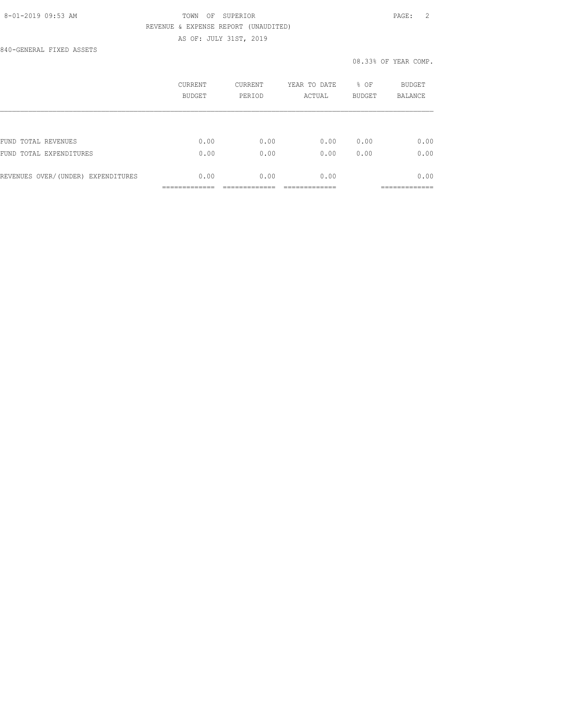# 8-01-2019 09:53 AM TOWN OF SUPERIOR PAGE: 2 REVENUE & EXPENSE REPORT (UNAUDITED) AS OF: JULY 31ST, 2019

840-GENERAL FIXED ASSETS

## 08.33% OF YEAR COMP.

|                                    | CURRENT<br>BUDGET | CURRENT<br>PERIOD | YEAR TO DATE<br>ACTUAL | % OF<br><b>BUDGET</b> | BUDGET<br><b>BALANCE</b> |
|------------------------------------|-------------------|-------------------|------------------------|-----------------------|--------------------------|
|                                    |                   |                   |                        |                       |                          |
| FUND TOTAL REVENUES                | 0.00              | 0.00              | 0.00                   | 0.00                  | 0.00                     |
| FUND TOTAL EXPENDITURES            | 0.00              | 0.00              | 0.00                   | 0.00                  | 0.00                     |
| REVENUES OVER/(UNDER) EXPENDITURES | 0.00              | 0.00              | 0.00                   |                       | 0.00                     |
|                                    |                   |                   |                        |                       | __________               |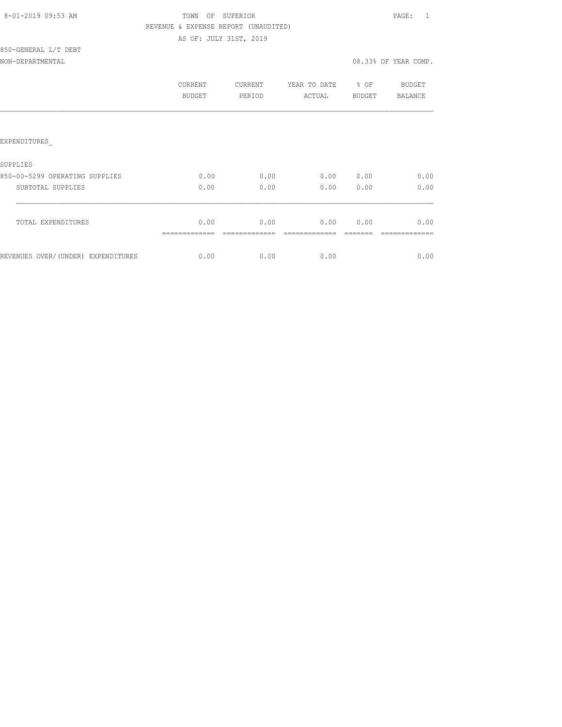| 8-01-2019 09:53 AM |  |
|--------------------|--|
|                    |  |

850-GENERAL L/T DEBT

# TOWN OF SUPERIOR **Example 2010** PAGE: 1 REVENUE & EXPENSE REPORT (UNAUDITED) AS OF: JULY 31ST, 2019

NON-DEPARTMENTAL 08.33% OF YEAR COMP.

|                                    | CURRENT<br><b>BUDGET</b> | CURRENT<br>PERIOD | YEAR TO DATE<br>ACTUAL | % OF<br><b>BUDGET</b> | BUDGET<br>BALANCE |
|------------------------------------|--------------------------|-------------------|------------------------|-----------------------|-------------------|
|                                    |                          |                   |                        |                       |                   |
| EXPENDITURES                       |                          |                   |                        |                       |                   |
| SUPPLIES                           |                          |                   |                        |                       |                   |
| 850-00-5299 OPERATING SUPPLIES     | 0.00                     | 0.00              | 0.00                   | 0.00                  | 0.00              |
| SUBTOTAL SUPPLIES                  | 0.00                     | 0.00              | 0.00                   | 0.00                  | 0.00              |
| TOTAL EXPENDITURES                 | 0.00                     | 0.00              |                        | 0.00000.00            | 0.00              |
|                                    |                          |                   |                        |                       |                   |
| REVENUES OVER/(UNDER) EXPENDITURES | 0.00                     | 0.00              | 0.00                   |                       | 0.00              |